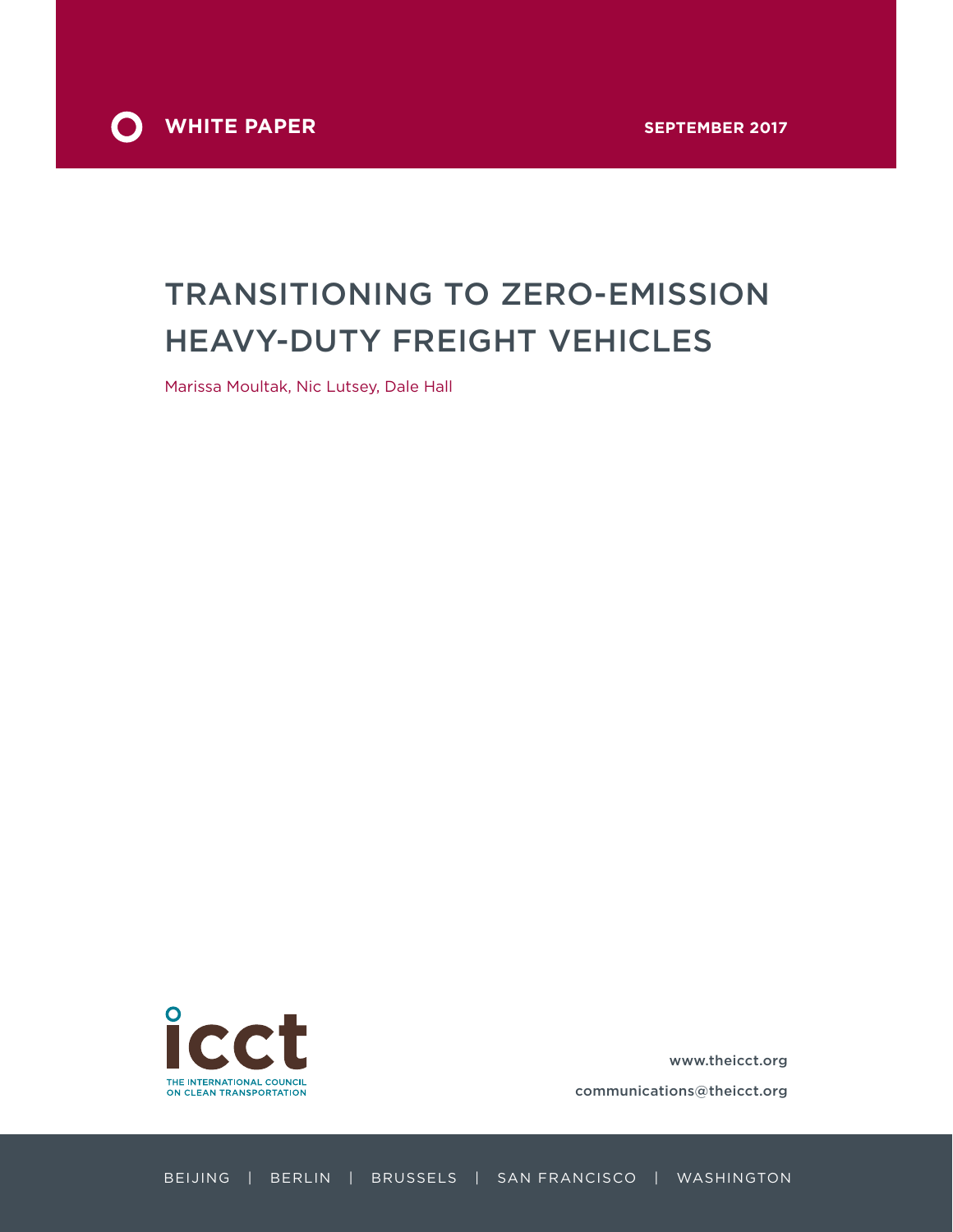

# TRANSITIONING TO ZERO-EMISSION HEAVY-DUTY FREIGHT VEHICLES

Marissa Moultak, Nic Lutsey, Dale Hall



[www.theicct.org](http://www.theicct.org)

[communications@theicct.org](mailto:communications%40theicct.org%20%20%20%20?subject=)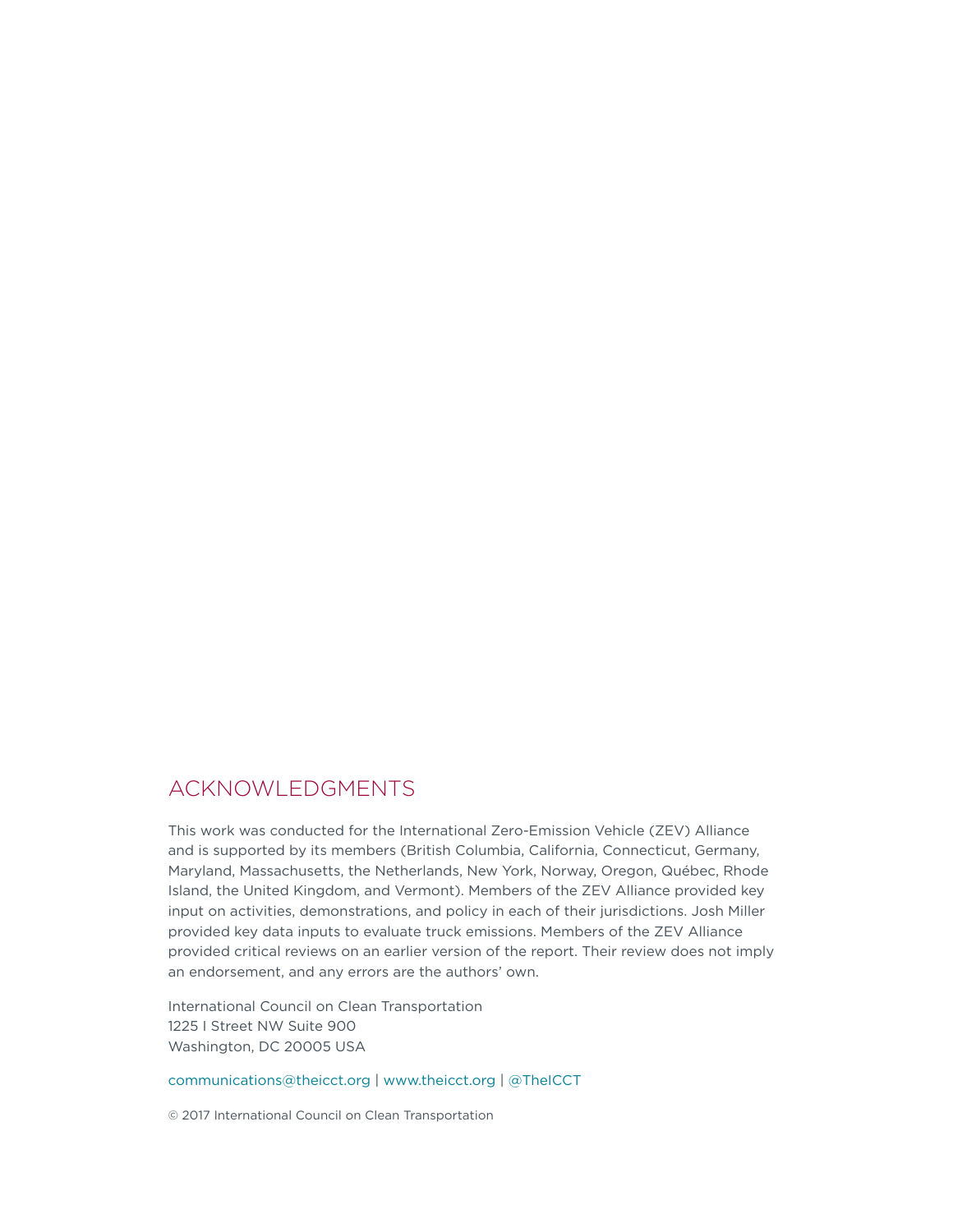### ACKNOWLEDGMENTS

This work was conducted for the International Zero-Emission Vehicle (ZEV) Alliance and is supported by its members (British Columbia, California, Connecticut, Germany, Maryland, Massachusetts, the Netherlands, New York, Norway, Oregon, Québec, Rhode Island, the United Kingdom, and Vermont). Members of the ZEV Alliance provided key input on activities, demonstrations, and policy in each of their jurisdictions. Josh Miller provided key data inputs to evaluate truck emissions. Members of the ZEV Alliance provided critical reviews on an earlier version of the report. Their review does not imply an endorsement, and any errors are the authors' own.

International Council on Clean Transportation 1225 I Street NW Suite 900 Washington, DC 20005 USA

[communications@theicct.org](mailto:communications%40theicct.org?subject=) |<www.theicct.org>| [@TheICCT](https://twitter.com/TheICCT)

© 2017 International Council on Clean Transportation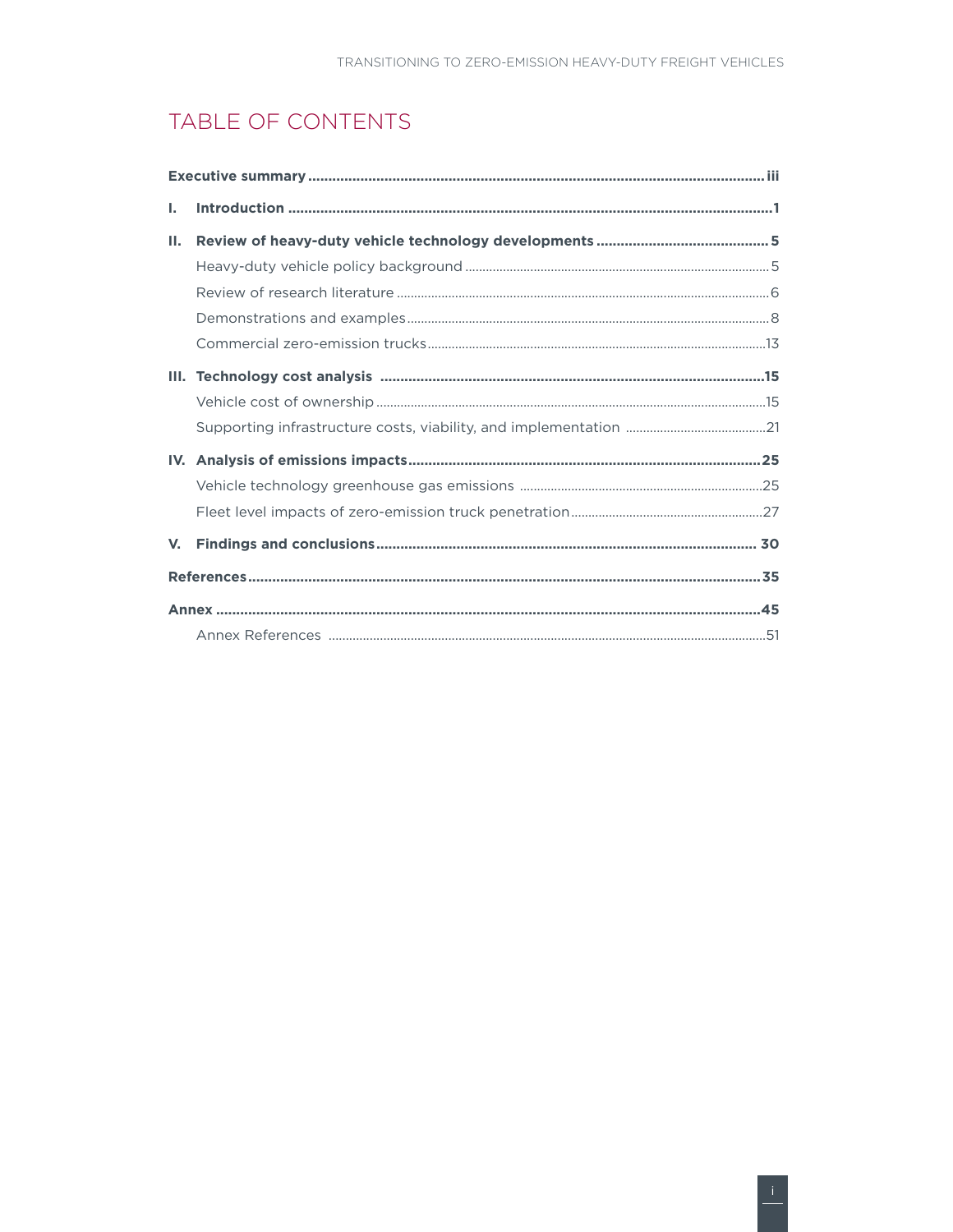# TABLE OF CONTENTS

| L.          |  |
|-------------|--|
| н.          |  |
|             |  |
|             |  |
|             |  |
|             |  |
|             |  |
|             |  |
|             |  |
|             |  |
|             |  |
|             |  |
| $V_{\cdot}$ |  |
|             |  |
|             |  |
|             |  |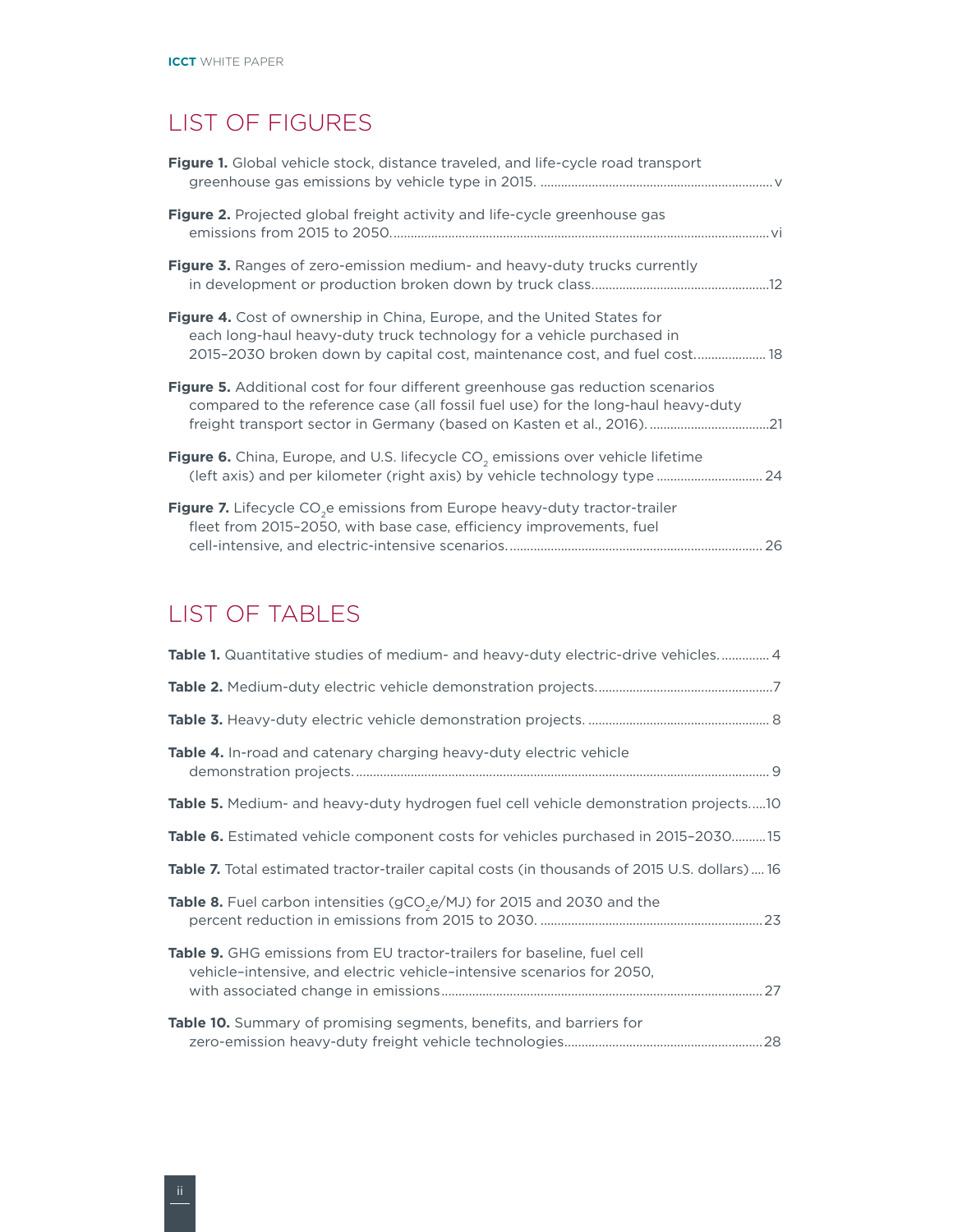# LIST OF FIGURES

| Figure 1. Global vehicle stock, distance traveled, and life-cycle road transport                                                                                                                                                             |  |
|----------------------------------------------------------------------------------------------------------------------------------------------------------------------------------------------------------------------------------------------|--|
| Figure 2. Projected global freight activity and life-cycle greenhouse gas                                                                                                                                                                    |  |
| <b>Figure 3.</b> Ranges of zero-emission medium- and heavy-duty trucks currently                                                                                                                                                             |  |
| <b>Figure 4.</b> Cost of ownership in China, Europe, and the United States for<br>each long-haul heavy-duty truck technology for a vehicle purchased in<br>2015-2030 broken down by capital cost, maintenance cost, and fuel cost 18         |  |
| Figure 5. Additional cost for four different greenhouse gas reduction scenarios<br>compared to the reference case (all fossil fuel use) for the long-haul heavy-duty<br>freight transport sector in Germany (based on Kasten et al., 2016)21 |  |
| Figure 6. China, Europe, and U.S. lifecycle CO <sub>2</sub> emissions over vehicle lifetime<br>(left axis) and per kilometer (right axis) by vehicle technology type  24                                                                     |  |
| Figure 7. Lifecycle CO <sub>2</sub> e emissions from Europe heavy-duty tractor-trailer<br>fleet from 2015-2050, with base case, efficiency improvements, fuel                                                                                |  |

# LIST OF TABLES

| Table 1. Quantitative studies of medium- and heavy-duty electric-drive vehicles 4                                                                |
|--------------------------------------------------------------------------------------------------------------------------------------------------|
|                                                                                                                                                  |
|                                                                                                                                                  |
| <b>Table 4.</b> In-road and catenary charging heavy-duty electric vehicle                                                                        |
| <b>Table 5.</b> Medium- and heavy-duty hydrogen fuel cell vehicle demonstration projects10                                                       |
| <b>Table 6.</b> Estimated vehicle component costs for vehicles purchased in 2015-203015                                                          |
| <b>Table 7.</b> Total estimated tractor-trailer capital costs (in thousands of 2015 U.S. dollars) 16                                             |
| <b>Table 8.</b> Fuel carbon intensities ( $gCO2e/MJ$ ) for 2015 and 2030 and the                                                                 |
| Table 9. GHG emissions from EU tractor-trailers for baseline, fuel cell<br>vehicle-intensive, and electric vehicle-intensive scenarios for 2050, |
| <b>Table 10.</b> Summary of promising segments, benefits, and barriers for                                                                       |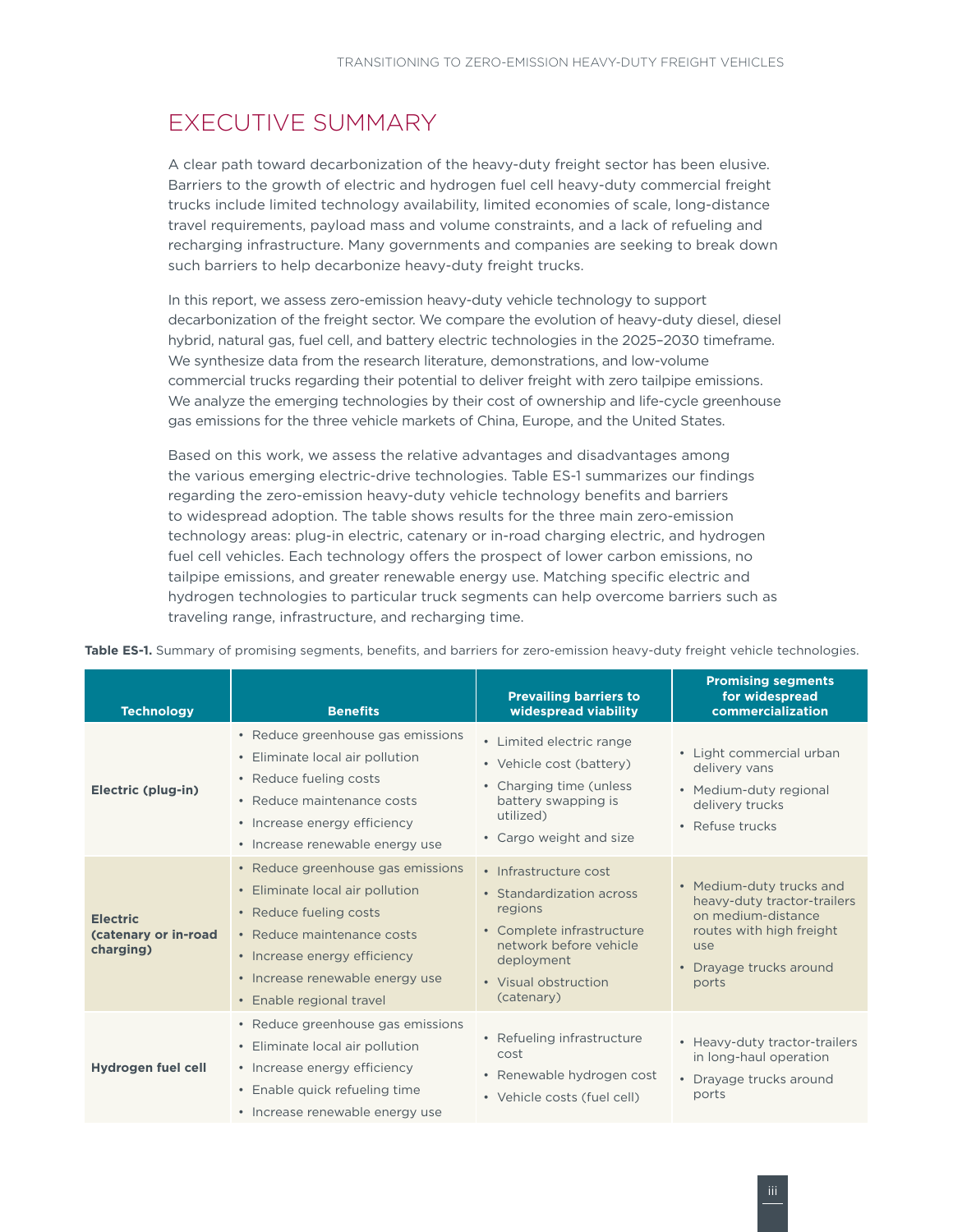# <span id="page-4-0"></span>EXECUTIVE SUMMARY

A clear path toward decarbonization of the heavy-duty freight sector has been elusive. Barriers to the growth of electric and hydrogen fuel cell heavy-duty commercial freight trucks include limited technology availability, limited economies of scale, long-distance travel requirements, payload mass and volume constraints, and a lack of refueling and recharging infrastructure. Many governments and companies are seeking to break down such barriers to help decarbonize heavy-duty freight trucks.

In this report, we assess zero-emission heavy-duty vehicle technology to support decarbonization of the freight sector. We compare the evolution of heavy-duty diesel, diesel hybrid, natural gas, fuel cell, and battery electric technologies in the 2025–2030 timeframe. We synthesize data from the research literature, demonstrations, and low-volume commercial trucks regarding their potential to deliver freight with zero tailpipe emissions. We analyze the emerging technologies by their cost of ownership and life-cycle greenhouse gas emissions for the three vehicle markets of China, Europe, and the United States.

Based on this work, we assess the relative advantages and disadvantages among the various emerging electric-drive technologies. Table ES-1 summarizes our findings regarding the zero-emission heavy-duty vehicle technology benefits and barriers to widespread adoption. The table shows results for the three main zero-emission technology areas: plug-in electric, catenary or in-road charging electric, and hydrogen fuel cell vehicles. Each technology offers the prospect of lower carbon emissions, no tailpipe emissions, and greater renewable energy use. Matching specific electric and hydrogen technologies to particular truck segments can help overcome barriers such as traveling range, infrastructure, and recharging time.

| <b>Technology</b>                                    | <b>Benefits</b>                                                                                                                                                                                                             | <b>Prevailing barriers to</b><br>widespread viability                                                                                                                   | <b>Promising segments</b><br>for widespread<br>commercialization                                                                                     |
|------------------------------------------------------|-----------------------------------------------------------------------------------------------------------------------------------------------------------------------------------------------------------------------------|-------------------------------------------------------------------------------------------------------------------------------------------------------------------------|------------------------------------------------------------------------------------------------------------------------------------------------------|
| Electric (plug-in)                                   | • Reduce greenhouse gas emissions<br>• Eliminate local air pollution<br>• Reduce fueling costs<br>• Reduce maintenance costs<br>• Increase energy efficiency<br>• Increase renewable energy use                             | • Limited electric range<br>• Vehicle cost (battery)<br>• Charging time (unless)<br>battery swapping is<br>utilized)<br>• Cargo weight and size                         | • Light commercial urban<br>delivery vans<br>• Medium-duty regional<br>delivery trucks<br>• Refuse trucks                                            |
| <b>Electric</b><br>(catenary or in-road<br>charging) | • Reduce greenhouse gas emissions<br>• Eliminate local air pollution<br>• Reduce fueling costs<br>• Reduce maintenance costs<br>• Increase energy efficiency<br>• Increase renewable energy use<br>• Enable regional travel | • Infrastructure cost<br>• Standardization across<br>regions<br>• Complete infrastructure<br>network before vehicle<br>deployment<br>• Visual obstruction<br>(catenary) | • Medium-duty trucks and<br>heavy-duty tractor-trailers<br>on medium-distance<br>routes with high freight<br>use<br>• Drayage trucks around<br>ports |
| Hydrogen fuel cell                                   | • Reduce greenhouse gas emissions<br>• Eliminate local air pollution<br>• Increase energy efficiency<br>• Enable quick refueling time<br>• Increase renewable energy use                                                    | • Refueling infrastructure<br>cost<br>• Renewable hydrogen cost<br>• Vehicle costs (fuel cell)                                                                          | • Heavy-duty tractor-trailers<br>in long-haul operation<br>• Drayage trucks around<br>ports                                                          |

**Table ES-1.** Summary of promising segments, benefits, and barriers for zero-emission heavy-duty freight vehicle technologies.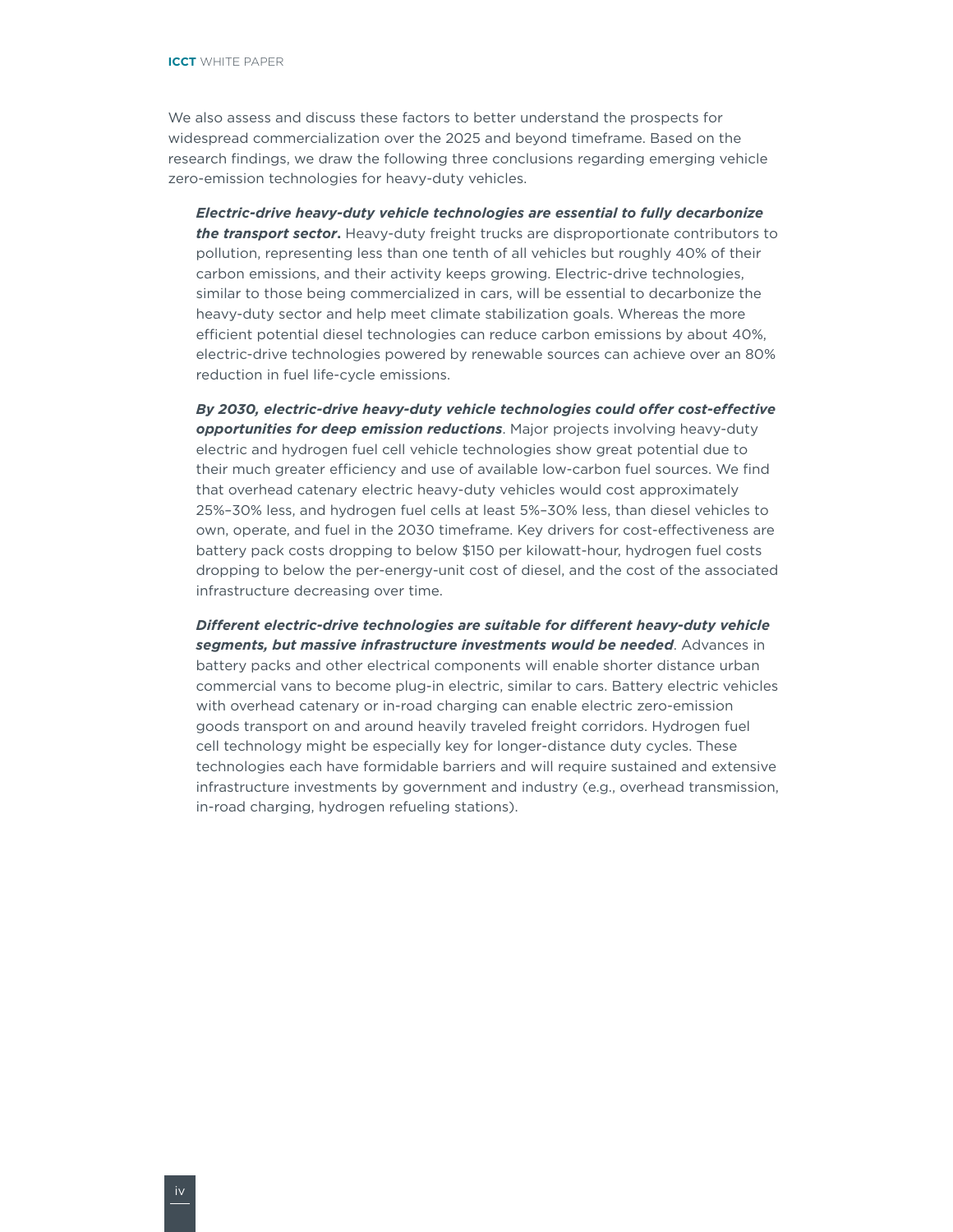We also assess and discuss these factors to better understand the prospects for widespread commercialization over the 2025 and beyond timeframe. Based on the research findings, we draw the following three conclusions regarding emerging vehicle zero-emission technologies for heavy-duty vehicles.

*Electric-drive heavy-duty vehicle technologies are essential to fully decarbonize the transport sector***.** Heavy-duty freight trucks are disproportionate contributors to pollution, representing less than one tenth of all vehicles but roughly 40% of their carbon emissions, and their activity keeps growing. Electric-drive technologies, similar to those being commercialized in cars, will be essential to decarbonize the heavy-duty sector and help meet climate stabilization goals. Whereas the more efficient potential diesel technologies can reduce carbon emissions by about 40%, electric-drive technologies powered by renewable sources can achieve over an 80% reduction in fuel life-cycle emissions.

*By 2030, electric-drive heavy-duty vehicle technologies could offer cost-effective opportunities for deep emission reductions*. Major projects involving heavy-duty electric and hydrogen fuel cell vehicle technologies show great potential due to their much greater efficiency and use of available low-carbon fuel sources. We find that overhead catenary electric heavy-duty vehicles would cost approximately 25%–30% less, and hydrogen fuel cells at least 5%–30% less, than diesel vehicles to own, operate, and fuel in the 2030 timeframe. Key drivers for cost-effectiveness are battery pack costs dropping to below \$150 per kilowatt-hour, hydrogen fuel costs dropping to below the per-energy-unit cost of diesel, and the cost of the associated infrastructure decreasing over time.

*Different electric-drive technologies are suitable for different heavy-duty vehicle segments, but massive infrastructure investments would be needed*. Advances in battery packs and other electrical components will enable shorter distance urban commercial vans to become plug-in electric, similar to cars. Battery electric vehicles with overhead catenary or in-road charging can enable electric zero-emission goods transport on and around heavily traveled freight corridors. Hydrogen fuel cell technology might be especially key for longer-distance duty cycles. These technologies each have formidable barriers and will require sustained and extensive infrastructure investments by government and industry (e.g., overhead transmission, in-road charging, hydrogen refueling stations).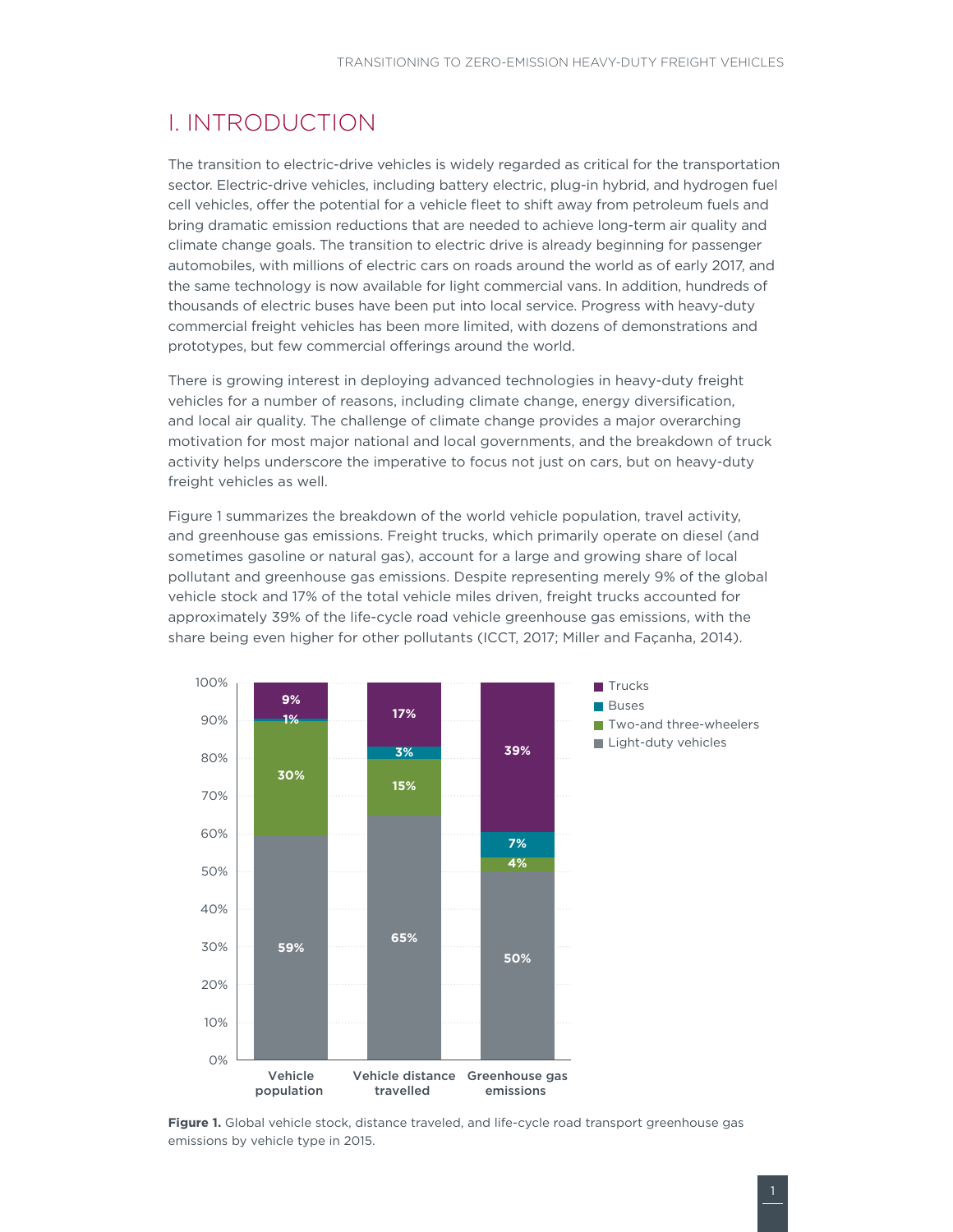### <span id="page-6-0"></span>I. INTRODUCTION

The transition to electric-drive vehicles is widely regarded as critical for the transportation sector. Electric-drive vehicles, including battery electric, plug-in hybrid, and hydrogen fuel cell vehicles, offer the potential for a vehicle fleet to shift away from petroleum fuels and bring dramatic emission reductions that are needed to achieve long-term air quality and climate change goals. The transition to electric drive is already beginning for passenger automobiles, with millions of electric cars on roads around the world as of early 2017, and the same technology is now available for light commercial vans. In addition, hundreds of thousands of electric buses have been put into local service. Progress with heavy-duty commercial freight vehicles has been more limited, with dozens of demonstrations and prototypes, but few commercial offerings around the world.

There is growing interest in deploying advanced technologies in heavy-duty freight vehicles for a number of reasons, including climate change, energy diversification, and local air quality. The challenge of climate change provides a major overarching motivation for most major national and local governments, and the breakdown of truck activity helps underscore the imperative to focus not just on cars, but on heavy-duty freight vehicles as well.

[Figure](#page-6-1) 1 summarizes the breakdown of the world vehicle population, travel activity, and greenhouse gas emissions. Freight trucks, which primarily operate on diesel (and sometimes gasoline or natural gas), account for a large and growing share of local pollutant and greenhouse gas emissions. Despite representing merely 9% of the global vehicle stock and 17% of the total vehicle miles driven, freight trucks accounted for approximately 39% of the life-cycle road vehicle greenhouse gas emissions, with the share being even higher for other pollutants (ICCT, 2017; Miller and Façanha, 2014).



<span id="page-6-1"></span>**Figure 1.** Global vehicle stock, distance traveled, and life-cycle road transport greenhouse gas emissions by vehicle type in 2015.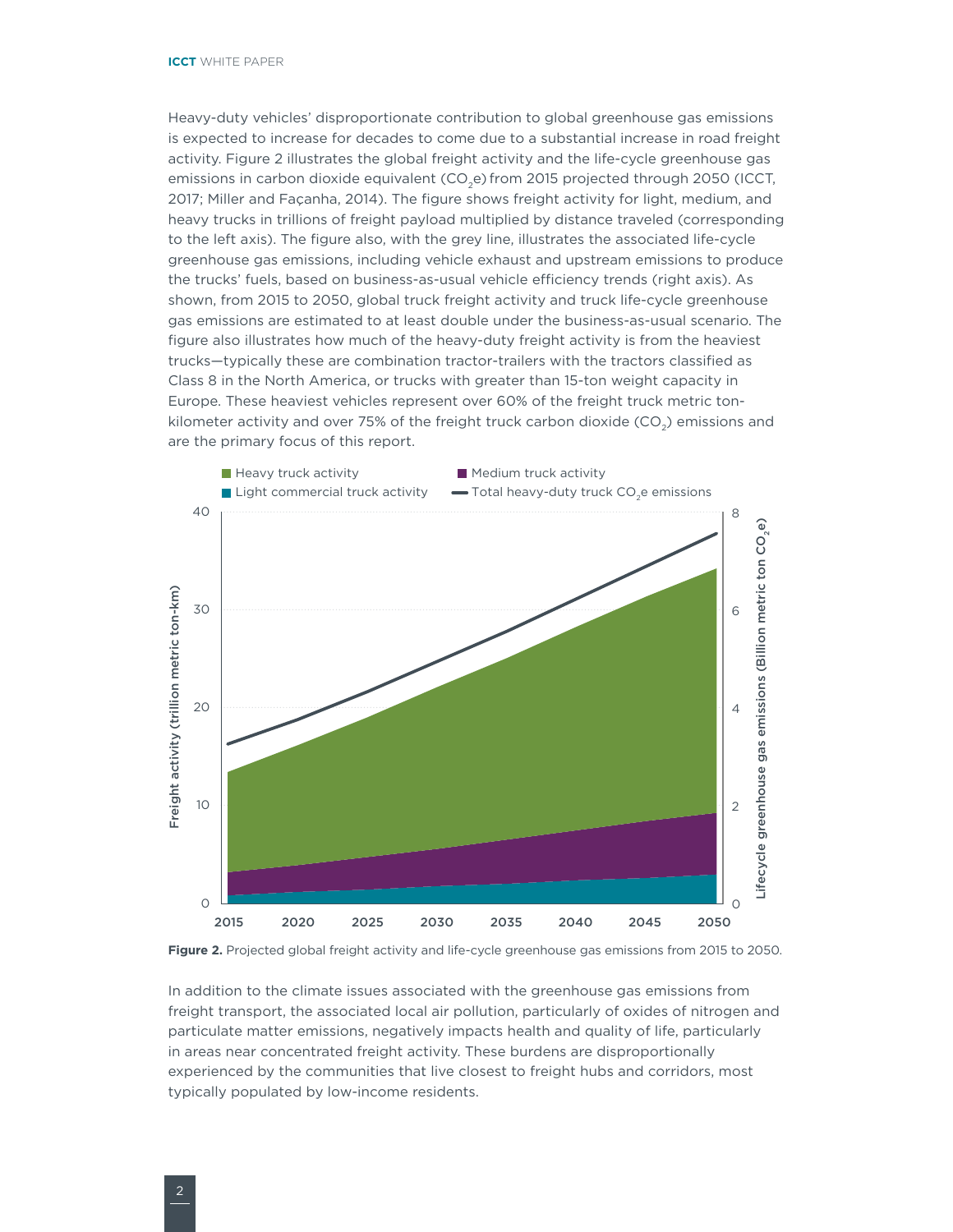<span id="page-7-0"></span>Heavy-duty vehicles' disproportionate contribution to global greenhouse gas emissions is expected to increase for decades to come due to a substantial increase in road freight activity. [Figure](#page-7-1) 2 illustrates the global freight activity and the life-cycle greenhouse gas emissions in carbon dioxide equivalent (CO<sub>2</sub>e) from 2015 projected through 2050 (ICCT, 2017; Miller and Façanha, 2014). The figure shows freight activity for light, medium, and heavy trucks in trillions of freight payload multiplied by distance traveled (corresponding to the left axis). The figure also, with the grey line, illustrates the associated life-cycle greenhouse gas emissions, including vehicle exhaust and upstream emissions to produce the trucks' fuels, based on business-as-usual vehicle efficiency trends (right axis). As shown, from 2015 to 2050, global truck freight activity and truck life-cycle greenhouse gas emissions are estimated to at least double under the business-as-usual scenario. The figure also illustrates how much of the heavy-duty freight activity is from the heaviest trucks—typically these are combination tractor-trailers with the tractors classified as Class 8 in the North America, or trucks with greater than 15-ton weight capacity in Europe. These heaviest vehicles represent over 60% of the freight truck metric tonkilometer activity and over 75% of the freight truck carbon dioxide  $(CO<sub>2</sub>)$  emissions and are the primary focus of this report.



<span id="page-7-1"></span>

In addition to the climate issues associated with the greenhouse gas emissions from freight transport, the associated local air pollution, particularly of oxides of nitrogen and particulate matter emissions, negatively impacts health and quality of life, particularly in areas near concentrated freight activity. These burdens are disproportionally experienced by the communities that live closest to freight hubs and corridors, most typically populated by low-income residents.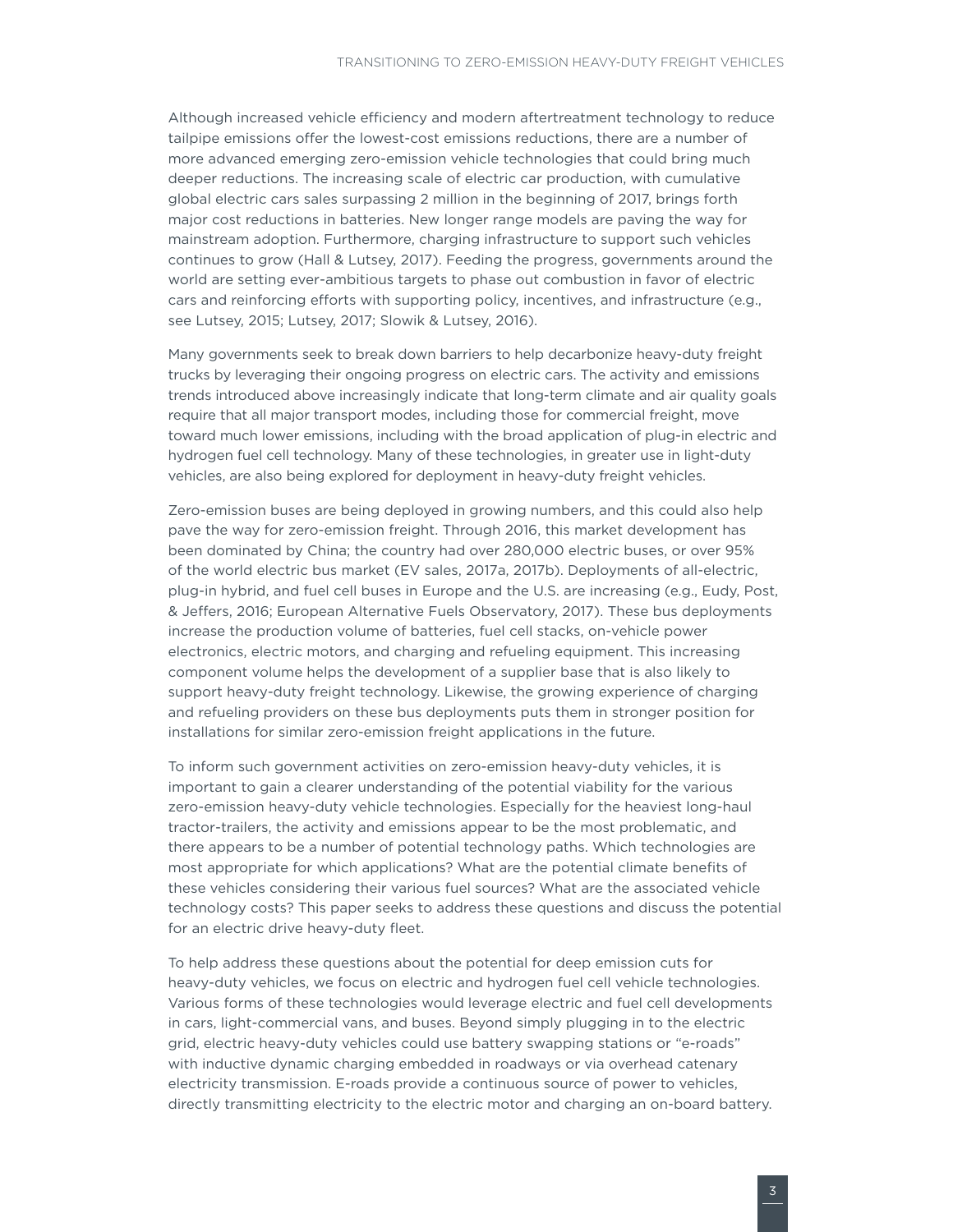Although increased vehicle efficiency and modern aftertreatment technology to reduce tailpipe emissions offer the lowest-cost emissions reductions, there are a number of more advanced emerging zero-emission vehicle technologies that could bring much deeper reductions. The increasing scale of electric car production, with cumulative global electric cars sales surpassing 2 million in the beginning of 2017, brings forth major cost reductions in batteries. New longer range models are paving the way for mainstream adoption. Furthermore, charging infrastructure to support such vehicles continues to grow (Hall & Lutsey, 2017). Feeding the progress, governments around the world are setting ever-ambitious targets to phase out combustion in favor of electric cars and reinforcing efforts with supporting policy, incentives, and infrastructure (e.g., see Lutsey, 2015; Lutsey, 2017; Slowik & Lutsey, 2016).

Many governments seek to break down barriers to help decarbonize heavy-duty freight trucks by leveraging their ongoing progress on electric cars. The activity and emissions trends introduced above increasingly indicate that long-term climate and air quality goals require that all major transport modes, including those for commercial freight, move toward much lower emissions, including with the broad application of plug-in electric and hydrogen fuel cell technology. Many of these technologies, in greater use in light-duty vehicles, are also being explored for deployment in heavy-duty freight vehicles.

Zero-emission buses are being deployed in growing numbers, and this could also help pave the way for zero-emission freight. Through 2016, this market development has been dominated by China; the country had over 280,000 electric buses, or over 95% of the world electric bus market (EV sales, 2017a, 2017b). Deployments of all-electric, plug-in hybrid, and fuel cell buses in Europe and the U.S. are increasing (e.g., Eudy, Post, & Jeffers, 2016; European Alternative Fuels Observatory, 2017). These bus deployments increase the production volume of batteries, fuel cell stacks, on-vehicle power electronics, electric motors, and charging and refueling equipment. This increasing component volume helps the development of a supplier base that is also likely to support heavy-duty freight technology. Likewise, the growing experience of charging and refueling providers on these bus deployments puts them in stronger position for installations for similar zero-emission freight applications in the future.

To inform such government activities on zero-emission heavy-duty vehicles, it is important to gain a clearer understanding of the potential viability for the various zero-emission heavy-duty vehicle technologies. Especially for the heaviest long-haul tractor-trailers, the activity and emissions appear to be the most problematic, and there appears to be a number of potential technology paths. Which technologies are most appropriate for which applications? What are the potential climate benefits of these vehicles considering their various fuel sources? What are the associated vehicle technology costs? This paper seeks to address these questions and discuss the potential for an electric drive heavy-duty fleet.

To help address these questions about the potential for deep emission cuts for heavy-duty vehicles, we focus on electric and hydrogen fuel cell vehicle technologies. Various forms of these technologies would leverage electric and fuel cell developments in cars, light-commercial vans, and buses. Beyond simply plugging in to the electric grid, electric heavy-duty vehicles could use battery swapping stations or "e-roads" with inductive dynamic charging embedded in roadways or via overhead catenary electricity transmission. E-roads provide a continuous source of power to vehicles, directly transmitting electricity to the electric motor and charging an on-board battery.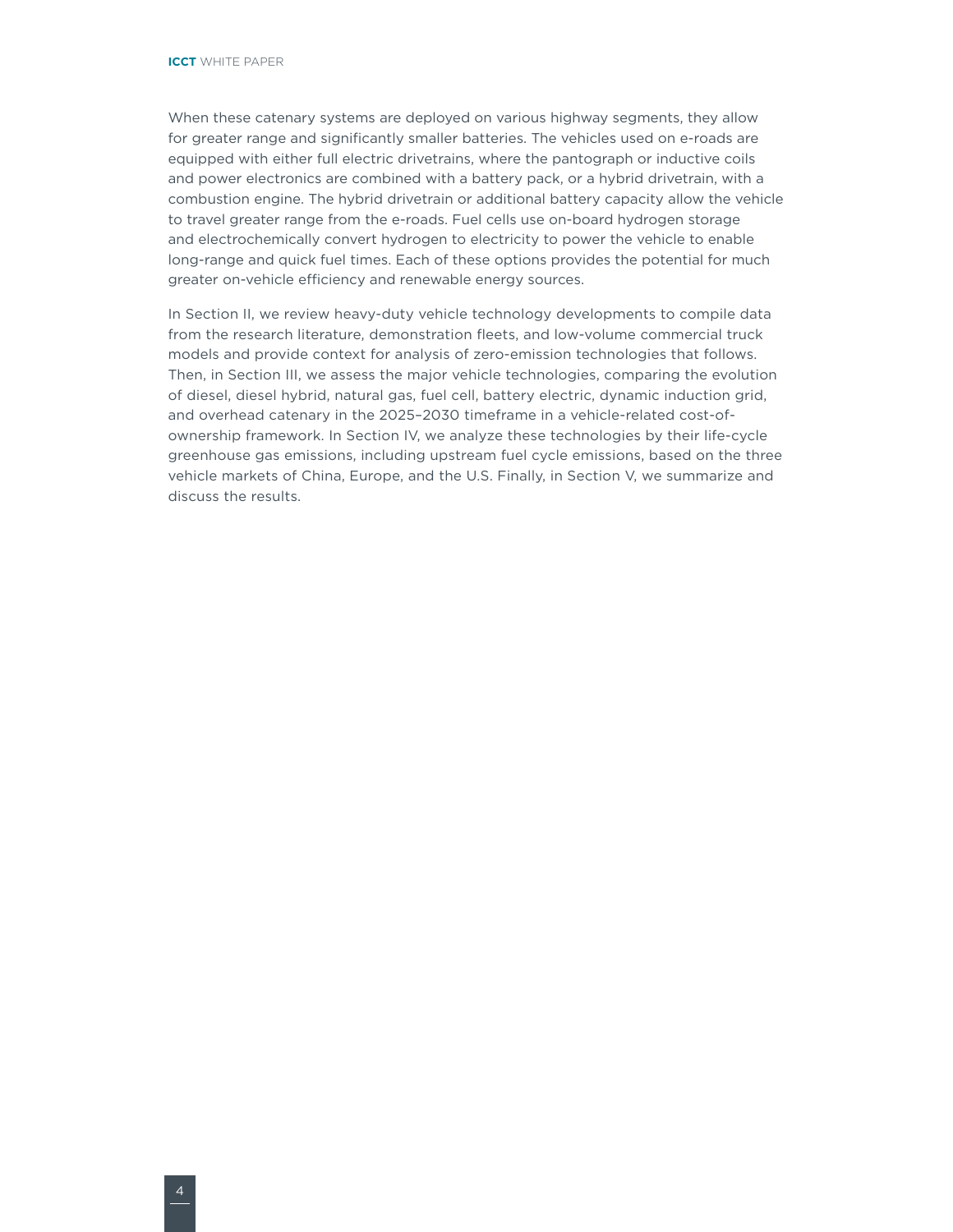When these catenary systems are deployed on various highway segments, they allow for greater range and significantly smaller batteries. The vehicles used on e-roads are equipped with either full electric drivetrains, where the pantograph or inductive coils and power electronics are combined with a battery pack, or a hybrid drivetrain, with a combustion engine. The hybrid drivetrain or additional battery capacity allow the vehicle to travel greater range from the e-roads. Fuel cells use on-board hydrogen storage and electrochemically convert hydrogen to electricity to power the vehicle to enable long-range and quick fuel times. Each of these options provides the potential for much greater on-vehicle efficiency and renewable energy sources.

In Section II, we review heavy-duty vehicle technology developments to compile data from the research literature, demonstration fleets, and low-volume commercial truck models and provide context for analysis of zero-emission technologies that follows. Then, in Section III, we assess the major vehicle technologies, comparing the evolution of diesel, diesel hybrid, natural gas, fuel cell, battery electric, dynamic induction grid, and overhead catenary in the 2025–2030 timeframe in a vehicle-related cost-ofownership framework. In Section IV, we analyze these technologies by their life-cycle greenhouse gas emissions, including upstream fuel cycle emissions, based on the three vehicle markets of China, Europe, and the U.S. Finally, in Section V, we summarize and discuss the results.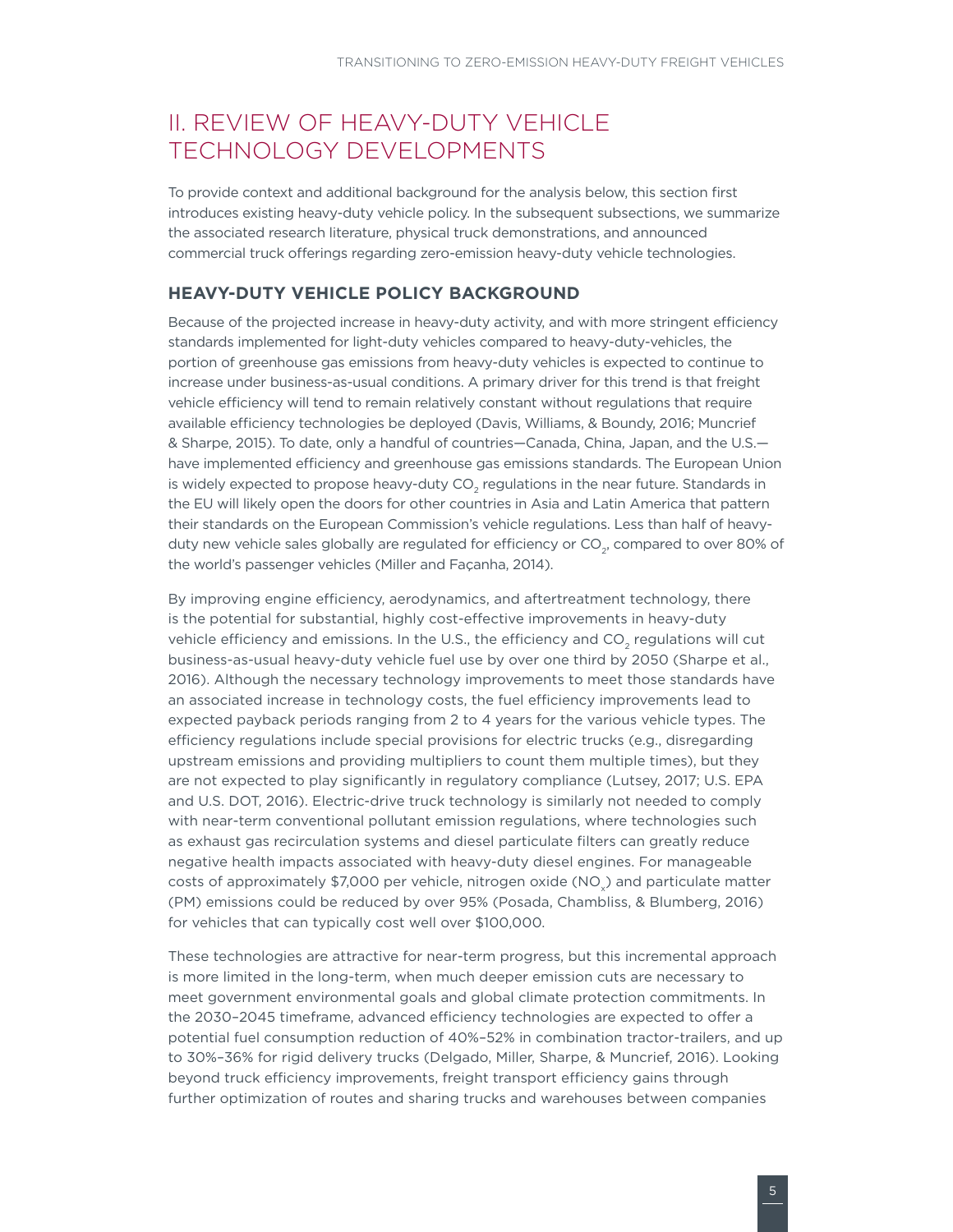# <span id="page-10-0"></span>**II. REVIEW OF HEAVY-DUTY VEHICLE** TECHNOLOGY DEVELOPMENTS

To provide context and additional background for the analysis below, this section first introduces existing heavy-duty vehicle policy. In the subsequent subsections, we summarize the associated research literature, physical truck demonstrations, and announced commercial truck offerings regarding zero-emission heavy-duty vehicle technologies.

#### **HEAVY-DUTY VEHICLE POLICY BACKGROUND**

Because of the projected increase in heavy-duty activity, and with more stringent efficiency standards implemented for light-duty vehicles compared to heavy-duty-vehicles, the portion of greenhouse gas emissions from heavy-duty vehicles is expected to continue to increase under business-as-usual conditions. A primary driver for this trend is that freight vehicle efficiency will tend to remain relatively constant without regulations that require available efficiency technologies be deployed (Davis, Williams, & Boundy, 2016; Muncrief & Sharpe, 2015). To date, only a handful of countries—Canada, China, Japan, and the U.S. have implemented efficiency and greenhouse gas emissions standards. The European Union is widely expected to propose heavy-duty CO<sub>2</sub> regulations in the near future. Standards in the EU will likely open the doors for other countries in Asia and Latin America that pattern their standards on the European Commission's vehicle regulations. Less than half of heavyduty new vehicle sales globally are regulated for efficiency or CO<sub>2</sub>, compared to over 80% of the world's passenger vehicles (Miller and Façanha, 2014).

By improving engine efficiency, aerodynamics, and aftertreatment technology, there is the potential for substantial, highly cost-effective improvements in heavy-duty vehicle efficiency and emissions. In the U.S., the efficiency and CO<sub>2</sub> regulations will cut business-as-usual heavy-duty vehicle fuel use by over one third by 2050 (Sharpe et al., 2016). Although the necessary technology improvements to meet those standards have an associated increase in technology costs, the fuel efficiency improvements lead to expected payback periods ranging from 2 to 4 years for the various vehicle types. The efficiency regulations include special provisions for electric trucks (e.g., disregarding upstream emissions and providing multipliers to count them multiple times), but they are not expected to play significantly in regulatory compliance (Lutsey, 2017; U.S. EPA and U.S. DOT, 2016). Electric-drive truck technology is similarly not needed to comply with near-term conventional pollutant emission regulations, where technologies such as exhaust gas recirculation systems and diesel particulate filters can greatly reduce negative health impacts associated with heavy-duty diesel engines. For manageable costs of approximately  $$7,000$  per vehicle, nitrogen oxide (NO<sub>x</sub>) and particulate matter (PM) emissions could be reduced by over 95% (Posada, Chambliss, & Blumberg, 2016) for vehicles that can typically cost well over \$100,000.

These technologies are attractive for near-term progress, but this incremental approach is more limited in the long-term, when much deeper emission cuts are necessary to meet government environmental goals and global climate protection commitments. In the 2030–2045 timeframe, advanced efficiency technologies are expected to offer a potential fuel consumption reduction of 40%–52% in combination tractor-trailers, and up to 30%–36% for rigid delivery trucks (Delgado, Miller, Sharpe, & Muncrief, 2016). Looking beyond truck efficiency improvements, freight transport efficiency gains through further optimization of routes and sharing trucks and warehouses between companies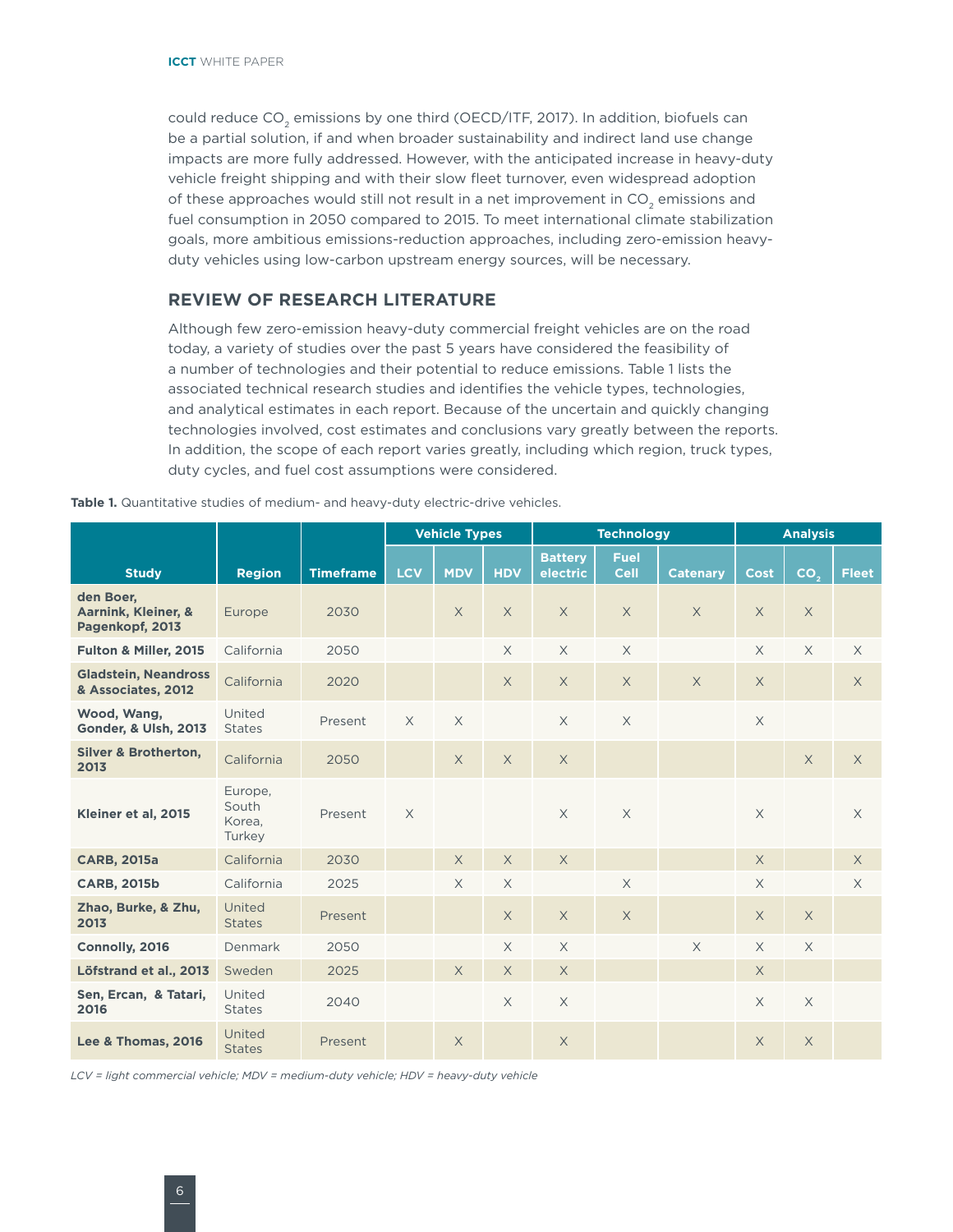<span id="page-11-0"></span>could reduce  $CO<sub>2</sub>$  emissions by one third (OECD/ITF, 2017). In addition, biofuels can be a partial solution, if and when broader sustainability and indirect land use change impacts are more fully addressed. However, with the anticipated increase in heavy-duty vehicle freight shipping and with their slow fleet turnover, even widespread adoption of these approaches would still not result in a net improvement in CO<sub>2</sub> emissions and fuel consumption in 2050 compared to 2015. To meet international climate stabilization goals, more ambitious emissions-reduction approaches, including zero-emission heavyduty vehicles using low-carbon upstream energy sources, will be necessary.

#### **REVIEW OF RESEARCH LITERATURE**

Although few zero-emission heavy-duty commercial freight vehicles are on the road today, a variety of studies over the past 5 years have considered the feasibility of a number of technologies and their potential to reduce emissions. Table 1 lists the associated technical research studies and identifies the vehicle types, technologies, and analytical estimates in each report. Because of the uncertain and quickly changing technologies involved, cost estimates and conclusions vary greatly between the reports. In addition, the scope of each report varies greatly, including which region, truck types, duty cycles, and fuel cost assumptions were considered.

|  |  |  |  |  |  | <b>Table 1.</b> Quantitative studies of medium- and heavy-duty electric-drive vehicles. |
|--|--|--|--|--|--|-----------------------------------------------------------------------------------------|
|--|--|--|--|--|--|-----------------------------------------------------------------------------------------|

|                                                     |                                      |                  | <b>Vehicle Types</b> |            | <b>Technology</b> |                            |                            | <b>Analysis</b> |             |                 |              |
|-----------------------------------------------------|--------------------------------------|------------------|----------------------|------------|-------------------|----------------------------|----------------------------|-----------------|-------------|-----------------|--------------|
| <b>Study</b>                                        | <b>Region</b>                        | <b>Timeframe</b> | <b>LCV</b>           | <b>MDV</b> | <b>HDV</b>        | <b>Battery</b><br>electric | <b>Fuel</b><br><b>Cell</b> | <b>Catenary</b> | <b>Cost</b> | CO <sub>2</sub> | <b>Fleet</b> |
|                                                     |                                      |                  |                      |            |                   |                            |                            |                 |             |                 |              |
| den Boer,<br>Aarnink, Kleiner, &<br>Pagenkopf, 2013 | Europe                               | 2030             |                      | $\times$   | $\times$          | $\times$                   | $\times$                   | $\times$        | $\times$    | $\times$        |              |
| Fulton & Miller, 2015                               | California                           | 2050             |                      |            | $\times$          | $\times$                   | $\times$                   |                 | $\times$    | $\times$        | $\times$     |
| <b>Gladstein, Neandross</b><br>& Associates, 2012   | California                           | 2020             |                      |            | $\times$          | $\times$                   | $\times$                   | $\times$        | $\times$    |                 | $\times$     |
| Wood, Wang,<br><b>Gonder, &amp; Ulsh, 2013</b>      | United<br><b>States</b>              | Present          | $\times$             | $\times$   |                   | $\times$                   | $\times$                   |                 | $\times$    |                 |              |
| <b>Silver &amp; Brotherton,</b><br>2013             | California                           | 2050             |                      | $\times$   | $\times$          | $\times$                   |                            |                 |             | $\times$        | $\times$     |
| Kleiner et al, 2015                                 | Europe,<br>South<br>Korea.<br>Turkey | Present          | $\times$             |            |                   | $\times$                   | $\times$                   |                 | $\times$    |                 | $\times$     |
| <b>CARB, 2015a</b>                                  | California                           | 2030             |                      | $\times$   | X                 | $\times$                   |                            |                 | $\times$    |                 | $\times$     |
| <b>CARB, 2015b</b>                                  | California                           | 2025             |                      | $\times$   | $\times$          |                            | $\times$                   |                 | $\times$    |                 | $\times$     |
| Zhao, Burke, & Zhu,<br>2013                         | United<br><b>States</b>              | Present          |                      |            | $\times$          | $\times$                   | $\times$                   |                 | $\times$    | $\times$        |              |
| Connolly, 2016                                      | Denmark                              | 2050             |                      |            | $\times$          | $\times$                   |                            | $\times$        | $\times$    | $\times$        |              |
| Löfstrand et al., 2013                              | Sweden                               | 2025             |                      | $\times$   | X                 | $\times$                   |                            |                 | $\times$    |                 |              |
| Sen, Ercan, & Tatari,<br>2016                       | United<br><b>States</b>              | 2040             |                      |            | $\times$          | $\times$                   |                            |                 | $\times$    | $\mathsf X$     |              |
| Lee & Thomas, 2016                                  | United<br><b>States</b>              | Present          |                      | $\times$   |                   | $\times$                   |                            |                 | $\chi$      | $\times$        |              |

*LCV = light commercial vehicle; MDV = medium-duty vehicle; HDV = heavy-duty vehicle*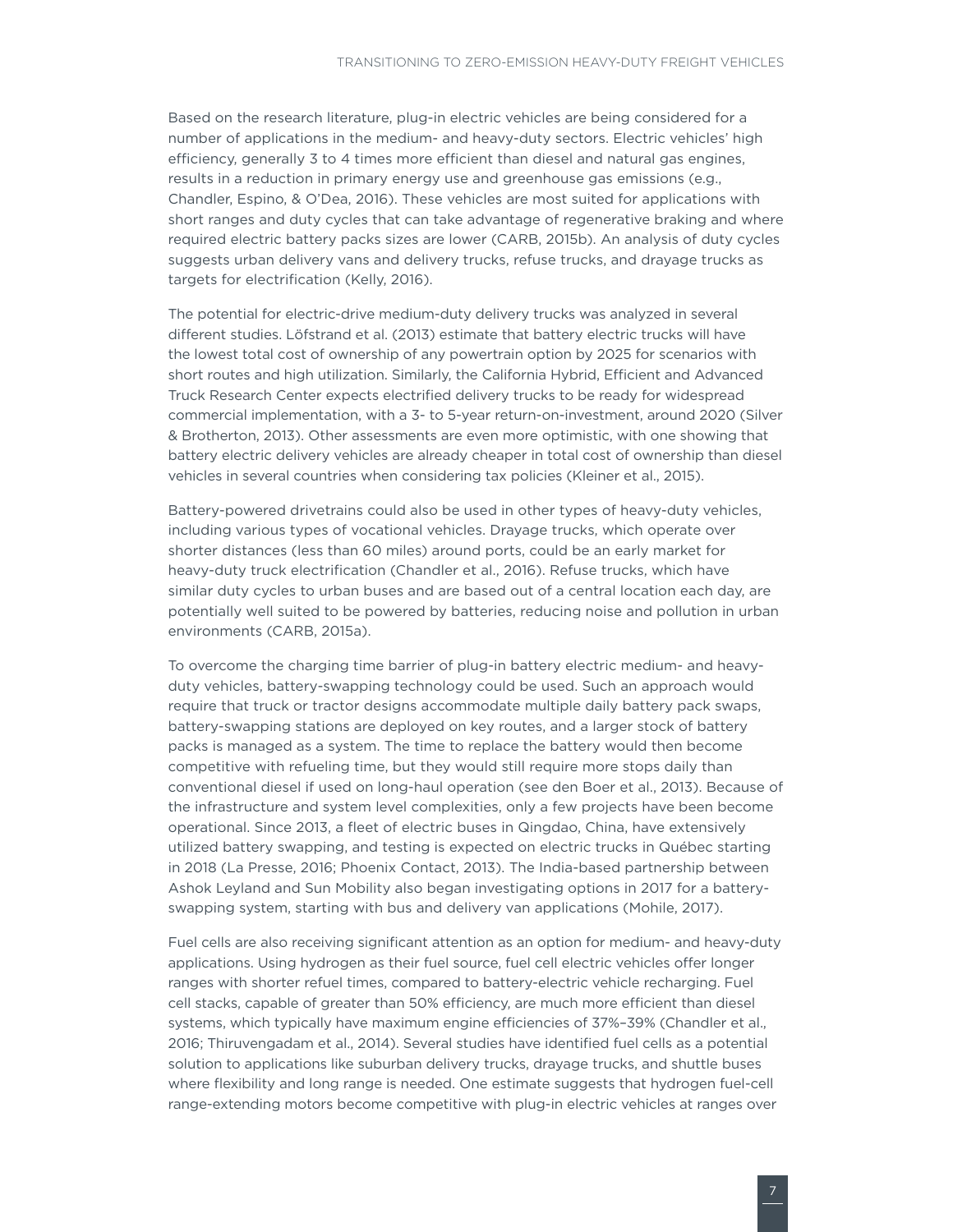Based on the research literature, plug-in electric vehicles are being considered for a number of applications in the medium- and heavy-duty sectors. Electric vehicles' high efficiency, generally 3 to 4 times more efficient than diesel and natural gas engines, results in a reduction in primary energy use and greenhouse gas emissions (e.g., Chandler, Espino, & O'Dea, 2016). These vehicles are most suited for applications with short ranges and duty cycles that can take advantage of regenerative braking and where required electric battery packs sizes are lower (CARB, 2015b). An analysis of duty cycles suggests urban delivery vans and delivery trucks, refuse trucks, and drayage trucks as targets for electrification (Kelly, 2016).

The potential for electric-drive medium-duty delivery trucks was analyzed in several different studies. Löfstrand et al. (2013) estimate that battery electric trucks will have the lowest total cost of ownership of any powertrain option by 2025 for scenarios with short routes and high utilization. Similarly, the California Hybrid, Efficient and Advanced Truck Research Center expects electrified delivery trucks to be ready for widespread commercial implementation, with a 3- to 5-year return-on-investment, around 2020 (Silver & Brotherton, 2013). Other assessments are even more optimistic, with one showing that battery electric delivery vehicles are already cheaper in total cost of ownership than diesel vehicles in several countries when considering tax policies (Kleiner et al., 2015).

Battery-powered drivetrains could also be used in other types of heavy-duty vehicles, including various types of vocational vehicles. Drayage trucks, which operate over shorter distances (less than 60 miles) around ports, could be an early market for heavy-duty truck electrification (Chandler et al., 2016). Refuse trucks, which have similar duty cycles to urban buses and are based out of a central location each day, are potentially well suited to be powered by batteries, reducing noise and pollution in urban environments (CARB, 2015a).

To overcome the charging time barrier of plug-in battery electric medium- and heavyduty vehicles, battery-swapping technology could be used. Such an approach would require that truck or tractor designs accommodate multiple daily battery pack swaps, battery-swapping stations are deployed on key routes, and a larger stock of battery packs is managed as a system. The time to replace the battery would then become competitive with refueling time, but they would still require more stops daily than conventional diesel if used on long-haul operation (see den Boer et al., 2013). Because of the infrastructure and system level complexities, only a few projects have been become operational. Since 2013, a fleet of electric buses in Qingdao, China, have extensively utilized battery swapping, and testing is expected on electric trucks in Québec starting in 2018 (La Presse, 2016; Phoenix Contact, 2013). The India-based partnership between Ashok Leyland and Sun Mobility also began investigating options in 2017 for a batteryswapping system, starting with bus and delivery van applications (Mohile, 2017).

Fuel cells are also receiving significant attention as an option for medium- and heavy-duty applications. Using hydrogen as their fuel source, fuel cell electric vehicles offer longer ranges with shorter refuel times, compared to battery-electric vehicle recharging. Fuel cell stacks, capable of greater than 50% efficiency, are much more efficient than diesel systems, which typically have maximum engine efficiencies of 37%–39% (Chandler et al., 2016; Thiruvengadam et al., 2014). Several studies have identified fuel cells as a potential solution to applications like suburban delivery trucks, drayage trucks, and shuttle buses where flexibility and long range is needed. One estimate suggests that hydrogen fuel-cell range-extending motors become competitive with plug-in electric vehicles at ranges over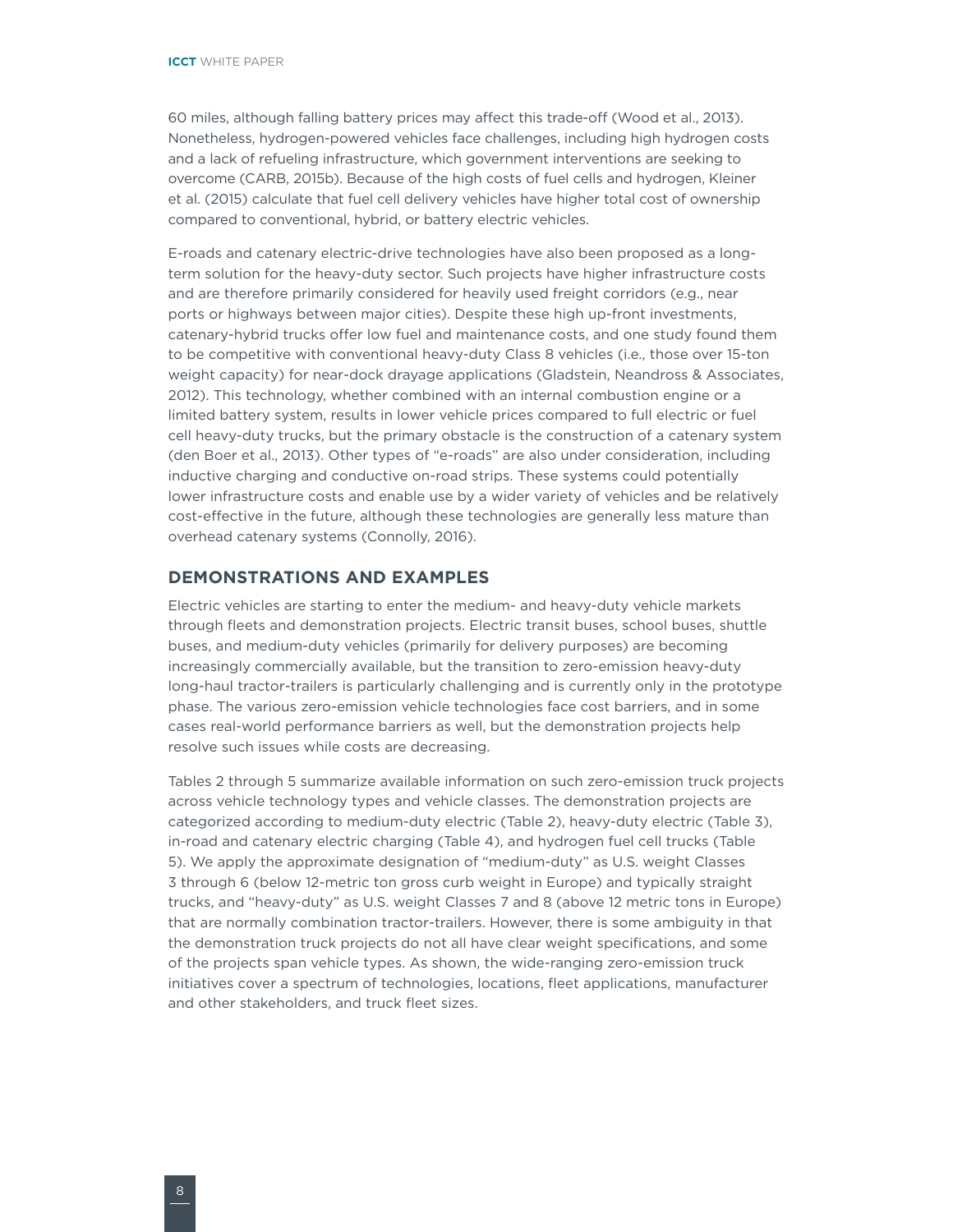<span id="page-13-0"></span>60 miles, although falling battery prices may affect this trade-off (Wood et al., 2013). Nonetheless, hydrogen-powered vehicles face challenges, including high hydrogen costs and a lack of refueling infrastructure, which government interventions are seeking to overcome (CARB, 2015b). Because of the high costs of fuel cells and hydrogen, Kleiner et al. (2015) calculate that fuel cell delivery vehicles have higher total cost of ownership compared to conventional, hybrid, or battery electric vehicles.

E-roads and catenary electric-drive technologies have also been proposed as a longterm solution for the heavy-duty sector. Such projects have higher infrastructure costs and are therefore primarily considered for heavily used freight corridors (e.g., near ports or highways between major cities). Despite these high up-front investments, catenary-hybrid trucks offer low fuel and maintenance costs, and one study found them to be competitive with conventional heavy-duty Class 8 vehicles (i.e., those over 15-ton weight capacity) for near-dock drayage applications (Gladstein, Neandross & Associates, 2012). This technology, whether combined with an internal combustion engine or a limited battery system, results in lower vehicle prices compared to full electric or fuel cell heavy-duty trucks, but the primary obstacle is the construction of a catenary system (den Boer et al., 2013). Other types of "e-roads" are also under consideration, including inductive charging and conductive on-road strips. These systems could potentially lower infrastructure costs and enable use by a wider variety of vehicles and be relatively cost-effective in the future, although these technologies are generally less mature than overhead catenary systems (Connolly, 2016).

#### **DEMONSTRATIONS AND EXAMPLES**

Electric vehicles are starting to enter the medium- and heavy-duty vehicle markets through fleets and demonstration projects. Electric transit buses, school buses, shuttle buses, and medium-duty vehicles (primarily for delivery purposes) are becoming increasingly commercially available, but the transition to zero-emission heavy-duty long-haul tractor-trailers is particularly challenging and is currently only in the prototype phase. The various zero-emission vehicle technologies face cost barriers, and in some cases real-world performance barriers as well, but the demonstration projects help resolve such issues while costs are decreasing.

Tables 2 through 5 summarize available information on such zero-emission truck projects across vehicle technology types and vehicle classes. The demonstration projects are categorized according to medium-duty electric (Table 2), heavy-duty electric (Table 3), in-road and catenary electric charging (Table 4), and hydrogen fuel cell trucks (Table 5). We apply the approximate designation of "medium-duty" as U.S. weight Classes 3 through 6 (below 12-metric ton gross curb weight in Europe) and typically straight trucks, and "heavy-duty" as U.S. weight Classes 7 and 8 (above 12 metric tons in Europe) that are normally combination tractor-trailers. However, there is some ambiguity in that the demonstration truck projects do not all have clear weight specifications, and some of the projects span vehicle types. As shown, the wide-ranging zero-emission truck initiatives cover a spectrum of technologies, locations, fleet applications, manufacturer and other stakeholders, and truck fleet sizes.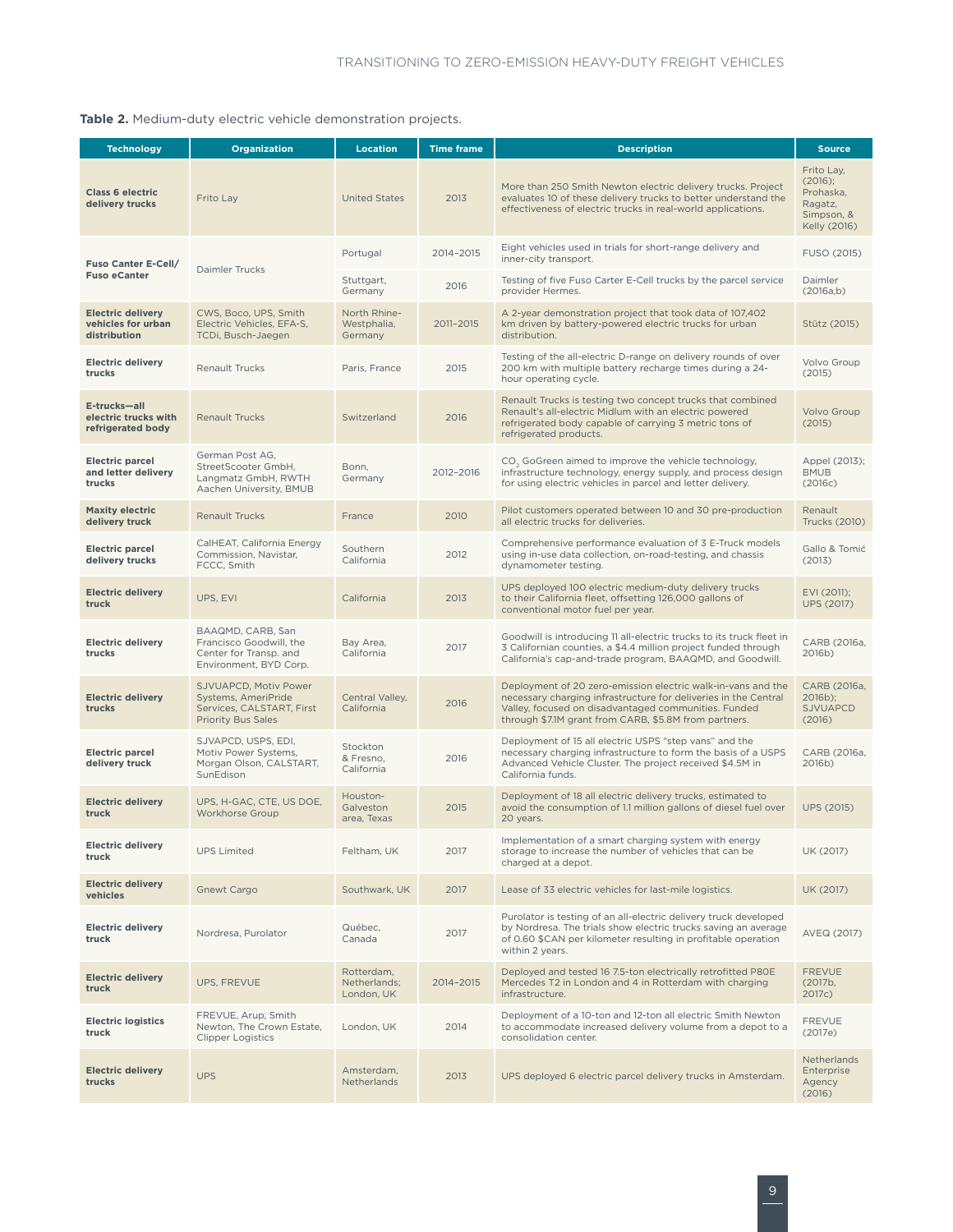#### <span id="page-14-0"></span>**Table 2.** Medium-duty electric vehicle demonstration projects.

| <b>Technology</b>                                              | <b>Organization</b>                                                                                    | <b>Location</b>                          | <b>Time frame</b> | <b>Description</b>                                                                                                                                                                                                                               | <b>Source</b>                                                               |
|----------------------------------------------------------------|--------------------------------------------------------------------------------------------------------|------------------------------------------|-------------------|--------------------------------------------------------------------------------------------------------------------------------------------------------------------------------------------------------------------------------------------------|-----------------------------------------------------------------------------|
| <b>Class 6 electric</b><br>delivery trucks                     | Frito Lay                                                                                              | <b>United States</b>                     | 2013              | More than 250 Smith Newton electric delivery trucks. Project<br>evaluates 10 of these delivery trucks to better understand the<br>effectiveness of electric trucks in real-world applications.                                                   | Frito Lay,<br>(2016);<br>Prohaska,<br>Ragatz,<br>Simpson, &<br>Kelly (2016) |
| Fuso Canter E-Cell/                                            |                                                                                                        | Portugal                                 | 2014-2015         | Eight vehicles used in trials for short-range delivery and<br>inner-city transport.                                                                                                                                                              | FUSO (2015)                                                                 |
| <b>Fuso eCanter</b>                                            | Daimler Trucks                                                                                         | Stuttgart,<br>Germany                    | 2016              | Testing of five Fuso Carter E-Cell trucks by the parcel service<br>provider Hermes.                                                                                                                                                              | Daimler<br>(2016a,b)                                                        |
| <b>Electric delivery</b><br>vehicles for urban<br>distribution | CWS, Boco, UPS, Smith<br>Electric Vehicles, EFA-S,<br>TCDi, Busch-Jaegen                               | North Rhine-<br>Westphalia,<br>Germany   | 2011-2015         | A 2-year demonstration project that took data of 107,402<br>km driven by battery-powered electric trucks for urban<br>distribution.                                                                                                              | Stütz (2015)                                                                |
| <b>Electric delivery</b><br>trucks                             | <b>Renault Trucks</b>                                                                                  | Paris, France                            | 2015              | Testing of the all-electric D-range on delivery rounds of over<br>200 km with multiple battery recharge times during a 24-<br>hour operating cycle.                                                                                              | Volvo Group<br>(2015)                                                       |
| E-trucks-all<br>electric trucks with<br>refrigerated body      | <b>Renault Trucks</b>                                                                                  | Switzerland                              | 2016              | Renault Trucks is testing two concept trucks that combined<br>Renault's all-electric Midlum with an electric powered<br>refrigerated body capable of carrying 3 metric tons of<br>refrigerated products.                                         | <b>Volvo Group</b><br>(2015)                                                |
| <b>Electric parcel</b><br>and letter delivery<br>trucks        | German Post AG,<br>StreetScooter GmbH,<br>Langmatz GmbH, RWTH<br>Aachen University, BMUB               | Bonn,<br>Germany                         | 2012-2016         | CO <sub>3</sub> GoGreen aimed to improve the vehicle technology,<br>infrastructure technology, energy supply, and process design<br>for using electric vehicles in parcel and letter delivery.                                                   | Appel (2013);<br><b>BMUB</b><br>(2016c)                                     |
| <b>Maxity electric</b><br>delivery truck                       | <b>Renault Trucks</b>                                                                                  | France                                   | 2010              | Pilot customers operated between 10 and 30 pre-production<br>all electric trucks for deliveries.                                                                                                                                                 | Renault<br><b>Trucks (2010)</b>                                             |
| <b>Electric parcel</b><br>delivery trucks                      | CalHEAT, California Energy<br>Commission, Navistar,<br>FCCC, Smith                                     | Southern<br>California                   | 2012              | Comprehensive performance evaluation of 3 E-Truck models<br>using in-use data collection, on-road-testing, and chassis<br>dynamometer testing.                                                                                                   | Gallo & Tomić<br>(2013)                                                     |
| <b>Electric delivery</b><br>truck                              | UPS, EVI                                                                                               | California                               | 2013              | UPS deployed 100 electric medium-duty delivery trucks<br>to their California fleet, offsetting 126,000 gallons of<br>conventional motor fuel per year.                                                                                           | EVI (2011);<br><b>UPS (2017)</b>                                            |
| <b>Electric delivery</b><br>trucks                             | BAAQMD, CARB, San<br>Francisco Goodwill, the<br>Center for Transp. and<br>Environment, BYD Corp.       | Bay Area,<br>California                  | 2017              | Goodwill is introducing 11 all-electric trucks to its truck fleet in<br>3 Californian counties, a \$4.4 million project funded through<br>California's cap-and-trade program, BAAQMD, and Goodwill.                                              | CARB (2016a,<br>2016b)                                                      |
| <b>Electric delivery</b><br>trucks                             | SJVUAPCD, Motiv Power<br>Systems, AmeriPride<br>Services, CALSTART, First<br><b>Priority Bus Sales</b> | Central Valley,<br>California            | 2016              | Deployment of 20 zero-emission electric walk-in-vans and the<br>necessary charging infrastructure for deliveries in the Central<br>Valley, focused on disadvantaged communities. Funded<br>through \$7.1M grant from CARB, \$5.8M from partners. | CARB (2016a,<br>2016b);<br><b>SJVUAPCD</b><br>(2016)                        |
| <b>Electric parcel</b><br>delivery truck                       | SJVAPCD, USPS, EDI,<br>Motiv Power Systems,<br>Morgan Olson, CALSTART,<br>SunEdison                    | Stockton<br>& Fresno,<br>California      | 2016              | Deployment of 15 all electric USPS "step vans" and the<br>necessary charging infrastructure to form the basis of a USPS<br>Advanced Vehicle Cluster. The project received \$4.5M in<br>California funds.                                         | CARB (2016a.<br>2016b)                                                      |
| <b>Electric delivery</b><br>truck                              | UPS, H-GAC, CTE, US DOE,<br>Workhorse Group                                                            | Houston-<br>Galveston<br>area, Texas     | 2015              | Deployment of 18 all electric delivery trucks, estimated to<br>avoid the consumption of 1.1 million gallons of diesel fuel over<br>20 years.                                                                                                     | <b>UPS (2015)</b>                                                           |
| <b>Electric delivery</b><br>truck                              | <b>UPS Limited</b>                                                                                     | Feltham, UK                              | 2017              | Implementation of a smart charging system with energy<br>storage to increase the number of vehicles that can be<br>charged at a depot.                                                                                                           | UK (2017)                                                                   |
| <b>Electric delivery</b><br>vehicles                           | Gnewt Cargo                                                                                            | Southwark, UK                            | 2017              | Lease of 33 electric vehicles for last-mile logistics.                                                                                                                                                                                           | UK (2017)                                                                   |
| <b>Electric delivery</b><br>truck                              | Nordresa, Purolator                                                                                    | Québec,<br>Canada                        | 2017              | Purolator is testing of an all-electric delivery truck developed<br>by Nordresa. The trials show electric trucks saving an average<br>of 0.60 \$CAN per kilometer resulting in profitable operation<br>within 2 years.                           | AVEQ (2017)                                                                 |
| <b>Electric delivery</b><br>truck                              | UPS, FREVUE                                                                                            | Rotterdam,<br>Netherlands;<br>London, UK | 2014-2015         | Deployed and tested 16 7.5-ton electrically retrofitted P80E<br>Mercedes T2 in London and 4 in Rotterdam with charging<br>infrastructure.                                                                                                        | <b>FREVUE</b><br>(2017b,<br>2017c)                                          |
| <b>Electric logistics</b><br>truck                             | FREVUE, Arup, Smith<br>Newton, The Crown Estate,<br><b>Clipper Logistics</b>                           | London, UK                               | 2014              | Deployment of a 10-ton and 12-ton all electric Smith Newton<br>to accommodate increased delivery volume from a depot to a<br>consolidation center.                                                                                               | <b>FREVUE</b><br>(2017e)                                                    |
| <b>Electric delivery</b><br>trucks                             | <b>UPS</b>                                                                                             | Amsterdam,<br><b>Netherlands</b>         | 2013              | UPS deployed 6 electric parcel delivery trucks in Amsterdam.                                                                                                                                                                                     | <b>Netherlands</b><br>Enterprise<br>Agency<br>(2016)                        |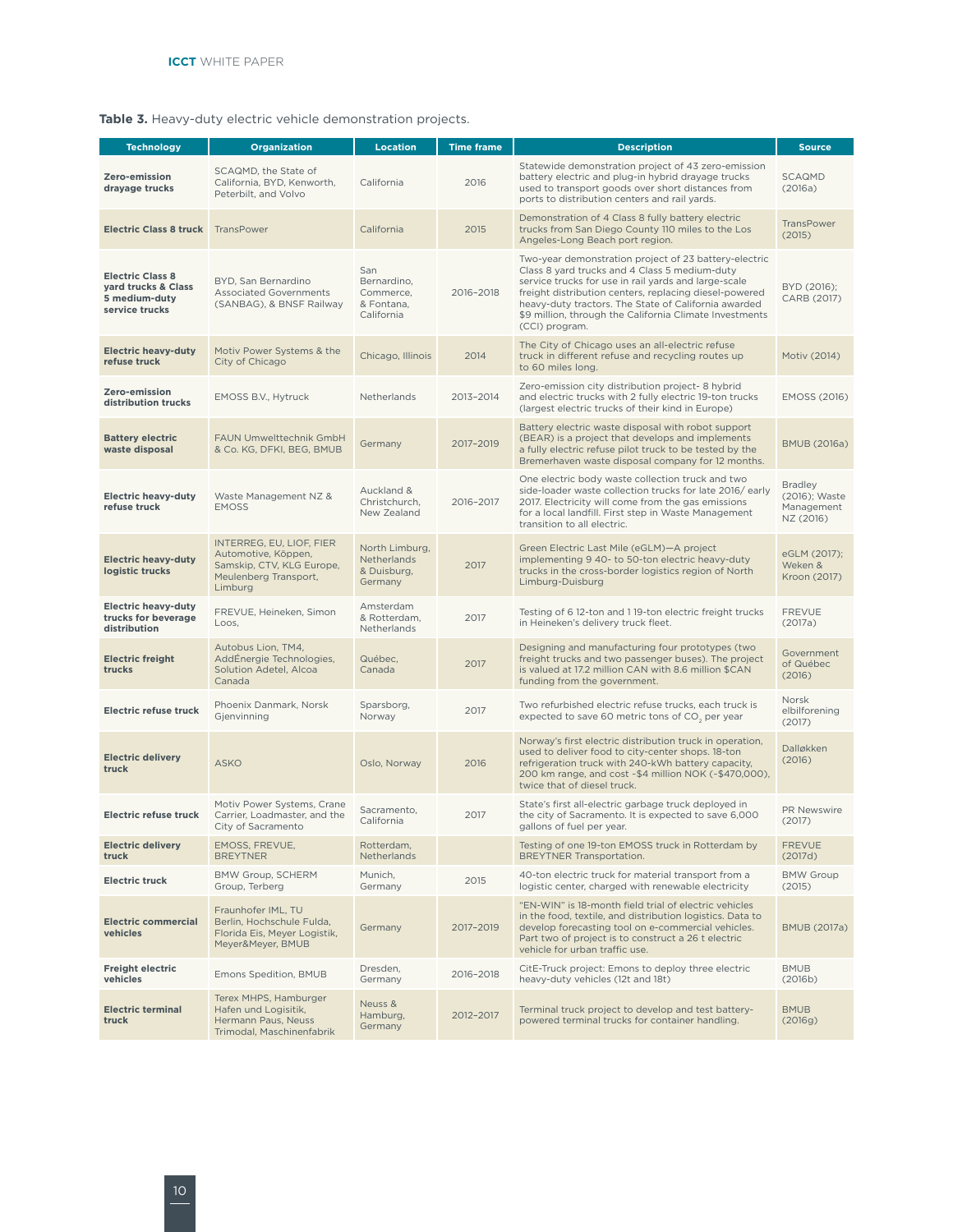#### <span id="page-15-0"></span>**Table 3.** Heavy-duty electric vehicle demonstration projects.

| <b>Technology</b>                                                                 | <b>Organization</b>                                                                                                                                                                                                                                                                                                                                                                                                                                                                                                           | <b>Location</b>                                                | <b>Time frame</b>          | <b>Description</b>                                                                                                                                                                                                                                                | <b>Source</b>                                              |
|-----------------------------------------------------------------------------------|-------------------------------------------------------------------------------------------------------------------------------------------------------------------------------------------------------------------------------------------------------------------------------------------------------------------------------------------------------------------------------------------------------------------------------------------------------------------------------------------------------------------------------|----------------------------------------------------------------|----------------------------|-------------------------------------------------------------------------------------------------------------------------------------------------------------------------------------------------------------------------------------------------------------------|------------------------------------------------------------|
| Zero-emission<br>drayage trucks                                                   | SCAQMD, the State of<br>California, BYD, Kenworth,<br>Peterbilt, and Volvo                                                                                                                                                                                                                                                                                                                                                                                                                                                    | California                                                     | 2016                       | Statewide demonstration project of 43 zero-emission<br>battery electric and plug-in hybrid drayage trucks<br>used to transport goods over short distances from<br>ports to distribution centers and rail yards.                                                   | SCAQMD<br>(2016a)                                          |
| <b>Electric Class 8 truck</b>                                                     | TransPower                                                                                                                                                                                                                                                                                                                                                                                                                                                                                                                    | California                                                     | 2015                       | Demonstration of 4 Class 8 fully battery electric<br>trucks from San Diego County 110 miles to the Los<br>Angeles-Long Beach port region.                                                                                                                         | <b>TransPower</b><br>(2015)                                |
| <b>Electric Class 8</b><br>yard trucks & Class<br>5 medium-duty<br>service trucks | Two-year demonstration project of 23 battery-electric<br>San<br>Class 8 yard trucks and 4 Class 5 medium-duty<br>BYD, San Bernardino<br>Bernardino,<br>service trucks for use in rail yards and large-scale<br><b>Associated Governments</b><br>Commerce,<br>2016-2018<br>freight distribution centers, replacing diesel-powered<br>heavy-duty tractors. The State of California awarded<br>(SANBAG), & BNSF Railway<br>& Fontana,<br>California<br>\$9 million, through the California Climate Investments<br>(CCI) program. |                                                                | BYD (2016);<br>CARB (2017) |                                                                                                                                                                                                                                                                   |                                                            |
| <b>Electric heavy-duty</b><br>refuse truck                                        | Motiv Power Systems & the<br>City of Chicago                                                                                                                                                                                                                                                                                                                                                                                                                                                                                  | Chicago, Illinois                                              | 2014                       | The City of Chicago uses an all-electric refuse<br>truck in different refuse and recycling routes up<br>to 60 miles long.                                                                                                                                         | Motiv (2014)                                               |
| Zero-emission<br>distribution trucks                                              | EMOSS B.V., Hytruck                                                                                                                                                                                                                                                                                                                                                                                                                                                                                                           | Netherlands                                                    | 2013-2014                  | Zero-emission city distribution project-8 hybrid<br>and electric trucks with 2 fully electric 19-ton trucks<br>(largest electric trucks of their kind in Europe)                                                                                                  | EMOSS (2016)                                               |
| <b>Battery electric</b><br>waste disposal                                         | FAUN Umwelttechnik GmbH<br>& Co. KG, DFKI, BEG, BMUB                                                                                                                                                                                                                                                                                                                                                                                                                                                                          | Germany                                                        | 2017-2019                  | Battery electric waste disposal with robot support<br>(BEAR) is a project that develops and implements<br>a fully electric refuse pilot truck to be tested by the<br>Bremerhaven waste disposal company for 12 months.                                            | <b>BMUB (2016a)</b>                                        |
| <b>Electric heavy-duty</b><br>refuse truck                                        | Waste Management NZ &<br><b>EMOSS</b>                                                                                                                                                                                                                                                                                                                                                                                                                                                                                         | Auckland &<br>Christchurch,<br>New Zealand                     | 2016-2017                  | One electric body waste collection truck and two<br>side-loader waste collection trucks for late 2016/early<br>2017. Electricity will come from the gas emissions<br>for a local landfill. First step in Waste Management<br>transition to all electric.          | <b>Bradley</b><br>(2016); Waste<br>Management<br>NZ (2016) |
| <b>Electric heavy-duty</b><br>logistic trucks                                     | INTERREG, EU, LIOF, FIER<br>Automotive, Köppen,<br>Samskip, CTV, KLG Europe,<br>Meulenberg Transport,<br>Limburg                                                                                                                                                                                                                                                                                                                                                                                                              | North Limburg,<br><b>Netherlands</b><br>& Duisburg,<br>Germany | 2017                       | Green Electric Last Mile (eGLM)-A project<br>implementing 9 40- to 50-ton electric heavy-duty<br>trucks in the cross-border logistics region of North<br>Limburg-Duisburg                                                                                         | eGLM (2017);<br>Weken &<br>Kroon (2017)                    |
| <b>Electric heavy-duty</b><br>trucks for beverage<br>distribution                 | FREVUE, Heineken, Simon<br>Loos,                                                                                                                                                                                                                                                                                                                                                                                                                                                                                              | Amsterdam<br>& Rotterdam,<br>Netherlands                       | 2017                       | Testing of 6 12-ton and 1 19-ton electric freight trucks<br>in Heineken's delivery truck fleet.                                                                                                                                                                   | <b>FREVUE</b><br>(2017a)                                   |
| <b>Electric freight</b><br>trucks                                                 | Autobus Lion, TM4,<br>AddÉnergie Technologies,<br>Solution Adetel, Alcoa<br>Canada                                                                                                                                                                                                                                                                                                                                                                                                                                            | Québec,<br>Canada                                              | 2017                       | Designing and manufacturing four prototypes (two<br>freight trucks and two passenger buses). The project<br>is valued at 17.2 million CAN with 8.6 million \$CAN<br>funding from the government.                                                                  | Government<br>of Québec<br>(2016)                          |
| <b>Electric refuse truck</b>                                                      | Phoenix Danmark, Norsk<br>Gjenvinning                                                                                                                                                                                                                                                                                                                                                                                                                                                                                         | Sparsborg,<br>Norway                                           | 2017                       | Two refurbished electric refuse trucks, each truck is<br>expected to save 60 metric tons of CO <sub>2</sub> per year                                                                                                                                              | Norsk<br>elbilforening<br>(2017)                           |
| <b>Electric delivery</b><br>truck                                                 | <b>ASKO</b>                                                                                                                                                                                                                                                                                                                                                                                                                                                                                                                   | Oslo, Norway                                                   | 2016                       | Norway's first electric distribution truck in operation,<br>used to deliver food to city-center shops. 18-ton<br>refrigeration truck with 240-kWh battery capacity,<br>200 km range, and cost ~\$4 million NOK (~\$470,000),<br>twice that of diesel truck.       | Dalløkken<br>(2016)                                        |
| <b>Electric refuse truck</b>                                                      | Motiv Power Systems, Crane<br>Carrier, Loadmaster, and the<br>City of Sacramento                                                                                                                                                                                                                                                                                                                                                                                                                                              | Sacramento,<br>California                                      | 2017                       | State's first all-electric garbage truck deployed in<br>the city of Sacramento. It is expected to save 6,000<br>gallons of fuel per year.                                                                                                                         | PR Newswire<br>(2017)                                      |
| <b>Electric delivery</b><br>truck                                                 | EMOSS, FREVUE,<br><b>BREYTNER</b>                                                                                                                                                                                                                                                                                                                                                                                                                                                                                             | Rotterdam,<br>Netherlands                                      |                            | Testing of one 19-ton EMOSS truck in Rotterdam by<br><b>BREYTNER Transportation.</b>                                                                                                                                                                              | <b>FREVUE</b><br>(2017d)                                   |
| <b>Electric truck</b>                                                             | BMW Group, SCHERM<br>Group, Terberg                                                                                                                                                                                                                                                                                                                                                                                                                                                                                           | Munich,<br>Germany                                             | 2015                       | 40-ton electric truck for material transport from a<br>logistic center, charged with renewable electricity                                                                                                                                                        | <b>BMW Group</b><br>(2015)                                 |
| <b>Electric commercial</b><br>vehicles                                            | Fraunhofer IML, TU<br>Berlin, Hochschule Fulda,<br>Florida Eis, Meyer Logistik,<br>Meyer&Meyer, BMUB                                                                                                                                                                                                                                                                                                                                                                                                                          | Germany                                                        | 2017-2019                  | "EN-WIN" is 18-month field trial of electric vehicles<br>in the food, textile, and distribution logistics. Data to<br>develop forecasting tool on e-commercial vehicles.<br>Part two of project is to construct a 26 t electric<br>vehicle for urban traffic use. | <b>BMUB (2017a)</b>                                        |
| <b>Freight electric</b><br>vehicles                                               | Emons Spedition, BMUB                                                                                                                                                                                                                                                                                                                                                                                                                                                                                                         | Dresden,<br>Germany                                            | 2016-2018                  | CitE-Truck project: Emons to deploy three electric<br>heavy-duty vehicles (12t and 18t)                                                                                                                                                                           | <b>BMUB</b><br>(2016b)                                     |
| <b>Electric terminal</b><br>truck                                                 | Terex MHPS, Hamburger<br>Hafen und Logisitik,<br>Hermann Paus, Neuss<br>Trimodal, Maschinenfabrik                                                                                                                                                                                                                                                                                                                                                                                                                             | Neuss &<br>Hamburg,<br>Germany                                 | 2012-2017                  | Terminal truck project to develop and test battery-<br>powered terminal trucks for container handling.                                                                                                                                                            | <b>BMUB</b><br>(2016g)                                     |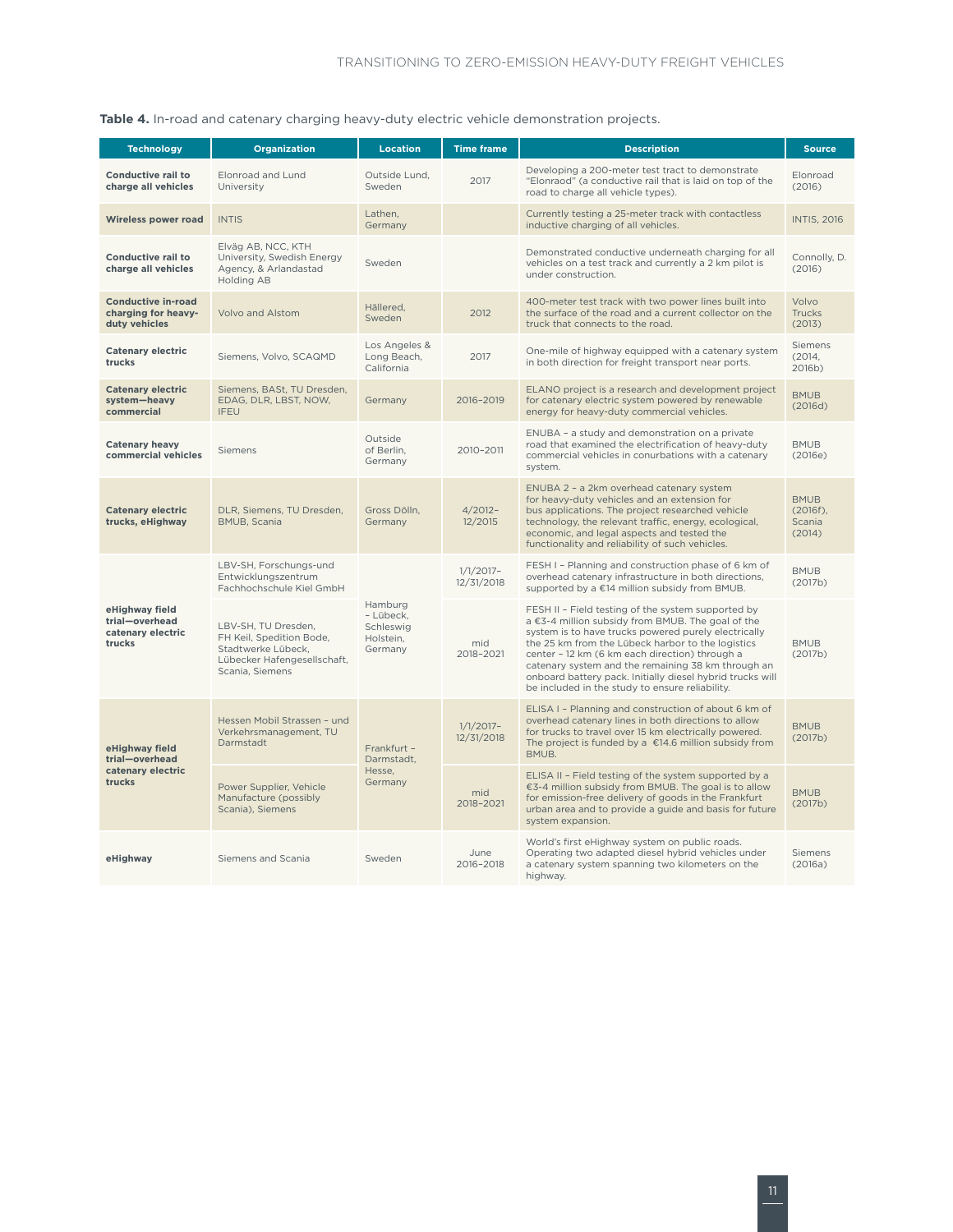| <b>Technology</b>                                                 | <b>Organization</b>                                                                                                     | <b>Location</b>                                                 | <b>Time frame</b>         | <b>Description</b>                                                                                                                                                                                                                                                                                                                                                                                                                           | <b>Source</b>                                  |
|-------------------------------------------------------------------|-------------------------------------------------------------------------------------------------------------------------|-----------------------------------------------------------------|---------------------------|----------------------------------------------------------------------------------------------------------------------------------------------------------------------------------------------------------------------------------------------------------------------------------------------------------------------------------------------------------------------------------------------------------------------------------------------|------------------------------------------------|
| Conductive rail to<br>charge all vehicles                         | Elonroad and Lund<br>University                                                                                         | Outside Lund,<br>Sweden                                         | 2017                      | Developing a 200-meter test tract to demonstrate<br>"Elonraod" (a conductive rail that is laid on top of the<br>road to charge all vehicle types).                                                                                                                                                                                                                                                                                           | Elonroad<br>(2016)                             |
| Wireless power road                                               | <b>INTIS</b>                                                                                                            | Lathen,<br>Germany                                              |                           | Currently testing a 25-meter track with contactless<br>inductive charging of all vehicles.                                                                                                                                                                                                                                                                                                                                                   | <b>INTIS, 2016</b>                             |
| <b>Conductive rail to</b><br>charge all vehicles                  | Elväg AB, NCC, KTH<br>University, Swedish Energy<br>Agency, & Arlandastad<br>Holding AB                                 | Sweden                                                          |                           | Demonstrated conductive underneath charging for all<br>vehicles on a test track and currently a 2 km pilot is<br>under construction.                                                                                                                                                                                                                                                                                                         | Connolly, D.<br>(2016)                         |
| <b>Conductive in-road</b><br>charging for heavy-<br>duty vehicles | Volvo and Alstom                                                                                                        | Hällered,<br>2012<br>Sweden<br>truck that connects to the road. |                           | 400-meter test track with two power lines built into<br>the surface of the road and a current collector on the                                                                                                                                                                                                                                                                                                                               | Volvo<br><b>Trucks</b><br>(2013)               |
| <b>Catenary electric</b><br>trucks                                | Siemens, Volvo, SCAQMD                                                                                                  | Los Angeles &<br>Long Beach,<br>California                      | 2017                      | One-mile of highway equipped with a catenary system<br>in both direction for freight transport near ports.                                                                                                                                                                                                                                                                                                                                   | Siemens<br>(2014,<br>2016b)                    |
| <b>Catenary electric</b><br>system-heavy<br>commercial            | Siemens, BASt, TU Dresden,<br>EDAG, DLR, LBST, NOW,<br><b>IFEU</b>                                                      | Germany                                                         | 2016-2019                 | ELANO project is a research and development project<br>for catenary electric system powered by renewable<br>energy for heavy-duty commercial vehicles.                                                                                                                                                                                                                                                                                       | <b>BMUB</b><br>(2016d)                         |
| <b>Catenary heavy</b><br>commercial vehicles                      | Siemens                                                                                                                 | Outside<br>of Berlin,<br>Germany                                | 2010-2011                 | ENUBA - a study and demonstration on a private<br>road that examined the electrification of heavy-duty<br>commercial vehicles in conurbations with a catenary<br>system.                                                                                                                                                                                                                                                                     | <b>BMUB</b><br>(2016e)                         |
| <b>Catenary electric</b><br>trucks, eHighway                      | DLR, Siemens, TU Dresden,<br><b>BMUB, Scania</b>                                                                        | Gross Dölln,<br>Germany                                         | $4/2012 -$<br>12/2015     | ENUBA 2 - a 2km overhead catenary system<br>for heavy-duty vehicles and an extension for<br>bus applications. The project researched vehicle<br>technology, the relevant traffic, energy, ecological,<br>economic, and legal aspects and tested the<br>functionality and reliability of such vehicles.                                                                                                                                       | <b>BMUB</b><br>$(2016f)$ ,<br>Scania<br>(2014) |
|                                                                   | LBV-SH, Forschungs-und<br>Entwicklungszentrum<br>Fachhochschule Kiel GmbH                                               |                                                                 | $1/1/2017-$<br>12/31/2018 | FESH I - Planning and construction phase of 6 km of<br>overhead catenary infrastructure in both directions.<br>supported by a €14 million subsidy from BMUB.                                                                                                                                                                                                                                                                                 | <b>BMUB</b><br>(2017b)                         |
| eHighway field<br>trial-overhead<br>catenary electric<br>trucks   | LBV-SH, TU Dresden,<br>FH Keil, Spedition Bode,<br>Stadtwerke Lübeck,<br>Lübecker Hafengesellschaft,<br>Scania, Siemens | Hamburg<br>- Lübeck,<br>Schleswig<br>Holstein,<br>Germany       | mid<br>2018-2021          | FESH II - Field testing of the system supported by<br>a €3-4 million subsidy from BMUB. The goal of the<br>system is to have trucks powered purely electrically<br>the 25 km from the Lübeck harbor to the logistics<br>center - 12 km (6 km each direction) through a<br>catenary system and the remaining 38 km through an<br>onboard battery pack. Initially diesel hybrid trucks will<br>be included in the study to ensure reliability. | <b>BMUB</b><br>(2017b)                         |
| eHighway field<br>trial-overhead                                  | Hessen Mobil Strassen - und<br>Verkehrsmanagement, TU<br>Darmstadt                                                      | Frankfurt -<br>Darmstadt,                                       | $1/1/2017-$<br>12/31/2018 | ELISA I - Planning and construction of about 6 km of<br>overhead catenary lines in both directions to allow<br>for trucks to travel over 15 km electrically powered.<br>The project is funded by a $\epsilon$ 14.6 million subsidy from<br>BMUB.                                                                                                                                                                                             | <b>BMUB</b><br>(2017b)                         |
| catenary electric<br>trucks                                       | Power Supplier, Vehicle<br>Manufacture (possibly<br>Scania), Siemens                                                    | Hesse,<br>Germany                                               | mid<br>2018-2021          | ELISA II - Field testing of the system supported by a<br>€3-4 million subsidy from BMUB. The goal is to allow<br>for emission-free delivery of goods in the Frankfurt<br>urban area and to provide a guide and basis for future<br>system expansion.                                                                                                                                                                                         | <b>BMUB</b><br>(2017b)                         |
| eHighway                                                          | Siemens and Scania                                                                                                      | Sweden                                                          | June<br>2016-2018         | World's first eHighway system on public roads.<br>Operating two adapted diesel hybrid vehicles under<br>a catenary system spanning two kilometers on the<br>highway.                                                                                                                                                                                                                                                                         | <b>Siemens</b><br>(2016a)                      |

#### <span id="page-16-0"></span>**Table 4.** In-road and catenary charging heavy-duty electric vehicle demonstration projects.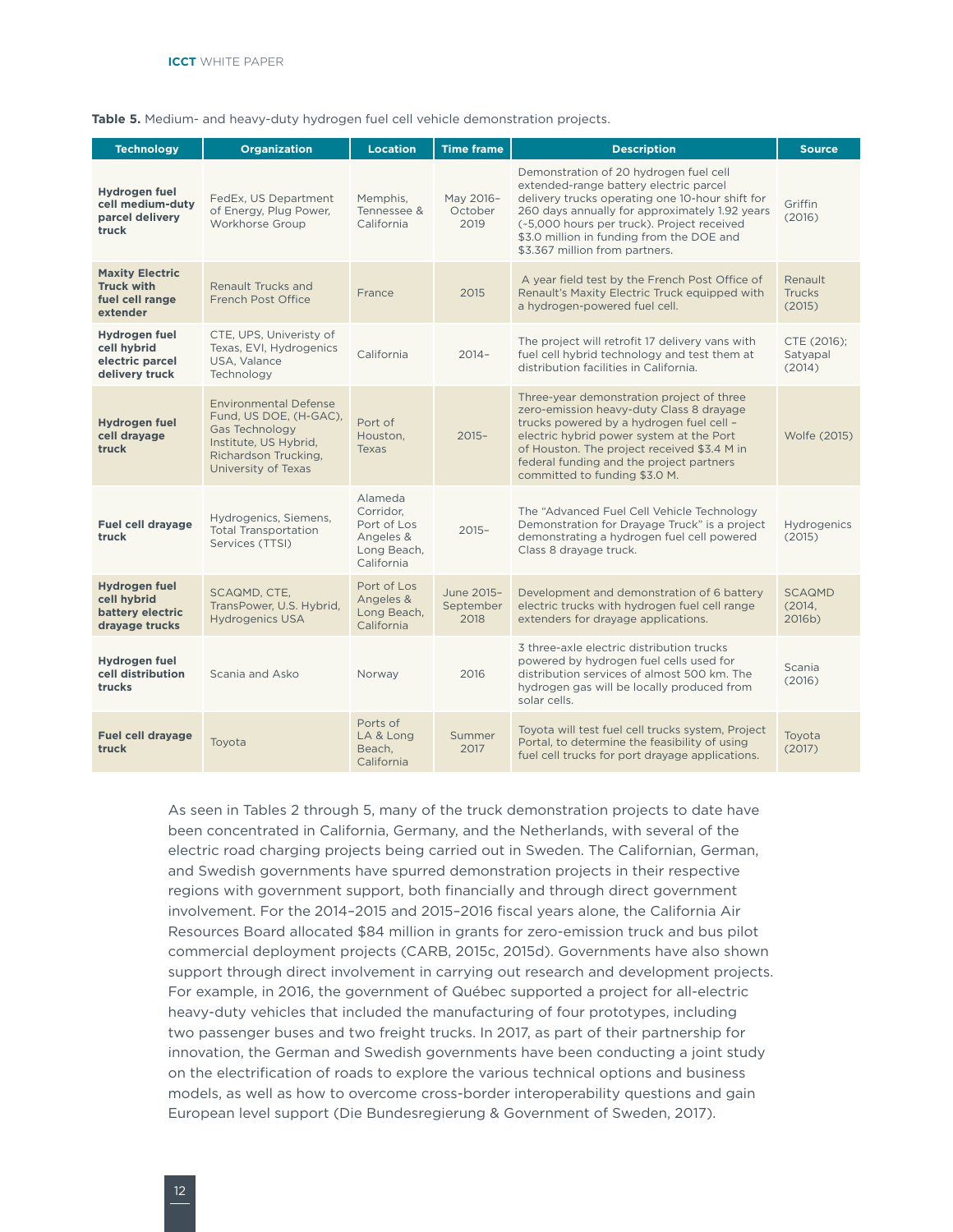<span id="page-17-0"></span>**Table 5.** Medium- and heavy-duty hydrogen fuel cell vehicle demonstration projects.

| <b>Technology</b>                                                          | <b>Organization</b>                                                                                                                              | <b>Location</b>                                                                                                                 | <b>Time frame</b>                                                                                                                                                               | <b>Description</b>                                                                                                                                                                                                                                                                                                 | <b>Source</b>                      |
|----------------------------------------------------------------------------|--------------------------------------------------------------------------------------------------------------------------------------------------|---------------------------------------------------------------------------------------------------------------------------------|---------------------------------------------------------------------------------------------------------------------------------------------------------------------------------|--------------------------------------------------------------------------------------------------------------------------------------------------------------------------------------------------------------------------------------------------------------------------------------------------------------------|------------------------------------|
| Hydrogen fuel<br>cell medium-duty<br>parcel delivery<br>truck              | FedEx, US Department<br>of Energy, Plug Power,<br>Workhorse Group                                                                                | Memphis,<br>Tennessee &<br>California                                                                                           | May 2016-<br>October<br>2019                                                                                                                                                    | Demonstration of 20 hydrogen fuel cell<br>extended-range battery electric parcel<br>delivery trucks operating one 10-hour shift for<br>260 days annually for approximately 1.92 years<br>(~5,000 hours per truck). Project received<br>\$3.0 million in funding from the DOE and<br>\$3.367 million from partners. | Griffin<br>(2016)                  |
| <b>Maxity Electric</b><br><b>Truck with</b><br>fuel cell range<br>extender | <b>Renault Trucks and</b><br>French Post Office                                                                                                  | France                                                                                                                          | 2015                                                                                                                                                                            | A year field test by the French Post Office of<br>Renault's Maxity Electric Truck equipped with<br>a hydrogen-powered fuel cell.                                                                                                                                                                                   | Renault<br><b>Trucks</b><br>(2015) |
| Hydrogen fuel<br>cell hybrid<br>electric parcel<br>delivery truck          | CTE, UPS, Univeristy of<br>Texas, EVI, Hydrogenics<br>USA, Valance<br>Technology                                                                 | California                                                                                                                      | $2014 -$                                                                                                                                                                        | The project will retrofit 17 delivery vans with<br>fuel cell hybrid technology and test them at<br>distribution facilities in California.                                                                                                                                                                          | CTE (2016);<br>Satyapal<br>(2014)  |
| Hydrogen fuel<br>cell drayage<br>truck                                     | <b>Environmental Defense</b><br>Fund. US DOE. (H-GAC).<br>Gas Technology<br>Institute, US Hybrid,<br>Richardson Trucking,<br>University of Texas | Port of<br>Houston.<br><b>Texas</b>                                                                                             | $2015 -$                                                                                                                                                                        | Three-year demonstration project of three<br>zero-emission heavy-duty Class 8 drayage<br>trucks powered by a hydrogen fuel cell -<br>electric hybrid power system at the Port<br>of Houston. The project received \$3.4 M in<br>federal funding and the project partners<br>committed to funding \$3.0 M.          | Wolfe (2015)                       |
| <b>Fuel cell drayage</b><br>truck                                          | Hydrogenics, Siemens,<br><b>Total Transportation</b><br>Services (TTSI)                                                                          | Alameda<br>Corridor.<br>Port of Los<br>Angeles &<br>Long Beach,<br>California                                                   | The "Advanced Fuel Cell Vehicle Technology<br>Demonstration for Drayage Truck" is a project<br>$2015 -$<br>demonstrating a hydrogen fuel cell powered<br>Class 8 drayage truck. |                                                                                                                                                                                                                                                                                                                    | Hydrogenics<br>(2015)              |
| <b>Hydrogen fuel</b><br>cell hybrid<br>battery electric<br>dravage trucks  | SCAQMD, CTE,<br>TransPower, U.S. Hybrid,<br><b>Hydrogenics USA</b>                                                                               | Port of Los<br>June 2015-<br>Angeles &<br>September<br>Long Beach,<br>2018<br>extenders for drayage applications.<br>California |                                                                                                                                                                                 | Development and demonstration of 6 battery<br>electric trucks with hydrogen fuel cell range                                                                                                                                                                                                                        | <b>SCAQMD</b><br>(2014,<br>2016b)  |
| Hydrogen fuel<br>cell distribution<br>trucks                               | Scania and Asko                                                                                                                                  | Norway                                                                                                                          | 2016                                                                                                                                                                            | 3 three-axle electric distribution trucks<br>powered by hydrogen fuel cells used for<br>distribution services of almost 500 km. The<br>hydrogen gas will be locally produced from<br>solar cells.                                                                                                                  | Scania<br>(2016)                   |
| <b>Fuel cell dravage</b><br>truck                                          | Toyota                                                                                                                                           | Ports of<br>LA & Long<br>Beach.<br>California                                                                                   | Summer<br>2017                                                                                                                                                                  | Toyota will test fuel cell trucks system, Project<br>Portal, to determine the feasibility of using<br>fuel cell trucks for port drayage applications.                                                                                                                                                              | Toyota<br>(2017)                   |

As seen in Tables 2 through 5, many of the truck demonstration projects to date have been concentrated in California, Germany, and the Netherlands, with several of the electric road charging projects being carried out in Sweden. The Californian, German, and Swedish governments have spurred demonstration projects in their respective regions with government support, both financially and through direct government involvement. For the 2014–2015 and 2015–2016 fiscal years alone, the California Air Resources Board allocated \$84 million in grants for zero-emission truck and bus pilot commercial deployment projects (CARB, 2015c, 2015d). Governments have also shown support through direct involvement in carrying out research and development projects. For example, in 2016, the government of Québec supported a project for all-electric heavy-duty vehicles that included the manufacturing of four prototypes, including two passenger buses and two freight trucks. In 2017, as part of their partnership for innovation, the German and Swedish governments have been conducting a joint study on the electrification of roads to explore the various technical options and business models, as well as how to overcome cross-border interoperability questions and gain European level support (Die Bundesregierung & Government of Sweden, 2017).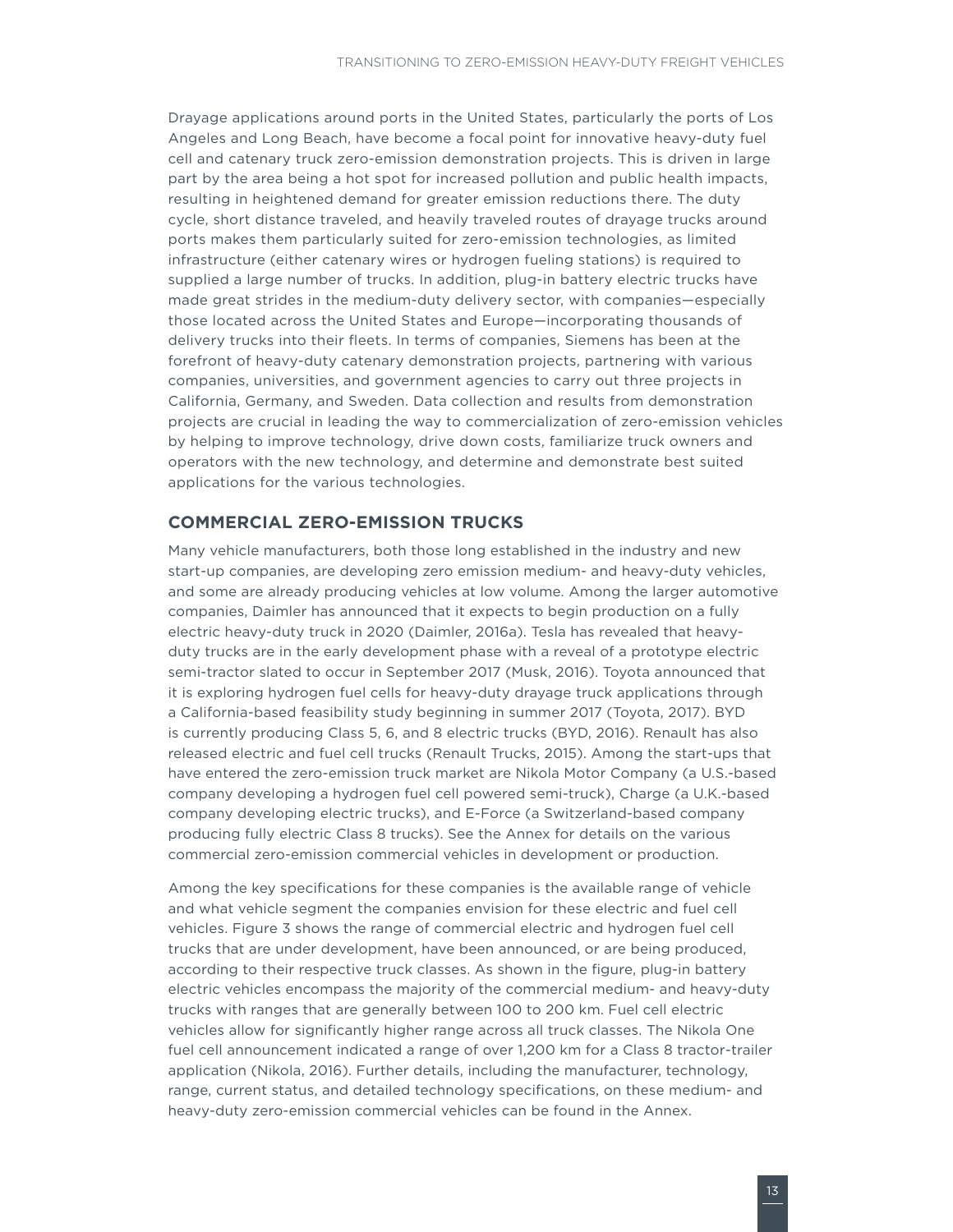<span id="page-18-0"></span>Drayage applications around ports in the United States, particularly the ports of Los Angeles and Long Beach, have become a focal point for innovative heavy-duty fuel cell and catenary truck zero-emission demonstration projects. This is driven in large part by the area being a hot spot for increased pollution and public health impacts, resulting in heightened demand for greater emission reductions there. The duty cycle, short distance traveled, and heavily traveled routes of drayage trucks around ports makes them particularly suited for zero-emission technologies, as limited infrastructure (either catenary wires or hydrogen fueling stations) is required to supplied a large number of trucks. In addition, plug-in battery electric trucks have made great strides in the medium-duty delivery sector, with companies—especially those located across the United States and Europe—incorporating thousands of delivery trucks into their fleets. In terms of companies, Siemens has been at the forefront of heavy-duty catenary demonstration projects, partnering with various companies, universities, and government agencies to carry out three projects in California, Germany, and Sweden. Data collection and results from demonstration projects are crucial in leading the way to commercialization of zero-emission vehicles by helping to improve technology, drive down costs, familiarize truck owners and operators with the new technology, and determine and demonstrate best suited applications for the various technologies.

#### **COMMERCIAL ZERO-EMISSION TRUCKS**

Many vehicle manufacturers, both those long established in the industry and new start-up companies, are developing zero emission medium- and heavy-duty vehicles, and some are already producing vehicles at low volume. Among the larger automotive companies, Daimler has announced that it expects to begin production on a fully electric heavy-duty truck in 2020 (Daimler, 2016a). Tesla has revealed that heavyduty trucks are in the early development phase with a reveal of a prototype electric semi-tractor slated to occur in September 2017 (Musk, 2016). Toyota announced that it is exploring hydrogen fuel cells for heavy-duty drayage truck applications through a California-based feasibility study beginning in summer 2017 (Toyota, 2017). BYD is currently producing Class 5, 6, and 8 electric trucks (BYD, 2016). Renault has also released electric and fuel cell trucks (Renault Trucks, 2015). Among the start-ups that have entered the zero-emission truck market are Nikola Motor Company (a U.S.-based company developing a hydrogen fuel cell powered semi-truck), Charge (a U.K.-based company developing electric trucks), and E-Force (a Switzerland-based company producing fully electric Class 8 trucks). See the Annex for details on the various commercial zero-emission commercial vehicles in development or production.

Among the key specifications for these companies is the available range of vehicle and what vehicle segment the companies envision for these electric and fuel cell vehicles. [Figure](#page-19-1) 3 shows the range of commercial electric and hydrogen fuel cell trucks that are under development, have been announced, or are being produced, according to their respective truck classes. As shown in the figure, plug-in battery electric vehicles encompass the majority of the commercial medium- and heavy-duty trucks with ranges that are generally between 100 to 200 km. Fuel cell electric vehicles allow for significantly higher range across all truck classes. The Nikola One fuel cell announcement indicated a range of over 1,200 km for a Class 8 tractor-trailer application (Nikola, 2016). Further details, including the manufacturer, technology, range, current status, and detailed technology specifications, on these medium- and heavy-duty zero-emission commercial vehicles can be found in the Annex.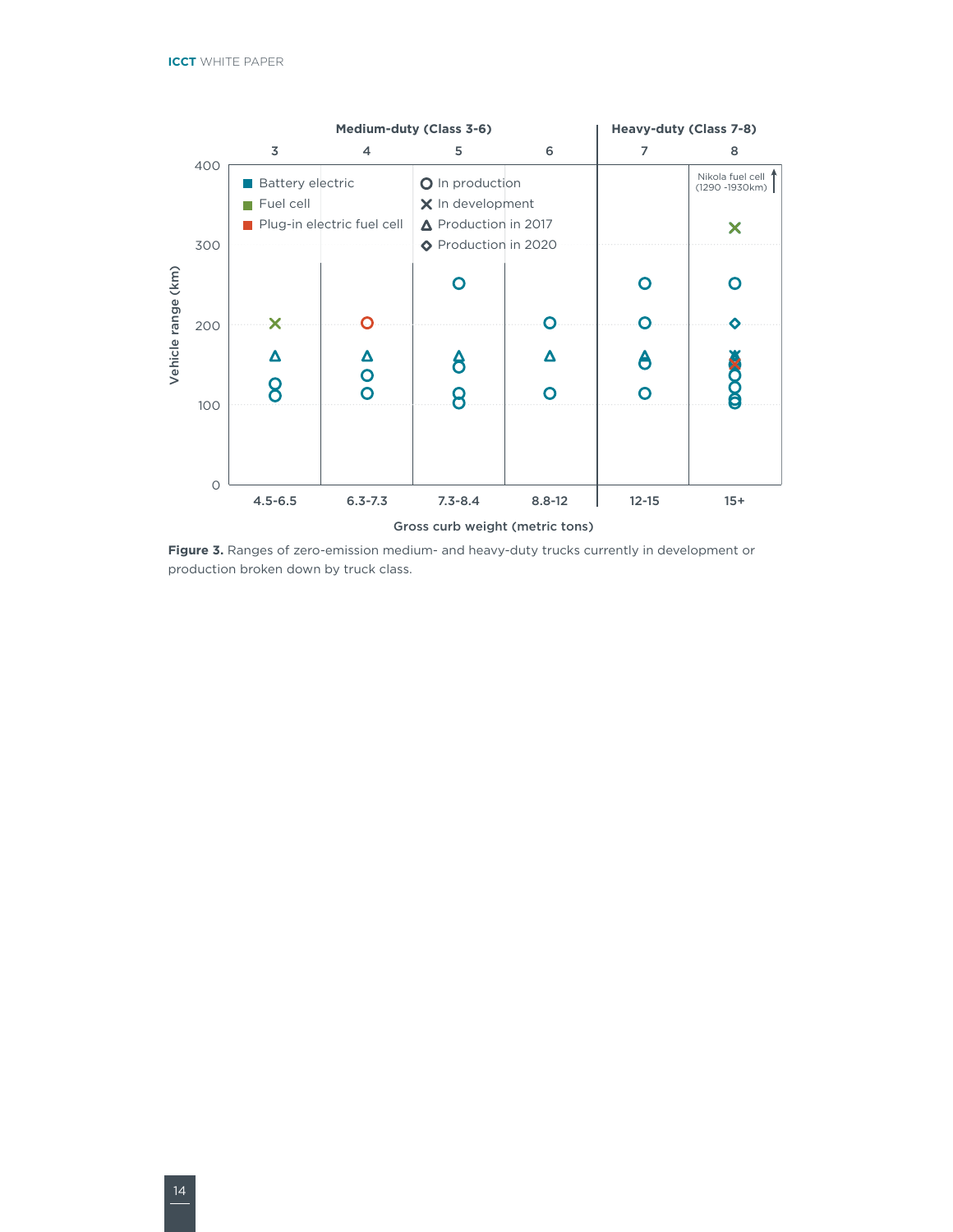<span id="page-19-0"></span>

<span id="page-19-1"></span>**Figure 3.** Ranges of zero-emission medium- and heavy-duty trucks currently in development or production broken down by truck class.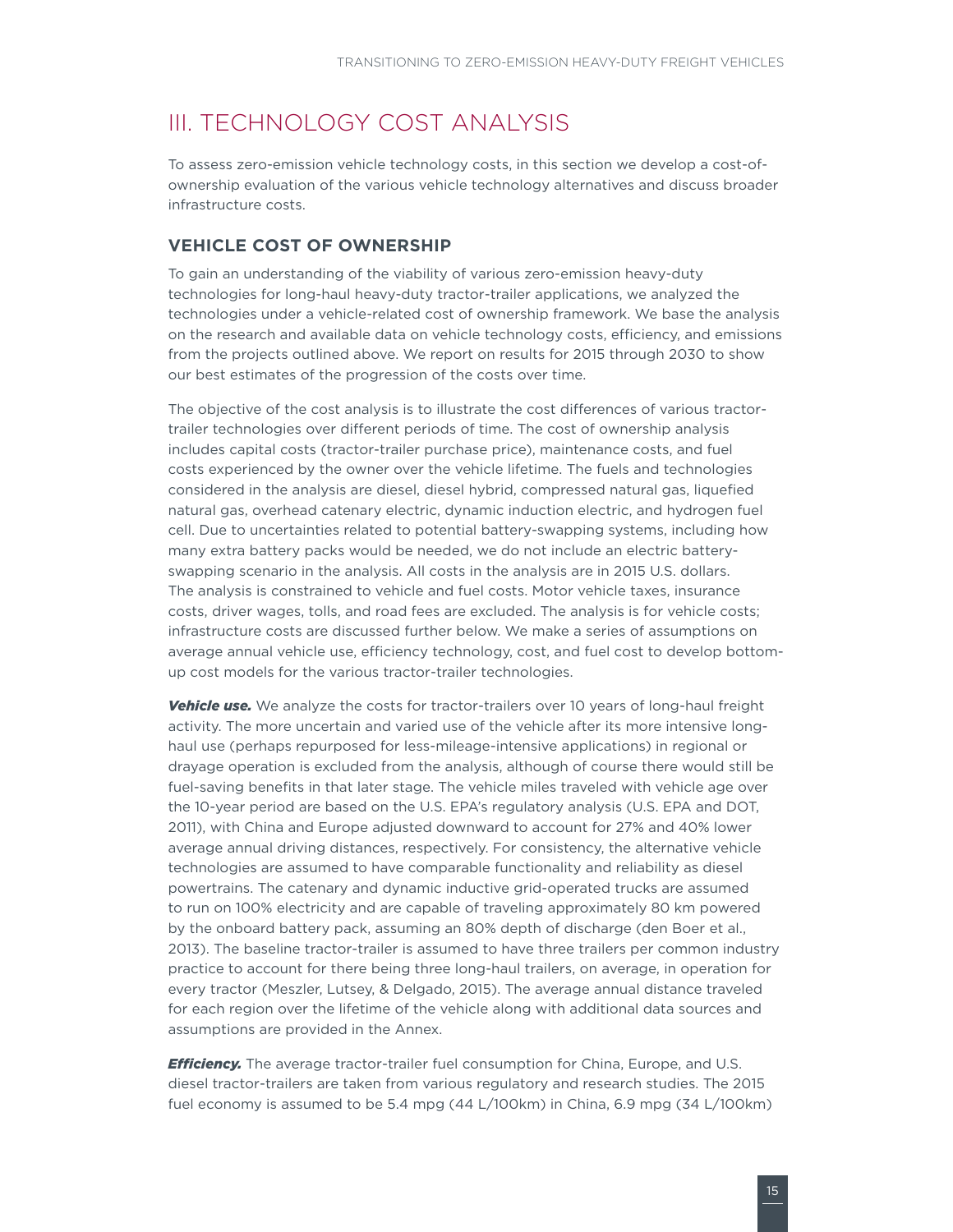# <span id="page-20-0"></span>III. TECHNOLOGY COST ANALYSIS

To assess zero-emission vehicle technology costs, in this section we develop a cost-ofownership evaluation of the various vehicle technology alternatives and discuss broader infrastructure costs.

#### **VEHICLE COST OF OWNERSHIP**

To gain an understanding of the viability of various zero-emission heavy-duty technologies for long-haul heavy-duty tractor-trailer applications, we analyzed the technologies under a vehicle-related cost of ownership framework. We base the analysis on the research and available data on vehicle technology costs, efficiency, and emissions from the projects outlined above. We report on results for 2015 through 2030 to show our best estimates of the progression of the costs over time.

The objective of the cost analysis is to illustrate the cost differences of various tractortrailer technologies over different periods of time. The cost of ownership analysis includes capital costs (tractor-trailer purchase price), maintenance costs, and fuel costs experienced by the owner over the vehicle lifetime. The fuels and technologies considered in the analysis are diesel, diesel hybrid, compressed natural gas, liquefied natural gas, overhead catenary electric, dynamic induction electric, and hydrogen fuel cell. Due to uncertainties related to potential battery-swapping systems, including how many extra battery packs would be needed, we do not include an electric batteryswapping scenario in the analysis. All costs in the analysis are in 2015 U.S. dollars. The analysis is constrained to vehicle and fuel costs. Motor vehicle taxes, insurance costs, driver wages, tolls, and road fees are excluded. The analysis is for vehicle costs; infrastructure costs are discussed further below. We make a series of assumptions on average annual vehicle use, efficiency technology, cost, and fuel cost to develop bottomup cost models for the various tractor-trailer technologies.

**Vehicle use.** We analyze the costs for tractor-trailers over 10 years of long-haul freight activity. The more uncertain and varied use of the vehicle after its more intensive longhaul use (perhaps repurposed for less-mileage-intensive applications) in regional or drayage operation is excluded from the analysis, although of course there would still be fuel-saving benefits in that later stage. The vehicle miles traveled with vehicle age over the 10-year period are based on the U.S. EPA's regulatory analysis (U.S. EPA and DOT, 2011), with China and Europe adjusted downward to account for 27% and 40% lower average annual driving distances, respectively. For consistency, the alternative vehicle technologies are assumed to have comparable functionality and reliability as diesel powertrains. The catenary and dynamic inductive grid-operated trucks are assumed to run on 100% electricity and are capable of traveling approximately 80 km powered by the onboard battery pack, assuming an 80% depth of discharge (den Boer et al., 2013). The baseline tractor-trailer is assumed to have three trailers per common industry practice to account for there being three long-haul trailers, on average, in operation for every tractor (Meszler, Lutsey, & Delgado, 2015). The average annual distance traveled for each region over the lifetime of the vehicle along with additional data sources and assumptions are provided in the Annex.

*Efficiency.* The average tractor-trailer fuel consumption for China, Europe, and U.S. diesel tractor-trailers are taken from various regulatory and research studies. The 2015 fuel economy is assumed to be 5.4 mpg (44 L/100km) in China, 6.9 mpg (34 L/100km)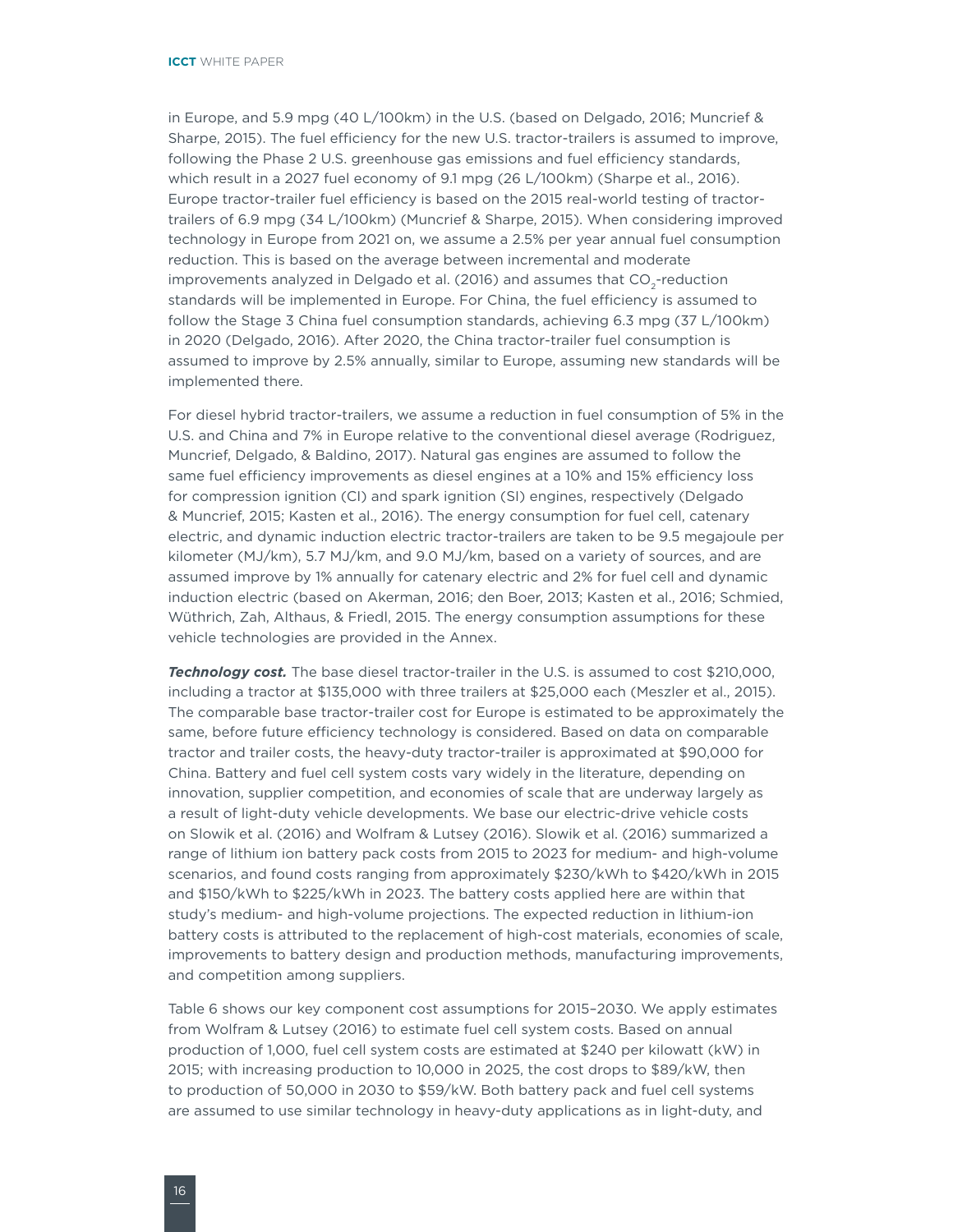in Europe, and 5.9 mpg (40 L/100km) in the U.S. (based on Delgado, 2016; Muncrief & Sharpe, 2015). The fuel efficiency for the new U.S. tractor-trailers is assumed to improve, following the Phase 2 U.S. greenhouse gas emissions and fuel efficiency standards, which result in a 2027 fuel economy of 9.1 mpg (26 L/100km) (Sharpe et al., 2016). Europe tractor-trailer fuel efficiency is based on the 2015 real-world testing of tractortrailers of 6.9 mpg (34 L/100km) (Muncrief & Sharpe, 2015). When considering improved technology in Europe from 2021 on, we assume a 2.5% per year annual fuel consumption reduction. This is based on the average between incremental and moderate improvements analyzed in Delgado et al. (2016) and assumes that CO<sub>2</sub>-reduction standards will be implemented in Europe. For China, the fuel efficiency is assumed to follow the Stage 3 China fuel consumption standards, achieving 6.3 mpg (37 L/100km) in 2020 (Delgado, 2016). After 2020, the China tractor-trailer fuel consumption is assumed to improve by 2.5% annually, similar to Europe, assuming new standards will be implemented there.

For diesel hybrid tractor-trailers, we assume a reduction in fuel consumption of 5% in the U.S. and China and 7% in Europe relative to the conventional diesel average (Rodriguez, Muncrief, Delgado, & Baldino, 2017). Natural gas engines are assumed to follow the same fuel efficiency improvements as diesel engines at a 10% and 15% efficiency loss for compression ignition (CI) and spark ignition (SI) engines, respectively (Delgado & Muncrief, 2015; Kasten et al., 2016). The energy consumption for fuel cell, catenary electric, and dynamic induction electric tractor-trailers are taken to be 9.5 megajoule per kilometer (MJ/km), 5.7 MJ/km, and 9.0 MJ/km, based on a variety of sources, and are assumed improve by 1% annually for catenary electric and 2% for fuel cell and dynamic induction electric (based on Akerman, 2016; den Boer, 2013; Kasten et al., 2016; Schmied, Wüthrich, Zah, Althaus, & Friedl, 2015. The energy consumption assumptions for these vehicle technologies are provided in the Annex.

**Technology cost.** The base diesel tractor-trailer in the U.S. is assumed to cost \$210,000, including a tractor at \$135,000 with three trailers at \$25,000 each (Meszler et al., 2015). The comparable base tractor-trailer cost for Europe is estimated to be approximately the same, before future efficiency technology is considered. Based on data on comparable tractor and trailer costs, the heavy-duty tractor-trailer is approximated at \$90,000 for China. Battery and fuel cell system costs vary widely in the literature, depending on innovation, supplier competition, and economies of scale that are underway largely as a result of light-duty vehicle developments. We base our electric-drive vehicle costs on Slowik et al. (2016) and Wolfram & Lutsey (2016). Slowik et al. (2016) summarized a range of lithium ion battery pack costs from 2015 to 2023 for medium- and high-volume scenarios, and found costs ranging from approximately \$230/kWh to \$420/kWh in 2015 and \$150/kWh to \$225/kWh in 2023. The battery costs applied here are within that study's medium- and high-volume projections. The expected reduction in lithium-ion battery costs is attributed to the replacement of high-cost materials, economies of scale, improvements to battery design and production methods, manufacturing improvements, and competition among suppliers.

Table 6 shows our key component cost assumptions for 2015–2030. We apply estimates from Wolfram & Lutsey (2016) to estimate fuel cell system costs. Based on annual production of 1,000, fuel cell system costs are estimated at \$240 per kilowatt (kW) in 2015; with increasing production to 10,000 in 2025, the cost drops to \$89/kW, then to production of 50,000 in 2030 to \$59/kW. Both battery pack and fuel cell systems are assumed to use similar technology in heavy-duty applications as in light-duty, and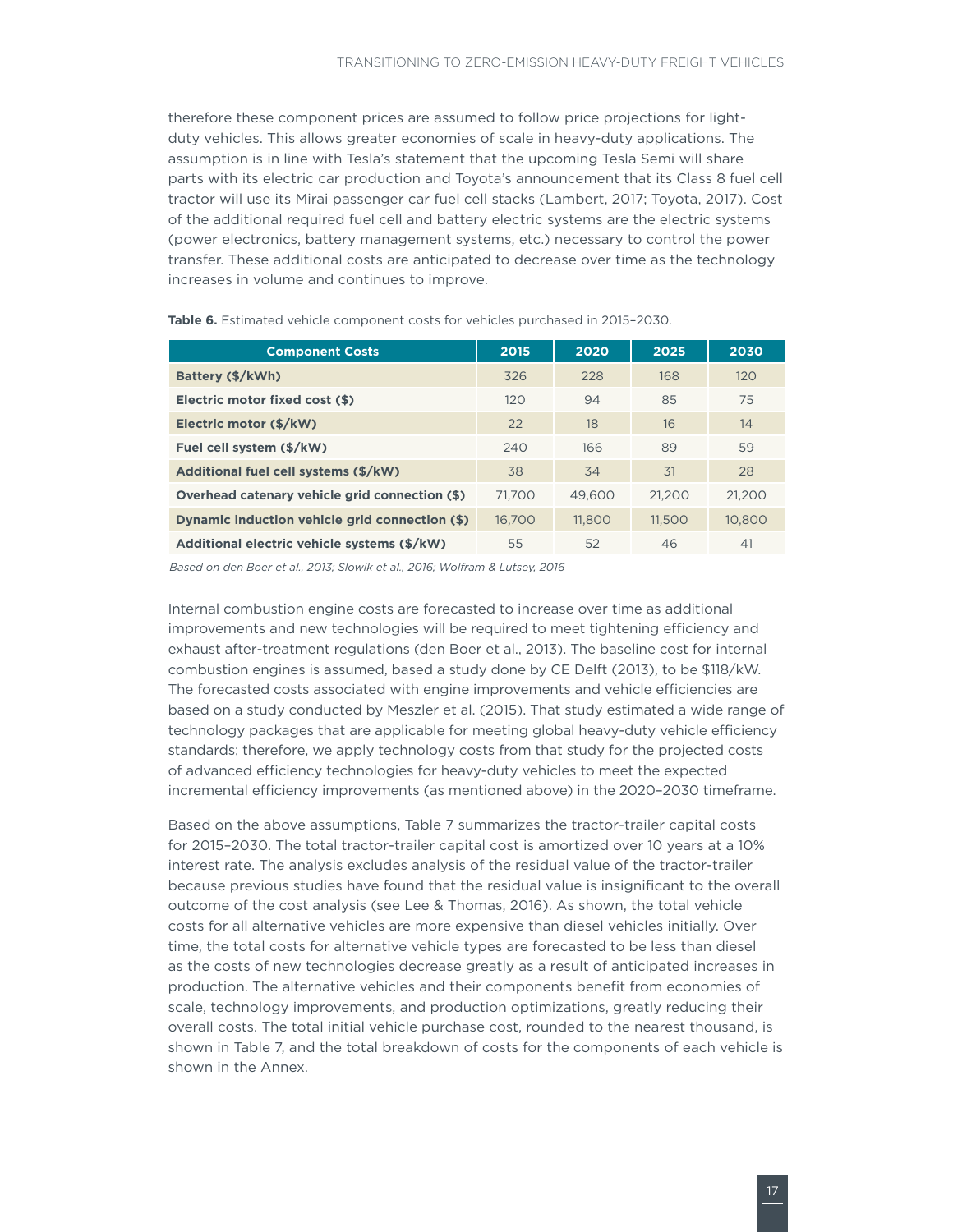<span id="page-22-0"></span>therefore these component prices are assumed to follow price projections for lightduty vehicles. This allows greater economies of scale in heavy-duty applications. The assumption is in line with Tesla's statement that the upcoming Tesla Semi will share parts with its electric car production and Toyota's announcement that its Class 8 fuel cell tractor will use its Mirai passenger car fuel cell stacks (Lambert, 2017; Toyota, 2017). Cost of the additional required fuel cell and battery electric systems are the electric systems (power electronics, battery management systems, etc.) necessary to control the power transfer. These additional costs are anticipated to decrease over time as the technology increases in volume and continues to improve.

| <b>Component Costs</b>                         | 2015   | 2020   | 2025   | 2030   |
|------------------------------------------------|--------|--------|--------|--------|
| Battery (\$/kWh)                               | 326    | 228    | 168    | 120    |
| Electric motor fixed cost (\$)                 | 120    | 94     | 85     | 75     |
| Electric motor (\$/kW)                         | 22     | 18     | 16     | 14     |
| Fuel cell system (\$/kW)                       | 240    | 166    | 89     | 59     |
| Additional fuel cell systems (\$/kW)           | 38     | 34     | 31     | 28     |
| Overhead catenary vehicle grid connection (\$) | 71,700 | 49,600 | 21.200 | 21.200 |
| Dynamic induction vehicle grid connection (\$) | 16.700 | 11,800 | 11.500 | 10,800 |
| Additional electric vehicle systems (\$/kW)    | 55     | 52     | 46     | 41     |

**Table 6.** Estimated vehicle component costs for vehicles purchased in 2015–2030.

*Based on den Boer et al., 2013; Slowik et al., 2016; Wolfram & Lutsey, 2016*

Internal combustion engine costs are forecasted to increase over time as additional improvements and new technologies will be required to meet tightening efficiency and exhaust after-treatment regulations (den Boer et al., 2013). The baseline cost for internal combustion engines is assumed, based a study done by CE Delft (2013), to be \$118/kW. The forecasted costs associated with engine improvements and vehicle efficiencies are based on a study conducted by Meszler et al. (2015). That study estimated a wide range of technology packages that are applicable for meeting global heavy-duty vehicle efficiency standards; therefore, we apply technology costs from that study for the projected costs of advanced efficiency technologies for heavy-duty vehicles to meet the expected incremental efficiency improvements (as mentioned above) in the 2020–2030 timeframe.

Based on the above assumptions, Table 7 summarizes the tractor-trailer capital costs for 2015–2030. The total tractor-trailer capital cost is amortized over 10 years at a 10% interest rate. The analysis excludes analysis of the residual value of the tractor-trailer because previous studies have found that the residual value is insignificant to the overall outcome of the cost analysis (see Lee & Thomas, 2016). As shown, the total vehicle costs for all alternative vehicles are more expensive than diesel vehicles initially. Over time, the total costs for alternative vehicle types are forecasted to be less than diesel as the costs of new technologies decrease greatly as a result of anticipated increases in production. The alternative vehicles and their components benefit from economies of scale, technology improvements, and production optimizations, greatly reducing their overall costs. The total initial vehicle purchase cost, rounded to the nearest thousand, is shown in Table 7, and the total breakdown of costs for the components of each vehicle is shown in the Annex.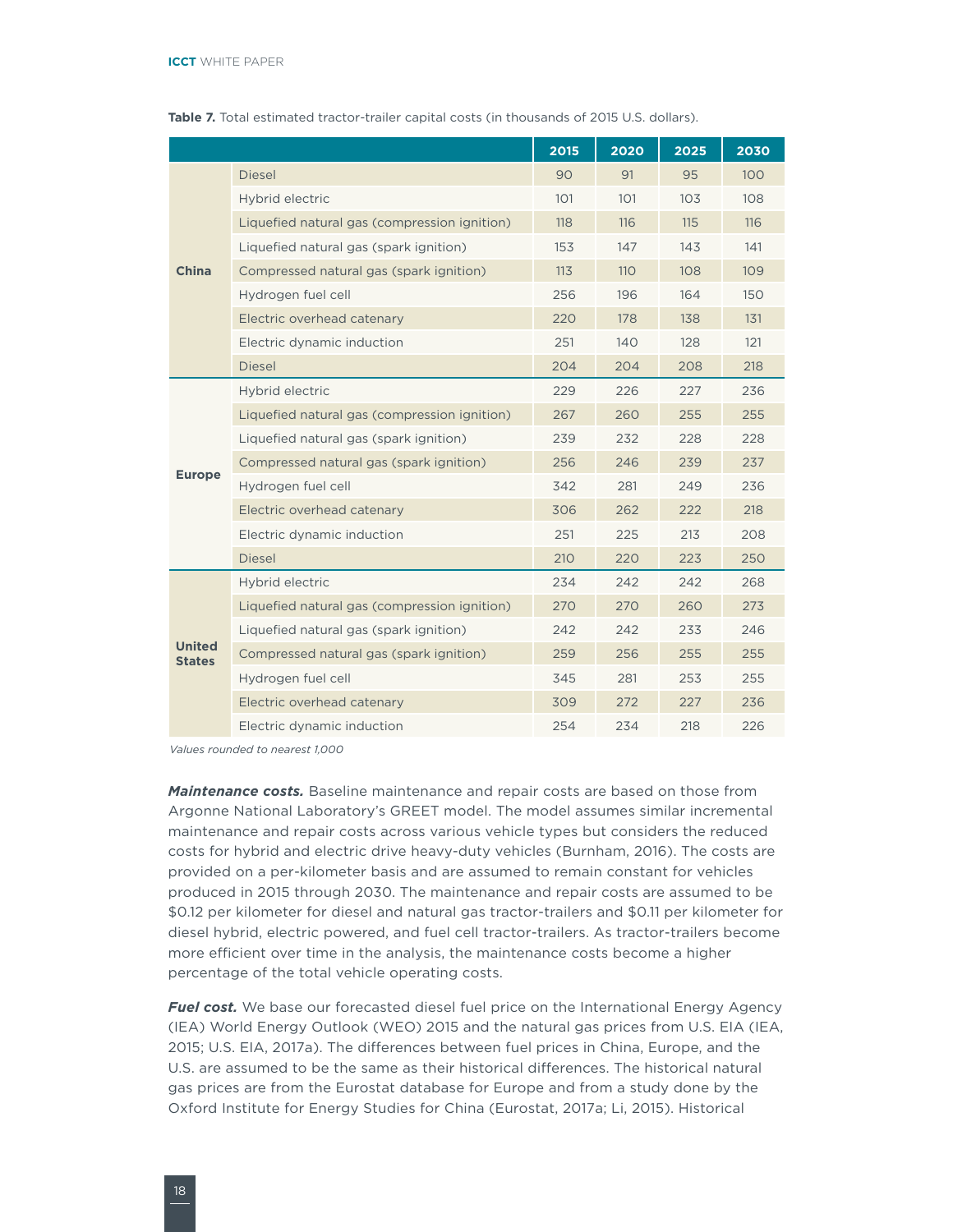|                                |                                              | 2015 | 2020 | 2025 | 2030 |
|--------------------------------|----------------------------------------------|------|------|------|------|
|                                | <b>Diesel</b>                                | 90   | 91   | 95   | 100  |
|                                | Hybrid electric                              | 101  | 101  | 103  | 108  |
|                                | Liquefied natural gas (compression ignition) | 118  | 116  | 115  | 116  |
|                                | Liquefied natural gas (spark ignition)       | 153  | 147  | 143  | 141  |
| China                          | Compressed natural gas (spark ignition)      | 113  | 110  | 108  | 109  |
|                                | Hydrogen fuel cell                           | 256  | 196  | 164  | 150  |
|                                | Electric overhead catenary                   | 220  | 178  | 138  | 131  |
|                                | Electric dynamic induction                   | 251  | 140  | 128  | 121  |
|                                | <b>Diesel</b>                                | 204  | 204  | 208  | 218  |
|                                | Hybrid electric                              | 229  | 226  | 227  | 236  |
|                                | Liquefied natural gas (compression ignition) | 267  | 260  | 255  | 255  |
|                                | Liquefied natural gas (spark ignition)       | 239  | 232  | 228  | 228  |
| <b>Europe</b>                  | Compressed natural gas (spark ignition)      | 256  | 246  | 239  | 237  |
|                                | Hydrogen fuel cell                           | 342  | 281  | 249  | 236  |
|                                | Electric overhead catenary                   | 306  | 262  | 222  | 218  |
|                                | Electric dynamic induction                   | 251  | 225  | 213  | 208  |
|                                | <b>Diesel</b>                                | 210  | 220  | 223  | 250  |
|                                | Hybrid electric                              | 234  | 242  | 242  | 268  |
|                                | Liquefied natural gas (compression ignition) | 270  | 270  | 260  | 273  |
|                                | Liquefied natural gas (spark ignition)       | 242  | 242  | 233  | 246  |
| <b>United</b><br><b>States</b> | Compressed natural gas (spark ignition)      | 259  | 256  | 255  | 255  |
|                                | Hydrogen fuel cell                           | 345  | 281  | 253  | 255  |
|                                | Electric overhead catenary                   | 309  | 272  | 227  | 236  |
|                                | Electric dynamic induction                   | 254  | 234  | 218  | 226  |

<span id="page-23-0"></span>**Table 7.** Total estimated tractor-trailer capital costs (in thousands of 2015 U.S. dollars).

*Values rounded to nearest 1,000*

*Maintenance costs.* Baseline maintenance and repair costs are based on those from Argonne National Laboratory's GREET model. The model assumes similar incremental maintenance and repair costs across various vehicle types but considers the reduced costs for hybrid and electric drive heavy-duty vehicles (Burnham, 2016). The costs are provided on a per-kilometer basis and are assumed to remain constant for vehicles produced in 2015 through 2030. The maintenance and repair costs are assumed to be \$0.12 per kilometer for diesel and natural gas tractor-trailers and \$0.11 per kilometer for diesel hybrid, electric powered, and fuel cell tractor-trailers. As tractor-trailers become more efficient over time in the analysis, the maintenance costs become a higher percentage of the total vehicle operating costs.

*Fuel cost.* We base our forecasted diesel fuel price on the International Energy Agency (IEA) World Energy Outlook (WEO) 2015 and the natural gas prices from U.S. EIA (IEA, 2015; U.S. EIA, 2017a). The differences between fuel prices in China, Europe, and the U.S. are assumed to be the same as their historical differences. The historical natural gas prices are from the Eurostat database for Europe and from a study done by the Oxford Institute for Energy Studies for China (Eurostat, 2017a; Li, 2015). Historical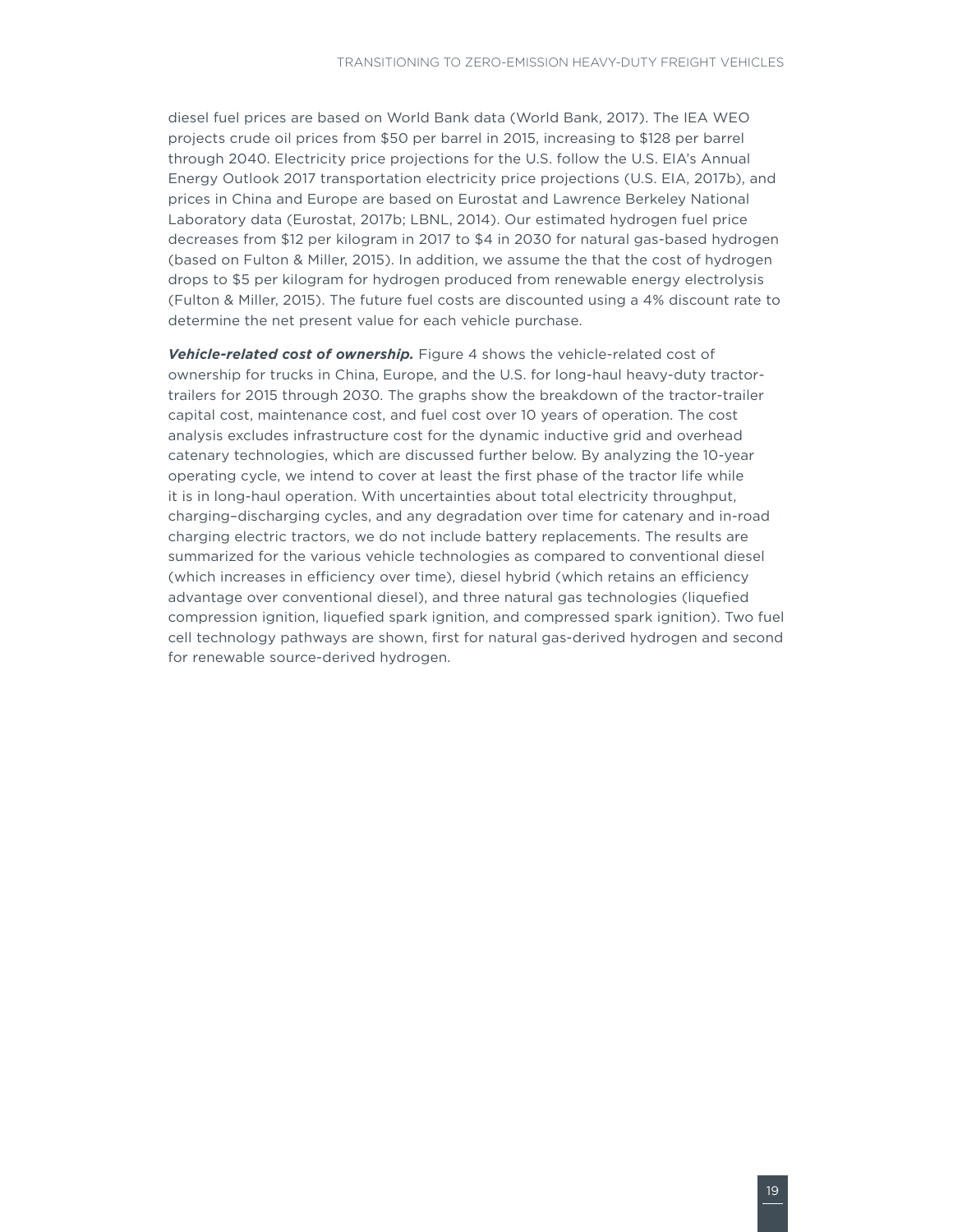diesel fuel prices are based on World Bank data (World Bank, 2017). The IEA WEO projects crude oil prices from \$50 per barrel in 2015, increasing to \$128 per barrel through 2040. Electricity price projections for the U.S. follow the U.S. EIA's Annual Energy Outlook 2017 transportation electricity price projections (U.S. EIA, 2017b), and prices in China and Europe are based on Eurostat and Lawrence Berkeley National Laboratory data (Eurostat, 2017b; LBNL, 2014). Our estimated hydrogen fuel price decreases from \$12 per kilogram in 2017 to \$4 in 2030 for natural gas-based hydrogen (based on Fulton & Miller, 2015). In addition, we assume the that the cost of hydrogen drops to \$5 per kilogram for hydrogen produced from renewable energy electrolysis (Fulton & Miller, 2015). The future fuel costs are discounted using a 4% discount rate to determine the net present value for each vehicle purchase.

*Vehicle-related cost of ownership.* Figure 4 shows the vehicle-related cost of ownership for trucks in China, Europe, and the U.S. for long-haul heavy-duty tractortrailers for 2015 through 2030. The graphs show the breakdown of the tractor-trailer capital cost, maintenance cost, and fuel cost over 10 years of operation. The cost analysis excludes infrastructure cost for the dynamic inductive grid and overhead catenary technologies, which are discussed further below. By analyzing the 10-year operating cycle, we intend to cover at least the first phase of the tractor life while it is in long-haul operation. With uncertainties about total electricity throughput, charging–discharging cycles, and any degradation over time for catenary and in-road charging electric tractors, we do not include battery replacements. The results are summarized for the various vehicle technologies as compared to conventional diesel (which increases in efficiency over time), diesel hybrid (which retains an efficiency advantage over conventional diesel), and three natural gas technologies (liquefied compression ignition, liquefied spark ignition, and compressed spark ignition). Two fuel cell technology pathways are shown, first for natural gas-derived hydrogen and second for renewable source-derived hydrogen.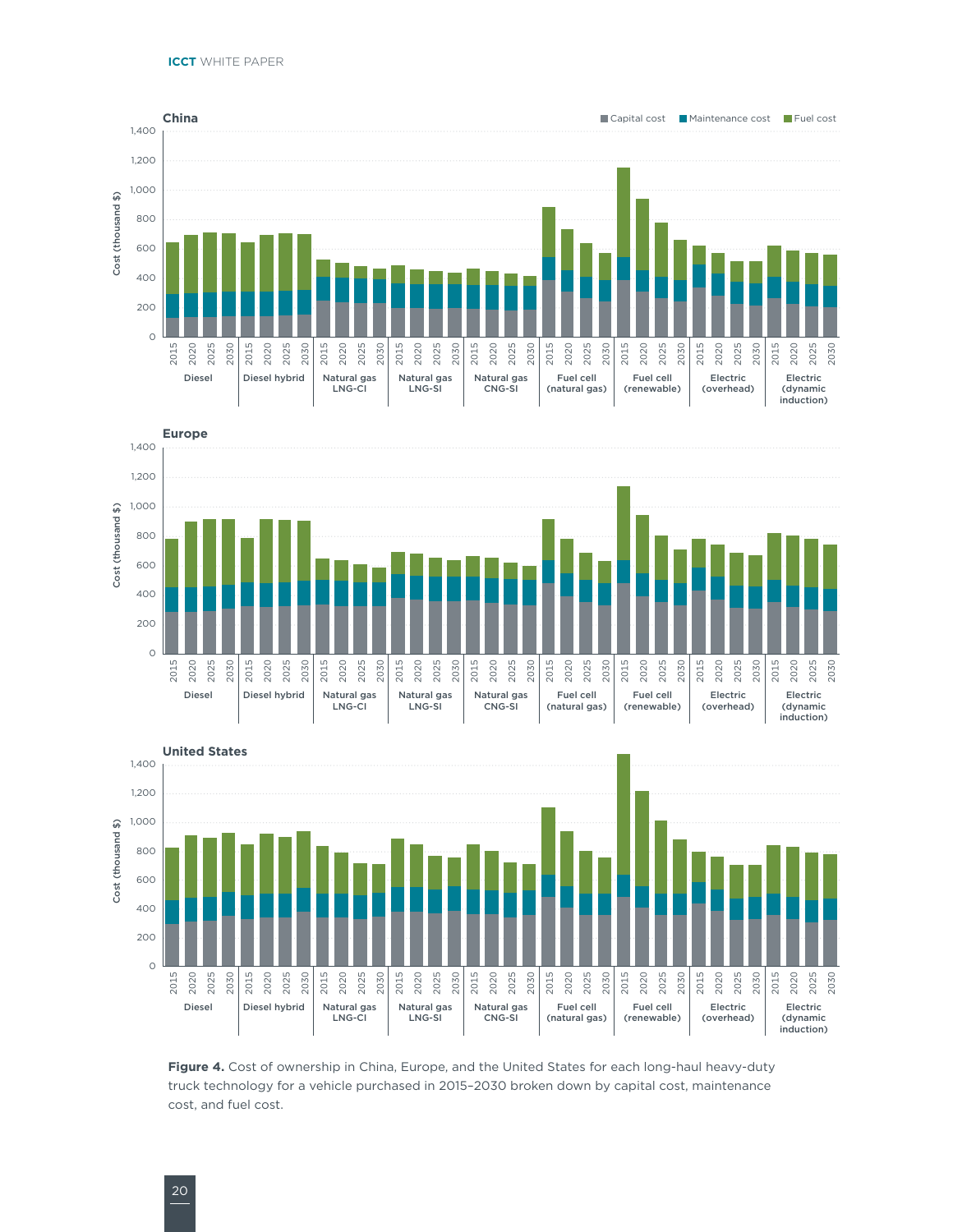<span id="page-25-0"></span>





**Figure 4.** Cost of ownership in China, Europe, and the United States for each long-haul heavy-duty truck technology for a vehicle purchased in 2015–2030 broken down by capital cost, maintenance cost, and fuel cost.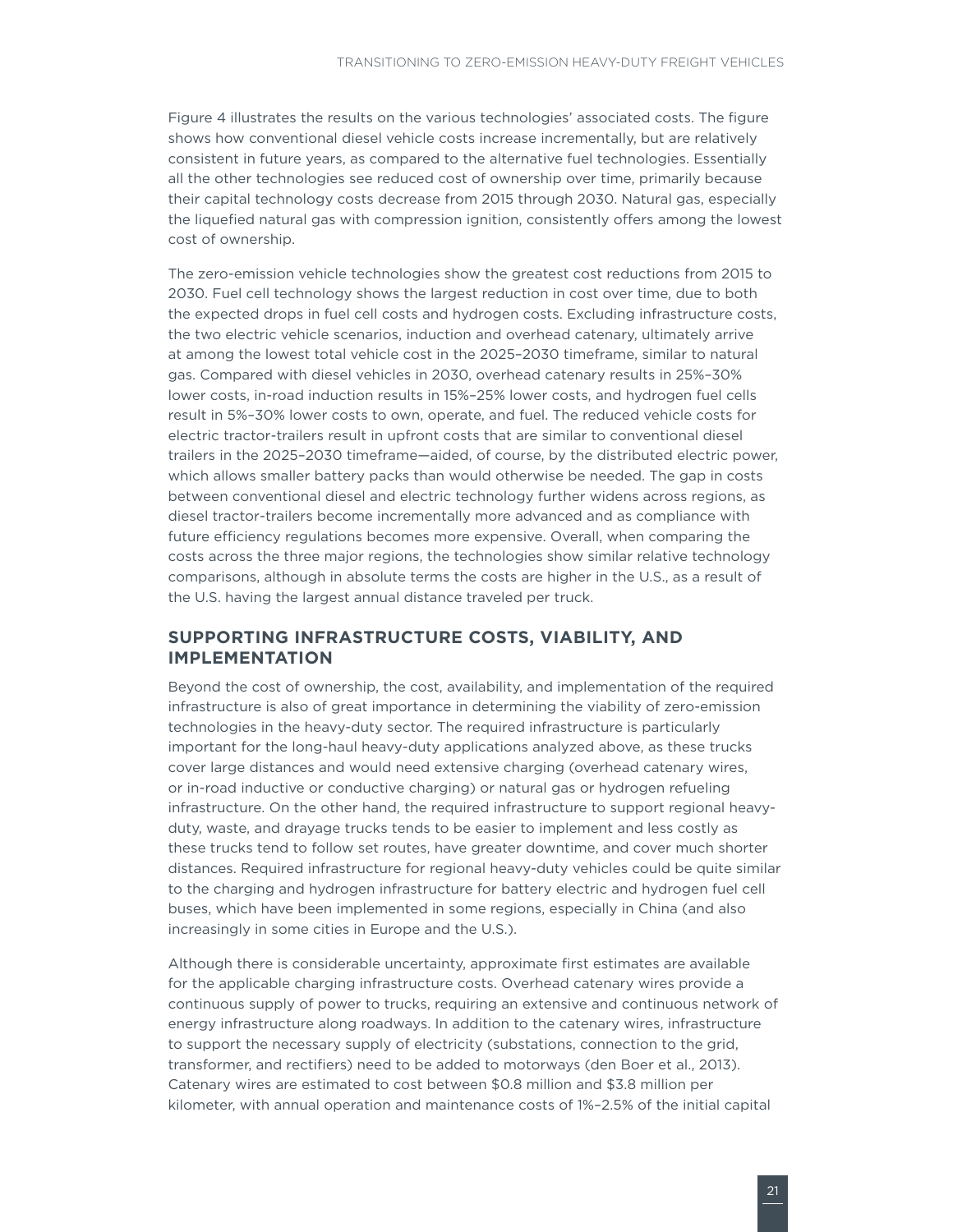<span id="page-26-0"></span>Figure 4 illustrates the results on the various technologies' associated costs. The figure shows how conventional diesel vehicle costs increase incrementally, but are relatively consistent in future years, as compared to the alternative fuel technologies. Essentially all the other technologies see reduced cost of ownership over time, primarily because their capital technology costs decrease from 2015 through 2030. Natural gas, especially the liquefied natural gas with compression ignition, consistently offers among the lowest cost of ownership.

The zero-emission vehicle technologies show the greatest cost reductions from 2015 to 2030. Fuel cell technology shows the largest reduction in cost over time, due to both the expected drops in fuel cell costs and hydrogen costs. Excluding infrastructure costs, the two electric vehicle scenarios, induction and overhead catenary, ultimately arrive at among the lowest total vehicle cost in the 2025–2030 timeframe, similar to natural gas. Compared with diesel vehicles in 2030, overhead catenary results in 25%–30% lower costs, in-road induction results in 15%–25% lower costs, and hydrogen fuel cells result in 5%–30% lower costs to own, operate, and fuel. The reduced vehicle costs for electric tractor-trailers result in upfront costs that are similar to conventional diesel trailers in the 2025–2030 timeframe—aided, of course, by the distributed electric power, which allows smaller battery packs than would otherwise be needed. The gap in costs between conventional diesel and electric technology further widens across regions, as diesel tractor-trailers become incrementally more advanced and as compliance with future efficiency regulations becomes more expensive. Overall, when comparing the costs across the three major regions, the technologies show similar relative technology comparisons, although in absolute terms the costs are higher in the U.S., as a result of the U.S. having the largest annual distance traveled per truck.

#### **SUPPORTING INFRASTRUCTURE COSTS, VIABILITY, AND IMPLEMENTATION**

Beyond the cost of ownership, the cost, availability, and implementation of the required infrastructure is also of great importance in determining the viability of zero-emission technologies in the heavy-duty sector. The required infrastructure is particularly important for the long-haul heavy-duty applications analyzed above, as these trucks cover large distances and would need extensive charging (overhead catenary wires, or in-road inductive or conductive charging) or natural gas or hydrogen refueling infrastructure. On the other hand, the required infrastructure to support regional heavyduty, waste, and drayage trucks tends to be easier to implement and less costly as these trucks tend to follow set routes, have greater downtime, and cover much shorter distances. Required infrastructure for regional heavy-duty vehicles could be quite similar to the charging and hydrogen infrastructure for battery electric and hydrogen fuel cell buses, which have been implemented in some regions, especially in China (and also increasingly in some cities in Europe and the U.S.).

Although there is considerable uncertainty, approximate first estimates are available for the applicable charging infrastructure costs. Overhead catenary wires provide a continuous supply of power to trucks, requiring an extensive and continuous network of energy infrastructure along roadways. In addition to the catenary wires, infrastructure to support the necessary supply of electricity (substations, connection to the grid, transformer, and rectifiers) need to be added to motorways (den Boer et al., 2013). Catenary wires are estimated to cost between \$0.8 million and \$3.8 million per kilometer, with annual operation and maintenance costs of 1%–2.5% of the initial capital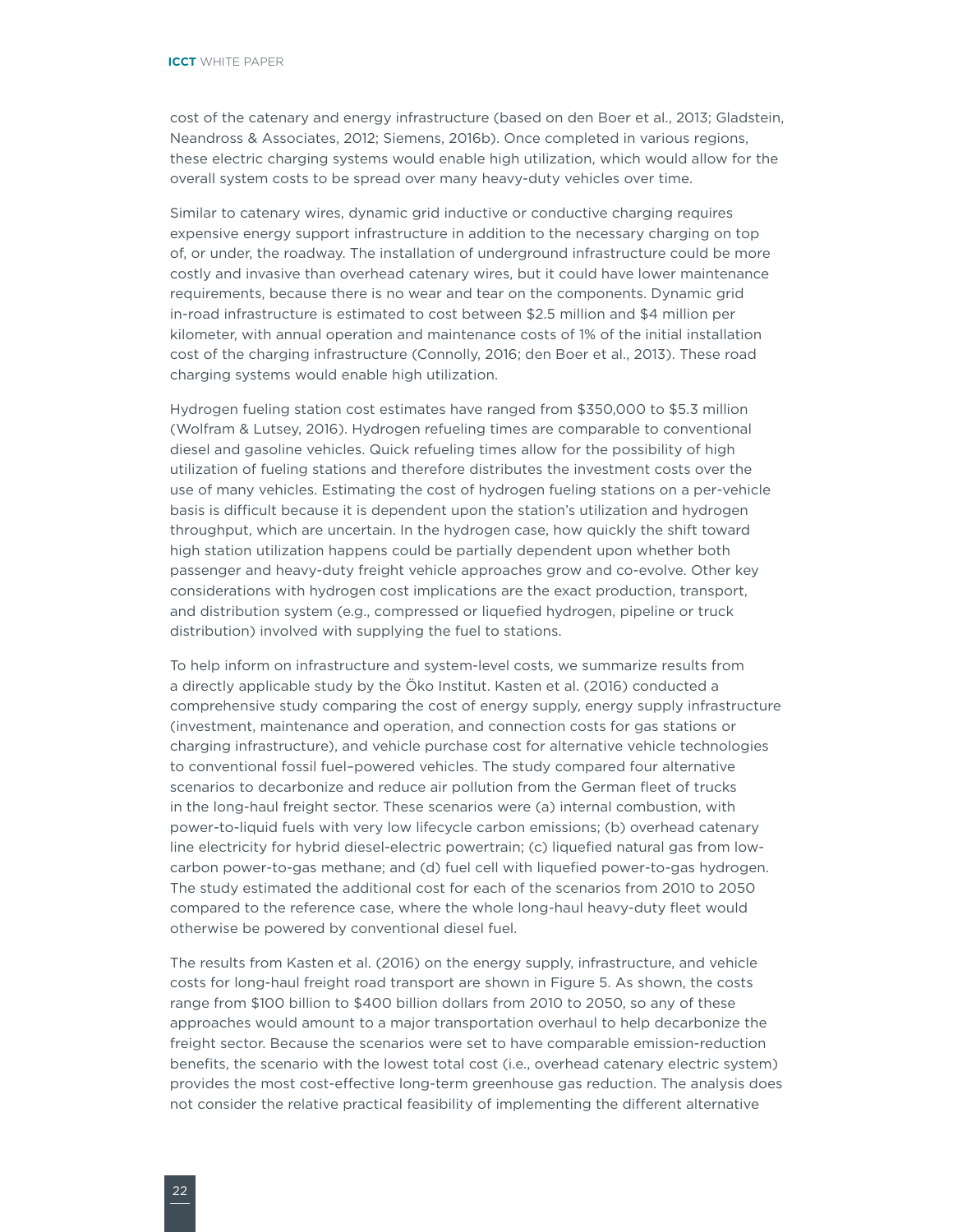cost of the catenary and energy infrastructure (based on den Boer et al., 2013; Gladstein, Neandross & Associates, 2012; Siemens, 2016b). Once completed in various regions, these electric charging systems would enable high utilization, which would allow for the overall system costs to be spread over many heavy-duty vehicles over time.

Similar to catenary wires, dynamic grid inductive or conductive charging requires expensive energy support infrastructure in addition to the necessary charging on top of, or under, the roadway. The installation of underground infrastructure could be more costly and invasive than overhead catenary wires, but it could have lower maintenance requirements, because there is no wear and tear on the components. Dynamic grid in-road infrastructure is estimated to cost between \$2.5 million and \$4 million per kilometer, with annual operation and maintenance costs of 1% of the initial installation cost of the charging infrastructure (Connolly, 2016; den Boer et al., 2013). These road charging systems would enable high utilization.

Hydrogen fueling station cost estimates have ranged from \$350,000 to \$5.3 million (Wolfram & Lutsey, 2016). Hydrogen refueling times are comparable to conventional diesel and gasoline vehicles. Quick refueling times allow for the possibility of high utilization of fueling stations and therefore distributes the investment costs over the use of many vehicles. Estimating the cost of hydrogen fueling stations on a per-vehicle basis is difficult because it is dependent upon the station's utilization and hydrogen throughput, which are uncertain. In the hydrogen case, how quickly the shift toward high station utilization happens could be partially dependent upon whether both passenger and heavy-duty freight vehicle approaches grow and co-evolve. Other key considerations with hydrogen cost implications are the exact production, transport, and distribution system (e.g., compressed or liquefied hydrogen, pipeline or truck distribution) involved with supplying the fuel to stations.

To help inform on infrastructure and system-level costs, we summarize results from a directly applicable study by the Öko Institut. Kasten et al. (2016) conducted a comprehensive study comparing the cost of energy supply, energy supply infrastructure (investment, maintenance and operation, and connection costs for gas stations or charging infrastructure), and vehicle purchase cost for alternative vehicle technologies to conventional fossil fuel–powered vehicles. The study compared four alternative scenarios to decarbonize and reduce air pollution from the German fleet of trucks in the long-haul freight sector. These scenarios were (a) internal combustion, with power-to-liquid fuels with very low lifecycle carbon emissions; (b) overhead catenary line electricity for hybrid diesel-electric powertrain; (c) liquefied natural gas from lowcarbon power-to-gas methane; and (d) fuel cell with liquefied power-to-gas hydrogen. The study estimated the additional cost for each of the scenarios from 2010 to 2050 compared to the reference case, where the whole long-haul heavy-duty fleet would otherwise be powered by conventional diesel fuel.

The results from Kasten et al. (2016) on the energy supply, infrastructure, and vehicle costs for long-haul freight road transport are shown in Figure 5. As shown, the costs range from \$100 billion to \$400 billion dollars from 2010 to 2050, so any of these approaches would amount to a major transportation overhaul to help decarbonize the freight sector. Because the scenarios were set to have comparable emission-reduction benefits, the scenario with the lowest total cost (i.e., overhead catenary electric system) provides the most cost-effective long-term greenhouse gas reduction. The analysis does not consider the relative practical feasibility of implementing the different alternative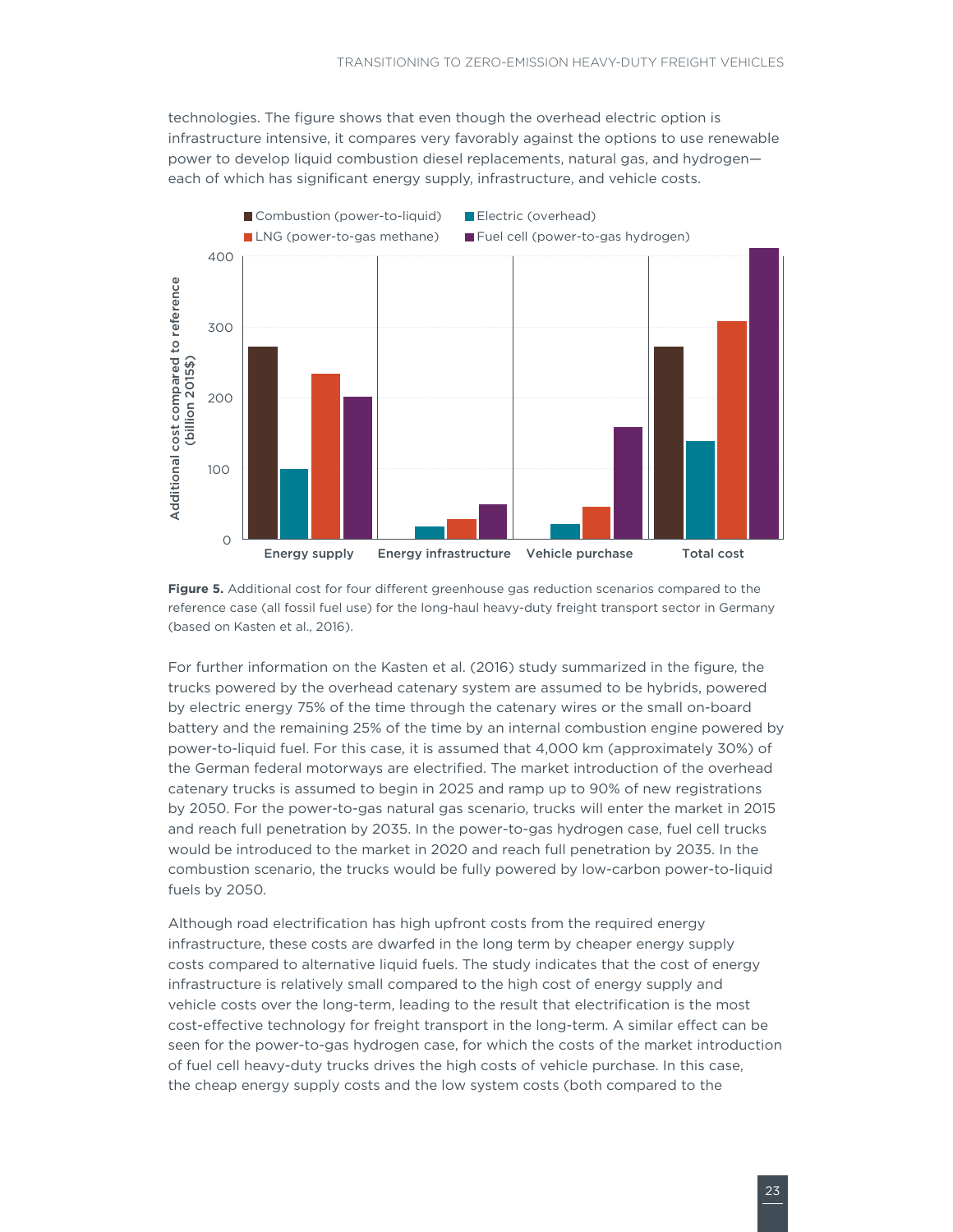<span id="page-28-0"></span>technologies. The figure shows that even though the overhead electric option is infrastructure intensive, it compares very favorably against the options to use renewable power to develop liquid combustion diesel replacements, natural gas, and hydrogen each of which has significant energy supply, infrastructure, and vehicle costs.



**Figure 5.** Additional cost for four different greenhouse gas reduction scenarios compared to the reference case (all fossil fuel use) for the long-haul heavy-duty freight transport sector in Germany (based on Kasten et al., 2016).

For further information on the Kasten et al. (2016) study summarized in the figure, the trucks powered by the overhead catenary system are assumed to be hybrids, powered by electric energy 75% of the time through the catenary wires or the small on-board battery and the remaining 25% of the time by an internal combustion engine powered by power-to-liquid fuel. For this case, it is assumed that 4,000 km (approximately 30%) of the German federal motorways are electrified. The market introduction of the overhead catenary trucks is assumed to begin in 2025 and ramp up to 90% of new registrations by 2050. For the power-to-gas natural gas scenario, trucks will enter the market in 2015 and reach full penetration by 2035. In the power-to-gas hydrogen case, fuel cell trucks would be introduced to the market in 2020 and reach full penetration by 2035. In the combustion scenario, the trucks would be fully powered by low-carbon power-to-liquid fuels by 2050.

Although road electrification has high upfront costs from the required energy infrastructure, these costs are dwarfed in the long term by cheaper energy supply costs compared to alternative liquid fuels. The study indicates that the cost of energy infrastructure is relatively small compared to the high cost of energy supply and vehicle costs over the long-term, leading to the result that electrification is the most cost-effective technology for freight transport in the long-term. A similar effect can be seen for the power-to-gas hydrogen case, for which the costs of the market introduction of fuel cell heavy-duty trucks drives the high costs of vehicle purchase. In this case, the cheap energy supply costs and the low system costs (both compared to the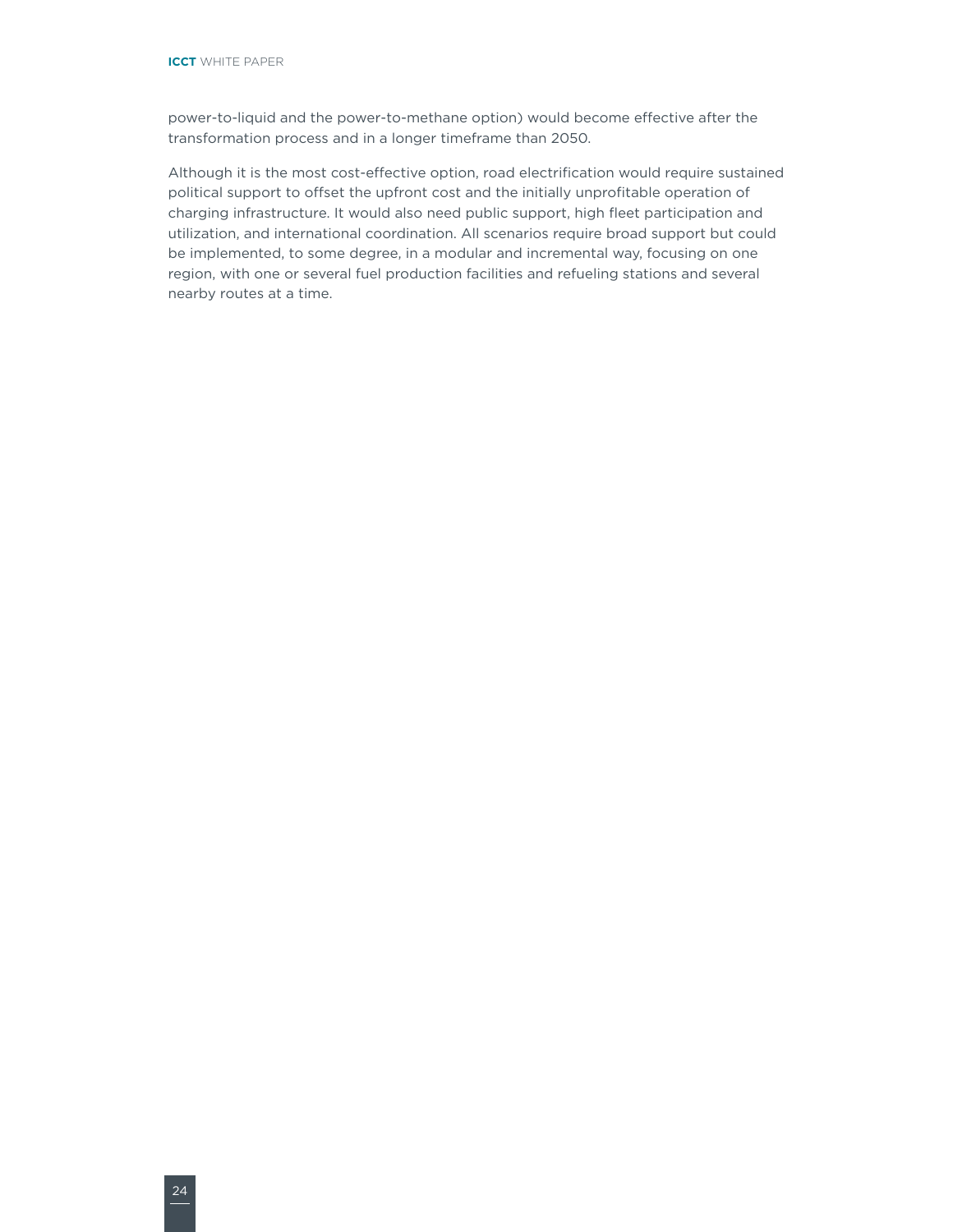power-to-liquid and the power-to-methane option) would become effective after the transformation process and in a longer timeframe than 2050.

Although it is the most cost-effective option, road electrification would require sustained political support to offset the upfront cost and the initially unprofitable operation of charging infrastructure. It would also need public support, high fleet participation and utilization, and international coordination. All scenarios require broad support but could be implemented, to some degree, in a modular and incremental way, focusing on one region, with one or several fuel production facilities and refueling stations and several nearby routes at a time.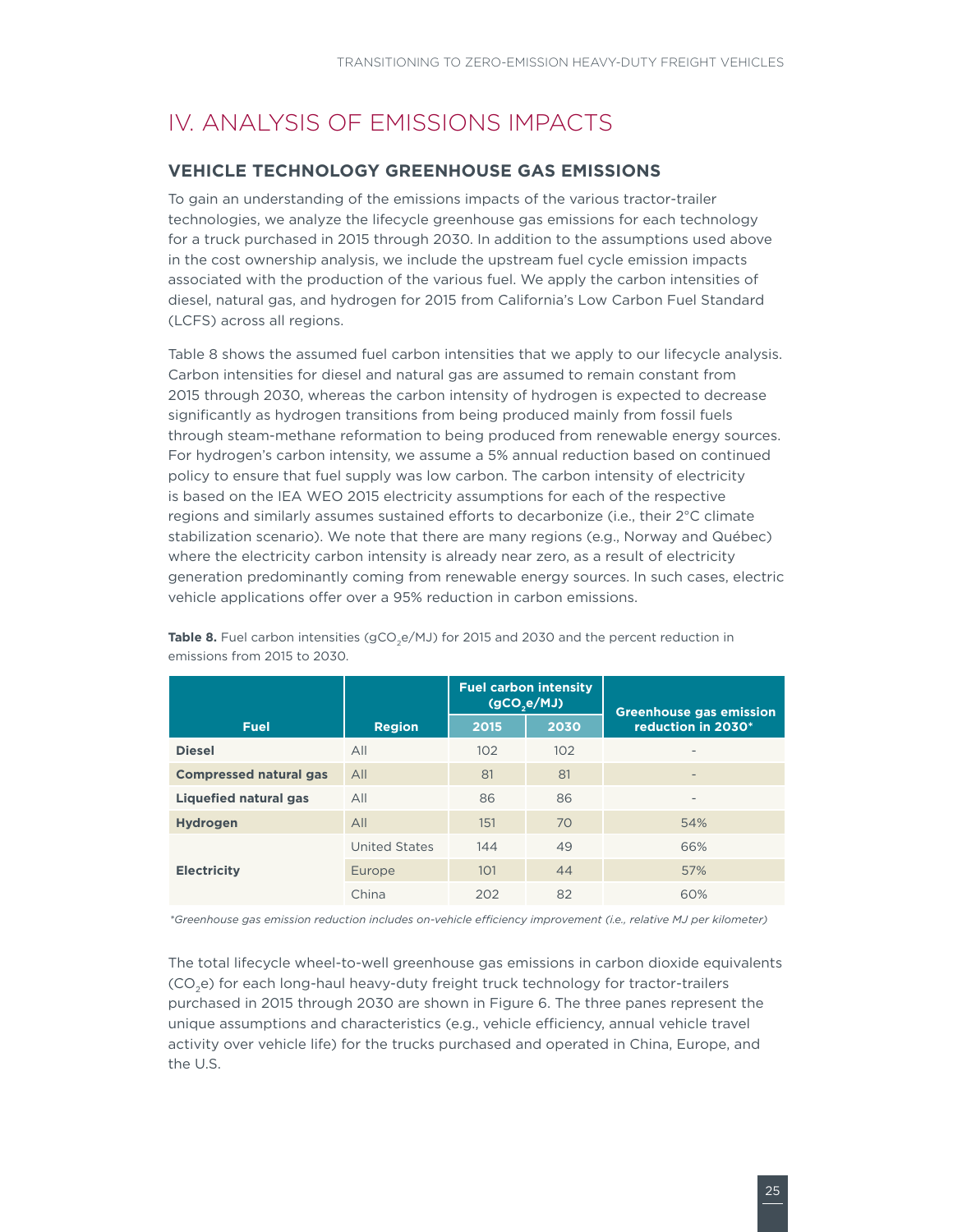# <span id="page-30-0"></span>IV. ANALYSIS OF EMISSIONS IMPACTS

#### **VEHICLE TECHNOLOGY GREENHOUSE GAS EMISSIONS**

To gain an understanding of the emissions impacts of the various tractor-trailer technologies, we analyze the lifecycle greenhouse gas emissions for each technology for a truck purchased in 2015 through 2030. In addition to the assumptions used above in the cost ownership analysis, we include the upstream fuel cycle emission impacts associated with the production of the various fuel. We apply the carbon intensities of diesel, natural gas, and hydrogen for 2015 from California's Low Carbon Fuel Standard (LCFS) across all regions.

[Table](#page-30-1) 8 shows the assumed fuel carbon intensities that we apply to our lifecycle analysis. Carbon intensities for diesel and natural gas are assumed to remain constant from 2015 through 2030, whereas the carbon intensity of hydrogen is expected to decrease significantly as hydrogen transitions from being produced mainly from fossil fuels through steam-methane reformation to being produced from renewable energy sources. For hydrogen's carbon intensity, we assume a 5% annual reduction based on continued policy to ensure that fuel supply was low carbon. The carbon intensity of electricity is based on the IEA WEO 2015 electricity assumptions for each of the respective regions and similarly assumes sustained efforts to decarbonize (i.e., their 2°C climate stabilization scenario). We note that there are many regions (e.g., Norway and Québec) where the electricity carbon intensity is already near zero, as a result of electricity generation predominantly coming from renewable energy sources. In such cases, electric vehicle applications offer over a 95% reduction in carbon emissions.

|                               |                      |      | <b>Fuel carbon intensity</b><br>(gCO,e/MJ) | <b>Greenhouse gas emission</b> |
|-------------------------------|----------------------|------|--------------------------------------------|--------------------------------|
| <b>Fuel</b>                   | <b>Region</b>        | 2015 | 2030                                       | reduction in 2030*             |
| <b>Diesel</b>                 | All                  | 102  | 102                                        | $\overline{\phantom{a}}$       |
| <b>Compressed natural gas</b> | All                  | 81   | 81                                         | ٠                              |
| Liquefied natural gas         | All                  | 86   | 86                                         | $\overline{\phantom{a}}$       |
| <b>Hydrogen</b>               | All                  | 151  | 70                                         | 54%                            |
|                               | <b>United States</b> | 144  | 49                                         | 66%                            |
| <b>Electricity</b>            | Europe               | 101  | 44                                         | 57%                            |
|                               | China                | 202  | 82                                         | 60%                            |

<span id="page-30-1"></span>Table 8. Fuel carbon intensities (gCO<sub>3</sub>e/MJ) for 2015 and 2030 and the percent reduction in emissions from 2015 to 2030.

*\*Greenhouse gas emission reduction includes on-vehicle efficiency improvement (i.e., relative MJ per kilometer)*

The total lifecycle wheel-to-well greenhouse gas emissions in carbon dioxide equivalents (CO<sub>2</sub>e) for each long-haul heavy-duty freight truck technology for tractor-trailers purchased in 2015 through 2030 are shown in Figure 6. The three panes represent the unique assumptions and characteristics (e.g., vehicle efficiency, annual vehicle travel activity over vehicle life) for the trucks purchased and operated in China, Europe, and the U.S.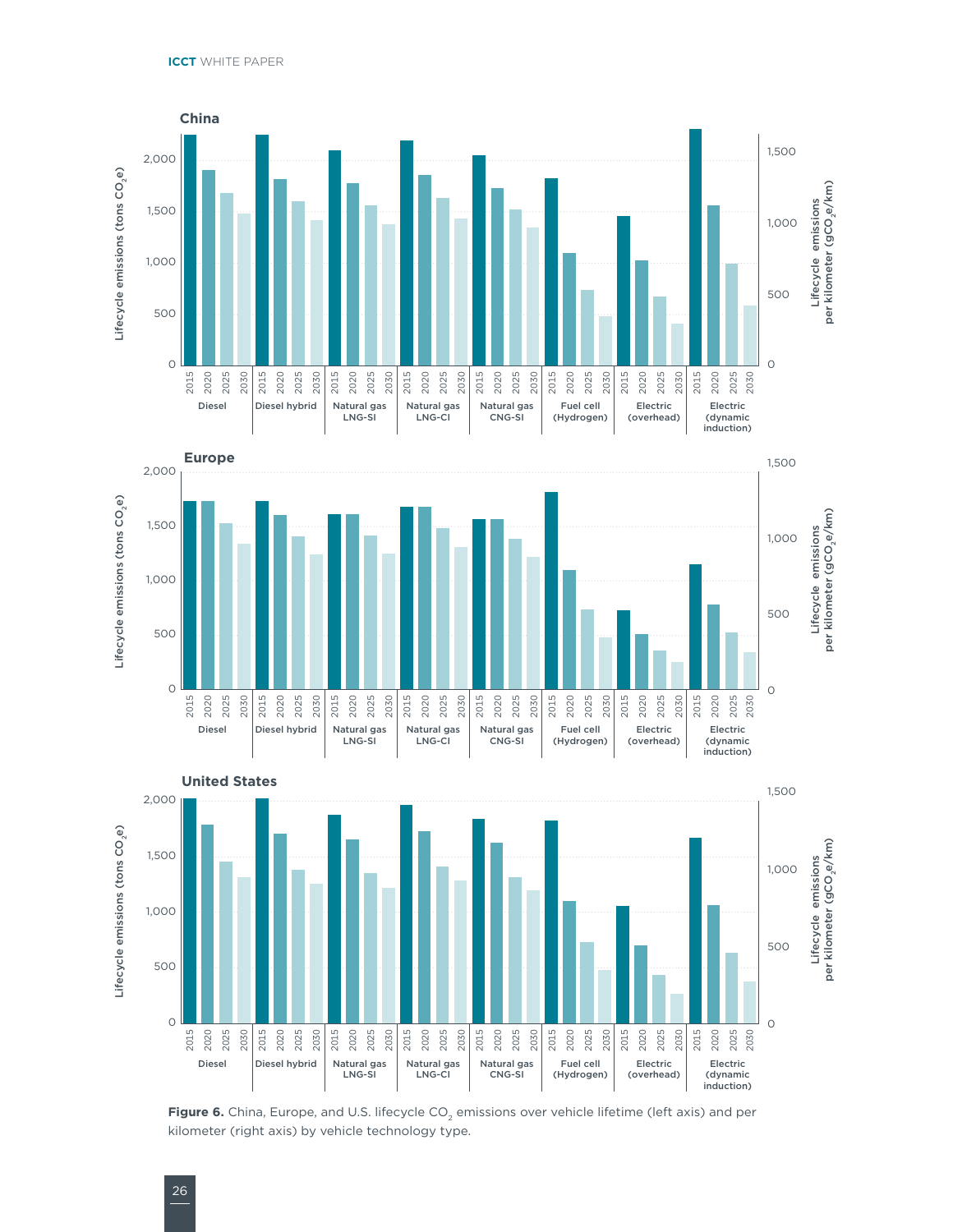<span id="page-31-0"></span>





**Figure 6.** China, Europe, and U.S. lifecycle CO<sub>2</sub> emissions over vehicle lifetime (left axis) and per kilometer (right axis) by vehicle technology type.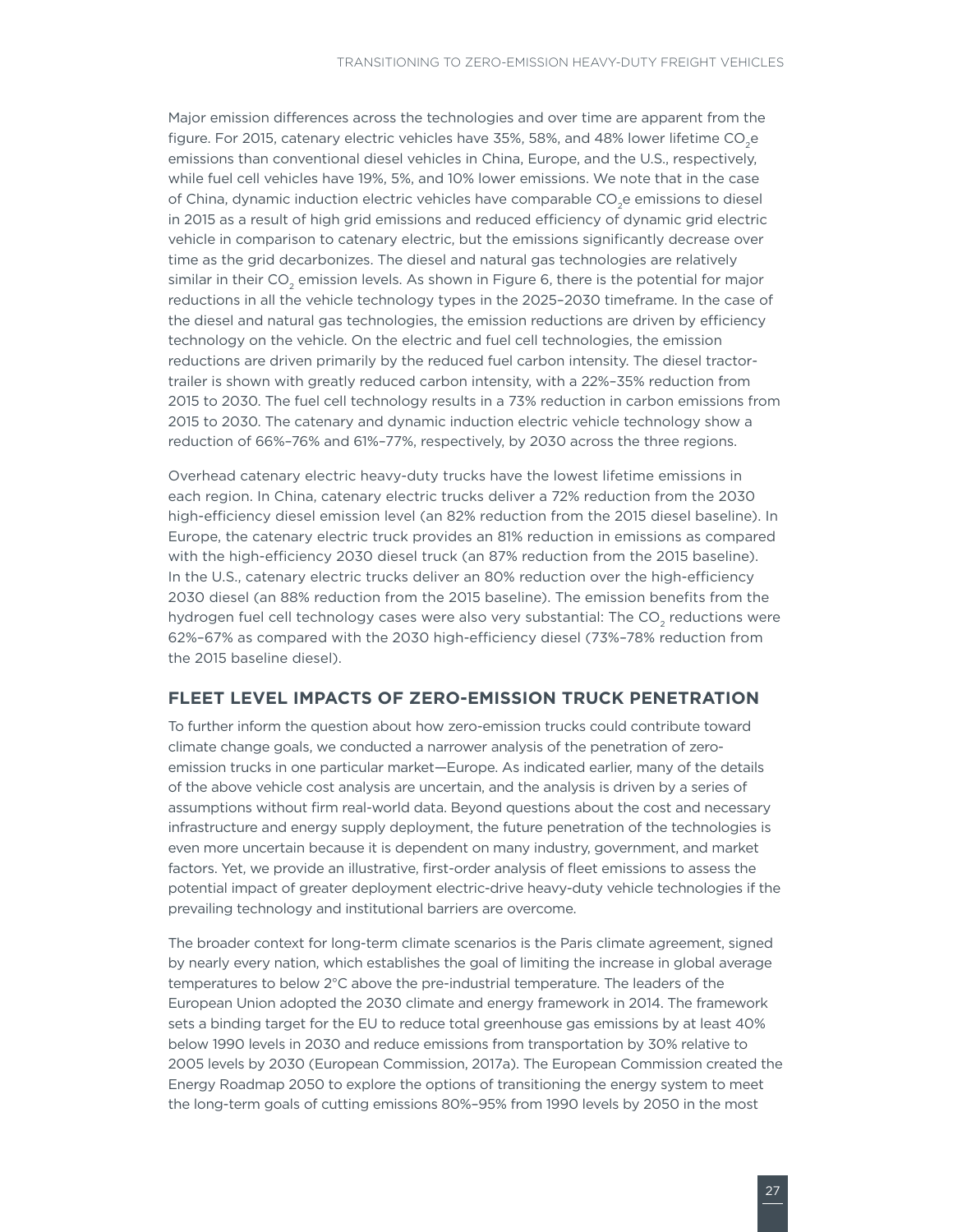<span id="page-32-0"></span>Major emission differences across the technologies and over time are apparent from the figure. For 2015, catenary electric vehicles have 35%, 58%, and 48% lower lifetime CO<sub>2</sub>e emissions than conventional diesel vehicles in China, Europe, and the U.S., respectively, while fuel cell vehicles have 19%, 5%, and 10% lower emissions. We note that in the case of China, dynamic induction electric vehicles have comparable CO<sub>2</sub>e emissions to diesel in 2015 as a result of high grid emissions and reduced efficiency of dynamic grid electric vehicle in comparison to catenary electric, but the emissions significantly decrease over time as the grid decarbonizes. The diesel and natural gas technologies are relatively similar in their  $CO<sub>2</sub>$  emission levels. As shown in Figure 6, there is the potential for major reductions in all the vehicle technology types in the 2025–2030 timeframe. In the case of the diesel and natural gas technologies, the emission reductions are driven by efficiency technology on the vehicle. On the electric and fuel cell technologies, the emission reductions are driven primarily by the reduced fuel carbon intensity. The diesel tractortrailer is shown with greatly reduced carbon intensity, with a 22%–35% reduction from 2015 to 2030. The fuel cell technology results in a 73% reduction in carbon emissions from 2015 to 2030. The catenary and dynamic induction electric vehicle technology show a reduction of 66%–76% and 61%–77%, respectively, by 2030 across the three regions.

Overhead catenary electric heavy-duty trucks have the lowest lifetime emissions in each region. In China, catenary electric trucks deliver a 72% reduction from the 2030 high-efficiency diesel emission level (an 82% reduction from the 2015 diesel baseline). In Europe, the catenary electric truck provides an 81% reduction in emissions as compared with the high-efficiency 2030 diesel truck (an 87% reduction from the 2015 baseline). In the U.S., catenary electric trucks deliver an 80% reduction over the high-efficiency 2030 diesel (an 88% reduction from the 2015 baseline). The emission benefits from the hydrogen fuel cell technology cases were also very substantial: The CO<sub>2</sub> reductions were 62%–67% as compared with the 2030 high-efficiency diesel (73%–78% reduction from the 2015 baseline diesel).

#### **FLEET LEVEL IMPACTS OF ZERO-EMISSION TRUCK PENETRATION**

To further inform the question about how zero-emission trucks could contribute toward climate change goals, we conducted a narrower analysis of the penetration of zeroemission trucks in one particular market—Europe. As indicated earlier, many of the details of the above vehicle cost analysis are uncertain, and the analysis is driven by a series of assumptions without firm real-world data. Beyond questions about the cost and necessary infrastructure and energy supply deployment, the future penetration of the technologies is even more uncertain because it is dependent on many industry, government, and market factors. Yet, we provide an illustrative, first-order analysis of fleet emissions to assess the potential impact of greater deployment electric-drive heavy-duty vehicle technologies if the prevailing technology and institutional barriers are overcome.

The broader context for long-term climate scenarios is the Paris climate agreement, signed by nearly every nation, which establishes the goal of limiting the increase in global average temperatures to below 2°C above the pre-industrial temperature. The leaders of the European Union adopted the 2030 climate and energy framework in 2014. The framework sets a binding target for the EU to reduce total greenhouse gas emissions by at least 40% below 1990 levels in 2030 and reduce emissions from transportation by 30% relative to 2005 levels by 2030 (European Commission, 2017a). The European Commission created the Energy Roadmap 2050 to explore the options of transitioning the energy system to meet the long-term goals of cutting emissions 80%–95% from 1990 levels by 2050 in the most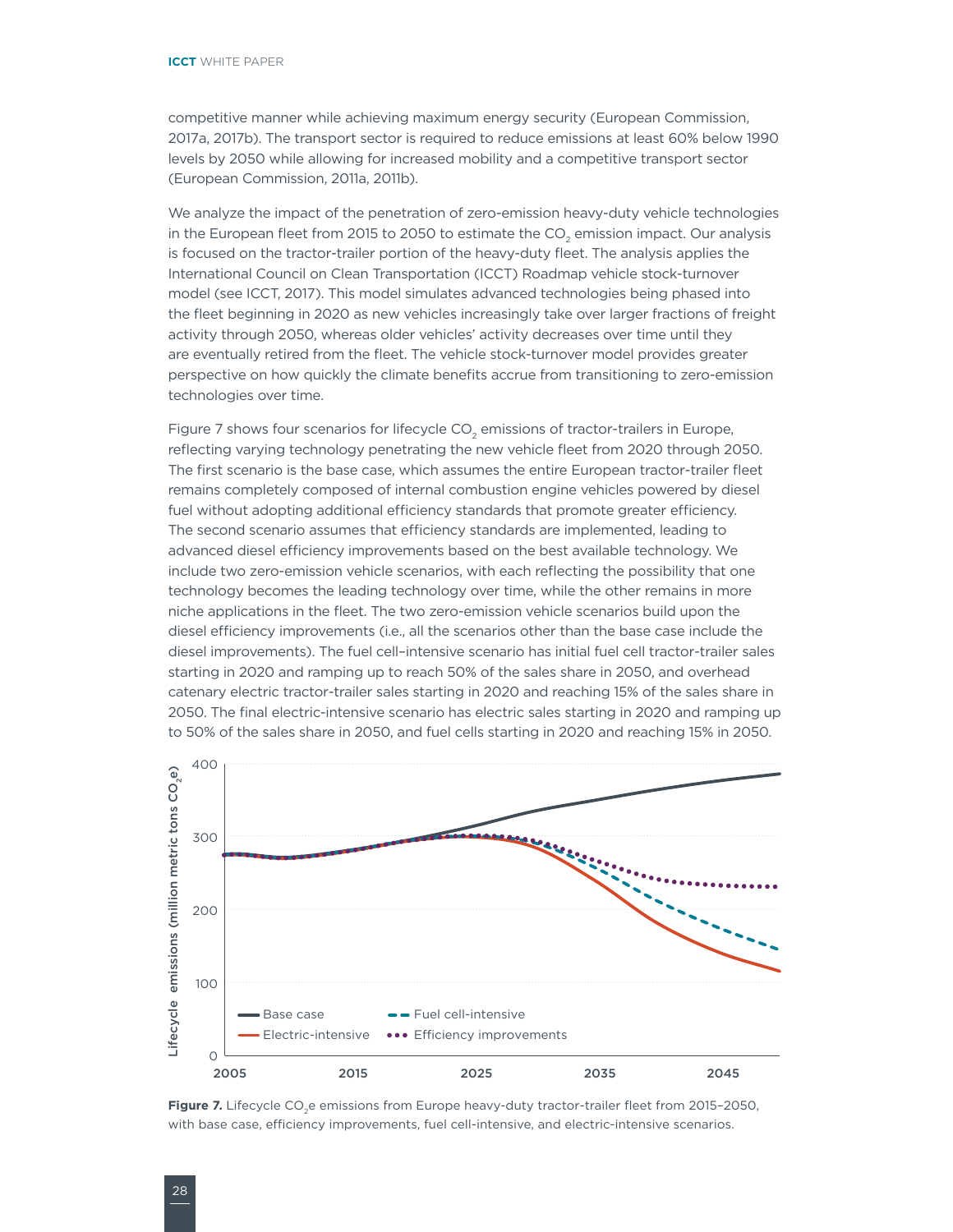<span id="page-33-0"></span>competitive manner while achieving maximum energy security (European Commission, 2017a, 2017b). The transport sector is required to reduce emissions at least 60% below 1990 levels by 2050 while allowing for increased mobility and a competitive transport sector (European Commission, 2011a, 2011b).

We analyze the impact of the penetration of zero-emission heavy-duty vehicle technologies in the European fleet from 2015 to 2050 to estimate the CO<sub>2</sub> emission impact. Our analysis is focused on the tractor-trailer portion of the heavy-duty fleet. The analysis applies the International Council on Clean Transportation (ICCT) Roadmap vehicle stock-turnover model (see ICCT, 2017). This model simulates advanced technologies being phased into the fleet beginning in 2020 as new vehicles increasingly take over larger fractions of freight activity through 2050, whereas older vehicles' activity decreases over time until they are eventually retired from the fleet. The vehicle stock-turnover model provides greater perspective on how quickly the climate benefits accrue from transitioning to zero-emission technologies over time.

Figure 7 shows four scenarios for lifecycle CO<sub>2</sub> emissions of tractor-trailers in Europe, reflecting varying technology penetrating the new vehicle fleet from 2020 through 2050. The first scenario is the base case, which assumes the entire European tractor-trailer fleet remains completely composed of internal combustion engine vehicles powered by diesel fuel without adopting additional efficiency standards that promote greater efficiency. The second scenario assumes that efficiency standards are implemented, leading to advanced diesel efficiency improvements based on the best available technology. We include two zero-emission vehicle scenarios, with each reflecting the possibility that one technology becomes the leading technology over time, while the other remains in more niche applications in the fleet. The two zero-emission vehicle scenarios build upon the diesel efficiency improvements (i.e., all the scenarios other than the base case include the diesel improvements). The fuel cell–intensive scenario has initial fuel cell tractor-trailer sales starting in 2020 and ramping up to reach 50% of the sales share in 2050, and overhead catenary electric tractor-trailer sales starting in 2020 and reaching 15% of the sales share in 2050. The final electric-intensive scenario has electric sales starting in 2020 and ramping up to 50% of the sales share in 2050, and fuel cells starting in 2020 and reaching 15% in 2050.



Figure 7. Lifecycle CO<sub>2</sub>e emissions from Europe heavy-duty tractor-trailer fleet from 2015-2050, with base case, efficiency improvements, fuel cell-intensive, and electric-intensive scenarios.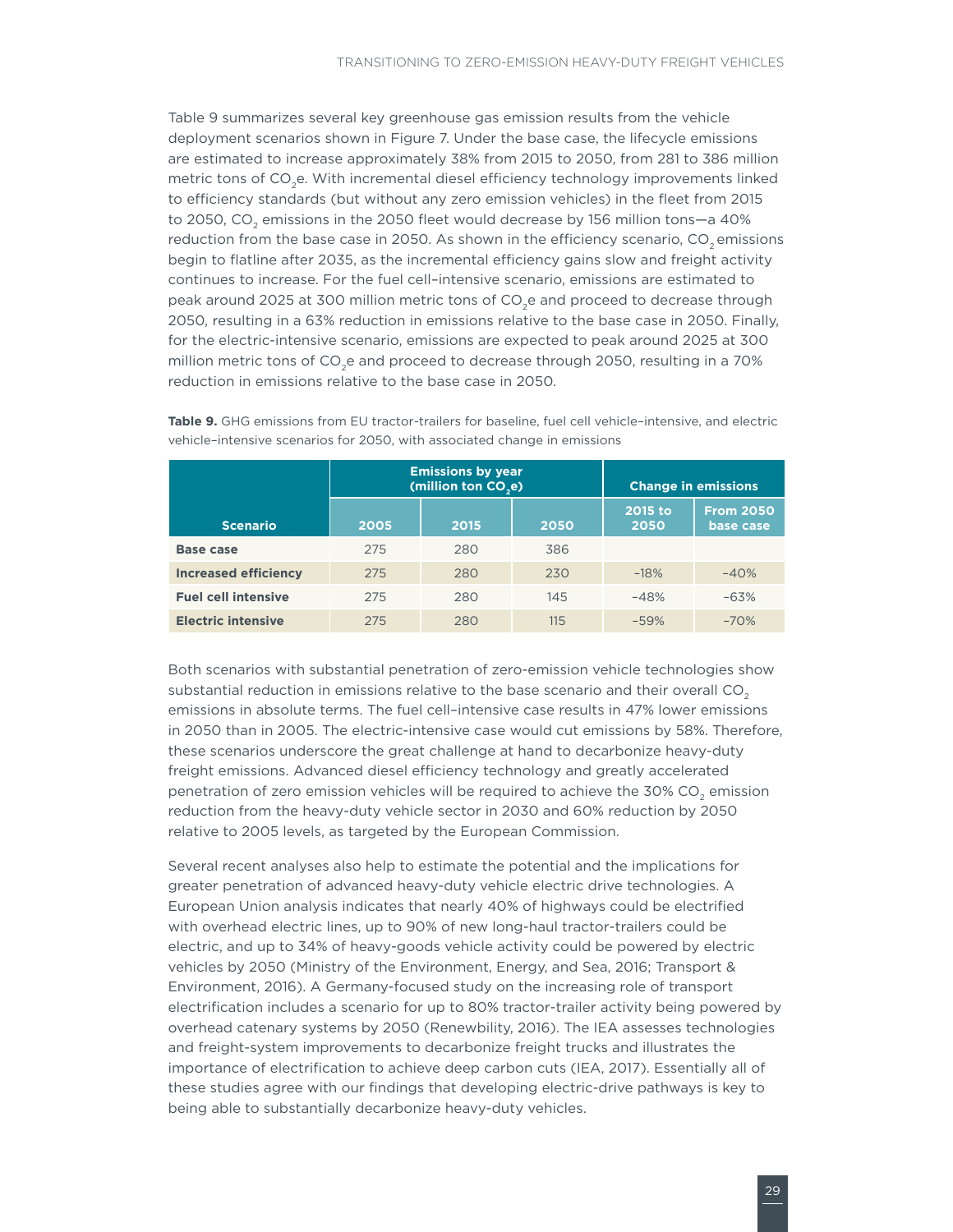<span id="page-34-0"></span>Table 9 summarizes several key greenhouse gas emission results from the vehicle deployment scenarios shown in Figure 7. Under the base case, the lifecycle emissions are estimated to increase approximately 38% from 2015 to 2050, from 281 to 386 million metric tons of CO<sub>2</sub>e. With incremental diesel efficiency technology improvements linked to efficiency standards (but without any zero emission vehicles) in the fleet from 2015 to 2050, CO<sub>2</sub> emissions in the 2050 fleet would decrease by 156 million tons-a 40% reduction from the base case in 2050. As shown in the efficiency scenario,  $CO<sub>2</sub>$  emissions begin to flatline after 2035, as the incremental efficiency gains slow and freight activity continues to increase. For the fuel cell–intensive scenario, emissions are estimated to peak around 2025 at 300 million metric tons of CO<sub>2</sub>e and proceed to decrease through 2050, resulting in a 63% reduction in emissions relative to the base case in 2050. Finally, for the electric-intensive scenario, emissions are expected to peak around 2025 at 300 million metric tons of CO<sub>2</sub>e and proceed to decrease through 2050, resulting in a 70% reduction in emissions relative to the base case in 2050.

|                             |      | <b>Emissions by year</b><br>(million ton CO <sub>2</sub> e) | <b>Change in emissions</b> |                 |                               |
|-----------------------------|------|-------------------------------------------------------------|----------------------------|-----------------|-------------------------------|
| <b>Scenario</b>             | 2005 | 2015                                                        | 2050                       | 2015 to<br>2050 | <b>From 2050</b><br>base case |
| Base case                   | 275  | 280                                                         | 386                        |                 |                               |
| <b>Increased efficiency</b> | 275  | 280                                                         | 230                        | $-18%$          | $-40%$                        |
| <b>Fuel cell intensive</b>  | 275  | 280                                                         | 145                        | $-48%$          | $-63%$                        |
| <b>Electric intensive</b>   | 275  | 280                                                         | 115                        | $-59%$          | $-70%$                        |

**Table 9.** GHG emissions from EU tractor-trailers for baseline, fuel cell vehicle–intensive, and electric vehicle–intensive scenarios for 2050, with associated change in emissions

Both scenarios with substantial penetration of zero-emission vehicle technologies show substantial reduction in emissions relative to the base scenario and their overall  $CO<sub>2</sub>$ emissions in absolute terms. The fuel cell–intensive case results in 47% lower emissions in 2050 than in 2005. The electric-intensive case would cut emissions by 58%. Therefore, these scenarios underscore the great challenge at hand to decarbonize heavy-duty freight emissions. Advanced diesel efficiency technology and greatly accelerated penetration of zero emission vehicles will be required to achieve the 30% CO<sub>2</sub> emission reduction from the heavy-duty vehicle sector in 2030 and 60% reduction by 2050 relative to 2005 levels, as targeted by the European Commission.

Several recent analyses also help to estimate the potential and the implications for greater penetration of advanced heavy-duty vehicle electric drive technologies. A European Union analysis indicates that nearly 40% of highways could be electrified with overhead electric lines, up to 90% of new long-haul tractor-trailers could be electric, and up to 34% of heavy-goods vehicle activity could be powered by electric vehicles by 2050 (Ministry of the Environment, Energy, and Sea, 2016; Transport & Environment, 2016). A Germany-focused study on the increasing role of transport electrification includes a scenario for up to 80% tractor-trailer activity being powered by overhead catenary systems by 2050 (Renewbility, 2016). The IEA assesses technologies and freight-system improvements to decarbonize freight trucks and illustrates the importance of electrification to achieve deep carbon cuts (IEA, 2017). Essentially all of these studies agree with our findings that developing electric-drive pathways is key to being able to substantially decarbonize heavy-duty vehicles.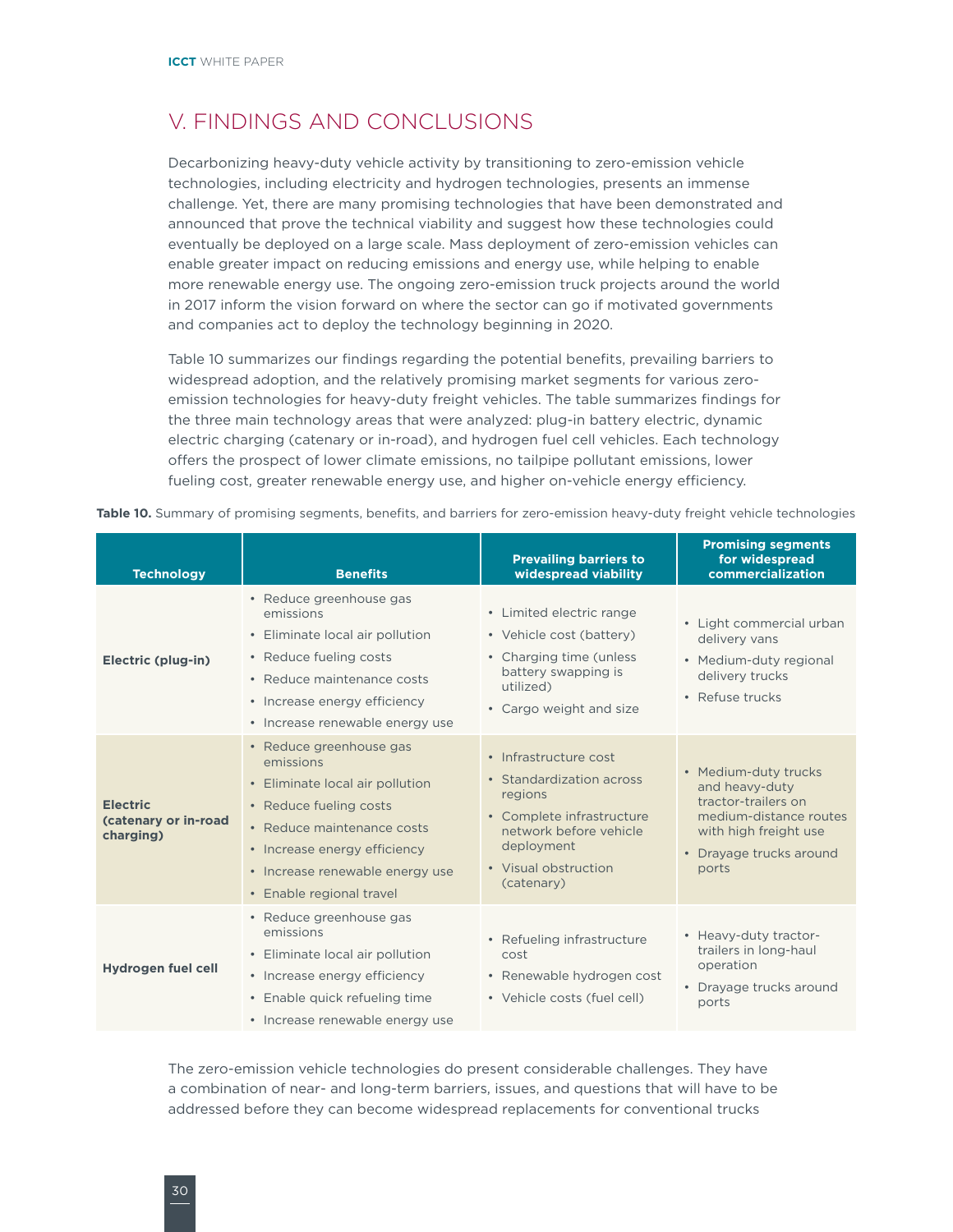## <span id="page-35-0"></span>V. FINDINGS AND CONCLUSIONS

Decarbonizing heavy-duty vehicle activity by transitioning to zero-emission vehicle technologies, including electricity and hydrogen technologies, presents an immense challenge. Yet, there are many promising technologies that have been demonstrated and announced that prove the technical viability and suggest how these technologies could eventually be deployed on a large scale. Mass deployment of zero-emission vehicles can enable greater impact on reducing emissions and energy use, while helping to enable more renewable energy use. The ongoing zero-emission truck projects around the world in 2017 inform the vision forward on where the sector can go if motivated governments and companies act to deploy the technology beginning in 2020.

Table 10 summarizes our findings regarding the potential benefits, prevailing barriers to widespread adoption, and the relatively promising market segments for various zeroemission technologies for heavy-duty freight vehicles. The table summarizes findings for the three main technology areas that were analyzed: plug-in battery electric, dynamic electric charging (catenary or in-road), and hydrogen fuel cell vehicles. Each technology offers the prospect of lower climate emissions, no tailpipe pollutant emissions, lower fueling cost, greater renewable energy use, and higher on-vehicle energy efficiency.

|  |  | Table 10. Summary of promising segments, benefits, and barriers for zero-emission heavy-duty freight vehicle technologies |  |  |  |  |  |  |
|--|--|---------------------------------------------------------------------------------------------------------------------------|--|--|--|--|--|--|
|--|--|---------------------------------------------------------------------------------------------------------------------------|--|--|--|--|--|--|

| <b>Technology</b>                                    | <b>Benefits</b>                                                                                                                                                                                                                | <b>Prevailing barriers to</b><br>widespread viability                                                                                                                   | <b>Promising segments</b><br>for widespread<br>commercialization                                                                                     |
|------------------------------------------------------|--------------------------------------------------------------------------------------------------------------------------------------------------------------------------------------------------------------------------------|-------------------------------------------------------------------------------------------------------------------------------------------------------------------------|------------------------------------------------------------------------------------------------------------------------------------------------------|
| Electric (plug-in)                                   | • Reduce greenhouse gas<br>emissions<br>• Eliminate local air pollution<br>• Reduce fueling costs<br>• Reduce maintenance costs<br>• Increase energy efficiency<br>· Increase renewable energy use                             | • Limited electric range<br>• Vehicle cost (battery)<br>• Charging time (unless)<br>battery swapping is<br>utilized)<br>• Cargo weight and size                         | • Light commercial urban<br>delivery vans<br>• Medium-duty regional<br>delivery trucks<br>• Refuse trucks                                            |
| <b>Electric</b><br>(catenary or in-road<br>charging) | • Reduce greenhouse gas<br>emissions<br>• Eliminate local air pollution<br>• Reduce fueling costs<br>• Reduce maintenance costs<br>• Increase energy efficiency<br>• Increase renewable energy use<br>• Enable regional travel | • Infrastructure cost<br>• Standardization across<br>regions<br>• Complete infrastructure<br>network before vehicle<br>deployment<br>• Visual obstruction<br>(catenary) | • Medium-duty trucks<br>and heavy-duty<br>tractor-trailers on<br>medium-distance routes<br>with high freight use<br>• Drayage trucks around<br>ports |
| Hydrogen fuel cell                                   | • Reduce greenhouse gas<br>emissions<br>• Eliminate local air pollution<br>• Increase energy efficiency<br>• Enable quick refueling time<br>• Increase renewable energy use                                                    | • Refueling infrastructure<br>cost<br>• Renewable hydrogen cost<br>• Vehicle costs (fuel cell)                                                                          | • Heavy-duty tractor-<br>trailers in long-haul<br>operation<br>• Drayage trucks around<br>ports                                                      |

The zero-emission vehicle technologies do present considerable challenges. They have a combination of near- and long-term barriers, issues, and questions that will have to be addressed before they can become widespread replacements for conventional trucks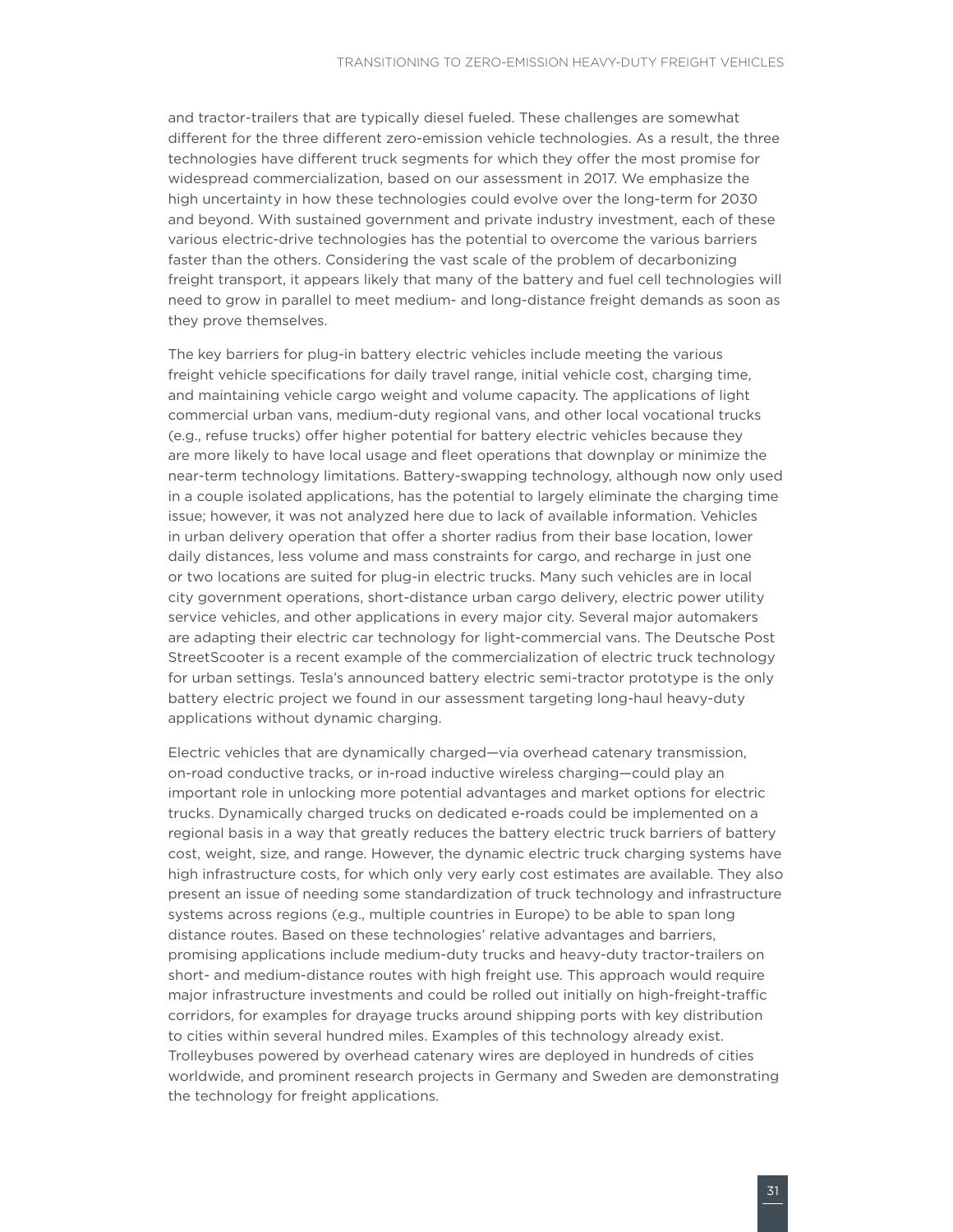and tractor-trailers that are typically diesel fueled. These challenges are somewhat different for the three different zero-emission vehicle technologies. As a result, the three technologies have different truck segments for which they offer the most promise for widespread commercialization, based on our assessment in 2017. We emphasize the high uncertainty in how these technologies could evolve over the long-term for 2030 and beyond. With sustained government and private industry investment, each of these various electric-drive technologies has the potential to overcome the various barriers faster than the others. Considering the vast scale of the problem of decarbonizing freight transport, it appears likely that many of the battery and fuel cell technologies will need to grow in parallel to meet medium- and long-distance freight demands as soon as they prove themselves.

The key barriers for plug-in battery electric vehicles include meeting the various freight vehicle specifications for daily travel range, initial vehicle cost, charging time, and maintaining vehicle cargo weight and volume capacity. The applications of light commercial urban vans, medium-duty regional vans, and other local vocational trucks (e.g., refuse trucks) offer higher potential for battery electric vehicles because they are more likely to have local usage and fleet operations that downplay or minimize the near-term technology limitations. Battery-swapping technology, although now only used in a couple isolated applications, has the potential to largely eliminate the charging time issue; however, it was not analyzed here due to lack of available information. Vehicles in urban delivery operation that offer a shorter radius from their base location, lower daily distances, less volume and mass constraints for cargo, and recharge in just one or two locations are suited for plug-in electric trucks. Many such vehicles are in local city government operations, short-distance urban cargo delivery, electric power utility service vehicles, and other applications in every major city. Several major automakers are adapting their electric car technology for light-commercial vans. The Deutsche Post StreetScooter is a recent example of the commercialization of electric truck technology for urban settings. Tesla's announced battery electric semi-tractor prototype is the only battery electric project we found in our assessment targeting long-haul heavy-duty applications without dynamic charging.

Electric vehicles that are dynamically charged—via overhead catenary transmission, on-road conductive tracks, or in-road inductive wireless charging—could play an important role in unlocking more potential advantages and market options for electric trucks. Dynamically charged trucks on dedicated e-roads could be implemented on a regional basis in a way that greatly reduces the battery electric truck barriers of battery cost, weight, size, and range. However, the dynamic electric truck charging systems have high infrastructure costs, for which only very early cost estimates are available. They also present an issue of needing some standardization of truck technology and infrastructure systems across regions (e.g., multiple countries in Europe) to be able to span long distance routes. Based on these technologies' relative advantages and barriers, promising applications include medium-duty trucks and heavy-duty tractor-trailers on short- and medium-distance routes with high freight use. This approach would require major infrastructure investments and could be rolled out initially on high-freight-traffic corridors, for examples for drayage trucks around shipping ports with key distribution to cities within several hundred miles. Examples of this technology already exist. Trolleybuses powered by overhead catenary wires are deployed in hundreds of cities worldwide, and prominent research projects in Germany and Sweden are demonstrating the technology for freight applications.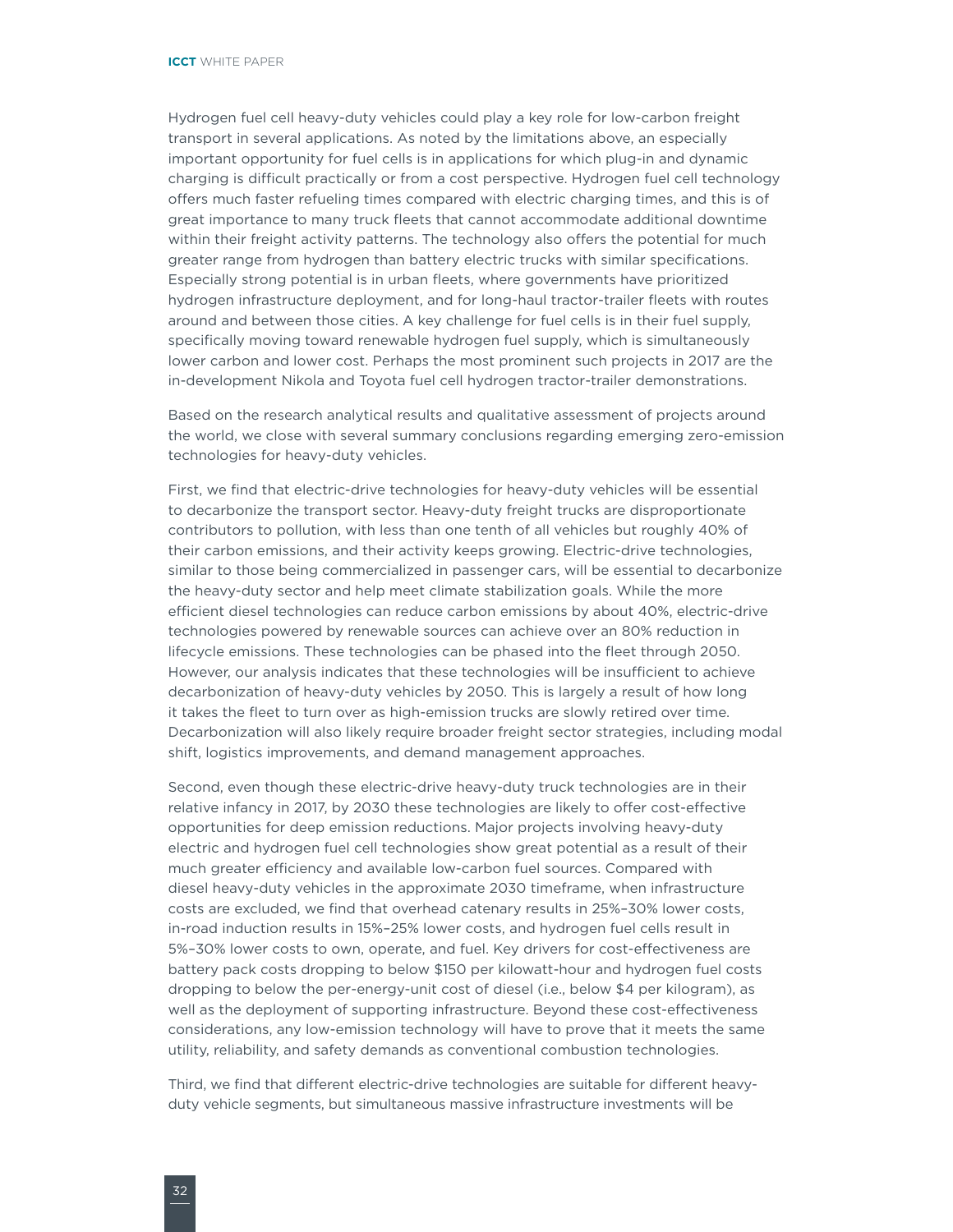Hydrogen fuel cell heavy-duty vehicles could play a key role for low-carbon freight transport in several applications. As noted by the limitations above, an especially important opportunity for fuel cells is in applications for which plug-in and dynamic charging is difficult practically or from a cost perspective. Hydrogen fuel cell technology offers much faster refueling times compared with electric charging times, and this is of great importance to many truck fleets that cannot accommodate additional downtime within their freight activity patterns. The technology also offers the potential for much greater range from hydrogen than battery electric trucks with similar specifications. Especially strong potential is in urban fleets, where governments have prioritized hydrogen infrastructure deployment, and for long-haul tractor-trailer fleets with routes around and between those cities. A key challenge for fuel cells is in their fuel supply, specifically moving toward renewable hydrogen fuel supply, which is simultaneously lower carbon and lower cost. Perhaps the most prominent such projects in 2017 are the in-development Nikola and Toyota fuel cell hydrogen tractor-trailer demonstrations.

Based on the research analytical results and qualitative assessment of projects around the world, we close with several summary conclusions regarding emerging zero-emission technologies for heavy-duty vehicles.

First, we find that electric-drive technologies for heavy-duty vehicles will be essential to decarbonize the transport sector. Heavy-duty freight trucks are disproportionate contributors to pollution, with less than one tenth of all vehicles but roughly 40% of their carbon emissions, and their activity keeps growing. Electric-drive technologies, similar to those being commercialized in passenger cars, will be essential to decarbonize the heavy-duty sector and help meet climate stabilization goals. While the more efficient diesel technologies can reduce carbon emissions by about 40%, electric-drive technologies powered by renewable sources can achieve over an 80% reduction in lifecycle emissions. These technologies can be phased into the fleet through 2050. However, our analysis indicates that these technologies will be insufficient to achieve decarbonization of heavy-duty vehicles by 2050. This is largely a result of how long it takes the fleet to turn over as high-emission trucks are slowly retired over time. Decarbonization will also likely require broader freight sector strategies, including modal shift, logistics improvements, and demand management approaches.

Second, even though these electric-drive heavy-duty truck technologies are in their relative infancy in 2017, by 2030 these technologies are likely to offer cost-effective opportunities for deep emission reductions. Major projects involving heavy-duty electric and hydrogen fuel cell technologies show great potential as a result of their much greater efficiency and available low-carbon fuel sources. Compared with diesel heavy-duty vehicles in the approximate 2030 timeframe, when infrastructure costs are excluded, we find that overhead catenary results in 25%–30% lower costs, in-road induction results in 15%–25% lower costs, and hydrogen fuel cells result in 5%–30% lower costs to own, operate, and fuel. Key drivers for cost-effectiveness are battery pack costs dropping to below \$150 per kilowatt-hour and hydrogen fuel costs dropping to below the per-energy-unit cost of diesel (i.e., below \$4 per kilogram), as well as the deployment of supporting infrastructure. Beyond these cost-effectiveness considerations, any low-emission technology will have to prove that it meets the same utility, reliability, and safety demands as conventional combustion technologies.

Third, we find that different electric-drive technologies are suitable for different heavyduty vehicle segments, but simultaneous massive infrastructure investments will be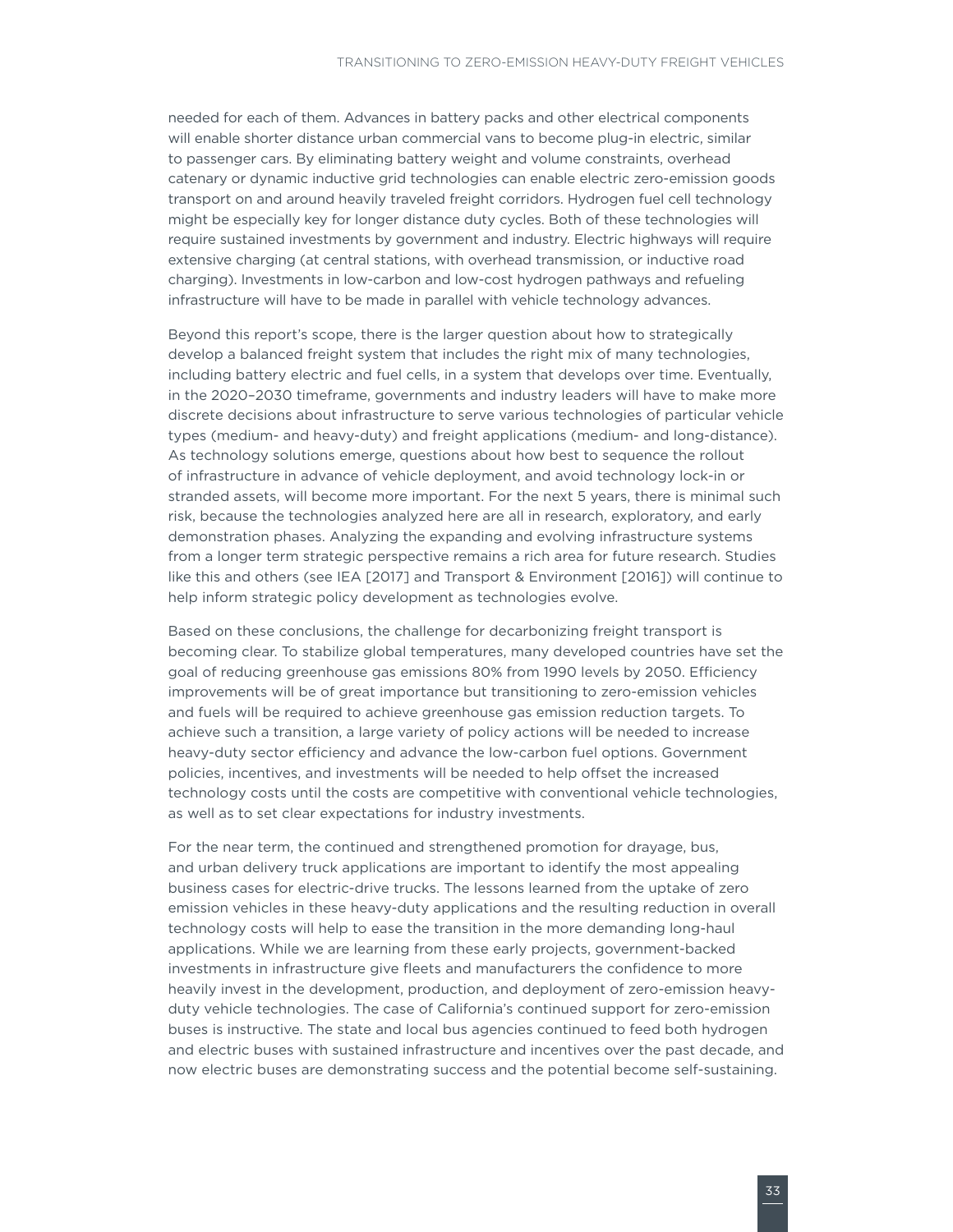needed for each of them. Advances in battery packs and other electrical components will enable shorter distance urban commercial vans to become plug-in electric, similar to passenger cars. By eliminating battery weight and volume constraints, overhead catenary or dynamic inductive grid technologies can enable electric zero-emission goods transport on and around heavily traveled freight corridors. Hydrogen fuel cell technology might be especially key for longer distance duty cycles. Both of these technologies will require sustained investments by government and industry. Electric highways will require extensive charging (at central stations, with overhead transmission, or inductive road charging). Investments in low-carbon and low-cost hydrogen pathways and refueling infrastructure will have to be made in parallel with vehicle technology advances.

Beyond this report's scope, there is the larger question about how to strategically develop a balanced freight system that includes the right mix of many technologies, including battery electric and fuel cells, in a system that develops over time. Eventually, in the 2020–2030 timeframe, governments and industry leaders will have to make more discrete decisions about infrastructure to serve various technologies of particular vehicle types (medium- and heavy-duty) and freight applications (medium- and long-distance). As technology solutions emerge, questions about how best to sequence the rollout of infrastructure in advance of vehicle deployment, and avoid technology lock-in or stranded assets, will become more important. For the next 5 years, there is minimal such risk, because the technologies analyzed here are all in research, exploratory, and early demonstration phases. Analyzing the expanding and evolving infrastructure systems from a longer term strategic perspective remains a rich area for future research. Studies like this and others (see IEA [2017] and Transport & Environment [2016]) will continue to help inform strategic policy development as technologies evolve.

Based on these conclusions, the challenge for decarbonizing freight transport is becoming clear. To stabilize global temperatures, many developed countries have set the goal of reducing greenhouse gas emissions 80% from 1990 levels by 2050. Efficiency improvements will be of great importance but transitioning to zero-emission vehicles and fuels will be required to achieve greenhouse gas emission reduction targets. To achieve such a transition, a large variety of policy actions will be needed to increase heavy-duty sector efficiency and advance the low-carbon fuel options. Government policies, incentives, and investments will be needed to help offset the increased technology costs until the costs are competitive with conventional vehicle technologies, as well as to set clear expectations for industry investments.

For the near term, the continued and strengthened promotion for drayage, bus, and urban delivery truck applications are important to identify the most appealing business cases for electric-drive trucks. The lessons learned from the uptake of zero emission vehicles in these heavy-duty applications and the resulting reduction in overall technology costs will help to ease the transition in the more demanding long-haul applications. While we are learning from these early projects, government-backed investments in infrastructure give fleets and manufacturers the confidence to more heavily invest in the development, production, and deployment of zero-emission heavyduty vehicle technologies. The case of California's continued support for zero-emission buses is instructive. The state and local bus agencies continued to feed both hydrogen and electric buses with sustained infrastructure and incentives over the past decade, and now electric buses are demonstrating success and the potential become self-sustaining.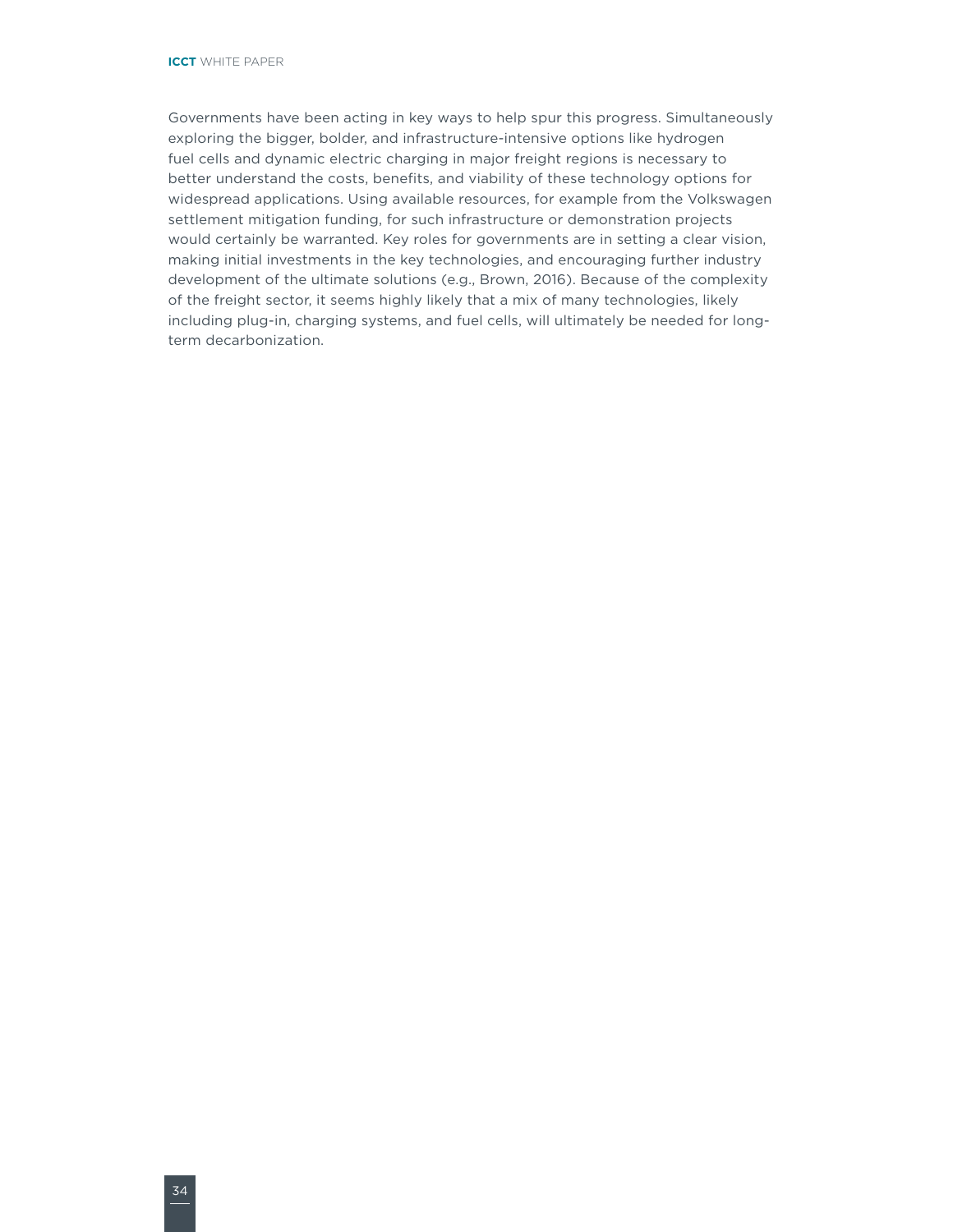Governments have been acting in key ways to help spur this progress. Simultaneously exploring the bigger, bolder, and infrastructure-intensive options like hydrogen fuel cells and dynamic electric charging in major freight regions is necessary to better understand the costs, benefits, and viability of these technology options for widespread applications. Using available resources, for example from the Volkswagen settlement mitigation funding, for such infrastructure or demonstration projects would certainly be warranted. Key roles for governments are in setting a clear vision, making initial investments in the key technologies, and encouraging further industry development of the ultimate solutions (e.g., Brown, 2016). Because of the complexity of the freight sector, it seems highly likely that a mix of many technologies, likely including plug-in, charging systems, and fuel cells, will ultimately be needed for longterm decarbonization.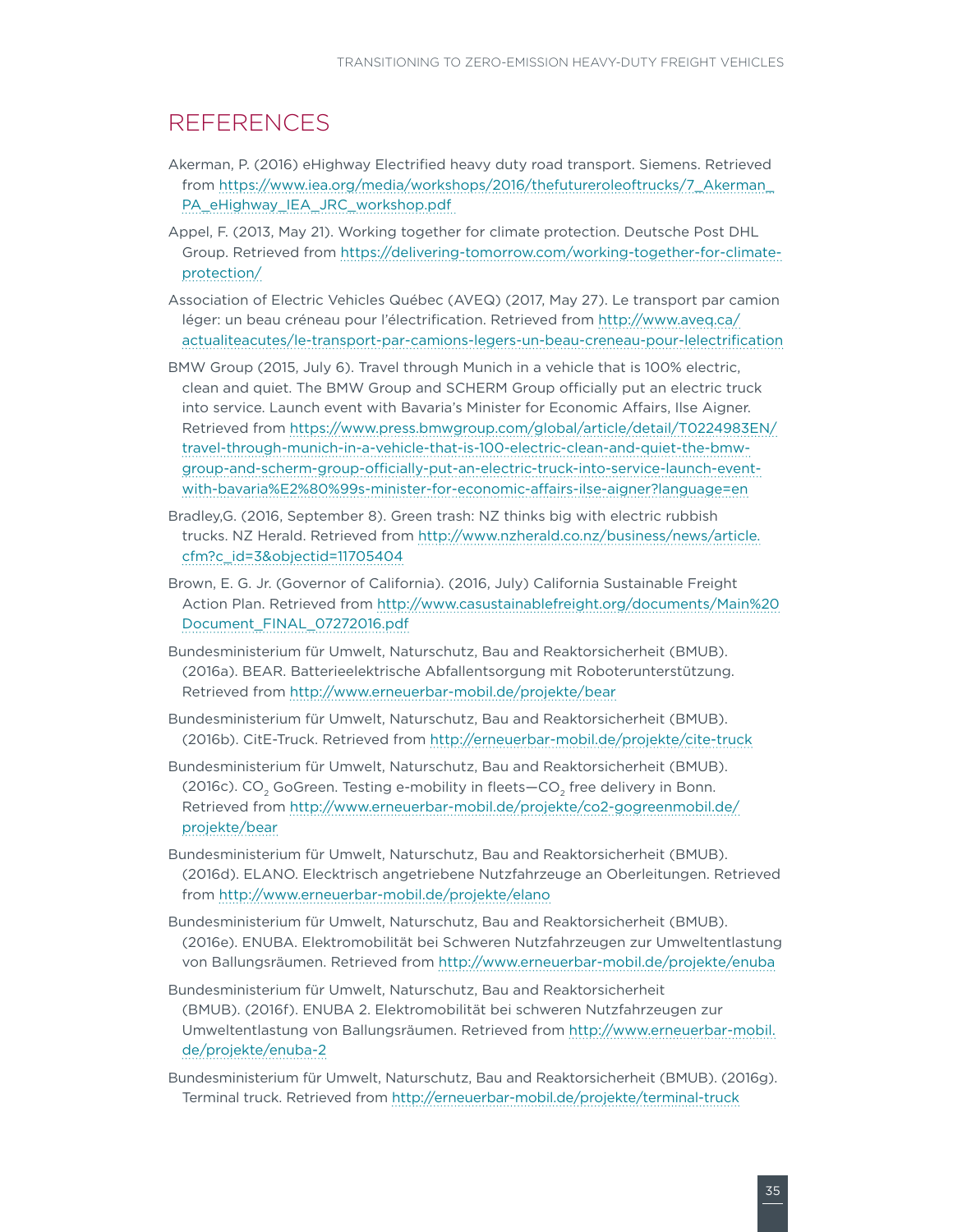### <span id="page-40-0"></span>REFERENCES

- Akerman, P. (2016) eHighway Electrified heavy duty road transport. Siemens. Retrieved from [https://www.iea.org/media/workshops/2016/thefutureroleoftrucks/7\\_Akerman\\_](https://www.iea.org/media/workshops/2016/thefutureroleoftrucks/7_Akerman_PA_eHighway_IEA_JRC_workshop.pdf) [PA\\_eHighway\\_IEA\\_JRC\\_workshop.pdf](https://www.iea.org/media/workshops/2016/thefutureroleoftrucks/7_Akerman_PA_eHighway_IEA_JRC_workshop.pdf)
- Appel, F. (2013, May 21). Working together for climate protection. Deutsche Post DHL Group. Retrieved from [https://delivering-tomorrow.com/working-together-for-climate](https://delivering-tomorrow.com/working-together-for-climate-protection/)[protection/](https://delivering-tomorrow.com/working-together-for-climate-protection/)
- Association of Electric Vehicles Québec (AVEQ) (2017, May 27). Le transport par camion léger: un beau créneau pour l'électrification. Retrieved from [http://www.aveq.ca/](http://www.aveq.ca/actualiteacutes/le-transport-par-camions-legers-un-beau-creneau-pour-lelectrification) [actualiteacutes/le-transport-par-camions-legers-un-beau-creneau-pour-lelectrification](http://www.aveq.ca/actualiteacutes/le-transport-par-camions-legers-un-beau-creneau-pour-lelectrification)
- BMW Group (2015, July 6). Travel through Munich in a vehicle that is 100% electric, clean and quiet. The BMW Group and SCHERM Group officially put an electric truck into service. Launch event with Bavaria's Minister for Economic Affairs, Ilse Aigner. Retrieved from [https://www.press.bmwgroup.com/global/article/detail/T0224983EN/](https://www.press.bmwgroup.com/global/article/detail/T0224983EN/travel-through-munich-in-a-vehicle-that-is-100-electric-clean-and-quiet-the-bmw-group-and-scherm-group-officially-put-an-electric-truck-into-service-launch-event-with-bavaria%E2%80%99s-minister-for-economic-affairs-ilse-aigner?language=en) [travel-through-munich-in-a-vehicle-that-is-100-electric-clean-and-quiet-the-bmw](https://www.press.bmwgroup.com/global/article/detail/T0224983EN/travel-through-munich-in-a-vehicle-that-is-100-electric-clean-and-quiet-the-bmw-group-and-scherm-group-officially-put-an-electric-truck-into-service-launch-event-with-bavaria%E2%80%99s-minister-for-economic-affairs-ilse-aigner?language=en)[group-and-scherm-group-officially-put-an-electric-truck-into-service-launch-event](https://www.press.bmwgroup.com/global/article/detail/T0224983EN/travel-through-munich-in-a-vehicle-that-is-100-electric-clean-and-quiet-the-bmw-group-and-scherm-group-officially-put-an-electric-truck-into-service-launch-event-with-bavaria%E2%80%99s-minister-for-economic-affairs-ilse-aigner?language=en)[with-bavaria%E2%80%99s-minister-for-economic-affairs-ilse-aigner?language=en](https://www.press.bmwgroup.com/global/article/detail/T0224983EN/travel-through-munich-in-a-vehicle-that-is-100-electric-clean-and-quiet-the-bmw-group-and-scherm-group-officially-put-an-electric-truck-into-service-launch-event-with-bavaria%E2%80%99s-minister-for-economic-affairs-ilse-aigner?language=en)
- Bradley,G. (2016, September 8). Green trash: NZ thinks big with electric rubbish trucks. NZ Herald. Retrieved from [http://www.nzherald.co.nz/business/news/article.](http://www.nzherald.co.nz/business/news/article.cfm?c_id=3&objectid=11705404) [cfm?c\\_id=3&objectid=11705404](http://www.nzherald.co.nz/business/news/article.cfm?c_id=3&objectid=11705404)
- Brown, E. G. Jr. (Governor of California). (2016, July) California Sustainable Freight Action Plan. Retrieved from [http://www.casustainablefreight.org/documents/Main%20](http://www.casustainablefreight.org/documents/Main Document_FINAL_07272016.pdf) [Document\\_FINAL\\_07272016.pdf](http://www.casustainablefreight.org/documents/Main Document_FINAL_07272016.pdf)
- Bundesministerium für Umwelt, Naturschutz, Bau and Reaktorsicherheit (BMUB). (2016a). BEAR. Batterieelektrische Abfallentsorgung mit Roboterunterstützung. Retrieved from<http://www.erneuerbar-mobil.de/projekte/bear>
- Bundesministerium für Umwelt, Naturschutz, Bau and Reaktorsicherheit (BMUB). (2016b). CitE-Truck. Retrieved from<http://erneuerbar-mobil.de/projekte/cite-truck>
- Bundesministerium für Umwelt, Naturschutz, Bau and Reaktorsicherheit (BMUB). (2016c). CO<sub>2</sub> GoGreen. Testing e-mobility in fleets—CO<sub>2</sub> free delivery in Bonn. Retrieved from [http://www.erneuerbar-mobil.de/projekte/co2-gogreenmobil.de/](http://www.erneuerbar-mobil.de/projekte/co2-gogreenmobil.de/projekte/bear) [projekte/bear](http://www.erneuerbar-mobil.de/projekte/co2-gogreenmobil.de/projekte/bear)
- Bundesministerium für Umwelt, Naturschutz, Bau and Reaktorsicherheit (BMUB). (2016d). ELANO. Elecktrisch angetriebene Nutzfahrzeuge an Oberleitungen. Retrieved from <http://www.erneuerbar-mobil.de/projekte/elano>
- Bundesministerium für Umwelt, Naturschutz, Bau and Reaktorsicherheit (BMUB). (2016e). ENUBA. Elektromobilität bei Schweren Nutzfahrzeugen zur Umweltentlastung von Ballungsräumen. Retrieved from <http://www.erneuerbar-mobil.de/projekte/enuba>
- Bundesministerium für Umwelt, Naturschutz, Bau and Reaktorsicherheit (BMUB). (2016f). ENUBA 2. Elektromobilität bei schweren Nutzfahrzeugen zur Umweltentlastung von Ballungsräumen. Retrieved from [http://www.erneuerbar-mobil.](http://www.erneuerbar-mobil.de/projekte/enuba-2) [de/projekte/enuba-2](http://www.erneuerbar-mobil.de/projekte/enuba-2)
- Bundesministerium für Umwelt, Naturschutz, Bau and Reaktorsicherheit (BMUB). (2016g). Terminal truck. Retrieved from <http://erneuerbar-mobil.de/projekte/terminal-truck>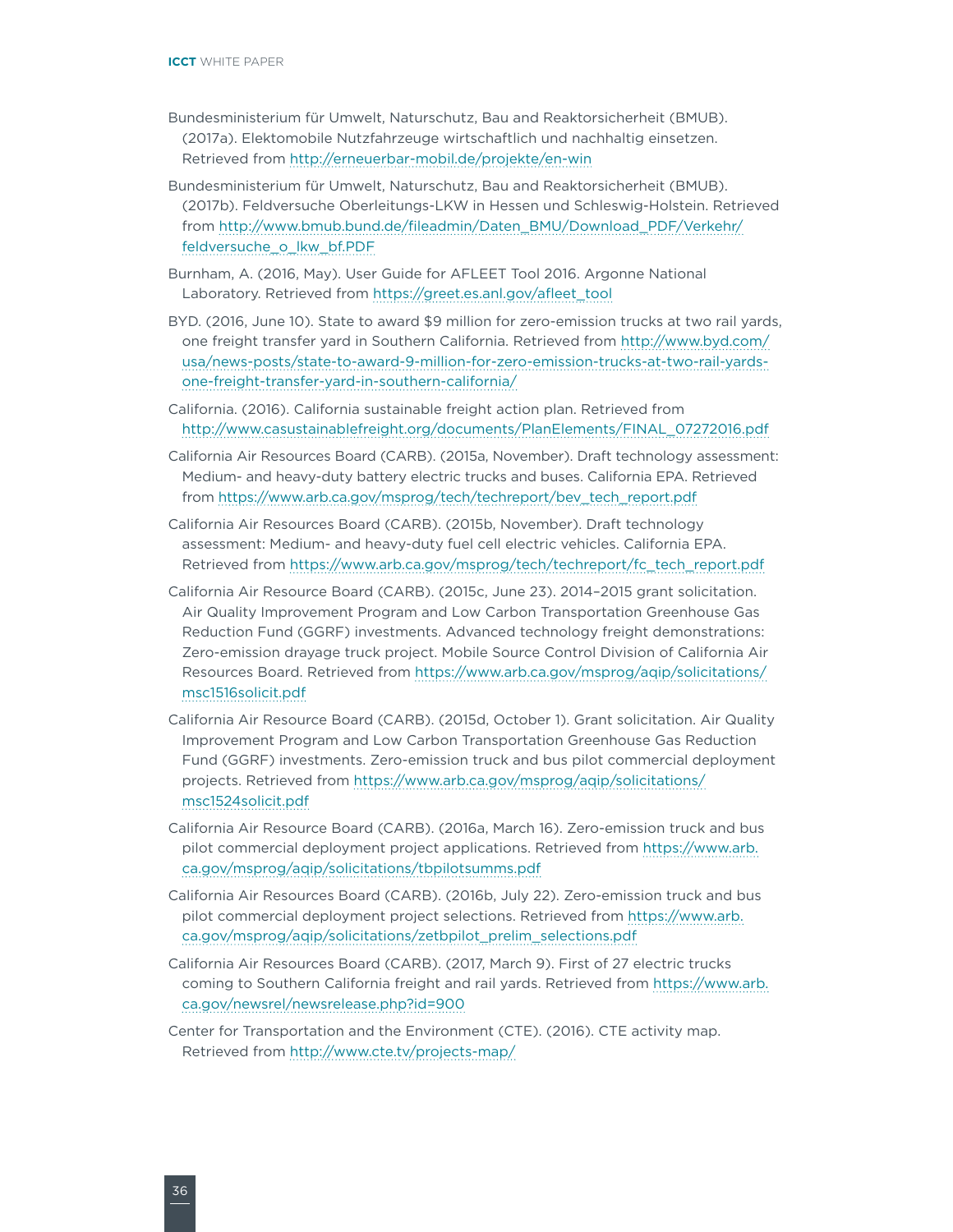- Bundesministerium für Umwelt, Naturschutz, Bau and Reaktorsicherheit (BMUB). (2017a). Elektomobile Nutzfahrzeuge wirtschaftlich und nachhaltig einsetzen. Retrieved from<http://erneuerbar-mobil.de/projekte/en-win>
- Bundesministerium für Umwelt, Naturschutz, Bau and Reaktorsicherheit (BMUB). (2017b). Feldversuche Oberleitungs-LKW in Hessen und Schleswig-Holstein. Retrieved from [http://www.bmub.bund.de/fileadmin/Daten\\_BMU/Download\\_PDF/Verkehr/](http://www.bmub.bund.de/fileadmin/Daten_BMU/Download_PDF/Verkehr/feldversuche_o_lkw_bf.PDF) [feldversuche\\_o\\_lkw\\_bf.PDF](http://www.bmub.bund.de/fileadmin/Daten_BMU/Download_PDF/Verkehr/feldversuche_o_lkw_bf.PDF)
- Burnham, A. (2016, May). User Guide for AFLEET Tool 2016. Argonne National Laboratory. Retrieved from [https://greet.es.anl.gov/afleet\\_tool](https://greet.es.anl.gov/afleet_tool)
- BYD. (2016, June 10). State to award \$9 million for zero-emission trucks at two rail yards, one freight transfer yard in Southern California. Retrieved from [http://www.byd.com/](http://www.byd.com/usa/news-posts/state-to-award-9-million-for-zero-emission-trucks-at-two-rail-yards-one-freight-transfer-yard-in-southern-california/) [usa/news-posts/state-to-award-9-million-for-zero-emission-trucks-at-two-rail-yards](http://www.byd.com/usa/news-posts/state-to-award-9-million-for-zero-emission-trucks-at-two-rail-yards-one-freight-transfer-yard-in-southern-california/)[one-freight-transfer-yard-in-southern-california/](http://www.byd.com/usa/news-posts/state-to-award-9-million-for-zero-emission-trucks-at-two-rail-yards-one-freight-transfer-yard-in-southern-california/)
- California. (2016). California sustainable freight action plan. Retrieved from [http://www.casustainablefreight.org/documents/PlanElements/FINAL\\_07272016.pdf](http://www.casustainablefreight.org/documents/PlanElements/FINAL_07272016.pdf)
- California Air Resources Board (CARB). (2015a, November). Draft technology assessment: Medium- and heavy-duty battery electric trucks and buses. California EPA. Retrieved from [https://www.arb.ca.gov/msprog/tech/techreport/bev\\_tech\\_report.pdf](https://www.arb.ca.gov/msprog/tech/techreport/bev_tech_report.pdf)
- California Air Resources Board (CARB). (2015b, November). Draft technology assessment: Medium- and heavy-duty fuel cell electric vehicles. California EPA. Retrieved from [https://www.arb.ca.gov/msprog/tech/techreport/fc\\_tech\\_report.pdf](https://www.arb.ca.gov/msprog/tech/techreport/fc_tech_report.pdf)
- California Air Resource Board (CARB). (2015c, June 23). 2014–2015 grant solicitation. Air Quality Improvement Program and Low Carbon Transportation Greenhouse Gas Reduction Fund (GGRF) investments. Advanced technology freight demonstrations: Zero-emission drayage truck project. Mobile Source Control Division of California Air Resources Board. Retrieved from [https://www.arb.ca.gov/msprog/aqip/solicitations/](https://www.arb.ca.gov/msprog/aqip/solicitations/msc1516solicit.pdf) [msc1516solicit.pdf](https://www.arb.ca.gov/msprog/aqip/solicitations/msc1516solicit.pdf)
- California Air Resource Board (CARB). (2015d, October 1). Grant solicitation. Air Quality Improvement Program and Low Carbon Transportation Greenhouse Gas Reduction Fund (GGRF) investments. Zero-emission truck and bus pilot commercial deployment projects. Retrieved from [https://www.arb.ca.gov/msprog/aqip/solicitations/](https://www.arb.ca.gov/msprog/aqip/solicitations/msc1524solicit.pdf) [msc1524solicit.pdf](https://www.arb.ca.gov/msprog/aqip/solicitations/msc1524solicit.pdf)
- California Air Resource Board (CARB). (2016a, March 16). Zero-emission truck and bus pilot commercial deployment project applications. Retrieved from [https://www.arb.](https://www.arb.ca.gov/msprog/aqip/solicitations/tbpilotsumms.pdf) [ca.gov/msprog/aqip/solicitations/tbpilotsumms.pdf](https://www.arb.ca.gov/msprog/aqip/solicitations/tbpilotsumms.pdf)
- California Air Resources Board (CARB). (2016b, July 22). Zero-emission truck and bus pilot commercial deployment project selections. Retrieved from [https://www.arb.](https://www.arb.ca.gov/msprog/aqip/solicitations/zetbpilot_prelim_selections.pdf) [ca.gov/msprog/aqip/solicitations/zetbpilot\\_prelim\\_selections.pdf](https://www.arb.ca.gov/msprog/aqip/solicitations/zetbpilot_prelim_selections.pdf)
- California Air Resources Board (CARB). (2017, March 9). First of 27 electric trucks coming to Southern California freight and rail yards. Retrieved from [https://www.arb.](https://www.arb.ca.gov/newsrel/newsrelease.php?id=900) [ca.gov/newsrel/newsrelease.php?id=900](https://www.arb.ca.gov/newsrel/newsrelease.php?id=900)
- Center for Transportation and the Environment (CTE). (2016). CTE activity map. Retrieved from<http://www.cte.tv/projects-map/>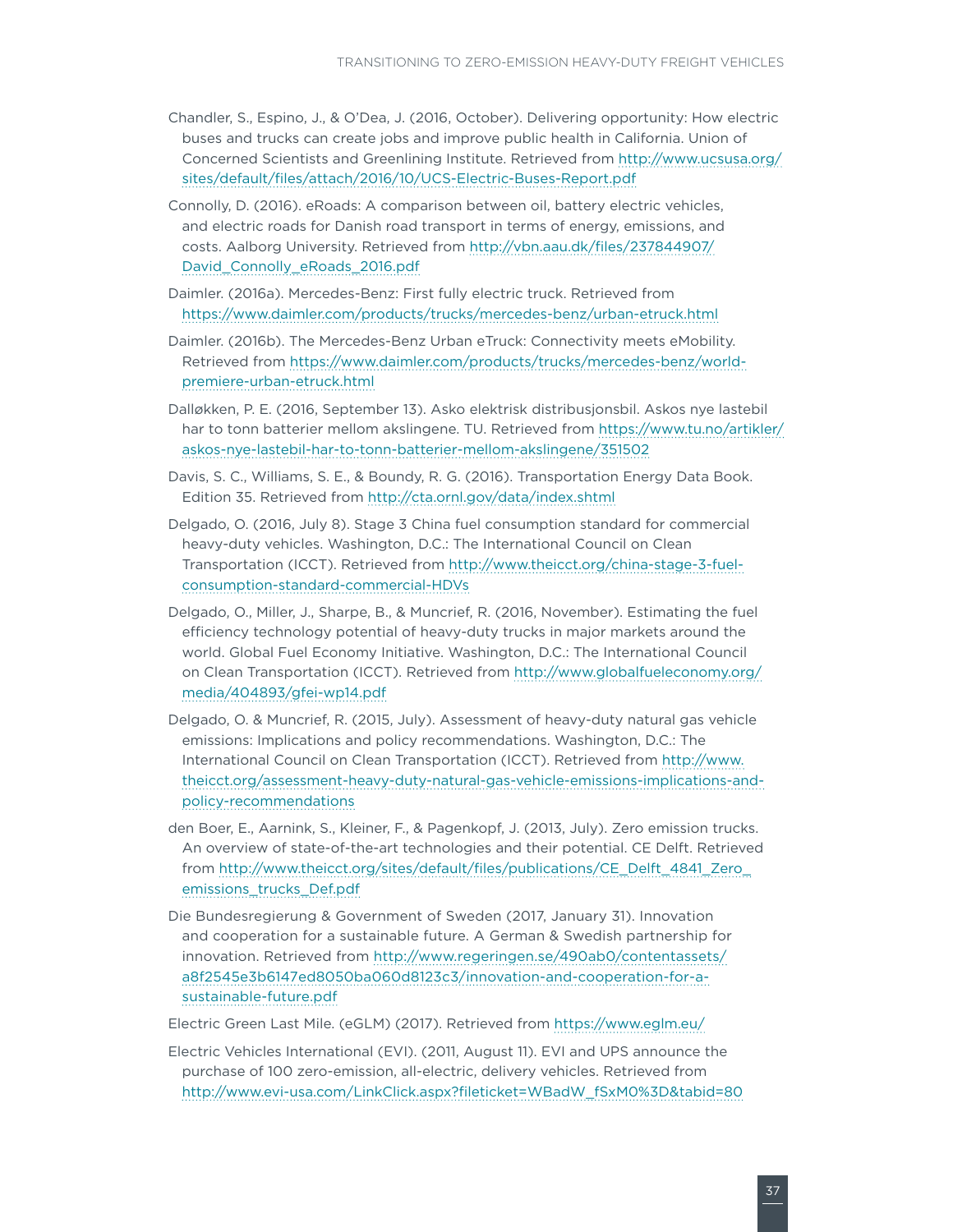- Chandler, S., Espino, J., & O'Dea, J. (2016, October). Delivering opportunity: How electric buses and trucks can create jobs and improve public health in California. Union of Concerned Scientists and Greenlining Institute. Retrieved from [http://www.ucsusa.org/](http://www.ucsusa.org/sites/default/files/attach/2016/10/UCS-Electric-Buses-Report.pdf) [sites/default/files/attach/2016/10/UCS-Electric-Buses-Report.pdf](http://www.ucsusa.org/sites/default/files/attach/2016/10/UCS-Electric-Buses-Report.pdf)
- Connolly, D. (2016). eRoads: A comparison between oil, battery electric vehicles, and electric roads for Danish road transport in terms of energy, emissions, and costs. Aalborg University. Retrieved from [http://vbn.aau.dk/files/237844907/](http://vbn.aau.dk/files/237844907/David_Connolly_eRoads_2016.pdf) [David\\_Connolly\\_eRoads\\_2016.pdf](http://vbn.aau.dk/files/237844907/David_Connolly_eRoads_2016.pdf)
- Daimler. (2016a). Mercedes-Benz: First fully electric truck. Retrieved from <https://www.daimler.com/products/trucks/mercedes-benz/urban-etruck.html>
- Daimler. (2016b). The Mercedes-Benz Urban eTruck: Connectivity meets eMobility. Retrieved from [https://www.daimler.com/products/trucks/mercedes-benz/world](https://www.daimler.com/products/trucks/mercedes-benz/world-premiere-urban-etruck.html)[premiere-urban-etruck.html](https://www.daimler.com/products/trucks/mercedes-benz/world-premiere-urban-etruck.html)
- Dalløkken, P. E. (2016, September 13). Asko elektrisk distribusjonsbil. Askos nye lastebil har to tonn batterier mellom akslingene. TU. Retrieved from [https://www.tu.no/artikler/](https://www.tu.no/artikler/askos-nye-lastebil-har-to-tonn-batterier-mellom-akslingene/351502) [askos-nye-lastebil-har-to-tonn-batterier-mellom-akslingene/351502](https://www.tu.no/artikler/askos-nye-lastebil-har-to-tonn-batterier-mellom-akslingene/351502)
- Davis, S. C., Williams, S. E., & Boundy, R. G. (2016). Transportation Energy Data Book. Edition 35. Retrieved from <http://cta.ornl.gov/data/index.shtml>
- Delgado, O. (2016, July 8). Stage 3 China fuel consumption standard for commercial heavy-duty vehicles. Washington, D.C.: The International Council on Clean Transportation (ICCT). Retrieved from [http://www.theicct.org/china-stage-3-fuel](http://www.theicct.org/china-stage-3-fuel-consumption-standard-commercial-HDVs)[consumption-standard-commercial-HDVs](http://www.theicct.org/china-stage-3-fuel-consumption-standard-commercial-HDVs)
- Delgado, O., Miller, J., Sharpe, B., & Muncrief, R. (2016, November). Estimating the fuel efficiency technology potential of heavy-duty trucks in major markets around the world. Global Fuel Economy Initiative. Washington, D.C.: The International Council on Clean Transportation (ICCT). Retrieved from [http://www.globalfueleconomy.org/](http://www.globalfueleconomy.org/media/404893/gfei-wp14.pdf) [media/404893/gfei-wp14.pdf](http://www.globalfueleconomy.org/media/404893/gfei-wp14.pdf)
- Delgado, O. & Muncrief, R. (2015, July). Assessment of heavy-duty natural gas vehicle emissions: Implications and policy recommendations. Washington, D.C.: The International Council on Clean Transportation (ICCT). Retrieved from [http://www.](http://www.theicct.org/assessment-heavy-duty-natural-gas-vehicle-emissions-implications-and-policy-recommendations) [theicct.org/assessment-heavy-duty-natural-gas-vehicle-emissions-implications-and](http://www.theicct.org/assessment-heavy-duty-natural-gas-vehicle-emissions-implications-and-policy-recommendations)[policy-recommendations](http://www.theicct.org/assessment-heavy-duty-natural-gas-vehicle-emissions-implications-and-policy-recommendations)
- den Boer, E., Aarnink, S., Kleiner, F., & Pagenkopf, J. (2013, July). Zero emission trucks. An overview of state-of-the-art technologies and their potential. CE Delft. Retrieved from [http://www.theicct.org/sites/default/files/publications/CE\\_Delft\\_4841\\_Zero\\_](http://www.theicct.org/sites/default/files/publications/CE_Delft_4841_Zero_emissions_trucks_Def.pdf) [emissions\\_trucks\\_Def.pdf](http://www.theicct.org/sites/default/files/publications/CE_Delft_4841_Zero_emissions_trucks_Def.pdf)
- Die Bundesregierung & Government of Sweden (2017, January 31). Innovation and cooperation for a sustainable future. A German & Swedish partnership for innovation. Retrieved from [http://www.regeringen.se/490ab0/contentassets/](http://www.regeringen.se/490ab0/contentassets/a8f2545e3b6147ed8050ba060d8123c3/innovation-and-cooperation-for-a-sustainable-future.pdf) [a8f2545e3b6147ed8050ba060d8123c3/innovation-and-cooperation-for-a](http://www.regeringen.se/490ab0/contentassets/a8f2545e3b6147ed8050ba060d8123c3/innovation-and-cooperation-for-a-sustainable-future.pdf)[sustainable-future.pdf](http://www.regeringen.se/490ab0/contentassets/a8f2545e3b6147ed8050ba060d8123c3/innovation-and-cooperation-for-a-sustainable-future.pdf)
- Electric Green Last Mile. (eGLM) (2017). Retrieved from<https://www.eglm.eu/>
- Electric Vehicles International (EVI). (2011, August 11). EVI and UPS announce the purchase of 100 zero-emission, all-electric, delivery vehicles. Retrieved from [http://www.evi-usa.com/LinkClick.aspx?fileticket=WBadW\\_fSxM0%3D&tabid=80](http://www.evi-usa.com/LinkClick.aspx?fileticket=WBadW_fSxM0%3D&tabid=80)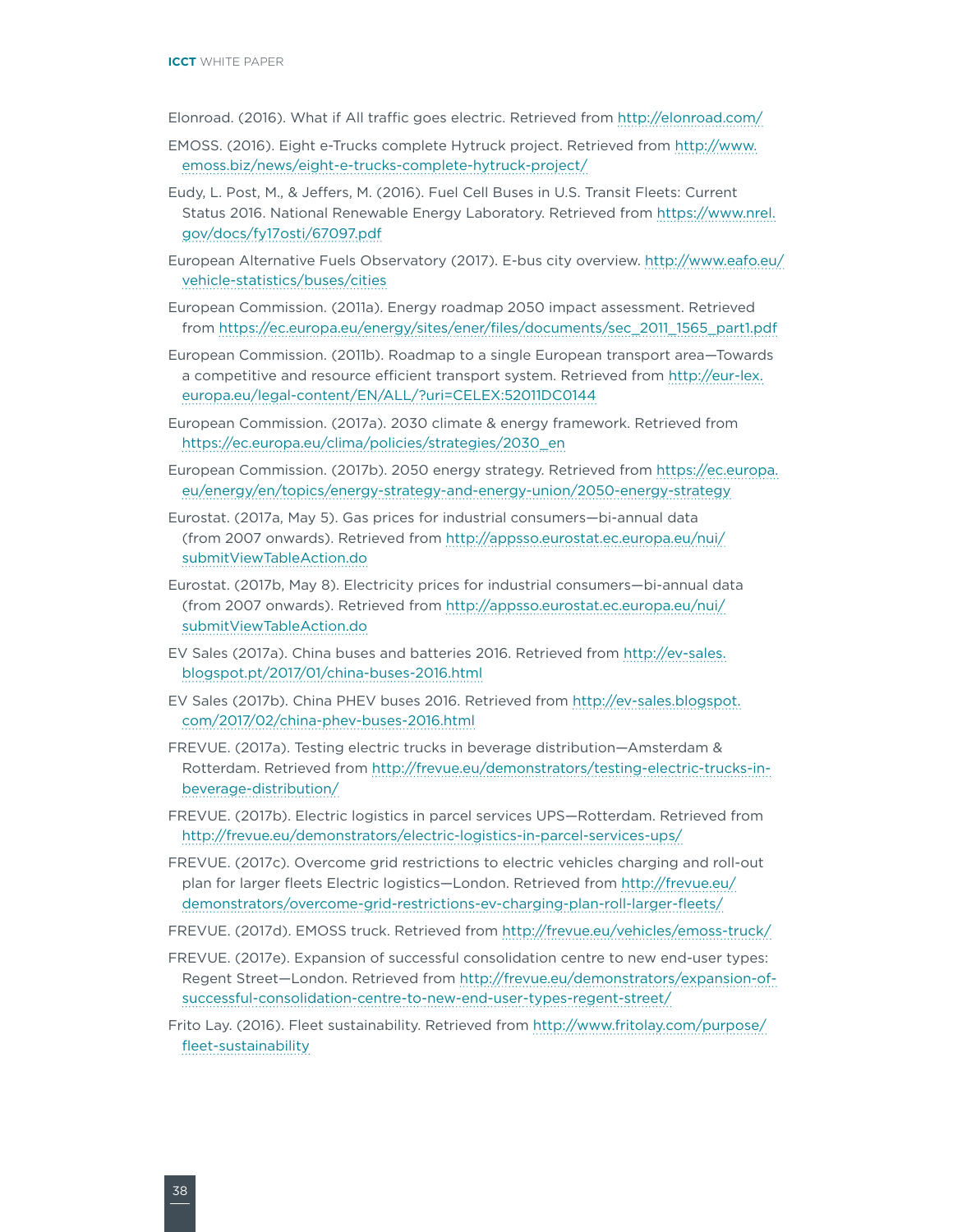Elonroad. (2016). What if All traffic goes electric. Retrieved from<http://elonroad.com/>

- EMOSS. (2016). Eight e-Trucks complete Hytruck project. Retrieved from [http://www.](http://www.emoss.biz/news/eight-e-trucks-complete-hytruck-project/) [emoss.biz/news/eight-e-trucks-complete-hytruck-project/](http://www.emoss.biz/news/eight-e-trucks-complete-hytruck-project/)
- Eudy, L. Post, M., & Jeffers, M. (2016). Fuel Cell Buses in U.S. Transit Fleets: Current Status 2016. National Renewable Energy Laboratory. Retrieved from [https://www.nrel.](https://www.nrel.gov/docs/fy17osti/67097.pdf) [gov/docs/fy17osti/67097.pdf](https://www.nrel.gov/docs/fy17osti/67097.pdf)
- European Alternative Fuels Observatory (2017). E-bus city overview. [http://www.eafo.eu/](http://www.eafo.eu/vehicle-statistics/buses/cities) [vehicle-statistics/buses/cities](http://www.eafo.eu/vehicle-statistics/buses/cities)
- European Commission. (2011a). Energy roadmap 2050 impact assessment. Retrieved from [https://ec.europa.eu/energy/sites/ener/files/documents/sec\\_2011\\_1565\\_part1.pdf](https://ec.europa.eu/energy/sites/ener/files/documents/sec_2011_1565_part1.pdf)
- European Commission. (2011b). Roadmap to a single European transport area—Towards a competitive and resource efficient transport system. Retrieved from [http://eur-lex.](http://eur-lex.europa.eu/legal-content/EN/ALL/?uri=CELEX:52011DC0144) [europa.eu/legal-content/EN/ALL/?uri=CELEX:52011DC0144](http://eur-lex.europa.eu/legal-content/EN/ALL/?uri=CELEX:52011DC0144)
- European Commission. (2017a). 2030 climate & energy framework. Retrieved from [https://ec.europa.eu/clima/policies/strategies/2030\\_en](https://ec.europa.eu/clima/policies/strategies/2030_en)
- European Commission. (2017b). 2050 energy strategy. Retrieved from [https://ec.europa.](https://ec.europa.eu/energy/en/topics/energy-strategy-and-energy-union/2050-energy-strategy) [eu/energy/en/topics/energy-strategy-and-energy-union/2050-energy-strategy](https://ec.europa.eu/energy/en/topics/energy-strategy-and-energy-union/2050-energy-strategy)
- Eurostat. (2017a, May 5). Gas prices for industrial consumers—bi-annual data (from 2007 onwards). Retrieved from [http://appsso.eurostat.ec.europa.eu/nui/](http://appsso.eurostat.ec.europa.eu/nui/submitViewTableAction.do) [submitViewTableAction.do](http://appsso.eurostat.ec.europa.eu/nui/submitViewTableAction.do)
- Eurostat. (2017b, May 8). Electricity prices for industrial consumers—bi-annual data (from 2007 onwards). Retrieved from [http://appsso.eurostat.ec.europa.eu/nui/](http://appsso.eurostat.ec.europa.eu/nui/submitViewTableAction.do) [submitViewTableAction.do](http://appsso.eurostat.ec.europa.eu/nui/submitViewTableAction.do)
- EV Sales (2017a). China buses and batteries 2016. Retrieved from [http://ev-sales.](http://ev-sales.blogspot.pt/2017/01/china-buses-2016.html) [blogspot.pt/2017/01/china-buses-2016.html](http://ev-sales.blogspot.pt/2017/01/china-buses-2016.html)
- EV Sales (2017b). China PHEV buses 2016. Retrieved from [http://ev-sales.blogspot.](http://ev-sales.blogspot.com/2017/02/china-phev-buses-2016.html) [com/2017/02/china-phev-buses-2016.html](http://ev-sales.blogspot.com/2017/02/china-phev-buses-2016.html)
- FREVUE. (2017a). Testing electric trucks in beverage distribution—Amsterdam & Rotterdam. Retrieved from [http://frevue.eu/demonstrators/testing-electric-trucks-in](http://frevue.eu/demonstrators/testing-electric-trucks-in-beverage-distribution/)[beverage-distribution/](http://frevue.eu/demonstrators/testing-electric-trucks-in-beverage-distribution/)
- FREVUE. (2017b). Electric logistics in parcel services UPS—Rotterdam. Retrieved from <http://frevue.eu/demonstrators/electric-logistics-in-parcel-services-ups/>
- FREVUE. (2017c). Overcome grid restrictions to electric vehicles charging and roll-out plan for larger fleets Electric logistics—London. Retrieved from [http://frevue.eu/](http://frevue.eu/demonstrators/overcome-grid-restrictions-ev-charging-plan-roll-larger-fleets/) [demonstrators/overcome-grid-restrictions-ev-charging-plan-roll-larger-fleets/](http://frevue.eu/demonstrators/overcome-grid-restrictions-ev-charging-plan-roll-larger-fleets/)
- FREVUE. (2017d). EMOSS truck. Retrieved from <http://frevue.eu/vehicles/emoss-truck/>
- FREVUE. (2017e). Expansion of successful consolidation centre to new end-user types: Regent Street—London. Retrieved from [http://frevue.eu/demonstrators/expansion-of](http://frevue.eu/demonstrators/expansion-of-successful-consolidation-centre-to-new-end-user-types-regent-street/)[successful-consolidation-centre-to-new-end-user-types-regent-street/](http://frevue.eu/demonstrators/expansion-of-successful-consolidation-centre-to-new-end-user-types-regent-street/)
- Frito Lay. (2016). Fleet sustainability. Retrieved from [http://www.fritolay.com/purpose/](http://www.fritolay.com/purpose/fleet-sustainability) [fleet-sustainability](http://www.fritolay.com/purpose/fleet-sustainability)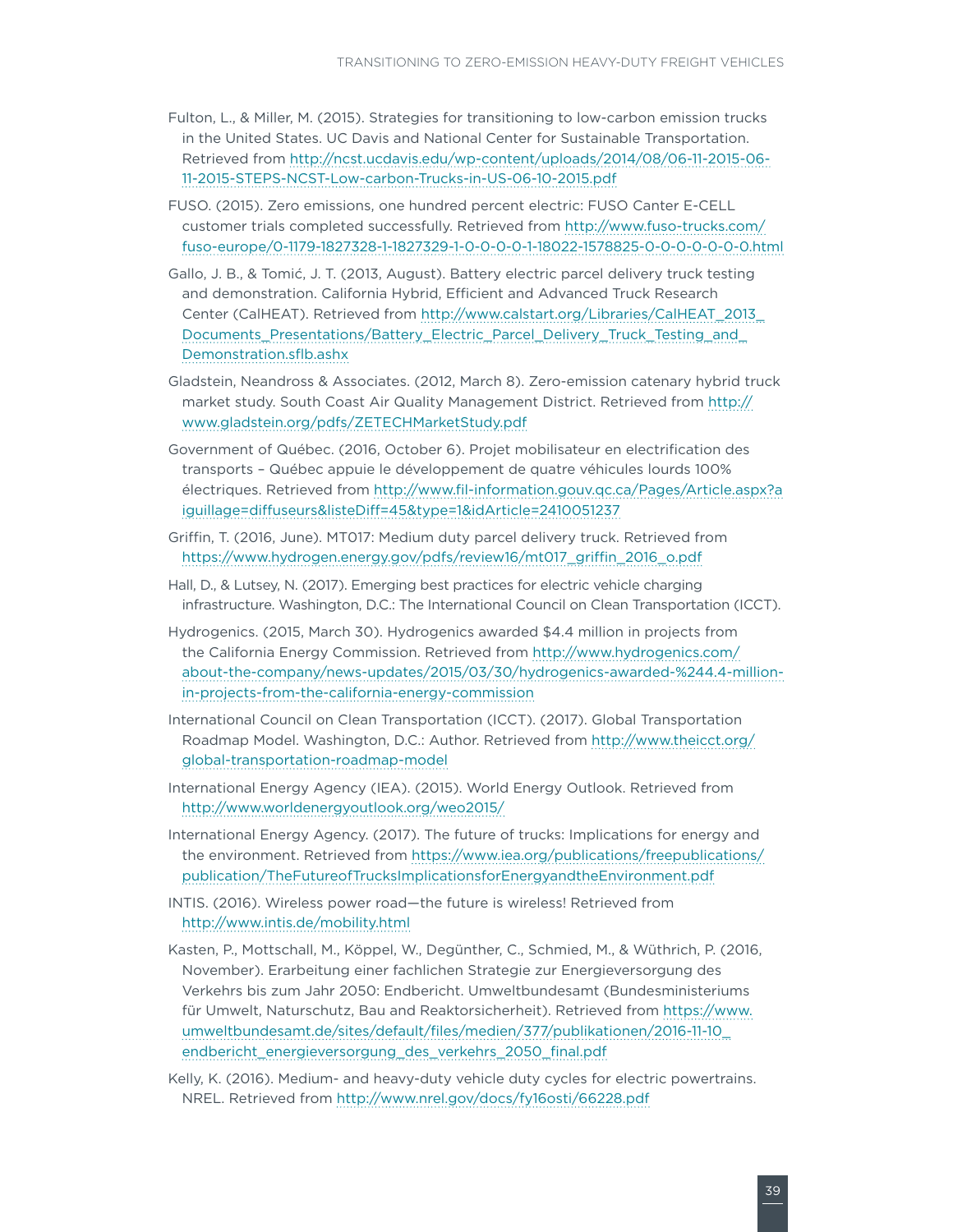- Fulton, L., & Miller, M. (2015). Strategies for transitioning to low-carbon emission trucks in the United States. UC Davis and National Center for Sustainable Transportation. Retrieved from [http://ncst.ucdavis.edu/wp-content/uploads/2014/08/06-11-2015-06-](http://ncst.ucdavis.edu/wp-content/uploads/2014/08/06-11-2015-06-11-2015-STEPS-NCST-Low-carbon-Trucks-in-US-06-10-2015.pdf) [11-2015-STEPS-NCST-Low-carbon-Trucks-in-US-06-10-2015.pdf](http://ncst.ucdavis.edu/wp-content/uploads/2014/08/06-11-2015-06-11-2015-STEPS-NCST-Low-carbon-Trucks-in-US-06-10-2015.pdf)
- FUSO. (2015). Zero emissions, one hundred percent electric: FUSO Canter E-CELL customer trials completed successfully. Retrieved from [http://www.fuso-trucks.com/](http://www.fuso-trucks.com/fuso-europe/0-1179-1827328-1-1827329-1-0-0-0-0-1-18022-1578825-0-0-0-0-0-0-0.html) [fuso-europe/0-1179-1827328-1-1827329-1-0-0-0-0-1-18022-1578825-0-0-0-0-0-0-0.html](http://www.fuso-trucks.com/fuso-europe/0-1179-1827328-1-1827329-1-0-0-0-0-1-18022-1578825-0-0-0-0-0-0-0.html)
- Gallo, J. B., & Tomić, J. T. (2013, August). Battery electric parcel delivery truck testing and demonstration. California Hybrid, Efficient and Advanced Truck Research Center (CalHEAT). Retrieved from [http://www.calstart.org/Libraries/CalHEAT\\_2013\\_](http://www.calstart.org/Libraries/CalHEAT_2013_Documents_Presentations/Battery_Electric_Parcel_Delivery_Truck_Testing_and_Demonstration.sflb.ashx) [Documents\\_Presentations/Battery\\_Electric\\_Parcel\\_Delivery\\_Truck\\_Testing\\_and\\_](http://www.calstart.org/Libraries/CalHEAT_2013_Documents_Presentations/Battery_Electric_Parcel_Delivery_Truck_Testing_and_Demonstration.sflb.ashx) [Demonstration.sflb.ashx](http://www.calstart.org/Libraries/CalHEAT_2013_Documents_Presentations/Battery_Electric_Parcel_Delivery_Truck_Testing_and_Demonstration.sflb.ashx)
- Gladstein, Neandross & Associates. (2012, March 8). Zero-emission catenary hybrid truck market study. South Coast Air Quality Management District. Retrieved from [http://](http://www.gladstein.org/pdfs/ZETECHMarketStudy.pdf) [www.gladstein.org/pdfs/ZETECHMarketStudy.pdf](http://www.gladstein.org/pdfs/ZETECHMarketStudy.pdf)
- Government of Québec. (2016, October 6). Projet mobilisateur en electrification des transports – Québec appuie le développement de quatre véhicules lourds 100% électriques. Retrieved from [http://www.fil-information.gouv.qc.ca/Pages/Article.aspx?a](http://www.fil-information.gouv.qc.ca/Pages/Article.aspx?aiguillage=diffuseurs&listeDiff=45&type=1&idArticle=2410051237) [iguillage=diffuseurs&listeDiff=45&type=1&idArticle=2410051237](http://www.fil-information.gouv.qc.ca/Pages/Article.aspx?aiguillage=diffuseurs&listeDiff=45&type=1&idArticle=2410051237)
- Griffin, T. (2016, June). MT017: Medium duty parcel delivery truck. Retrieved from [https://www.hydrogen.energy.gov/pdfs/review16/mt017\\_griffin\\_2016\\_o.pdf](https://www.hydrogen.energy.gov/pdfs/review16/mt017_griffin_2016_o.pdf)
- Hall, D., & Lutsey, N. (2017). Emerging best practices for electric vehicle charging infrastructure. Washington, D.C.: The International Council on Clean Transportation (ICCT).
- Hydrogenics. (2015, March 30). Hydrogenics awarded \$4.4 million in projects from the California Energy Commission. Retrieved from [http://www.hydrogenics.com/](http://www.hydrogenics.com/about-the-company/news-updates/2015/03/30/hydrogenics-awarded-%244.4-million-in-projects-from-the-california-energy-commission) [about-the-company/news-updates/2015/03/30/hydrogenics-awarded-%244.4-million](http://www.hydrogenics.com/about-the-company/news-updates/2015/03/30/hydrogenics-awarded-%244.4-million-in-projects-from-the-california-energy-commission)[in-projects-from-the-california-energy-commission](http://www.hydrogenics.com/about-the-company/news-updates/2015/03/30/hydrogenics-awarded-%244.4-million-in-projects-from-the-california-energy-commission)
- International Council on Clean Transportation (ICCT). (2017). Global Transportation Roadmap Model. Washington, D.C.: Author. Retrieved from [http://www.theicct.org/](http://www.theicct.org/global-transportation-roadmap-model) [global-transportation-roadmap-model](http://www.theicct.org/global-transportation-roadmap-model)
- International Energy Agency (IEA). (2015). World Energy Outlook. Retrieved from <http://www.worldenergyoutlook.org/weo2015/>
- International Energy Agency. (2017). The future of trucks: Implications for energy and the environment. Retrieved from [https://www.iea.org/publications/freepublications/](https://www.iea.org/publications/freepublications/publication/TheFutureofTrucksImplicationsforEnergyandtheEnvironment.pdf) [publication/TheFutureofTrucksImplicationsforEnergyandtheEnvironment.pdf](https://www.iea.org/publications/freepublications/publication/TheFutureofTrucksImplicationsforEnergyandtheEnvironment.pdf)
- INTIS. (2016). Wireless power road—the future is wireless! Retrieved from <http://www.intis.de/mobility.html>
- Kasten, P., Mottschall, M., Köppel, W., Degünther, C., Schmied, M., & Wüthrich, P. (2016, November). Erarbeitung einer fachlichen Strategie zur Energieversorgung des Verkehrs bis zum Jahr 2050: Endbericht. Umweltbundesamt (Bundesministeriums für Umwelt, Naturschutz, Bau and Reaktorsicherheit). Retrieved from [https://www.](https://www.umweltbundesamt.de/sites/default/files/medien/377/publikationen/2016-11-10_endbericht_energieversorgung_des_verkehrs_2050_final.pdf) [umweltbundesamt.de/sites/default/files/medien/377/publikationen/2016-11-10\\_](https://www.umweltbundesamt.de/sites/default/files/medien/377/publikationen/2016-11-10_endbericht_energieversorgung_des_verkehrs_2050_final.pdf) [endbericht\\_energieversorgung\\_des\\_verkehrs\\_2050\\_final.pdf](https://www.umweltbundesamt.de/sites/default/files/medien/377/publikationen/2016-11-10_endbericht_energieversorgung_des_verkehrs_2050_final.pdf)
- Kelly, K. (2016). Medium- and heavy-duty vehicle duty cycles for electric powertrains. NREL. Retrieved from<http://www.nrel.gov/docs/fy16osti/66228.pdf>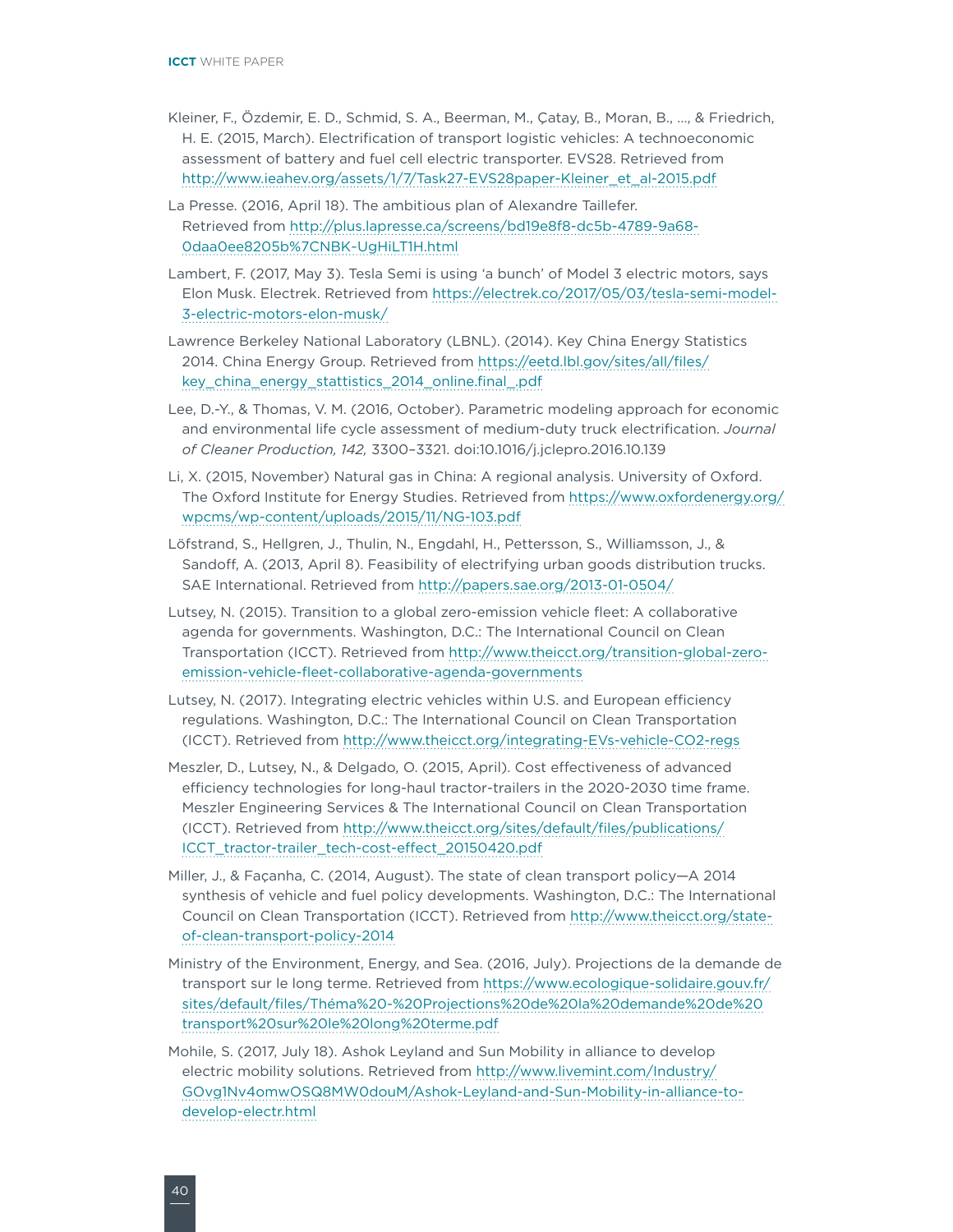- Kleiner, F., Özdemir, E. D., Schmid, S. A., Beerman, M., Çatay, B., Moran, B., …, & Friedrich, H. E. (2015, March). Electrification of transport logistic vehicles: A technoeconomic assessment of battery and fuel cell electric transporter. EVS28. Retrieved from [http://www.ieahev.org/assets/1/7/Task27-EVS28paper-Kleiner\\_et\\_al-2015.pdf](http://www.ieahev.org/assets/1/7/Task27-EVS28paper-Kleiner_et_al-2015.pdf)
- La Presse. (2016, April 18). The ambitious plan of Alexandre Taillefer. Retrieved from [http://plus.lapresse.ca/screens/bd19e8f8-dc5b-4789-9a68-](http://plus.lapresse.ca/screens/bd19e8f8-dc5b-4789-9a68-0daa0ee8205b%7CNBK~UgHiLT1H.html) [0daa0ee8205b%7CNBK~UgHiLT1H.html](http://plus.lapresse.ca/screens/bd19e8f8-dc5b-4789-9a68-0daa0ee8205b%7CNBK~UgHiLT1H.html)
- Lambert, F. (2017, May 3). Tesla Semi is using 'a bunch' of Model 3 electric motors, says Elon Musk. Electrek. Retrieved from [https://electrek.co/2017/05/03/tesla-semi-model-](https://electrek.co/2017/05/03/tesla-semi-model-3-electric-motors-elon-musk/)[3-electric-motors-elon-musk/](https://electrek.co/2017/05/03/tesla-semi-model-3-electric-motors-elon-musk/)
- Lawrence Berkeley National Laboratory (LBNL). (2014). Key China Energy Statistics 2014. China Energy Group. Retrieved from [https://eetd.lbl.gov/sites/all/files/](https://eetd.lbl.gov/sites/all/files/key_china_energy_stattistics_2014_online.final_.pdf) [key\\_china\\_energy\\_stattistics\\_2014\\_online.final\\_.pdf](https://eetd.lbl.gov/sites/all/files/key_china_energy_stattistics_2014_online.final_.pdf)
- Lee, D.-Y., & Thomas, V. M. (2016, October). Parametric modeling approach for economic and environmental life cycle assessment of medium-duty truck electrification. *Journal of Cleaner Production, 142,* 3300–3321. doi:10.1016/j.jclepro.2016.10.139
- Li, X. (2015, November) Natural gas in China: A regional analysis. University of Oxford. The Oxford Institute for Energy Studies. Retrieved from [https://www.oxfordenergy.org/](https://www.oxfordenergy.org/wpcms/wp-content/uploads/2015/11/NG-103.pdf) [wpcms/wp-content/uploads/2015/11/NG-103.pdf](https://www.oxfordenergy.org/wpcms/wp-content/uploads/2015/11/NG-103.pdf)
- Löfstrand, S., Hellgren, J., Thulin, N., Engdahl, H., Pettersson, S., Williamsson, J., & Sandoff, A. (2013, April 8). Feasibility of electrifying urban goods distribution trucks. SAE International. Retrieved from <http://papers.sae.org/2013-01-0504/>
- Lutsey, N. (2015). Transition to a global zero-emission vehicle fleet: A collaborative agenda for governments. Washington, D.C.: The International Council on Clean Transportation (ICCT). Retrieved from [http://www.theicct.org/transition-global-zero](http://www.theicct.org/transition-global-zero-emission-vehicle-fleet-collaborative-agenda-governments)[emission-vehicle-fleet-collaborative-agenda-governments](http://www.theicct.org/transition-global-zero-emission-vehicle-fleet-collaborative-agenda-governments)
- Lutsey, N. (2017). Integrating electric vehicles within U.S. and European efficiency regulations. Washington, D.C.: The International Council on Clean Transportation (ICCT). Retrieved from <http://www.theicct.org/integrating-EVs-vehicle-CO2-regs>
- Meszler, D., Lutsey, N., & Delgado, O. (2015, April). Cost effectiveness of advanced efficiency technologies for long-haul tractor-trailers in the 2020-2030 time frame. Meszler Engineering Services & The International Council on Clean Transportation (ICCT). Retrieved from [http://www.theicct.org/sites/default/files/publications/](http://www.theicct.org/sites/default/files/publications/ICCT_tractor-trailer_tech-cost-effect_20150420.pdf) [ICCT\\_tractor-trailer\\_tech-cost-effect\\_20150420.pdf](http://www.theicct.org/sites/default/files/publications/ICCT_tractor-trailer_tech-cost-effect_20150420.pdf)
- Miller, J., & Façanha, C. (2014, August). The state of clean transport policy—A 2014 synthesis of vehicle and fuel policy developments. Washington, D.C.: The International Council on Clean Transportation (ICCT). Retrieved from [http://www.theicct.org/state](http://www.theicct.org/state-of-clean-transport-policy-2014)[of-clean-transport-policy-2014](http://www.theicct.org/state-of-clean-transport-policy-2014)
- Ministry of the Environment, Energy, and Sea. (2016, July). Projections de la demande de transport sur le long terme. Retrieved from [https://www.ecologique-solidaire.gouv.fr/](https://www.ecologique-solidaire.gouv.fr/sites/default/files/Théma%20-%20Projections%20de%20la%20demande%20de%20transport%20sur%20le%20long%20terme.pdf) [sites/default/files/Théma%20-%20Projections%20de%20la%20demande%20de%20](https://www.ecologique-solidaire.gouv.fr/sites/default/files/Théma%20-%20Projections%20de%20la%20demande%20de%20transport%20sur%20le%20long%20terme.pdf) [transport%20sur%20le%20long%20terme.pdf](https://www.ecologique-solidaire.gouv.fr/sites/default/files/Théma%20-%20Projections%20de%20la%20demande%20de%20transport%20sur%20le%20long%20terme.pdf)
- Mohile, S. (2017, July 18). Ashok Leyland and Sun Mobility in alliance to develop electric mobility solutions. Retrieved from [http://www.livemint.com/Industry/](http://www.livemint.com/Industry/GOvg1Nv4omwOSQ8MW0douM/Ashok-Leyland-and-Sun-Mobility-in-alliance-to-develop-electr.html) [GOvg1Nv4omwOSQ8MW0douM/Ashok-Leyland-and-Sun-Mobility-in-alliance-to](http://www.livemint.com/Industry/GOvg1Nv4omwOSQ8MW0douM/Ashok-Leyland-and-Sun-Mobility-in-alliance-to-develop-electr.html)[develop-electr.html](http://www.livemint.com/Industry/GOvg1Nv4omwOSQ8MW0douM/Ashok-Leyland-and-Sun-Mobility-in-alliance-to-develop-electr.html)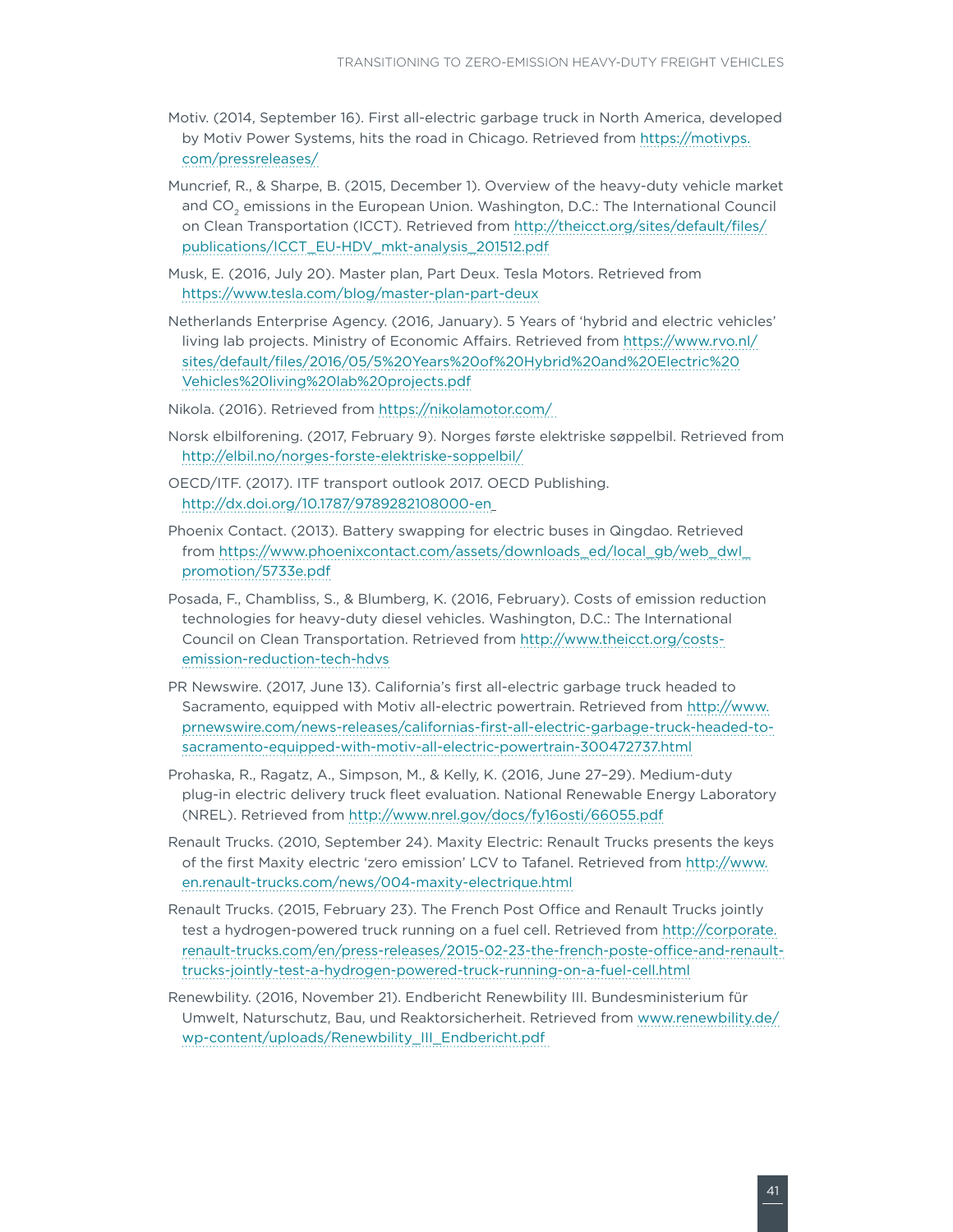- Motiv. (2014, September 16). First all-electric garbage truck in North America, developed by Motiv Power Systems, hits the road in Chicago. Retrieved from [https://motivps.](https://motivps.com/pressreleases/) [com/pressreleases/](https://motivps.com/pressreleases/)
- Muncrief, R., & Sharpe, B. (2015, December 1). Overview of the heavy-duty vehicle market and CO<sub>2</sub> emissions in the European Union. Washington, D.C.: The International Council on Clean Transportation (ICCT). Retrieved from [http://theicct.org/sites/default/files/](http://theicct.org/sites/default/files/publications/ICCT_EU-HDV_mkt-analysis_201512.pdf) [publications/ICCT\\_EU-HDV\\_mkt-analysis\\_201512.pdf](http://theicct.org/sites/default/files/publications/ICCT_EU-HDV_mkt-analysis_201512.pdf)
- Musk, E. (2016, July 20). Master plan, Part Deux. Tesla Motors. Retrieved from <https://www.tesla.com/blog/master-plan-part-deux>
- Netherlands Enterprise Agency. (2016, January). 5 Years of 'hybrid and electric vehicles' living lab projects. Ministry of Economic Affairs. Retrieved from [https://www.rvo.nl/](https://www.rvo.nl/sites/default/files/2016/05/5 Years of Hybrid and Electric Vehicles living lab projects.pdf) [sites/default/files/2016/05/5%20Years%20of%20Hybrid%20and%20Electric%20](https://www.rvo.nl/sites/default/files/2016/05/5 Years of Hybrid and Electric Vehicles living lab projects.pdf) [Vehicles%20living%20lab%20projects.pdf](https://www.rvo.nl/sites/default/files/2016/05/5 Years of Hybrid and Electric Vehicles living lab projects.pdf)
- Nikola. (2016). Retrieved from <https://nikolamotor.com/>
- Norsk elbilforening. (2017, February 9). Norges første elektriske søppelbil. Retrieved from <http://elbil.no/norges-forste-elektriske-soppelbil/>
- OECD/ITF. (2017). ITF transport outlook 2017. OECD Publishing. <http://dx.doi.org/10.1787/9789282108000-en>
- Phoenix Contact. (2013). Battery swapping for electric buses in Qingdao. Retrieved from [https://www.phoenixcontact.com/assets/downloads\\_ed/local\\_gb/web\\_dwl\\_](https://www.phoenixcontact.com/assets/downloads_ed/local_gb/web_dwl_promotion/5733e.pdf) [promotion/5733e.pdf](https://www.phoenixcontact.com/assets/downloads_ed/local_gb/web_dwl_promotion/5733e.pdf)
- Posada, F., Chambliss, S., & Blumberg, K. (2016, February). Costs of emission reduction technologies for heavy-duty diesel vehicles. Washington, D.C.: The International Council on Clean Transportation. Retrieved from [http://www.theicct.org/costs](http://www.theicct.org/costs-emission-reduction-tech-hdvs)[emission-reduction-tech-hdvs](http://www.theicct.org/costs-emission-reduction-tech-hdvs)
- PR Newswire. (2017, June 13). California's first all-electric garbage truck headed to Sacramento, equipped with Motiv all-electric powertrain. Retrieved from [http://www.](http://www.prnewswire.com/news-releases/californias-first-all-electric-garbage-truck-headed-to-sacramento-equipped-with-motiv-all-electric-powertrain-300472737.html) [prnewswire.com/news-releases/californias-first-all-electric-garbage-truck-headed-to](http://www.prnewswire.com/news-releases/californias-first-all-electric-garbage-truck-headed-to-sacramento-equipped-with-motiv-all-electric-powertrain-300472737.html)[sacramento-equipped-with-motiv-all-electric-powertrain-300472737.html](http://www.prnewswire.com/news-releases/californias-first-all-electric-garbage-truck-headed-to-sacramento-equipped-with-motiv-all-electric-powertrain-300472737.html)
- Prohaska, R., Ragatz, A., Simpson, M., & Kelly, K. (2016, June 27–29). Medium-duty plug-in electric delivery truck fleet evaluation. National Renewable Energy Laboratory (NREL). Retrieved from<http://www.nrel.gov/docs/fy16osti/66055.pdf>
- Renault Trucks. (2010, September 24). Maxity Electric: Renault Trucks presents the keys of the first Maxity electric 'zero emission' LCV to Tafanel. Retrieved from [http://www.](http://www.en.renault-trucks.com/news/004-maxity-electrique.html) [en.renault-trucks.com/news/004-maxity-electrique.html](http://www.en.renault-trucks.com/news/004-maxity-electrique.html)
- Renault Trucks. (2015, February 23). The French Post Office and Renault Trucks jointly test a hydrogen-powered truck running on a fuel cell. Retrieved from [http://corporate.](http://corporate.renault-trucks.com/en/press-releases/2015-02-23-the-french-poste-office-and-renault-trucks-jointly-test-a-hydrogen-powered-truck-running-on-a-fuel-cell.html) [renault-trucks.com/en/press-releases/2015-02-23-the-french-poste-office-and-renault](http://corporate.renault-trucks.com/en/press-releases/2015-02-23-the-french-poste-office-and-renault-trucks-jointly-test-a-hydrogen-powered-truck-running-on-a-fuel-cell.html)[trucks-jointly-test-a-hydrogen-powered-truck-running-on-a-fuel-cell.html](http://corporate.renault-trucks.com/en/press-releases/2015-02-23-the-french-poste-office-and-renault-trucks-jointly-test-a-hydrogen-powered-truck-running-on-a-fuel-cell.html)
- Renewbility. (2016, November 21). Endbericht Renewbility III. Bundesministerium für Umwelt, Naturschutz, Bau, und Reaktorsicherheit. Retrieved from [www.renewbility.de/](http://www.renewbility.de/wp-content/uploads/Renewbility_III_Endbericht.pdf) wp-content/uploads/Renewbility III Endbericht.pdf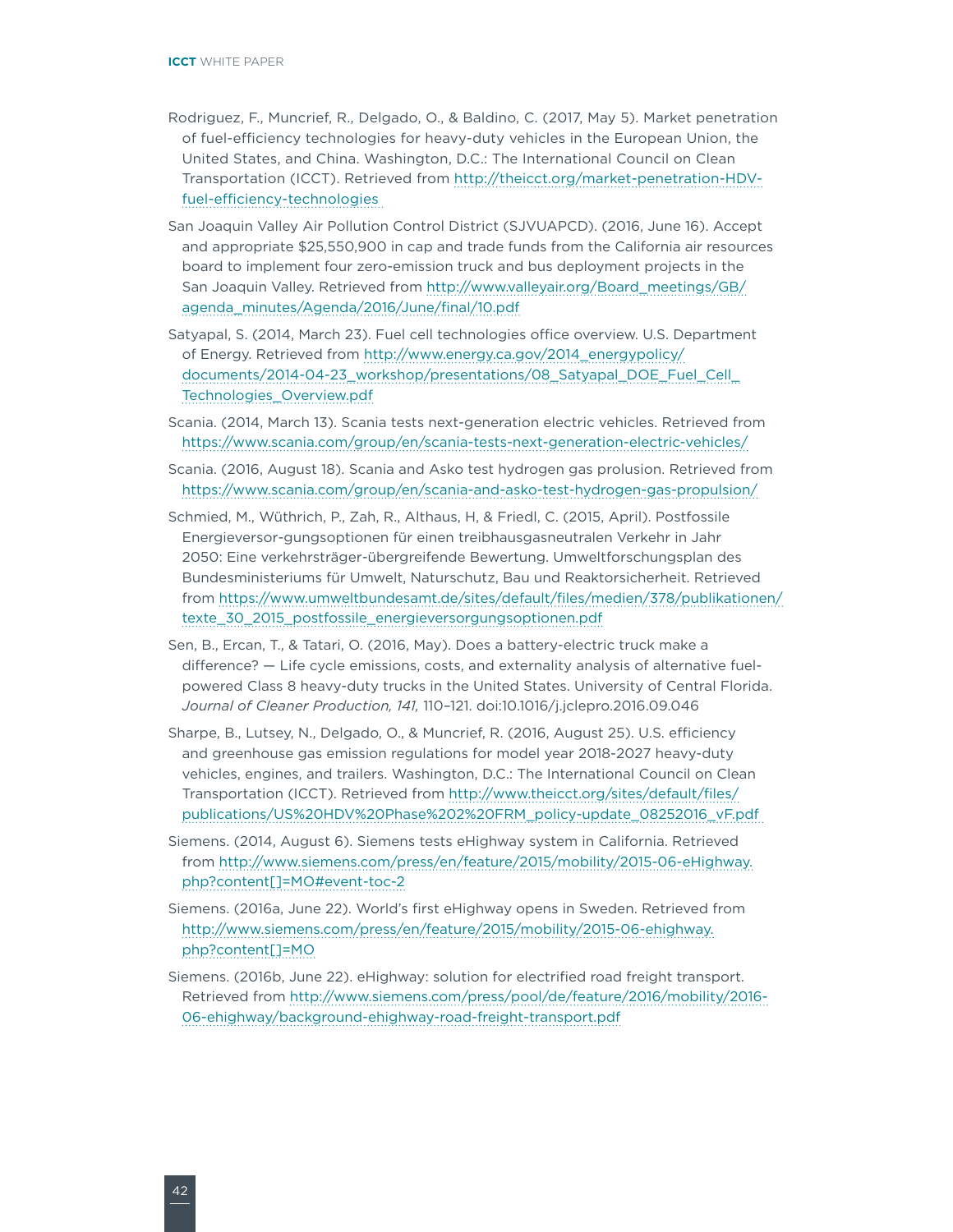- Rodriguez, F., Muncrief, R., Delgado, O., & Baldino, C. (2017, May 5). Market penetration of fuel-efficiency technologies for heavy-duty vehicles in the European Union, the United States, and China. Washington, D.C.: The International Council on Clean Transportation (ICCT). Retrieved from [http://theicct.org/market-penetration-HDV](http://theicct.org/market-penetration-HDV-fuel-efficiency-technologies)[fuel-efficiency-technologies](http://theicct.org/market-penetration-HDV-fuel-efficiency-technologies)
- San Joaquin Valley Air Pollution Control District (SJVUAPCD). (2016, June 16). Accept and appropriate \$25,550,900 in cap and trade funds from the California air resources board to implement four zero-emission truck and bus deployment projects in the San Joaquin Valley. Retrieved from [http://www.valleyair.org/Board\\_meetings/GB/](http://www.valleyair.org/Board_meetings/GB/agenda_minutes/Agenda/2016/June/final/10.pdf) [agenda\\_minutes/Agenda/2016/June/final/10.pdf](http://www.valleyair.org/Board_meetings/GB/agenda_minutes/Agenda/2016/June/final/10.pdf)
- Satyapal, S. (2014, March 23). Fuel cell technologies office overview. U.S. Department of Energy. Retrieved from [http://www.energy.ca.gov/2014\\_energypolicy/](http://www.energy.ca.gov/2014_energypolicy/documents/2014-04-23_workshop/presentations/08_Satyapal_DOE_Fuel_Cell_Technologies_Overview.pdf) [documents/2014-04-23\\_workshop/presentations/08\\_Satyapal\\_DOE\\_Fuel\\_Cell\\_](http://www.energy.ca.gov/2014_energypolicy/documents/2014-04-23_workshop/presentations/08_Satyapal_DOE_Fuel_Cell_Technologies_Overview.pdf) [Technologies\\_Overview.pdf](http://www.energy.ca.gov/2014_energypolicy/documents/2014-04-23_workshop/presentations/08_Satyapal_DOE_Fuel_Cell_Technologies_Overview.pdf)
- Scania. (2014, March 13). Scania tests next-generation electric vehicles. Retrieved from <https://www.scania.com/group/en/scania-tests-next-generation-electric-vehicles/>
- Scania. (2016, August 18). Scania and Asko test hydrogen gas prolusion. Retrieved from <https://www.scania.com/group/en/scania-and-asko-test-hydrogen-gas-propulsion/>
- Schmied, M., Wüthrich, P., Zah, R., Althaus, H, & Friedl, C. (2015, April). Postfossile Energieversor-gungsoptionen für einen treibhausgasneutralen Verkehr in Jahr 2050: Eine verkehrsträger-übergreifende Bewertung. Umweltforschungsplan des Bundesministeriums für Umwelt, Naturschutz, Bau und Reaktorsicherheit. Retrieved from [https://www.umweltbundesamt.de/sites/default/files/medien/378/publikationen/](https://www.umweltbundesamt.de/sites/default/files/medien/378/publikationen/texte_30_2015_postfossile_energieversorgungsoptionen.pdf) [texte\\_30\\_2015\\_postfossile\\_energieversorgungsoptionen.pdf](https://www.umweltbundesamt.de/sites/default/files/medien/378/publikationen/texte_30_2015_postfossile_energieversorgungsoptionen.pdf)
- Sen, B., Ercan, T., & Tatari, O. (2016, May). Does a battery-electric truck make a difference? — Life cycle emissions, costs, and externality analysis of alternative fuelpowered Class 8 heavy-duty trucks in the United States. University of Central Florida. *Journal of Cleaner Production, 141,* 110–121. doi:10.1016/j.jclepro.2016.09.046
- Sharpe, B., Lutsey, N., Delgado, O., & Muncrief, R. (2016, August 25). U.S. efficiency and greenhouse gas emission regulations for model year 2018-2027 heavy-duty vehicles, engines, and trailers. Washington, D.C.: The International Council on Clean Transportation (ICCT). Retrieved from [http://www.theicct.org/sites/default/files/](http://www.theicct.org/sites/default/files/publications/US HDV Phase 2 FRM_policy-update_08252016_vF.pdf) [publications/US%20HDV%20Phase%202%20FRM\\_policy-update\\_08252016\\_vF.pdf](http://www.theicct.org/sites/default/files/publications/US HDV Phase 2 FRM_policy-update_08252016_vF.pdf)
- Siemens. (2014, August 6). Siemens tests eHighway system in California. Retrieved from [http://www.siemens.com/press/en/feature/2015/mobility/2015-06-eHighway.](http://www.siemens.com/press/en/feature/2015/mobility/2015-06-eHighway.php?content%5b%5d=MO#event-toc-2) [php?content\[\]=MO#event-toc-2](http://www.siemens.com/press/en/feature/2015/mobility/2015-06-eHighway.php?content%5b%5d=MO#event-toc-2)
- Siemens. (2016a, June 22). World's first eHighway opens in Sweden. Retrieved from [http://www.siemens.com/press/en/feature/2015/mobility/2015-06-ehighway.](http://www.siemens.com/press/en/feature/2015/mobility/2015-06-ehighway.php?content%5b%5d=MO) [php?content\[\]=MO](http://www.siemens.com/press/en/feature/2015/mobility/2015-06-ehighway.php?content%5b%5d=MO)
- Siemens. (2016b, June 22). eHighway: solution for electrified road freight transport. Retrieved from [http://www.siemens.com/press/pool/de/feature/2016/mobility/2016-](http://www.siemens.com/press/pool/de/feature/2016/mobility/2016-06-ehighway/background-ehighway-road-freight-transport.pdf) [06-ehighway/background-ehighway-road-freight-transport.pdf](http://www.siemens.com/press/pool/de/feature/2016/mobility/2016-06-ehighway/background-ehighway-road-freight-transport.pdf)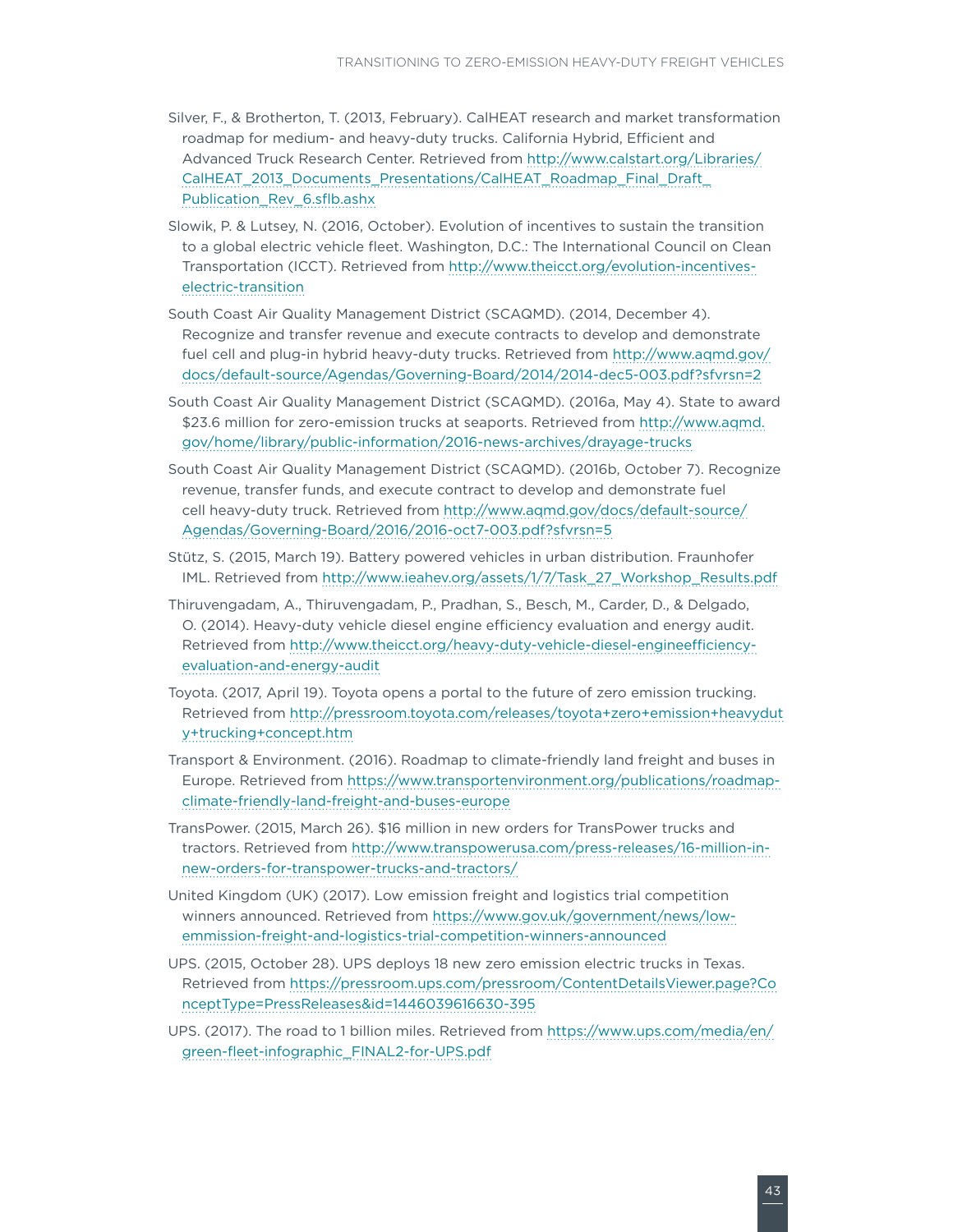- Silver, F., & Brotherton, T. (2013, February). CalHEAT research and market transformation roadmap for medium- and heavy-duty trucks. California Hybrid, Efficient and Advanced Truck Research Center. Retrieved from [http://www.calstart.org/Libraries/](http://www.calstart.org/Libraries/CalHEAT_2013_Documents_Presentations/CalHEAT_Roadmap_Final_Draft_Publication_Rev_6.sflb.ashx) [CalHEAT\\_2013\\_Documents\\_Presentations/CalHEAT\\_Roadmap\\_Final\\_Draft\\_](http://www.calstart.org/Libraries/CalHEAT_2013_Documents_Presentations/CalHEAT_Roadmap_Final_Draft_Publication_Rev_6.sflb.ashx) [Publication\\_Rev\\_6.sflb.ashx](http://www.calstart.org/Libraries/CalHEAT_2013_Documents_Presentations/CalHEAT_Roadmap_Final_Draft_Publication_Rev_6.sflb.ashx)
- Slowik, P. & Lutsey, N. (2016, October). Evolution of incentives to sustain the transition to a global electric vehicle fleet. Washington, D.C.: The International Council on Clean Transportation (ICCT). Retrieved from [http://www.theicct.org/evolution-incentives](http://www.theicct.org/evolution-incentives-electric-transition)[electric-transition](http://www.theicct.org/evolution-incentives-electric-transition)
- South Coast Air Quality Management District (SCAQMD). (2014, December 4). Recognize and transfer revenue and execute contracts to develop and demonstrate fuel cell and plug-in hybrid heavy-duty trucks. Retrieved from [http://www.aqmd.gov/](http://www.aqmd.gov/docs/default-source/Agendas/Governing-Board/2014/2014-dec5-003.pdf?sfvrsn=2) [docs/default-source/Agendas/Governing-Board/2014/2014-dec5-003.pdf?sfvrsn=2](http://www.aqmd.gov/docs/default-source/Agendas/Governing-Board/2014/2014-dec5-003.pdf?sfvrsn=2)
- South Coast Air Quality Management District (SCAQMD). (2016a, May 4). State to award \$23.6 million for zero-emission trucks at seaports. Retrieved from [http://www.aqmd.](http://www.aqmd.gov/home/library/public-information/2016-news-archives/drayage-trucks) [gov/home/library/public-information/2016-news-archives/drayage-trucks](http://www.aqmd.gov/home/library/public-information/2016-news-archives/drayage-trucks)
- South Coast Air Quality Management District (SCAQMD). (2016b, October 7). Recognize revenue, transfer funds, and execute contract to develop and demonstrate fuel cell heavy-duty truck. Retrieved from [http://www.aqmd.gov/docs/default-source/](http://www.aqmd.gov/docs/default-source/Agendas/Governing-Board/2016/2016-oct7-003.pdf?sfvrsn=5) [Agendas/Governing-Board/2016/2016-oct7-003.pdf?sfvrsn=5](http://www.aqmd.gov/docs/default-source/Agendas/Governing-Board/2016/2016-oct7-003.pdf?sfvrsn=5)
- Stütz, S. (2015, March 19). Battery powered vehicles in urban distribution. Fraunhofer IML. Retrieved from [http://www.ieahev.org/assets/1/7/Task\\_27\\_Workshop\\_Results.pdf](http://www.ieahev.org/assets/1/7/Task_27_Workshop_Results.pdf)
- Thiruvengadam, A., Thiruvengadam, P., Pradhan, S., Besch, M., Carder, D., & Delgado, O. (2014). Heavy-duty vehicle diesel engine efficiency evaluation and energy audit. Retrieved from [http://www.theicct.org/heavy-duty-vehicle-diesel-engineefficiency](http://www.theicct.org/heavy-duty-vehicle-diesel-engineefficiency-evaluation-and-energy-audit)[evaluation-and-energy-audit](http://www.theicct.org/heavy-duty-vehicle-diesel-engineefficiency-evaluation-and-energy-audit)
- Toyota. (2017, April 19). Toyota opens a portal to the future of zero emission trucking. Retrieved from [http://pressroom.toyota.com/releases/toyota+zero+emission+heavydut](http://pressroom.toyota.com/releases/toyota+zero+emission+heavyduty+trucking+concept.htm) [y+trucking+concept.htm](http://pressroom.toyota.com/releases/toyota+zero+emission+heavyduty+trucking+concept.htm)
- Transport & Environment. (2016). Roadmap to climate-friendly land freight and buses in Europe. Retrieved from [https://www.transportenvironment.org/publications/roadmap](https://www.transportenvironment.org/publications/roadmap-climate-friendly-land-freight-and-buses-europe)[climate-friendly-land-freight-and-buses-europe](https://www.transportenvironment.org/publications/roadmap-climate-friendly-land-freight-and-buses-europe)
- TransPower. (2015, March 26). \$16 million in new orders for TransPower trucks and tractors. Retrieved from [http://www.transpowerusa.com/press-releases/16-million-in](http://www.transpowerusa.com/press-releases/16-million-in-new-orders-for-transpower-trucks-and-tractors/)[new-orders-for-transpower-trucks-and-tractors/](http://www.transpowerusa.com/press-releases/16-million-in-new-orders-for-transpower-trucks-and-tractors/)
- United Kingdom (UK) (2017). Low emission freight and logistics trial competition winners announced. Retrieved from [https://www.gov.uk/government/news/low](https://www.gov.uk/government/news/low-emmission-freight-and-logistics-trial-competition-winners-announced)[emmission-freight-and-logistics-trial-competition-winners-announced](https://www.gov.uk/government/news/low-emmission-freight-and-logistics-trial-competition-winners-announced)
- UPS. (2015, October 28). UPS deploys 18 new zero emission electric trucks in Texas. Retrieved from [https://pressroom.ups.com/pressroom/ContentDetailsViewer.page?Co](https://pressroom.ups.com/pressroom/ContentDetailsViewer.page?ConceptType=PressReleases&id=1446039616630-395) [nceptType=PressReleases&id=1446039616630-395](https://pressroom.ups.com/pressroom/ContentDetailsViewer.page?ConceptType=PressReleases&id=1446039616630-395)
- UPS. (2017). The road to 1 billion miles. Retrieved from [https://www.ups.com/media/en/](https://www.ups.com/media/en/green-fleet-infographic_FINAL2-for-UPS.pdf) [green-fleet-infographic\\_FINAL2-for-UPS.pdf](https://www.ups.com/media/en/green-fleet-infographic_FINAL2-for-UPS.pdf)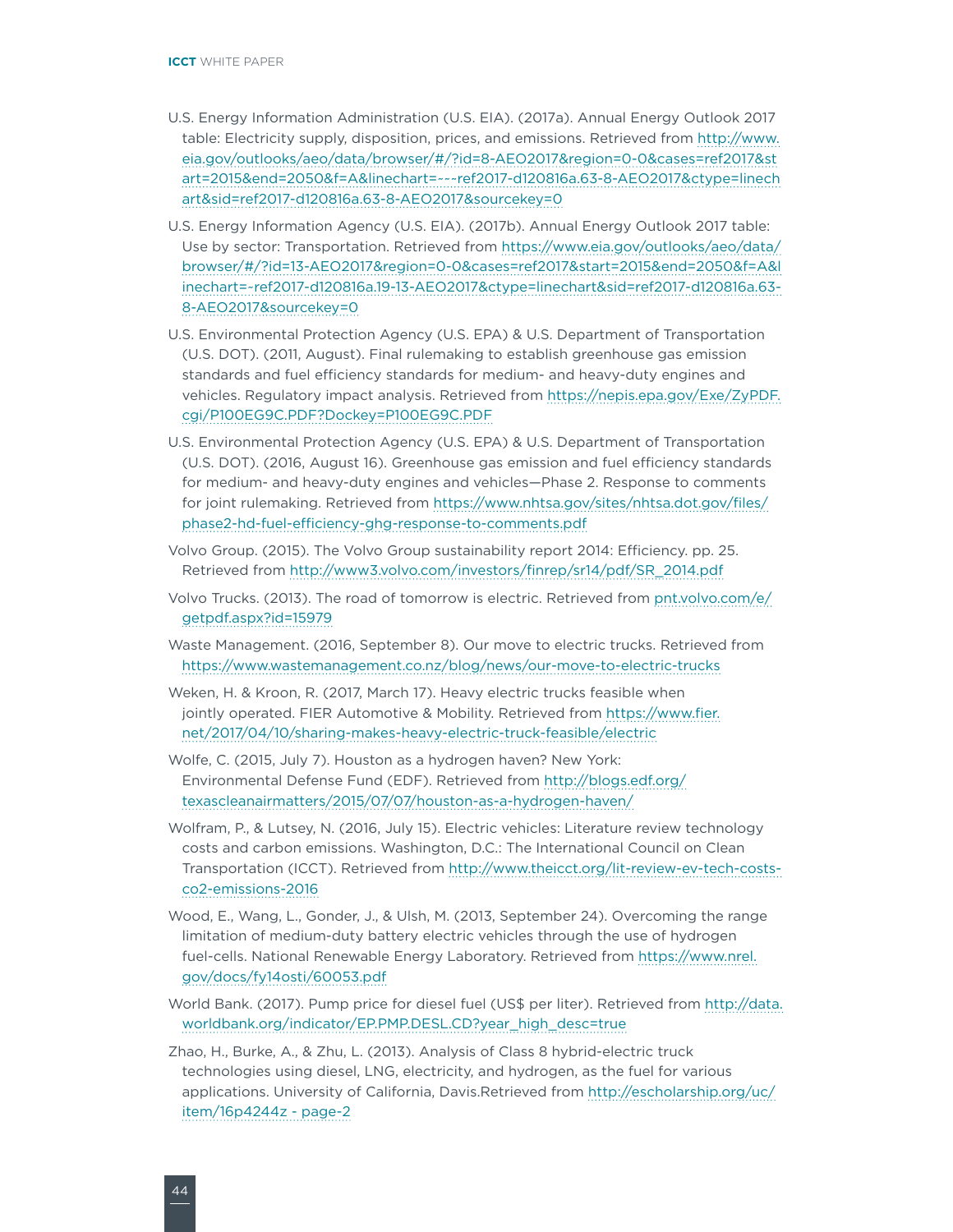- U.S. Energy Information Administration (U.S. EIA). (2017a). Annual Energy Outlook 2017 table: Electricity supply, disposition, prices, and emissions. Retrieved from [http://www.](http://www.eia.gov/outlooks/aeo/data/browser/#/?id=8-AEO2017®ion=0-0&cases=ref2017&start=2015&end=2050&f=A&linechart=~~~ref2017-d120816a.63-8-AEO2017&ctype=linechart&sid=ref2017-d120816a.63-8-AEO2017&sourcekey=0) [eia.gov/outlooks/aeo/data/browser/#/?id=8-AEO2017&region=0-0&cases=ref2017&st](http://www.eia.gov/outlooks/aeo/data/browser/#/?id=8-AEO2017®ion=0-0&cases=ref2017&start=2015&end=2050&f=A&linechart=~~~ref2017-d120816a.63-8-AEO2017&ctype=linechart&sid=ref2017-d120816a.63-8-AEO2017&sourcekey=0) [art=2015&end=2050&f=A&linechart=~~~ref2017-d120816a.63-8-AEO2017&ctype=linech](http://www.eia.gov/outlooks/aeo/data/browser/#/?id=8-AEO2017®ion=0-0&cases=ref2017&start=2015&end=2050&f=A&linechart=~~~ref2017-d120816a.63-8-AEO2017&ctype=linechart&sid=ref2017-d120816a.63-8-AEO2017&sourcekey=0) [art&sid=ref2017-d120816a.63-8-AEO2017&sourcekey=0](http://www.eia.gov/outlooks/aeo/data/browser/#/?id=8-AEO2017®ion=0-0&cases=ref2017&start=2015&end=2050&f=A&linechart=~~~ref2017-d120816a.63-8-AEO2017&ctype=linechart&sid=ref2017-d120816a.63-8-AEO2017&sourcekey=0)
- U.S. Energy Information Agency (U.S. EIA). (2017b). Annual Energy Outlook 2017 table: Use by sector: Transportation. Retrieved from [https://www.eia.gov/outlooks/aeo/data/](https://www.eia.gov/outlooks/aeo/data/browser/#/?id=13-AEO2017®ion=0-0&cases=ref2017&start=2015&end=2050&f=A&linechart=~ref2017-d120816a.19-13-AEO2017&ctype=linechart&sid=ref2017-d120816a.63-8-AEO2017&sourcekey=0) [browser/#/?id=13-AEO2017&region=0-0&cases=ref2017&start=2015&end=2050&f=A&l](https://www.eia.gov/outlooks/aeo/data/browser/#/?id=13-AEO2017®ion=0-0&cases=ref2017&start=2015&end=2050&f=A&linechart=~ref2017-d120816a.19-13-AEO2017&ctype=linechart&sid=ref2017-d120816a.63-8-AEO2017&sourcekey=0) [inechart=~ref2017-d120816a.19-13-AEO2017&ctype=linechart&sid=ref2017-d120816a.63-](https://www.eia.gov/outlooks/aeo/data/browser/#/?id=13-AEO2017®ion=0-0&cases=ref2017&start=2015&end=2050&f=A&linechart=~ref2017-d120816a.19-13-AEO2017&ctype=linechart&sid=ref2017-d120816a.63-8-AEO2017&sourcekey=0) [8-AEO2017&sourcekey=0](https://www.eia.gov/outlooks/aeo/data/browser/#/?id=13-AEO2017®ion=0-0&cases=ref2017&start=2015&end=2050&f=A&linechart=~ref2017-d120816a.19-13-AEO2017&ctype=linechart&sid=ref2017-d120816a.63-8-AEO2017&sourcekey=0)
- U.S. Environmental Protection Agency (U.S. EPA) & U.S. Department of Transportation (U.S. DOT). (2011, August). Final rulemaking to establish greenhouse gas emission standards and fuel efficiency standards for medium- and heavy-duty engines and vehicles. Regulatory impact analysis. Retrieved from [https://nepis.epa.gov/Exe/ZyPDF.](https://nepis.epa.gov/Exe/ZyPDF.cgi/P100EG9C.PDF?Dockey=P100EG9C.PDF) [cgi/P100EG9C.PDF?Dockey=P100EG9C.PDF](https://nepis.epa.gov/Exe/ZyPDF.cgi/P100EG9C.PDF?Dockey=P100EG9C.PDF)
- U.S. Environmental Protection Agency (U.S. EPA) & U.S. Department of Transportation (U.S. DOT). (2016, August 16). Greenhouse gas emission and fuel efficiency standards for medium- and heavy-duty engines and vehicles—Phase 2. Response to comments for joint rulemaking. Retrieved from [https://www.nhtsa.gov/sites/nhtsa.dot.gov/files/](https://www.nhtsa.gov/sites/nhtsa.dot.gov/files/phase2-hd-fuel-efficiency-ghg-response-to-comments.pdf) [phase2-hd-fuel-efficiency-ghg-response-to-comments.pdf](https://www.nhtsa.gov/sites/nhtsa.dot.gov/files/phase2-hd-fuel-efficiency-ghg-response-to-comments.pdf)
- Volvo Group. (2015). The Volvo Group sustainability report 2014: Efficiency. pp. 25. Retrieved from [http://www3.volvo.com/investors/finrep/sr14/pdf/SR\\_2014.pdf](http://www3.volvo.com/investors/finrep/sr14/pdf/SR_2014.pdf)
- Volvo Trucks. (2013). The road of tomorrow is electric. Retrieved from [pnt.volvo.com/e/](file:///Users/Valerie/Sheckler%20Design/Clients/(41)%20ICCT/projects/P41-319-17%20Transitioning%20ZE%20HDV%20White%20Paper/pnt.volvo.com/e/getpdf.aspx?id=15979) [getpdf.aspx?id=15979](file:///Users/Valerie/Sheckler%20Design/Clients/(41)%20ICCT/projects/P41-319-17%20Transitioning%20ZE%20HDV%20White%20Paper/pnt.volvo.com/e/getpdf.aspx?id=15979)
- Waste Management. (2016, September 8). Our move to electric trucks. Retrieved from <https://www.wastemanagement.co.nz/blog/news/our-move-to-electric-trucks>
- Weken, H. & Kroon, R. (2017, March 17). Heavy electric trucks feasible when jointly operated. FIER Automotive & Mobility. Retrieved from [https://www.fier.](https://www.fier.net/2017/04/10/sharing-makes-heavy-electric-truck-feasible/electric) [net/2017/04/10/sharing-makes-heavy-electric-truck-feasible/electric](https://www.fier.net/2017/04/10/sharing-makes-heavy-electric-truck-feasible/electric)
- Wolfe, C. (2015, July 7). Houston as a hydrogen haven? New York: Environmental Defense Fund (EDF). Retrieved from [http://blogs.edf.org/](http://blogs.edf.org/texascleanairmatters/2015/07/07/houston-as-a-hydrogen-haven/) [texascleanairmatters/2015/07/07/houston-as-a-hydrogen-haven/](http://blogs.edf.org/texascleanairmatters/2015/07/07/houston-as-a-hydrogen-haven/)
- Wolfram, P., & Lutsey, N. (2016, July 15). Electric vehicles: Literature review technology costs and carbon emissions. Washington, D.C.: The International Council on Clean Transportation (ICCT). Retrieved from [http://www.theicct.org/lit-review-ev-tech-costs](http://www.theicct.org/lit-review-ev-tech-costs-co2-emissions-2016)[co2-emissions-2016](http://www.theicct.org/lit-review-ev-tech-costs-co2-emissions-2016)
- Wood, E., Wang, L., Gonder, J., & Ulsh, M. (2013, September 24). Overcoming the range limitation of medium-duty battery electric vehicles through the use of hydrogen fuel-cells. National Renewable Energy Laboratory. Retrieved from [https://www.nrel.](https://www.nrel.gov/docs/fy14osti/60053.pdf) [gov/docs/fy14osti/60053.pdf](https://www.nrel.gov/docs/fy14osti/60053.pdf)
- World Bank. (2017). Pump price for diesel fuel (US\$ per liter). Retrieved from [http://data.](http://data.worldbank.org/indicator/EP.PMP.DESL.CD?year_high_desc=true) [worldbank.org/indicator/EP.PMP.DESL.CD?year\\_high\\_desc=true](http://data.worldbank.org/indicator/EP.PMP.DESL.CD?year_high_desc=true)
- Zhao, H., Burke, A., & Zhu, L. (2013). Analysis of Class 8 hybrid-electric truck technologies using diesel, LNG, electricity, and hydrogen, as the fuel for various applications. University of California, Davis.Retrieved from [http://escholarship.org/uc/](http://escholarship.org/uc/item/16p4244z#page-2) [item/16p4244z - page-2](http://escholarship.org/uc/item/16p4244z#page-2)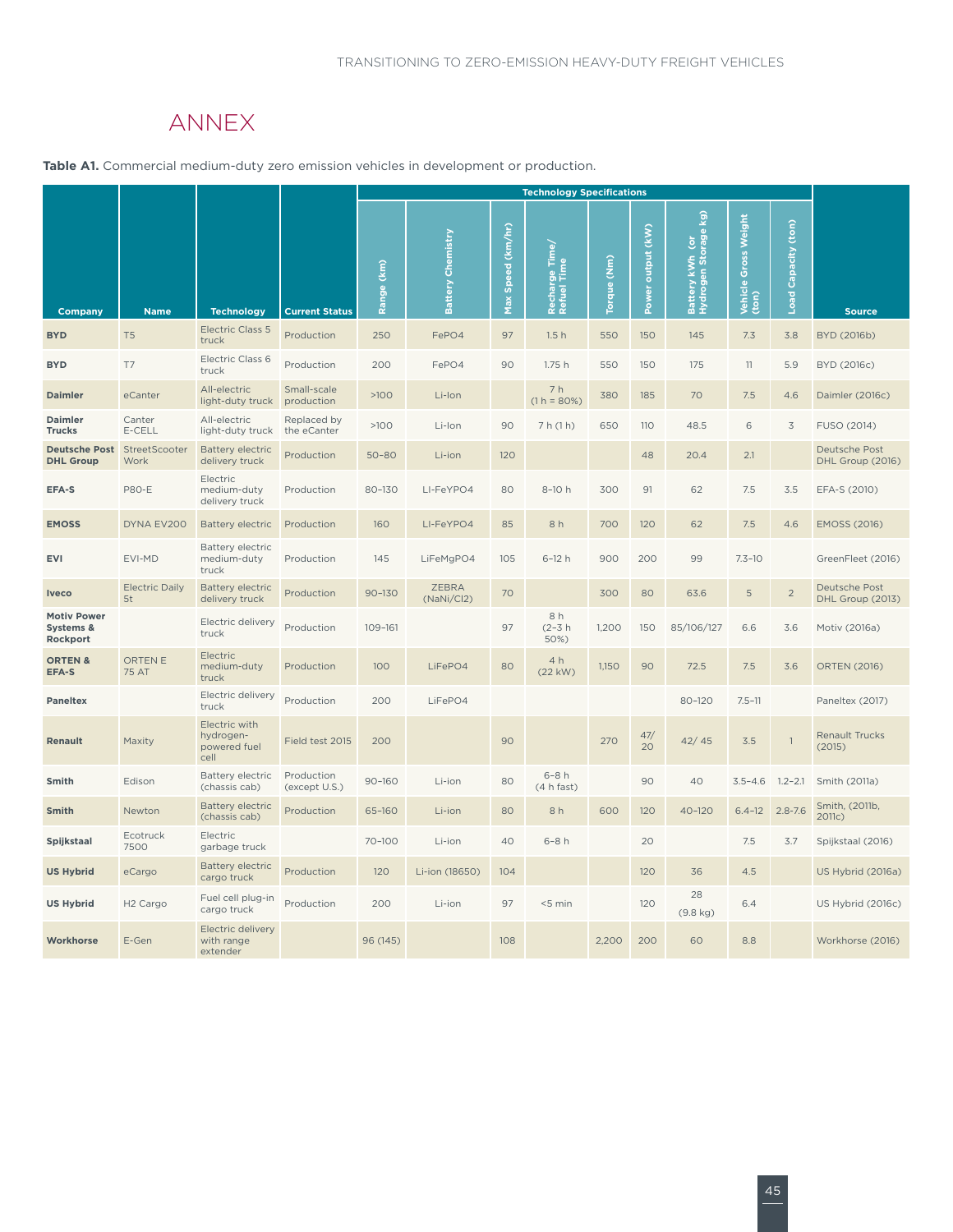## ANNEX

<span id="page-50-0"></span>**Table A1.** Commercial medium-duty zero emission vehicles in development or production.

|                                             |                             |                                                    |                             |               |                            |                      | <b>Technology Specifications</b>          |                            |                      |                                                                  |                                     |                                |                                   |
|---------------------------------------------|-----------------------------|----------------------------------------------------|-----------------------------|---------------|----------------------------|----------------------|-------------------------------------------|----------------------------|----------------------|------------------------------------------------------------------|-------------------------------------|--------------------------------|-----------------------------------|
| Company                                     | <b>Name</b>                 | <b>Technology</b>                                  | <b>Current Status</b>       | (km)<br>Range | Chemistry<br>Battery       | Speed (km/hr)<br>Max | rge Time/<br> Time<br>Rechar <sub>t</sub> | $\sum_{i=1}^{n}$<br>Torque | output (kW)<br>Power | $\mathbf{\hat{g}}$<br>Battery kWh (or<br>Hydrogen Storage<br>kWh | Weight<br>Gross<br>Vehicle<br>(ton) | $^{(ton)}$<br>Capacity<br>Load | <b>Source</b>                     |
| <b>BYD</b>                                  | T <sub>5</sub>              | <b>Electric Class 5</b><br>truck                   | Production                  | 250           | FePO4                      | 97                   | 1.5h                                      | 550                        | 150                  | 145                                                              | 7.3                                 | 3.8                            | BYD (2016b)                       |
| <b>BYD</b>                                  | T7                          | Electric Class 6<br>truck                          | Production                  | 200           | FePO4                      | 90                   | 1.75h                                     | 550                        | 150                  | 175                                                              | 11                                  | 5.9                            | BYD (2016c)                       |
| <b>Daimler</b>                              | eCanter                     | All-electric<br>light-duty truck                   | Small-scale<br>production   | $>100$        | Li-Ion                     |                      | 7 h<br>$(1 h = 80%)$                      | 380                        | 185                  | 70                                                               | 7.5                                 | 4.6                            | Daimler (2016c)                   |
| <b>Daimler</b><br><b>Trucks</b>             | Canter<br>E-CELL            | All-electric<br>light-duty truck                   | Replaced by<br>the eCanter  | $>100$        | Li-Ion                     | 90                   | 7 h (1 h)                                 | 650                        | <b>110</b>           | 48.5                                                             | 6                                   | 3                              | FUSO (2014)                       |
| <b>Deutsche Post</b><br><b>DHL Group</b>    | StreetScooter<br>Work       | <b>Battery electric</b><br>delivery truck          | Production                  | $50 - 80$     | Li-ion                     | 120                  |                                           |                            | 48                   | 20.4                                                             | 2.1                                 |                                | Deutsche Post<br>DHL Group (2016) |
| EFA-S                                       | <b>P80-E</b>                | Electric<br>medium-duty<br>delivery truck          | Production                  | 80-130        | LI-FeYPO4                  | 80                   | 8-10 h                                    | 300                        | 91                   | 62                                                               | 7.5                                 | 3.5                            | EFA-S (2010)                      |
| <b>EMOSS</b>                                | DYNA EV200                  | <b>Battery electric</b>                            | Production                  | 160           | LI-FeYPO4                  | 85                   | 8 h                                       | 700                        | 120                  | 62                                                               | 7.5                                 | 4.6                            | <b>EMOSS (2016)</b>               |
| <b>EVI</b>                                  | EVI-MD                      | <b>Battery electric</b><br>medium-duty<br>truck    | Production                  | 145           | LiFeMgPO4                  | 105                  | $6-12h$                                   | 900                        | 200                  | 99                                                               | $7.3 - 10$                          |                                | GreenFleet (2016)                 |
| <b>Iveco</b>                                | <b>Electric Daily</b><br>5t | <b>Battery electric</b><br>delivery truck          | Production                  | $90 - 130$    | <b>ZEBRA</b><br>(NaNi/CI2) | 70                   |                                           | 300                        | 80                   | 63.6                                                             | 5                                   | $\overline{2}$                 | Deutsche Post<br>DHL Group (2013) |
| <b>Motiv Power</b><br>Systems &<br>Rockport |                             | Electric delivery<br>truck                         | Production                  | 109-161       |                            | 97                   | 8 h<br>$(2 - 3)$<br>50%)                  | 1,200                      | 150                  | 85/106/127                                                       | 6.6                                 | 3.6                            | Motiv (2016a)                     |
| <b>ORTEN &amp;</b><br><b>EFA-S</b>          | ORTEN E<br>75 AT            | Electric<br>medium-duty<br>truck                   | Production                  | 100           | LiFePO4                    | 80                   | 4 h<br>(22 kW)                            | 1,150                      | 90                   | 72.5                                                             | 7.5                                 | 3.6                            | <b>ORTEN (2016)</b>               |
| <b>Paneltex</b>                             |                             | Electric delivery<br>truck                         | Production                  | 200           | LiFePO4                    |                      |                                           |                            |                      | 80-120                                                           | $7.5 - 11$                          |                                | Paneltex (2017)                   |
| <b>Renault</b>                              | Maxity                      | Electric with<br>hydrogen-<br>powered fuel<br>cell | Field test 2015             | 200           |                            | 90                   |                                           | 270                        | 47/<br>20            | 42/45                                                            | 3.5                                 | $\overline{1}$                 | Renault Trucks<br>(2015)          |
| Smith                                       | Edison                      | <b>Battery electric</b><br>(chassis cab)           | Production<br>(except U.S.) | $90 - 160$    | Li-ion                     | 80                   | $6-8h$<br>$(4h$ fast)                     |                            | 90                   | 40                                                               | $3.5 - 4.6$                         | $1.2 - 2.1$                    | Smith (2011a)                     |
| Smith                                       | Newton                      | <b>Battery electric</b><br>(chassis cab)           | Production                  | 65-160        | Li-ion                     | 80                   | 8 h                                       | 600                        | 120                  | 40-120                                                           | $6.4 - 12$                          | $2.8 - 7.6$                    | Smith, (2011b,<br>2011c)          |
| Spijkstaal                                  | Ecotruck<br>7500            | Electric<br>garbage truck                          |                             | $70 - 100$    | Li-ion                     | 40                   | $6-8h$                                    |                            | 20                   |                                                                  | 7.5                                 | 3.7                            | Spijkstaal (2016)                 |
| <b>US Hybrid</b>                            | eCargo                      | <b>Battery electric</b><br>cargo truck             | Production                  | 120           | Li-ion (18650)             | 104                  |                                           |                            | 120                  | 36                                                               | 4.5                                 |                                | US Hybrid (2016a)                 |
| <b>US Hybrid</b>                            | H <sub>2</sub> Cargo        | Fuel cell plug-in<br>cargo truck                   | Production                  | 200           | Li-ion                     | 97                   | $<$ 5 min                                 |                            | 120                  | 28<br>$(9.8$ kg)                                                 | 6.4                                 |                                | US Hybrid (2016c)                 |
| Workhorse                                   | E-Gen                       | Electric delivery<br>with range<br>extender        |                             | 96 (145)      |                            | 108                  |                                           | 2,200                      | 200                  | 60                                                               | 8.8                                 |                                | Workhorse (2016)                  |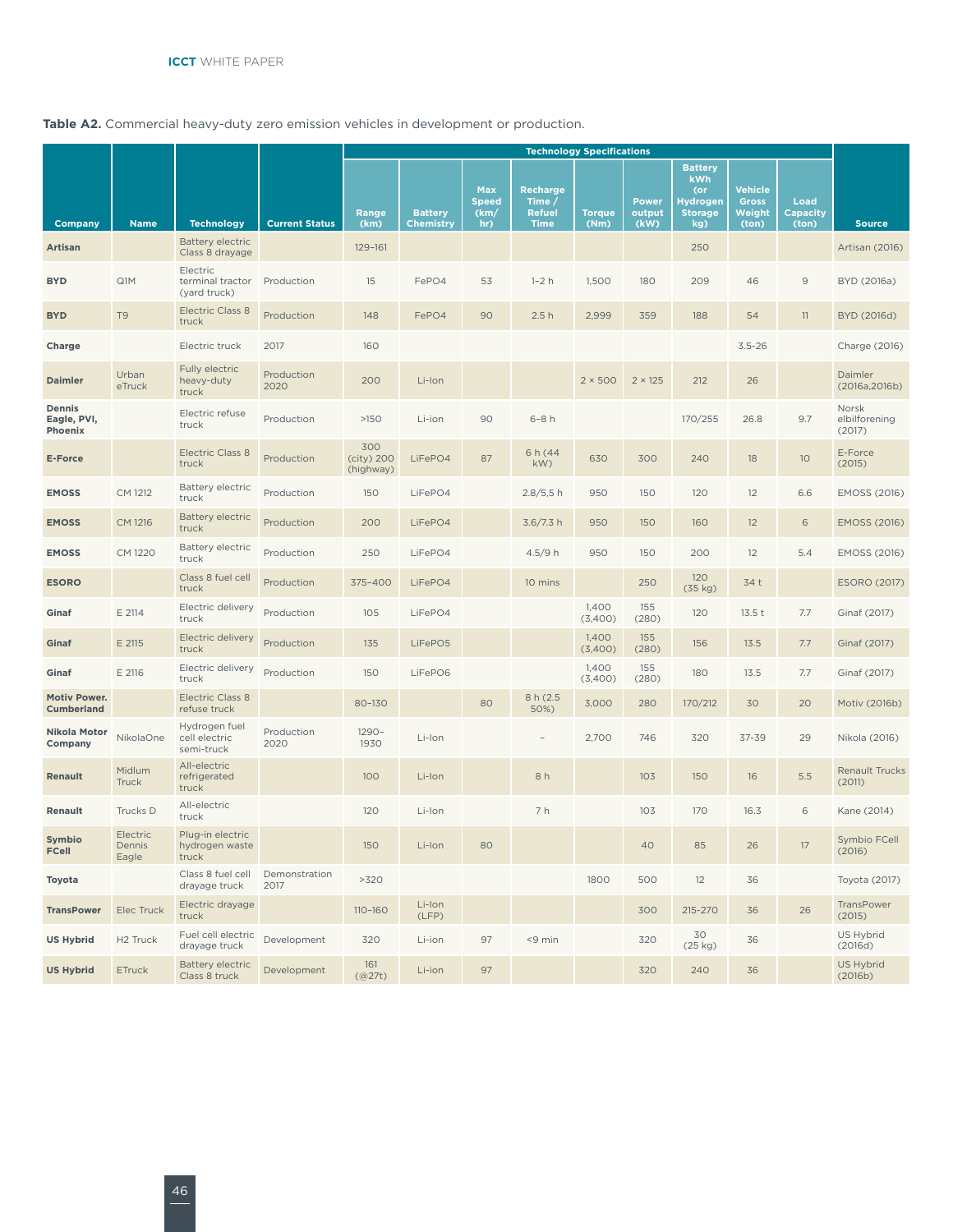#### **Table A2.** Commercial heavy-duty zero emission vehicles in development or production.

|                                          |                             |                                                                 |                       |                                  |                                    |                                           |                                                           | <b>Technology Specifications</b> |                                |                                                                                 |                                            |                                  |                                  |
|------------------------------------------|-----------------------------|-----------------------------------------------------------------|-----------------------|----------------------------------|------------------------------------|-------------------------------------------|-----------------------------------------------------------|----------------------------------|--------------------------------|---------------------------------------------------------------------------------|--------------------------------------------|----------------------------------|----------------------------------|
| Company                                  | <b>Name</b>                 |                                                                 | <b>Current Status</b> | Range<br>(km)                    | <b>Battery</b><br><b>Chemistry</b> | <b>Max</b><br><b>Speed</b><br>(km)<br>hr) | <b>Recharge</b><br>Time /<br><b>Refuel</b><br><b>Time</b> | <b>Torque</b><br>(Nm)            | <b>Power</b><br>output<br>(kW) | <b>Battery</b><br><b>kWh</b><br>(or<br><b>Hydrogen</b><br><b>Storage</b><br>kg) | Vehicle<br><b>Gross</b><br>Weight<br>(ton) | Load<br><b>Capacity</b><br>(ton) | <b>Source</b>                    |
| <b>Artisan</b>                           |                             | <b>Technology</b><br><b>Battery electric</b><br>Class 8 drayage |                       | 129-161                          |                                    |                                           |                                                           |                                  |                                | 250                                                                             |                                            |                                  | Artisan (2016)                   |
| <b>BYD</b>                               | Q1M                         | Electric<br>terminal tractor<br>(yard truck)                    | Production            | 15                               | FePO4                              | 53                                        | $1-2h$                                                    | 1,500                            | 180                            | 209                                                                             | 46                                         | $\mathsf{9}$                     | BYD (2016a)                      |
| <b>BYD</b>                               | T <sub>9</sub>              | <b>Electric Class 8</b><br>truck                                | Production            | 148                              | FePO4                              | 90                                        | 2.5h                                                      | 2,999                            | 359                            | 188                                                                             | 54                                         | 11                               | BYD (2016d)                      |
| Charge                                   |                             | Electric truck                                                  | 2017                  | 160                              |                                    |                                           |                                                           |                                  |                                |                                                                                 | $3.5 - 26$                                 |                                  | Charge (2016)                    |
| <b>Daimler</b>                           | Urban<br>eTruck             | Fully electric<br>heavy-duty<br>truck                           | Production<br>2020    | 200                              | Li-Ion                             |                                           |                                                           | $2 \times 500$                   | $2 \times 125$                 | 212                                                                             | 26                                         |                                  | Daimler<br>(2016a, 2016b)        |
| Dennis<br>Eagle, PVI,<br>Phoenix         |                             | Electric refuse<br>truck                                        | Production            | $>150$                           | Li-ion                             | 90                                        | $6-8h$                                                    |                                  |                                | 170/255                                                                         | 26.8                                       | 9.7                              | Norsk<br>elbilforening<br>(2017) |
| <b>E-Force</b>                           |                             | <b>Electric Class 8</b><br>truck                                | Production            | 300<br>$(city)$ 200<br>(highway) | LiFePO4                            | 87                                        | 6 h (44<br>kW)                                            | 630                              | 300                            | 240                                                                             | 18                                         | 10 <sup>°</sup>                  | E-Force<br>(2015)                |
| <b>EMOSS</b>                             | CM 1212                     | <b>Battery electric</b><br>truck                                | Production            | 150                              | LiFePO4                            |                                           | 2.8/5,5 h                                                 | 950                              | 150                            | 120                                                                             | 12                                         | 6.6                              | <b>EMOSS (2016)</b>              |
| <b>EMOSS</b>                             | CM 1216                     | <b>Battery electric</b><br>truck                                | Production            | 200                              | LiFePO4                            |                                           | 3.6/7.3 h                                                 | 950                              | 150                            | 160                                                                             | 12                                         | 6                                | <b>EMOSS (2016)</b>              |
| <b>EMOSS</b>                             | CM 1220                     | <b>Battery electric</b><br>truck                                | Production            | 250                              | LiFePO4                            |                                           | 4.5/9h                                                    | 950                              | 150                            | 200                                                                             | 12                                         | 5.4                              | EMOSS (2016)                     |
| <b>ESORO</b>                             |                             | Class 8 fuel cell<br>truck                                      | Production            | 375-400                          | LiFePO4                            |                                           | 10 mins                                                   |                                  | 250                            | 120<br>(35 kg)                                                                  | 34 t                                       |                                  | <b>ESORO (2017)</b>              |
| Ginaf                                    | E 2114                      | Electric delivery<br>truck                                      | Production            | 105                              | LiFePO4                            |                                           |                                                           | 1,400<br>(3,400)                 | 155<br>(280)                   | 120                                                                             | 13.5t                                      | 7.7                              | Ginaf (2017)                     |
| Ginaf                                    | E 2115                      | Electric delivery<br>truck                                      | Production            | 135                              | LiFePO5                            |                                           |                                                           | 1,400<br>(3,400)                 | 155<br>(280)                   | 156                                                                             | 13.5                                       | 7.7                              | Ginaf (2017)                     |
| Ginaf                                    | E 2116                      | Electric delivery<br>truck                                      | Production            | 150                              | LiFePO6                            |                                           |                                                           | 1,400<br>(3,400)                 | 155<br>(280)                   | 180                                                                             | 13.5                                       | 7.7                              | Ginaf (2017)                     |
| <b>Motiv Power.</b><br><b>Cumberland</b> |                             | <b>Electric Class 8</b><br>refuse truck                         |                       | 80-130                           |                                    | 80                                        | 8 h (2.5)<br>50%)                                         | 3,000                            | 280                            | 170/212                                                                         | 30                                         | 20                               | Motiv (2016b)                    |
| Nikola Motor<br>Company                  | NikolaOne                   | Hydrogen fuel<br>cell electric<br>semi-truck                    | Production<br>2020    | $1290 -$<br>1930                 | Li-Ion                             |                                           |                                                           | 2,700                            | 746                            | 320                                                                             | $37 - 39$                                  | 29                               | Nikola (2016)                    |
| <b>Renault</b>                           | Midlum<br><b>Truck</b>      | All-electric<br>refrigerated<br>truck                           |                       | 100                              | Li-Ion                             |                                           | 8h                                                        |                                  | 103                            | 150                                                                             | 16                                         | 5.5                              | <b>Renault Trucks</b><br>(2011)  |
| Renault                                  | Trucks D                    | All-electric<br>truck                                           |                       | 120                              | Li-Ion                             |                                           | 7 h                                                       |                                  | 103                            | 170                                                                             | 16.3                                       | 6                                | Kane (2014)                      |
| Symbio<br>FCell                          | Electric<br>Dennis<br>Eagle | Plug-in electric<br>hydrogen waste<br>truck                     |                       | 150                              | Li-Ion                             | 80                                        |                                                           |                                  | 40                             | 85                                                                              | 26                                         | 17                               | Symbio FCell<br>(2016)           |
| Toyota                                   |                             | Class 8 fuel cell<br>drayage truck                              | Demonstration<br>2017 | >320                             |                                    |                                           |                                                           | 1800                             | 500                            | 12                                                                              | 36                                         |                                  | Toyota (2017)                    |
| <b>TransPower</b>                        | Elec Truck                  | Electric drayage<br>truck                                       |                       | 110-160                          | Li-Ion<br>(LFP)                    |                                           |                                                           |                                  | 300                            | 215-270                                                                         | 36                                         | 26                               | TransPower<br>(2015)             |
| <b>US Hybrid</b>                         | H <sub>2</sub> Truck        | Fuel cell electric<br>drayage truck                             | Development           | 320                              | Li-ion                             | 97                                        | <9 min                                                    |                                  | 320                            | 30<br>(25 kg)                                                                   | 36                                         |                                  | US Hybrid<br>(2016d)             |
| <b>US Hybrid</b>                         | ETruck                      | <b>Battery electric</b><br>Class 8 truck                        | Development           | 161<br>(Q27t)                    | Li-ion                             | 97                                        |                                                           |                                  | 320                            | 240                                                                             | 36                                         |                                  | US Hybrid<br>(2016b)             |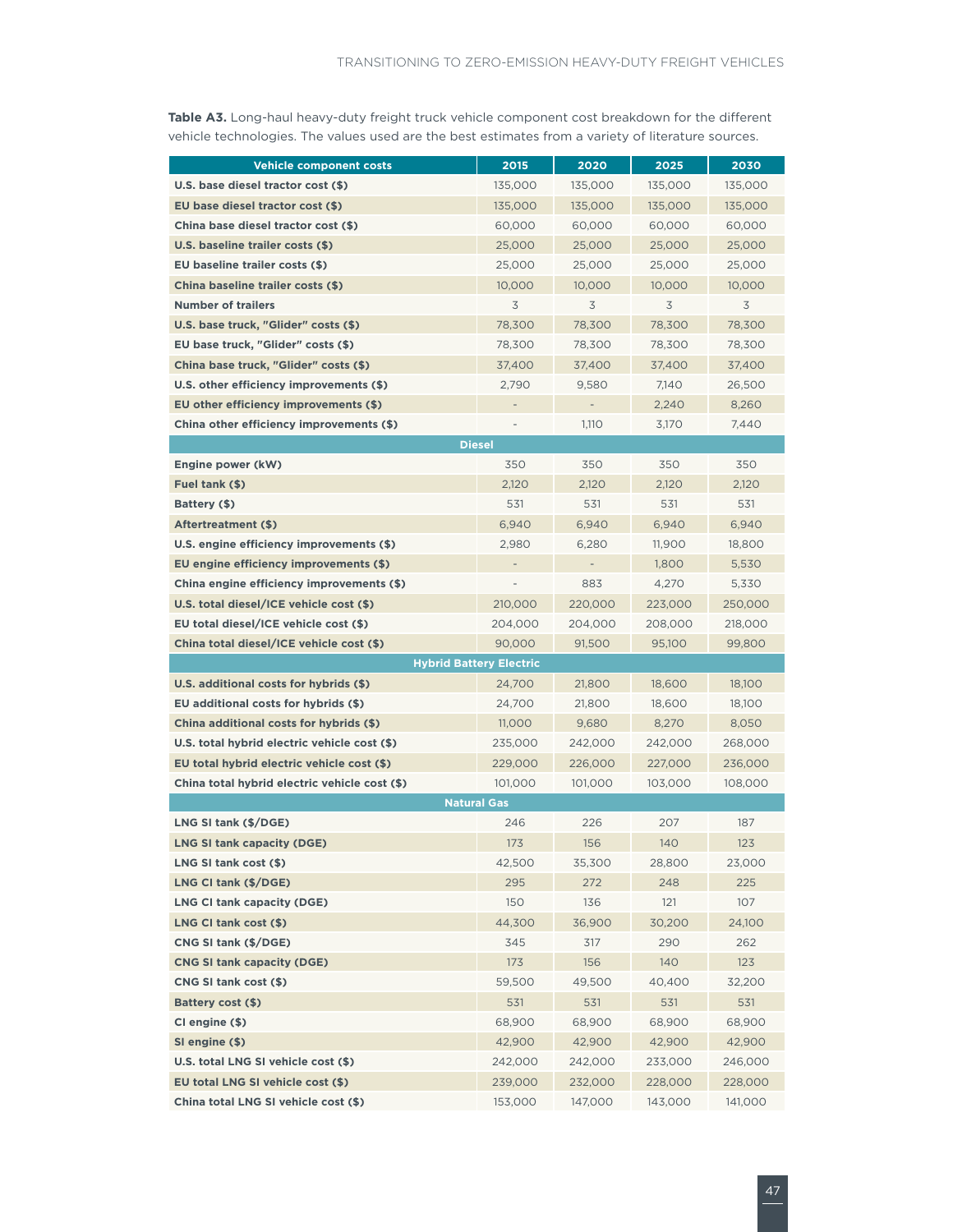**Table A3.** Long-haul heavy-duty freight truck vehicle component cost breakdown for the different vehicle technologies. The values used are the best estimates from a variety of literature sources.

| <b>Vehicle component costs</b>                | 2015    | 2020                     | 2025    | 2030    |
|-----------------------------------------------|---------|--------------------------|---------|---------|
| U.S. base diesel tractor cost (\$)            | 135,000 | 135,000                  | 135,000 | 135,000 |
| EU base diesel tractor cost (\$)              | 135,000 | 135,000                  | 135,000 | 135,000 |
| China base diesel tractor cost (\$)           | 60,000  | 60,000                   | 60,000  | 60,000  |
| U.S. baseline trailer costs (\$)              | 25,000  | 25,000                   | 25,000  | 25,000  |
| EU baseline trailer costs (\$)                | 25,000  | 25,000                   | 25,000  | 25,000  |
| China baseline trailer costs (\$)             | 10,000  | 10,000                   | 10,000  | 10,000  |
| <b>Number of trailers</b>                     | 3       | 3                        | 3       | 3       |
| U.S. base truck, "Glider" costs (\$)          | 78,300  | 78,300                   | 78,300  | 78,300  |
| EU base truck, "Glider" costs (\$)            | 78,300  | 78,300                   | 78,300  | 78,300  |
| China base truck, "Glider" costs (\$)         | 37,400  | 37,400                   | 37,400  | 37,400  |
| U.S. other efficiency improvements (\$)       | 2,790   | 9,580                    | 7,140   | 26,500  |
| EU other efficiency improvements (\$)         |         | ÷                        | 2,240   | 8,260   |
| China other efficiency improvements (\$)      |         | 1,110                    | 3,170   | 7,440   |
| <b>Diesel</b>                                 |         |                          |         |         |
| Engine power (kW)                             | 350     | 350                      | 350     | 350     |
| Fuel tank (\$)                                | 2,120   | 2,120                    | 2.120   | 2,120   |
| Battery (\$)                                  | 531     | 531                      | 531     | 531     |
| <b>Aftertreatment (\$)</b>                    | 6,940   | 6,940                    | 6,940   | 6,940   |
| U.S. engine efficiency improvements (\$)      | 2,980   | 6.280                    | 11,900  | 18,800  |
| EU engine efficiency improvements (\$)        |         | $\overline{\phantom{0}}$ | 1,800   | 5,530   |
| China engine efficiency improvements (\$)     |         | 883                      | 4,270   | 5,330   |
| U.S. total diesel/ICE vehicle cost (\$)       | 210,000 | 220,000                  | 223,000 | 250,000 |
| EU total diesel/ICE vehicle cost (\$)         | 204,000 | 204,000                  | 208,000 | 218,000 |
| China total diesel/ICE vehicle cost (\$)      | 90,000  | 91,500                   | 95,100  | 99,800  |
| <b>Hybrid Battery Electric</b>                |         |                          |         |         |
| U.S. additional costs for hybrids (\$)        | 24,700  | 21,800                   | 18,600  | 18,100  |
| EU additional costs for hybrids (\$)          | 24,700  | 21,800                   | 18,600  | 18,100  |
| China additional costs for hybrids (\$)       | 11,000  | 9,680                    | 8,270   | 8,050   |
| U.S. total hybrid electric vehicle cost (\$)  | 235,000 | 242,000                  | 242,000 | 268,000 |
| EU total hybrid electric vehicle cost (\$)    | 229,000 | 226,000                  | 227,000 | 236,000 |
| China total hybrid electric vehicle cost (\$) | 101,000 | 101,000                  | 103,000 | 108,000 |
| <b>Natural Gas</b>                            |         |                          |         |         |
| LNG SI tank (\$/DGE)                          | 246     | 226                      | 207     | 187     |
| LNG SI tank capacity (DGE)                    | 173     | 156                      | 140     | 123     |
| LNG SI tank cost (\$)                         | 42,500  | 35,300                   | 28,800  | 23,000  |
| LNG CI tank (\$/DGE)                          | 295     | 272                      | 248     | 225     |
| LNG CI tank capacity (DGE)                    | 150     | 136                      | 121     | 107     |
| LNG CI tank cost (\$)                         | 44,300  | 36,900                   | 30,200  | 24,100  |
| CNG SI tank (\$/DGE)                          | 345     | 317                      | 290     | 262     |
| <b>CNG SI tank capacity (DGE)</b>             | 173     | 156                      | 140     | 123     |
| CNG SI tank cost (\$)                         | 59,500  | 49,500                   | 40,400  | 32,200  |
| <b>Battery cost (\$)</b>                      | 531     | 531                      | 531     | 531     |
| CI engine (\$)                                | 68,900  | 68,900                   | 68,900  | 68,900  |
| SI engine (\$)                                | 42,900  | 42,900                   | 42,900  | 42,900  |
| U.S. total LNG SI vehicle cost (\$)           | 242,000 | 242,000                  | 233,000 | 246,000 |
| EU total LNG SI vehicle cost (\$)             | 239,000 | 232,000                  | 228,000 | 228,000 |
| China total LNG SI vehicle cost (\$)          | 153,000 | 147,000                  | 143,000 | 141,000 |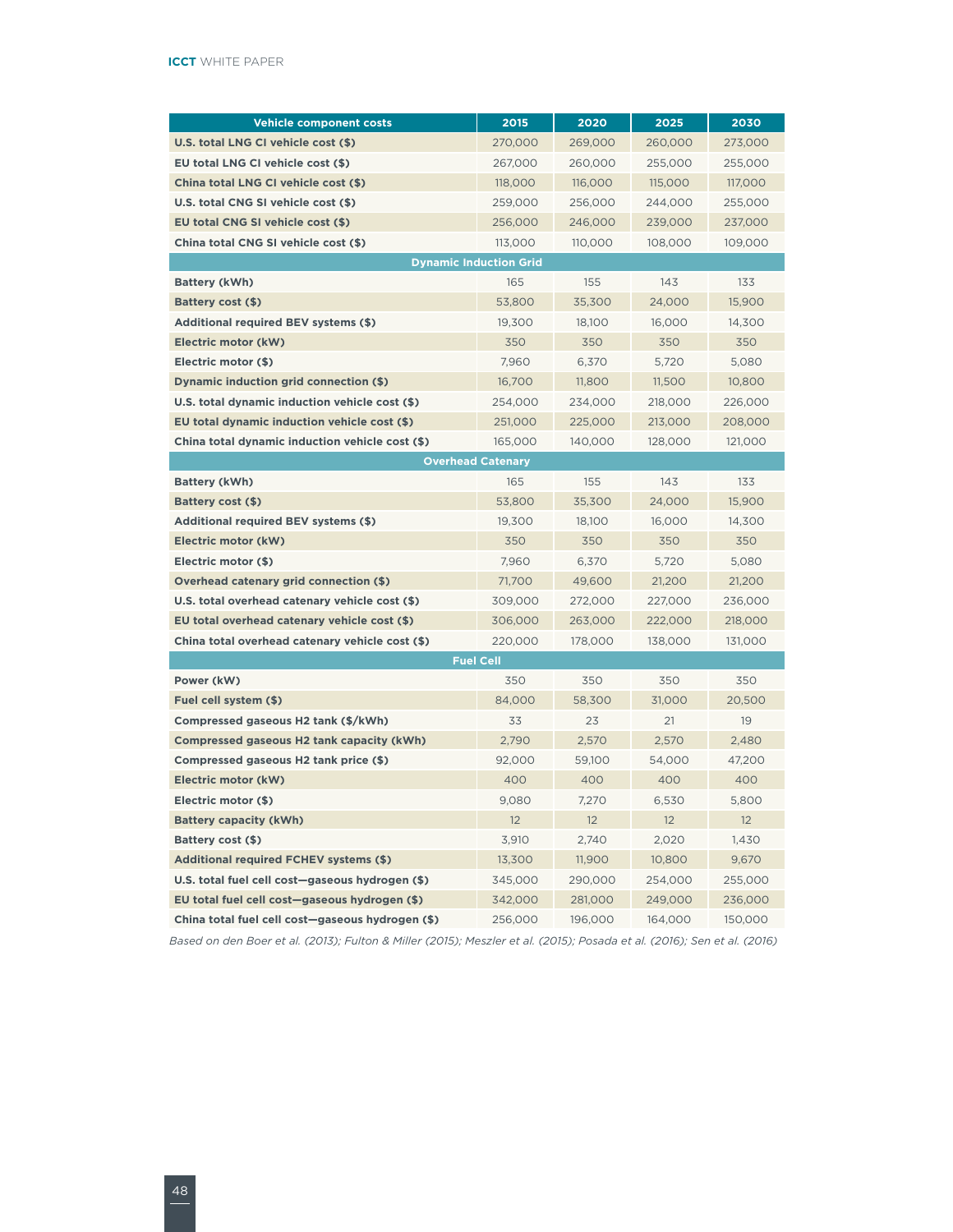| <b>Vehicle component costs</b>                   | 2015                     | 2020    | 2025    | 2030    |
|--------------------------------------------------|--------------------------|---------|---------|---------|
| U.S. total LNG CI vehicle cost (\$)              | 270,000                  | 269,000 | 260,000 | 273,000 |
| EU total LNG CI vehicle cost (\$)                | 267,000                  | 260,000 | 255,000 | 255,000 |
| China total LNG CI vehicle cost (\$)             | 118,000                  | 116,000 | 115,000 | 117,000 |
| U.S. total CNG SI vehicle cost (\$)              | 259,000                  | 256,000 | 244,000 | 255,000 |
| EU total CNG SI vehicle cost (\$)                | 256,000                  | 246,000 | 239,000 | 237,000 |
| China total CNG SI vehicle cost (\$)             | 113,000                  | 110,000 | 108,000 | 109,000 |
| <b>Dynamic Induction Grid</b>                    |                          |         |         |         |
| Battery (kWh)                                    | 165                      | 155     | 143     | 133     |
| Battery cost (\$)                                | 53,800                   | 35.300  | 24.000  | 15,900  |
| <b>Additional required BEV systems (\$)</b>      | 19,300                   | 18,100  | 16,000  | 14,300  |
| Electric motor (kW)                              | 350                      | 350     | 350     | 350     |
| Electric motor (\$)                              | 7,960                    | 6,370   | 5,720   | 5,080   |
| Dynamic induction grid connection (\$)           | 16,700                   | 11,800  | 11,500  | 10,800  |
| U.S. total dynamic induction vehicle cost (\$)   | 254,000                  | 234,000 | 218,000 | 226,000 |
| EU total dynamic induction vehicle cost (\$)     | 251,000                  | 225,000 | 213,000 | 208,000 |
| China total dynamic induction vehicle cost (\$)  | 165,000                  | 140,000 | 128,000 | 121,000 |
|                                                  | <b>Overhead Catenary</b> |         |         |         |
| <b>Battery (kWh)</b>                             | 165                      | 155     | 143     | 133     |
| Battery cost (\$)                                | 53,800                   | 35,300  | 24,000  | 15,900  |
| <b>Additional required BEV systems (\$)</b>      | 19,300                   | 18,100  | 16,000  | 14,300  |
| Electric motor (kW)                              | 350                      | 350     | 350     | 350     |
| Electric motor (\$)                              | 7,960                    | 6,370   | 5,720   | 5,080   |
| Overhead catenary grid connection (\$)           | 71,700                   | 49,600  | 21,200  | 21,200  |
| U.S. total overhead catenary vehicle cost (\$)   | 309,000                  | 272,000 | 227,000 | 236,000 |
| EU total overhead catenary vehicle cost (\$)     | 306,000                  | 263,000 | 222,000 | 218,000 |
| China total overhead catenary vehicle cost (\$)  | 220,000                  | 178,000 | 138,000 | 131,000 |
|                                                  | <b>Fuel Cell</b>         |         |         |         |
| Power (kW)                                       | 350                      | 350     | 350     | 350     |
| Fuel cell system (\$)                            | 84,000                   | 58,300  | 31,000  | 20,500  |
| Compressed gaseous H2 tank (\$/kWh)              | 33                       | 23      | 21      | 19      |
| Compressed gaseous H2 tank capacity (kWh)        | 2,790                    | 2,570   | 2,570   | 2,480   |
| Compressed gaseous H2 tank price (\$)            | 92,000                   | 59,100  | 54,000  | 47,200  |
| Electric motor (kW)                              | 400                      | 400     | 400     | 400     |
| Electric motor (\$)                              | 9,080                    | 7,270   | 6,530   | 5,800   |
| <b>Battery capacity (kWh)</b>                    | 12                       | 12      | 12      | 12      |
| Battery cost (\$)                                | 3,910                    | 2,740   | 2,020   | 1,430   |
| <b>Additional required FCHEV systems (\$)</b>    | 13,300                   | 11,900  | 10,800  | 9,670   |
| U.S. total fuel cell cost-gaseous hydrogen (\$)  | 345,000                  | 290,000 | 254,000 | 255,000 |
| EU total fuel cell cost-gaseous hydrogen (\$)    | 342,000                  | 281,000 | 249,000 | 236,000 |
| China total fuel cell cost-gaseous hydrogen (\$) | 256,000                  | 196,000 | 164,000 | 150,000 |

*Based on den Boer et al. (2013); Fulton & Miller (2015); Meszler et al. (2015); Posada et al. (2016); Sen et al. (2016)*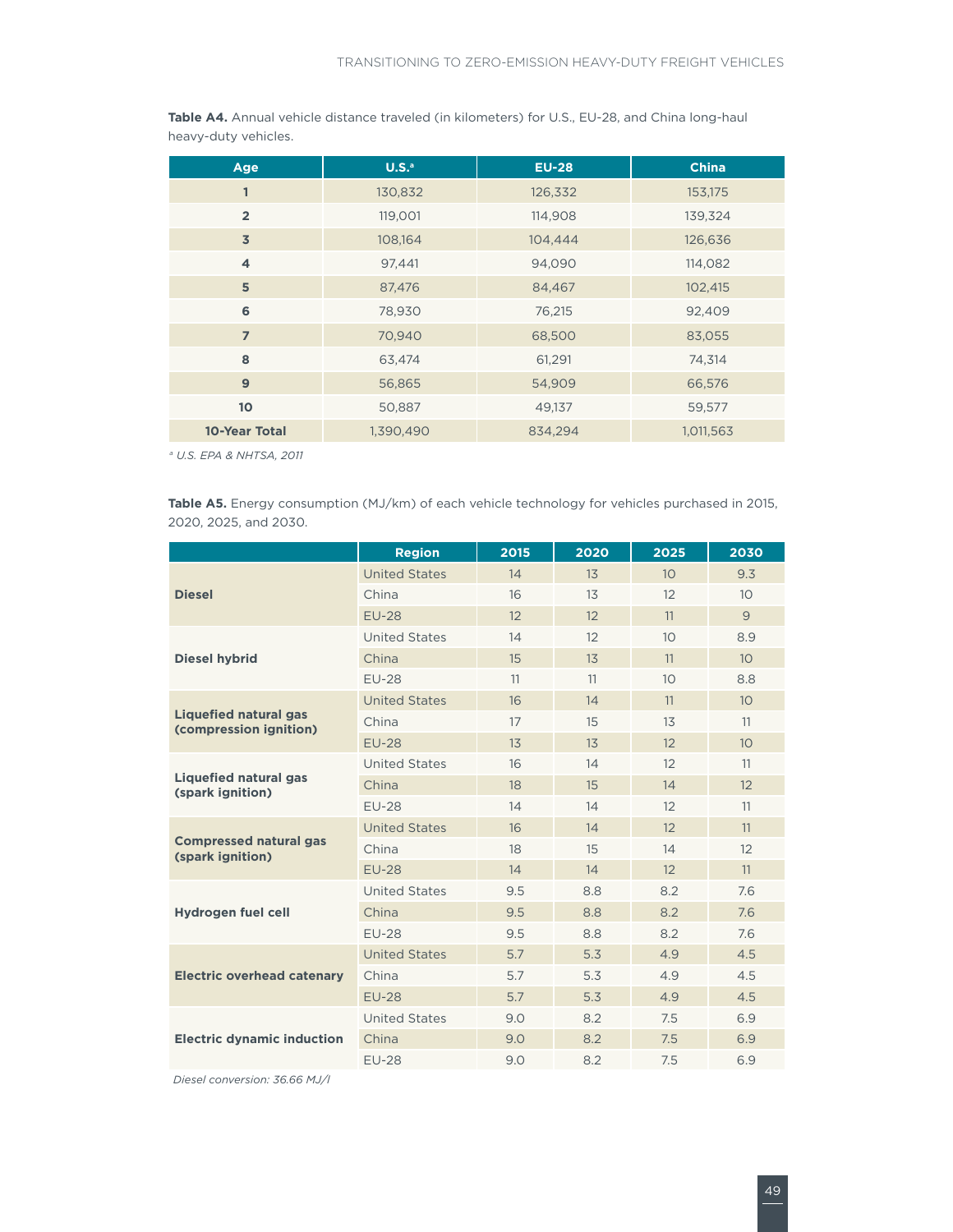| Age             | $U.S.^a$  | <b>EU-28</b> | <b>China</b> |
|-----------------|-----------|--------------|--------------|
| 1               | 130,832   | 126,332      | 153,175      |
| $\overline{2}$  | 119,001   | 114,908      | 139,324      |
| $\overline{3}$  | 108,164   | 104,444      | 126,636      |
| $\overline{4}$  | 97,441    | 94,090       | 114,082      |
| 5               | 87,476    | 84,467       | 102,415      |
| 6               | 78,930    | 76,215       | 92,409       |
| $\overline{7}$  | 70,940    | 68,500       | 83,055       |
| 8               | 63,474    | 61,291       | 74,314       |
| 9               | 56,865    | 54,909       | 66,576       |
| 10 <sup>1</sup> | 50,887    | 49,137       | 59,577       |
| 10-Year Total   | 1,390,490 | 834,294      | 1,011,563    |

**Table A4.** Annual vehicle distance traveled (in kilometers) for U.S., EU-28, and China long-haul heavy-duty vehicles.

*a U.S. EPA & NHTSA, 2011*

**Table A5.** Energy consumption (MJ/km) of each vehicle technology for vehicles purchased in 2015, 2020, 2025, and 2030.

|                                                        | <b>Region</b>        | 2015 | 2020 | 2025            | 2030            |
|--------------------------------------------------------|----------------------|------|------|-----------------|-----------------|
|                                                        | <b>United States</b> | 14   | 13   | 10 <sup>°</sup> | 9.3             |
| <b>Diesel</b>                                          | China                | 16   | 13   | 12              | 10 <sup>°</sup> |
|                                                        | <b>EU-28</b>         | 12   | 12   | 11              | 9               |
|                                                        | <b>United States</b> | 14   | 12   | 10 <sup>°</sup> | 8.9             |
| <b>Diesel hybrid</b>                                   | China                | 15   | 13   | 11              | 10 <sup>°</sup> |
|                                                        | <b>EU-28</b>         | 11   | 11   | 10 <sup>°</sup> | 8.8             |
|                                                        | <b>United States</b> | 16   | 14   | 11              | 10 <sup>°</sup> |
| <b>Liquefied natural gas</b><br>(compression ignition) | China                | 17   | 15   | 13              | 11              |
|                                                        | <b>EU-28</b>         | 13   | 13   | 12              | 10              |
|                                                        | <b>United States</b> | 16   | 14   | 12              | 11              |
| <b>Liquefied natural gas</b><br>(spark ignition)       | China                | 18   | 15   | 14              | 12              |
|                                                        | <b>EU-28</b>         | 14   | 14   | 12              | 11              |
|                                                        | <b>United States</b> | 16   | 14   | 12              | 11              |
| <b>Compressed natural gas</b><br>(spark ignition)      | China                | 18   | 15   | 14              | 12              |
|                                                        | <b>EU-28</b>         | 14   | 14   | 12              | 11              |
|                                                        | <b>United States</b> | 9.5  | 8.8  | 8.2             | 7.6             |
| Hydrogen fuel cell                                     | China                | 9.5  | 8.8  | 8.2             | 7.6             |
|                                                        | <b>EU-28</b>         | 9.5  | 8.8  | 8.2             | 7.6             |
|                                                        | <b>United States</b> | 5.7  | 5.3  | 4.9             | 4.5             |
| <b>Electric overhead catenary</b>                      | China                | 5.7  | 5.3  | 4.9             | 4.5             |
|                                                        | <b>EU-28</b>         | 5.7  | 5.3  | 4.9             | 4.5             |
|                                                        | <b>United States</b> | 9.0  | 8.2  | 7.5             | 6.9             |
| <b>Electric dynamic induction</b>                      | China                | 9.0  | 8.2  | 7.5             | 6.9             |
|                                                        | <b>EU-28</b>         | 9.0  | 8.2  | 7.5             | 6.9             |

*Diesel conversion: 36.66 MJ/l*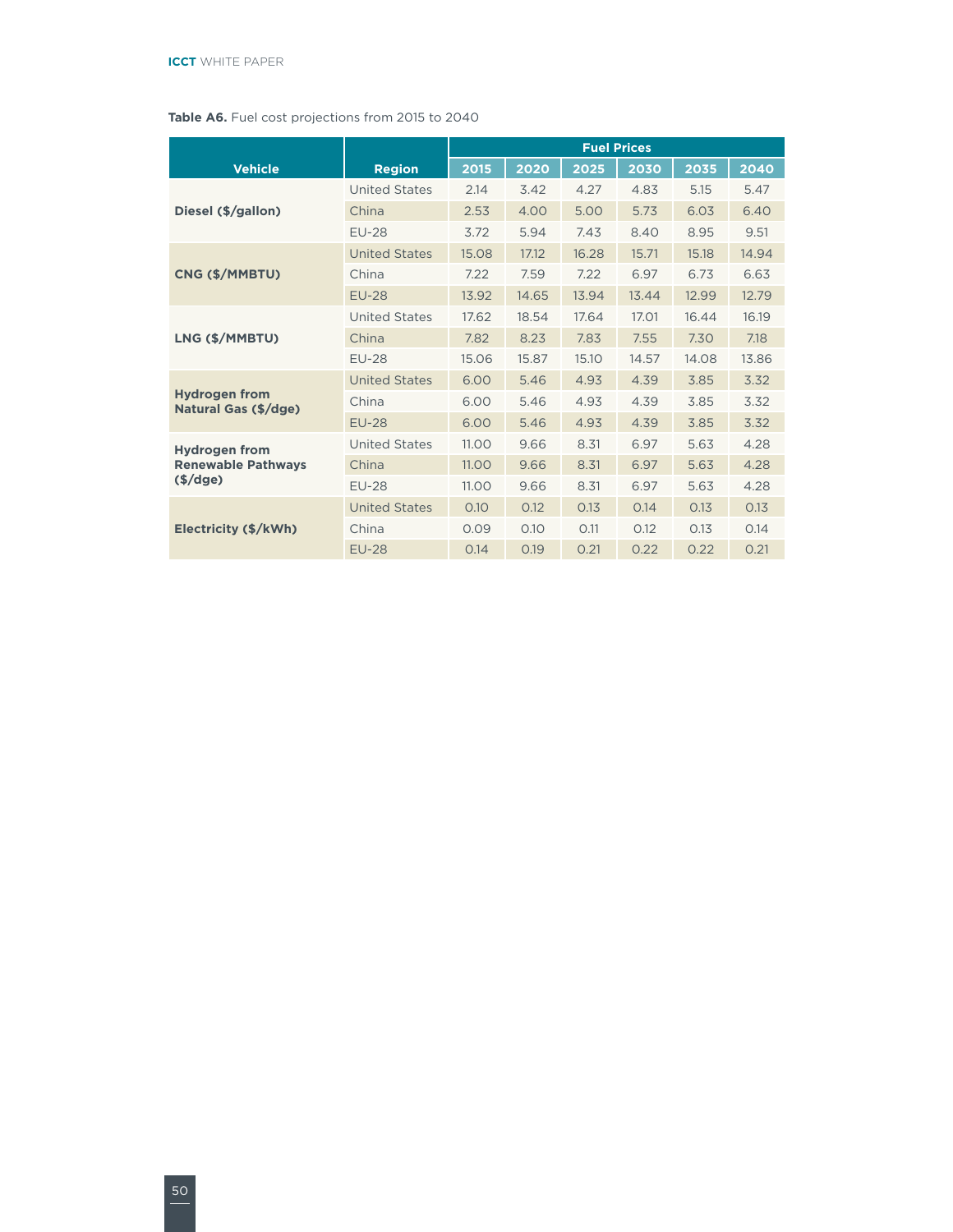#### **Table A6.** Fuel cost projections from 2015 to 2040

|                                              |                      | <b>Fuel Prices</b> |       |       |       |       |       |
|----------------------------------------------|----------------------|--------------------|-------|-------|-------|-------|-------|
| <b>Vehicle</b>                               | <b>Region</b>        | 2015               | 2020  | 2025  | 2030  | 2035  | 2040  |
|                                              | <b>United States</b> | 2.14               | 3.42  | 4.27  | 4.83  | 5.15  | 5.47  |
| Diesel (\$/gallon)                           | China                | 2.53               | 4.00  | 5.00  | 5.73  | 6.03  | 6.40  |
|                                              | <b>EU-28</b>         | 3.72               | 5.94  | 7.43  | 8.40  | 8.95  | 9.51  |
|                                              | <b>United States</b> | 15.08              | 17.12 | 16.28 | 15.71 | 15.18 | 14.94 |
| CNG (\$/MMBTU)                               | China                | 7.22               | 7.59  | 7.22  | 6.97  | 6.73  | 6.63  |
|                                              | <b>EU-28</b>         | 13.92              | 14.65 | 13.94 | 13.44 | 12.99 | 12.79 |
|                                              | <b>United States</b> | 17.62              | 18.54 | 17.64 | 17.01 | 16.44 | 16.19 |
| LNG (\$/MMBTU)                               | China                | 7.82               | 8.23  | 7.83  | 7.55  | 7.30  | 7.18  |
|                                              | <b>EU-28</b>         | 15.06              | 15.87 | 15.10 | 14.57 | 14.08 | 13.86 |
|                                              | <b>United States</b> | 6.00               | 5.46  | 4.93  | 4.39  | 3.85  | 3.32  |
| <b>Hydrogen from</b><br>Natural Gas (\$/dge) | China                | 6.00               | 5.46  | 4.93  | 4.39  | 3.85  | 3.32  |
|                                              | <b>EU-28</b>         | 6.00               | 5.46  | 4.93  | 4.39  | 3.85  | 3.32  |
| <b>Hydrogen from</b>                         | <b>United States</b> | 11.00              | 9.66  | 8.31  | 6.97  | 5.63  | 4.28  |
| <b>Renewable Pathways</b>                    | China                | 11.00              | 9.66  | 8.31  | 6.97  | 5.63  | 4.28  |
| $(\frac{1}{2})$                              | <b>EU-28</b>         | 11.00              | 9.66  | 8.31  | 6.97  | 5.63  | 4.28  |
|                                              | <b>United States</b> | 0.10               | 0.12  | 0.13  | 0.14  | 0.13  | 0.13  |
| Electricity (\$/kWh)                         | China                | 0.09               | 0.10  | 0.11  | 0.12  | 0.13  | 0.14  |
|                                              | <b>EU-28</b>         | 0.14               | 0.19  | 0.21  | 0.22  | 0.22  | 0.21  |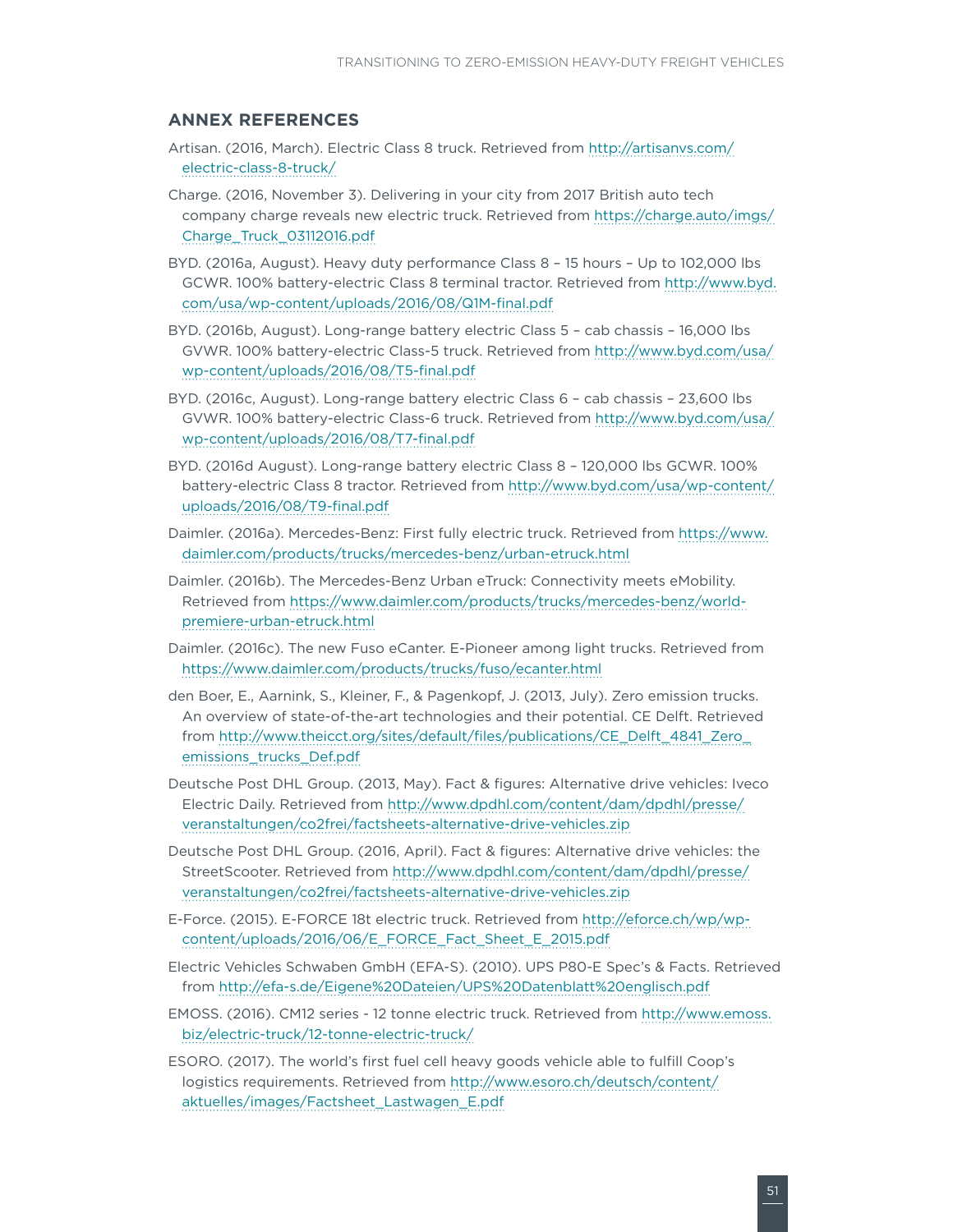#### <span id="page-56-0"></span>**ANNEX REFERENCES**

- Artisan. (2016, March). Electric Class 8 truck. Retrieved from [http://artisanvs.com/](http://artisanvs.com/electric-class-8-truck/) [electric-class-8-truck/](http://artisanvs.com/electric-class-8-truck/)
- Charge. (2016, November 3). Delivering in your city from 2017 British auto tech company charge reveals new electric truck. Retrieved from [https://charge.auto/imgs/](https://charge.auto/imgs/Charge_Truck_03112016.pdf) [Charge\\_Truck\\_03112016.pdf](https://charge.auto/imgs/Charge_Truck_03112016.pdf)
- BYD. (2016a, August). Heavy duty performance Class 8 15 hours Up to 102,000 lbs GCWR. 100% battery-electric Class 8 terminal tractor. Retrieved from [http://www.byd.](http://www.byd.com/usa/wp-content/uploads/2016/08/Q1M-final.pdf) [com/usa/wp-content/uploads/2016/08/Q1M-final.pdf](http://www.byd.com/usa/wp-content/uploads/2016/08/Q1M-final.pdf)
- BYD. (2016b, August). Long-range battery electric Class 5 cab chassis 16,000 lbs GVWR. 100% battery-electric Class-5 truck. Retrieved from [http://www.byd.com/usa/](http://www.byd.com/usa/wp-content/uploads/2016/08/T5-final.pdf) [wp-content/uploads/2016/08/T5-final.pdf](http://www.byd.com/usa/wp-content/uploads/2016/08/T5-final.pdf)
- BYD. (2016c, August). Long-range battery electric Class 6 cab chassis 23,600 lbs GVWR. 100% battery-electric Class-6 truck. Retrieved from [http://www.byd.com/usa/](http://www.byd.com/usa/wp-content/uploads/2016/08/T7-final.pdf) [wp-content/uploads/2016/08/T7-final.pdf](http://www.byd.com/usa/wp-content/uploads/2016/08/T7-final.pdf)
- BYD. (2016d August). Long-range battery electric Class 8 120,000 lbs GCWR. 100% battery-electric Class 8 tractor. Retrieved from [http://www.byd.com/usa/wp-content/](http://www.byd.com/usa/wp-content/uploads/2016/08/T9-final.pdf) [uploads/2016/08/T9-final.pdf](http://www.byd.com/usa/wp-content/uploads/2016/08/T9-final.pdf)
- Daimler. (2016a). Mercedes-Benz: First fully electric truck. Retrieved from [https://www.](https://www.daimler.com/products/trucks/mercedes-benz/urban-etruck.html) [daimler.com/products/trucks/mercedes-benz/urban-etruck.html](https://www.daimler.com/products/trucks/mercedes-benz/urban-etruck.html)
- Daimler. (2016b). The Mercedes-Benz Urban eTruck: Connectivity meets eMobility. Retrieved from [https://www.daimler.com/products/trucks/mercedes-benz/world](https://www.daimler.com/products/trucks/mercedes-benz/world-premiere-urban-etruck.html)[premiere-urban-etruck.html](https://www.daimler.com/products/trucks/mercedes-benz/world-premiere-urban-etruck.html)
- Daimler. (2016c). The new Fuso eCanter. E-Pioneer among light trucks. Retrieved from <https://www.daimler.com/products/trucks/fuso/ecanter.html>
- den Boer, E., Aarnink, S., Kleiner, F., & Pagenkopf, J. (2013, July). Zero emission trucks. An overview of state-of-the-art technologies and their potential. CE Delft. Retrieved from [http://www.theicct.org/sites/default/files/publications/CE\\_Delft\\_4841\\_Zero\\_](http://www.theicct.org/sites/default/files/publications/CE_Delft_4841_Zero_emissions_trucks_Def.pdf) [emissions\\_trucks\\_Def.pdf](http://www.theicct.org/sites/default/files/publications/CE_Delft_4841_Zero_emissions_trucks_Def.pdf)
- Deutsche Post DHL Group. (2013, May). Fact & figures: Alternative drive vehicles: Iveco Electric Daily. Retrieved from [http://www.dpdhl.com/content/dam/dpdhl/presse/](http://www.dpdhl.com/content/dam/dpdhl/presse/veranstaltungen/co2frei/factsheets-alternative-drive-vehicles.zip) [veranstaltungen/co2frei/factsheets-alternative-drive-vehicles.zip](http://www.dpdhl.com/content/dam/dpdhl/presse/veranstaltungen/co2frei/factsheets-alternative-drive-vehicles.zip)
- Deutsche Post DHL Group. (2016, April). Fact & figures: Alternative drive vehicles: the StreetScooter. Retrieved from [http://www.dpdhl.com/content/dam/dpdhl/presse/](http://www.dpdhl.com/content/dam/dpdhl/presse/veranstaltungen/co2frei/factsheets-alternative-drive-vehicles.zip) [veranstaltungen/co2frei/factsheets-alternative-drive-vehicles.zip](http://www.dpdhl.com/content/dam/dpdhl/presse/veranstaltungen/co2frei/factsheets-alternative-drive-vehicles.zip)
- E-Force. (2015). E-FORCE 18t electric truck. Retrieved from [http://eforce.ch/wp/wp](http://eforce.ch/wp/wp-content/uploads/2016/06/E_FORCE_Fact_Sheet_E_2015.pdf)[content/uploads/2016/06/E\\_FORCE\\_Fact\\_Sheet\\_E\\_2015.pdf](http://eforce.ch/wp/wp-content/uploads/2016/06/E_FORCE_Fact_Sheet_E_2015.pdf)
- Electric Vehicles Schwaben GmbH (EFA-S). (2010). UPS P80-E Spec's & Facts. Retrieved from [http://efa-s.de/Eigene%20Dateien/UPS%20Datenblatt%20englisch.pdf](http://efa-s.de/Eigene Dateien/UPS Datenblatt englisch.pdf)
- EMOSS. (2016). CM12 series 12 tonne electric truck. Retrieved from [http://www.emoss.](http://www.emoss.biz/electric-truck/12-tonne-electric-truck/) [biz/electric-truck/12-tonne-electric-truck/](http://www.emoss.biz/electric-truck/12-tonne-electric-truck/)
- ESORO. (2017). The world's first fuel cell heavy goods vehicle able to fulfill Coop's logistics requirements. Retrieved from [http://www.esoro.ch/deutsch/content/](http://www.esoro.ch/deutsch/content/aktuelles/images/Factsheet_Lastwagen_E.pdf) [aktuelles/images/Factsheet\\_Lastwagen\\_E.pdf](http://www.esoro.ch/deutsch/content/aktuelles/images/Factsheet_Lastwagen_E.pdf)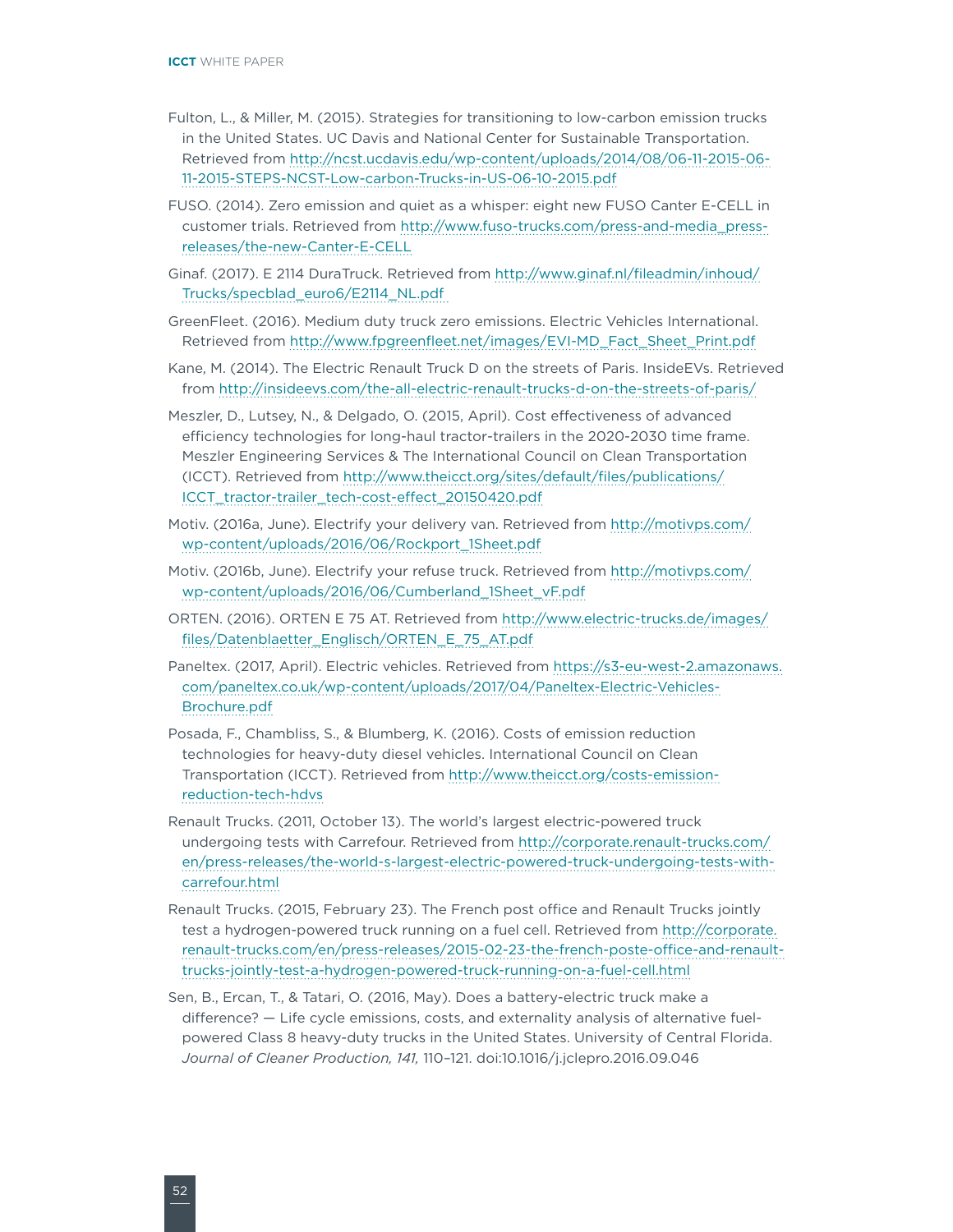- Fulton, L., & Miller, M. (2015). Strategies for transitioning to low-carbon emission trucks in the United States. UC Davis and National Center for Sustainable Transportation. Retrieved from [http://ncst.ucdavis.edu/wp-content/uploads/2014/08/06-11-2015-06-](http://ncst.ucdavis.edu/wp-content/uploads/2014/08/06-11-2015-06-11-2015-STEPS-NCST-Low-carbon-Trucks-in-US-06-10-2015.pdf) [11-2015-STEPS-NCST-Low-carbon-Trucks-in-US-06-10-2015.pdf](http://ncst.ucdavis.edu/wp-content/uploads/2014/08/06-11-2015-06-11-2015-STEPS-NCST-Low-carbon-Trucks-in-US-06-10-2015.pdf)
- FUSO. (2014). Zero emission and quiet as a whisper: eight new FUSO Canter E-CELL in customer trials. Retrieved from [http://www.fuso-trucks.com/press-and-media\\_press](http://www.fuso-trucks.com/press-and-media_press-releases/the-new-Canter-E-CELL)[releases/the-new-Canter-E-CELL](http://www.fuso-trucks.com/press-and-media_press-releases/the-new-Canter-E-CELL)
- Ginaf. (2017). E 2114 DuraTruck. Retrieved from [http://www.ginaf.nl/fileadmin/inhoud/](http://www.ginaf.nl/fileadmin/inhoud/Trucks/specblad_euro6/E2114_NL.pdf) [Trucks/specblad\\_euro6/E2114\\_NL.pdf](http://www.ginaf.nl/fileadmin/inhoud/Trucks/specblad_euro6/E2114_NL.pdf)
- GreenFleet. (2016). Medium duty truck zero emissions. Electric Vehicles International. Retrieved from [http://www.fpgreenfleet.net/images/EVI-MD\\_Fact\\_Sheet\\_Print.pdf](http://www.fpgreenfleet.net/images/EVI-MD_Fact_Sheet_Print.pdf)
- Kane, M. (2014). The Electric Renault Truck D on the streets of Paris. InsideEVs. Retrieved from <http://insideevs.com/the-all-electric-renault-trucks-d-on-the-streets-of-paris/>
- Meszler, D., Lutsey, N., & Delgado, O. (2015, April). Cost effectiveness of advanced efficiency technologies for long-haul tractor-trailers in the 2020-2030 time frame. Meszler Engineering Services & The International Council on Clean Transportation (ICCT). Retrieved from [http://www.theicct.org/sites/default/files/publications/](http://www.theicct.org/sites/default/files/publications/ICCT_tractor-trailer_tech-cost-effect_20150420.pdf) [ICCT\\_tractor-trailer\\_tech-cost-effect\\_20150420.pdf](http://www.theicct.org/sites/default/files/publications/ICCT_tractor-trailer_tech-cost-effect_20150420.pdf)
- Motiv. (2016a, June). Electrify your delivery van. Retrieved from [http://motivps.com/](http://motivps.com/wp-content/uploads/2016/06/Rockport_1Sheet.pdf) [wp-content/uploads/2016/06/Rockport\\_1Sheet.pdf](http://motivps.com/wp-content/uploads/2016/06/Rockport_1Sheet.pdf)
- Motiv. (2016b, June). Electrify your refuse truck. Retrieved from [http://motivps.com/](http://motivps.com/wp-content/uploads/2016/06/Cumberland_1Sheet_vF.pdf) [wp-content/uploads/2016/06/Cumberland\\_1Sheet\\_vF.pdf](http://motivps.com/wp-content/uploads/2016/06/Cumberland_1Sheet_vF.pdf)
- ORTEN. (2016). ORTEN E 75 AT. Retrieved from [http://www.electric-trucks.de/images/](http://www.electric-trucks.de/images/files/Datenblaetter_Englisch/ORTEN_E_75_AT.pdf) [files/Datenblaetter\\_Englisch/ORTEN\\_E\\_75\\_AT.pdf](http://www.electric-trucks.de/images/files/Datenblaetter_Englisch/ORTEN_E_75_AT.pdf)
- Paneltex. (2017, April). Electric vehicles. Retrieved from [https://s3-eu-west-2.amazonaws.](https://s3-eu-west-2.amazonaws.com/paneltex.co.uk/wp-content/uploads/2017/04/Paneltex-Electric-Vehicles-Brochure.pdf) [com/paneltex.co.uk/wp-content/uploads/2017/04/Paneltex-Electric-Vehicles-](https://s3-eu-west-2.amazonaws.com/paneltex.co.uk/wp-content/uploads/2017/04/Paneltex-Electric-Vehicles-Brochure.pdf)[Brochure.pdf](https://s3-eu-west-2.amazonaws.com/paneltex.co.uk/wp-content/uploads/2017/04/Paneltex-Electric-Vehicles-Brochure.pdf)
- Posada, F., Chambliss, S., & Blumberg, K. (2016). Costs of emission reduction technologies for heavy-duty diesel vehicles. International Council on Clean Transportation (ICCT). Retrieved from [http://www.theicct.org/costs-emission](http://www.theicct.org/costs-emission-reduction-tech-hdvs)[reduction-tech-hdvs](http://www.theicct.org/costs-emission-reduction-tech-hdvs)
- Renault Trucks. (2011, October 13). The world's largest electric-powered truck undergoing tests with Carrefour. Retrieved from [http://corporate.renault-trucks.com/](http://corporate.renault-trucks.com/en/press-releases/the-world-s-largest-electric-powered-truck-undergoing-tests-with-carrefour.html) [en/press-releases/the-world-s-largest-electric-powered-truck-undergoing-tests-with](http://corporate.renault-trucks.com/en/press-releases/the-world-s-largest-electric-powered-truck-undergoing-tests-with-carrefour.html)[carrefour.html](http://corporate.renault-trucks.com/en/press-releases/the-world-s-largest-electric-powered-truck-undergoing-tests-with-carrefour.html)
- Renault Trucks. (2015, February 23). The French post office and Renault Trucks jointly test a hydrogen-powered truck running on a fuel cell. Retrieved from [http://corporate.](http://corporate.renault-trucks.com/en/press-releases/2015-02-23-the-french-poste-office-and-renault-trucks-jointly-test-a-hydrogen-powered-truck-running-on-a-fuel-cell.html) [renault-trucks.com/en/press-releases/2015-02-23-the-french-poste-office-and-renault](http://corporate.renault-trucks.com/en/press-releases/2015-02-23-the-french-poste-office-and-renault-trucks-jointly-test-a-hydrogen-powered-truck-running-on-a-fuel-cell.html)[trucks-jointly-test-a-hydrogen-powered-truck-running-on-a-fuel-cell.html](http://corporate.renault-trucks.com/en/press-releases/2015-02-23-the-french-poste-office-and-renault-trucks-jointly-test-a-hydrogen-powered-truck-running-on-a-fuel-cell.html)
- Sen, B., Ercan, T., & Tatari, O. (2016, May). Does a battery-electric truck make a difference? — Life cycle emissions, costs, and externality analysis of alternative fuelpowered Class 8 heavy-duty trucks in the United States. University of Central Florida. *Journal of Cleaner Production, 141,* 110–121. doi:10.1016/j.jclepro.2016.09.046